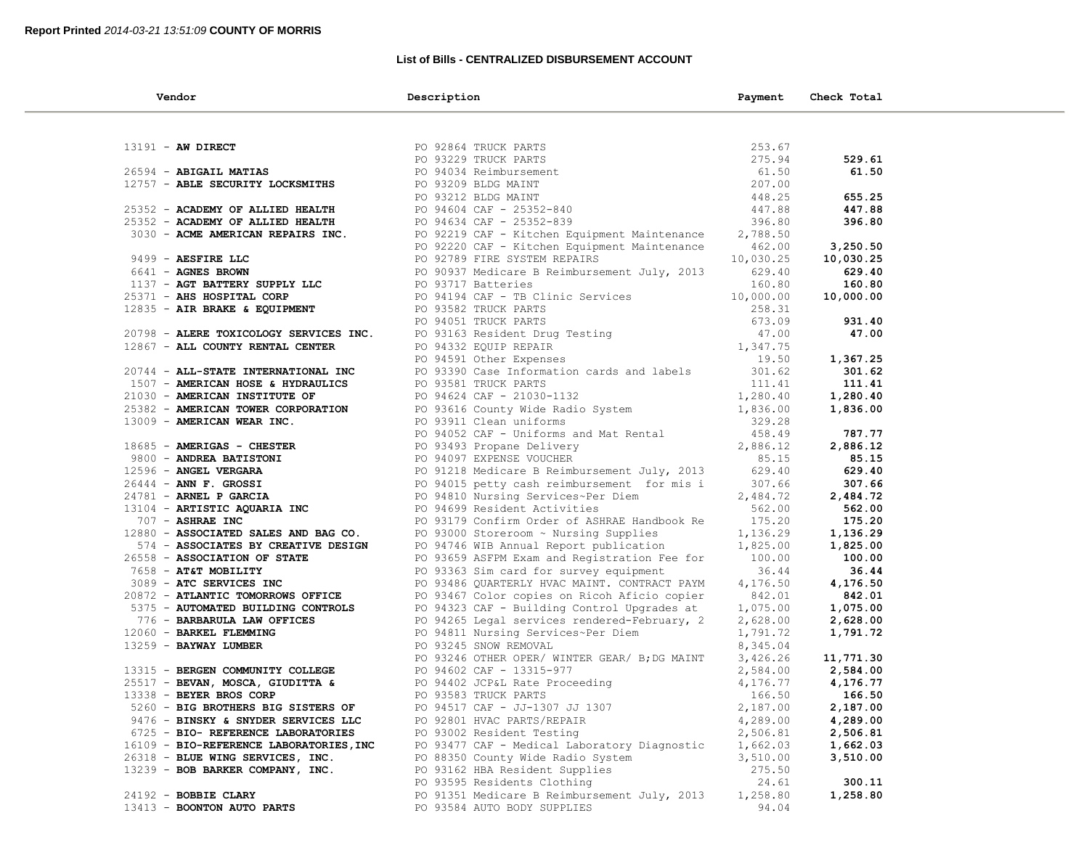## **List of Bills - CENTRALIZED DISBURSEMENT ACCOUNT**

| Vendor                                                                      | Description                                                                                                                                                                                  | Payment   | Check Total |  |
|-----------------------------------------------------------------------------|----------------------------------------------------------------------------------------------------------------------------------------------------------------------------------------------|-----------|-------------|--|
|                                                                             |                                                                                                                                                                                              |           |             |  |
| $13191 - AW DIRECT$                                                         | PO 92864 TRUCK PARTS<br>PO 93229 TRUCK PARTS<br>PO 94034 Reimbursement<br>PO 93209 BLDG MAINT<br>PO 94604 CAF - 25352-840<br>PO 94634 CAF - 25352-839                                        | 253.67    |             |  |
|                                                                             |                                                                                                                                                                                              | 275.94    | 529.61      |  |
| 26594 - ABIGAIL MATIAS                                                      |                                                                                                                                                                                              | 61.50     | 61.50       |  |
| 12757 - ABLE SECURITY LOCKSMITHS                                            |                                                                                                                                                                                              | 207.00    |             |  |
|                                                                             |                                                                                                                                                                                              | 448.25    | 655.25      |  |
| 25352 - ACADEMY OF ALLIED HEALTH                                            |                                                                                                                                                                                              | 447.88    | 447.88      |  |
| 25352 - ACADEMY OF ALLIED HEALTH                                            |                                                                                                                                                                                              | 396.80    | 396.80      |  |
| 3030 - ACME AMERICAN REPAIRS INC.                                           | PO 92219 CAF - Kitchen Equipment Maintenance                                                                                                                                                 | 2,788.50  |             |  |
|                                                                             | PO 92220 CAF - Kitchen Equipment Maintenance                                                                                                                                                 | 462.00    | 3,250.50    |  |
| 9499 - AESFIRE LLC                                                          | PO 92789 FIRE SYSTEM REPAIRS                                                                                                                                                                 | 10,030.25 | 10,030.25   |  |
| 6641 - AGNES BROWN                                                          | PO 90937 Medicare B Reimbursement July, 2013                                                                                                                                                 | 629.40    | 629.40      |  |
| 1137 - AGT BATTERY SUPPLY LLC                                               | PO 93717 Batteries                                                                                                                                                                           | 160.80    | 160.80      |  |
| 25371 - AHS HOSPITAL CORP                                                   | PO 94194 CAF - TB Clinic Services 10,000.00<br>PO 93582 TRUCK PARTS 258.31<br>PO 94051 TRUCK PARTS 673.09                                                                                    |           | 10,000.00   |  |
| 12835 - AIR BRAKE & EQUIPMENT                                               |                                                                                                                                                                                              |           |             |  |
|                                                                             | PO 94051 TRUCK PARTS<br>PO 93163 Resident Drug Testing<br>PO 93163 Resident Drug Testing<br>PO 94332 EQUIP REPAIR<br>PO 94591 Other Expenses<br>1,347.75<br>PO 94591 Other Expenses<br>19.50 |           | 931.40      |  |
| 20798 - ALERE TOXICOLOGY SERVICES INC.                                      |                                                                                                                                                                                              |           | 47.00       |  |
| 12867 - ALL COUNTY RENTAL CENTER                                            |                                                                                                                                                                                              |           |             |  |
|                                                                             |                                                                                                                                                                                              |           | 1,367.25    |  |
| 20744 - ALL-STATE INTERNATIONAL INC                                         | PO 93390 Case Information carus and ideas.<br>PO 93581 TRUCK PARTS<br>PO 94624 CAF - 21030-1132<br>PO 94624 CAF - 21030-1132<br>PO 94624 CAF - 21030-1132<br>1,836.00<br>1,836.00            |           | 301.62      |  |
| 1507 - AMERICAN HOSE & HYDRAULICS                                           |                                                                                                                                                                                              |           | 111.41      |  |
| 21030 - AMERICAN INSTITUTE OF                                               |                                                                                                                                                                                              |           | 1,280.40    |  |
|                                                                             |                                                                                                                                                                                              |           | 1,836.00    |  |
| 25382 - AMERICAN TOWER CORPORATION<br>13009 - AMERICAN WEAR INC.            | PO 93616 County Wide Radio System<br>PO 93911 Clean uniforms                                                                                                                                 | 329.28    |             |  |
|                                                                             |                                                                                                                                                                                              |           | 787.77      |  |
| 18685 - AMERIGAS - CHESTER                                                  | PO 93911 Cream difference and Mat Rental (and 158.49)<br>PO 93493 Propane Delivery (2,886.12)<br>PO 94097 EXPENSE VOUCHER (85.15)                                                            |           | 2,886.12    |  |
| 9800 - ANDREA BATISTONI                                                     |                                                                                                                                                                                              |           | 85.15       |  |
| 12596 - ANGEL VERGARA                                                       | PO 91218 Medicare B Reimbursement July, 2013 629.40                                                                                                                                          |           | 629.40      |  |
| $26444$ - ANN F. GROSSI                                                     | PO 94015 petty cash reimbursement for mis i                                                                                                                                                  | 307.66    | 307.66      |  |
| 24781 - ARNEL P GARCIA                                                      | PO 94810 Nursing Services~Per Diem                                                                                                                                                           | 2,484.72  | 2,484.72    |  |
| 13104 - ARTISTIC AQUARIA INC<br>707 - ASHRAE INC                            | PO 94699 Resident Activities                                                                                                                                                                 | 562.00    | 562.00      |  |
| 707 - ASHRAE INC                                                            | PO 93179 Confirm Order of ASHRAE Handbook Re                                                                                                                                                 | 175.20    | 175.20      |  |
| 12880 - ASSOCIATED SALES AND BAG CO.<br>574 - ASSOCIATES BY CREATIVE DESIGN | PO 93000 Storeroom ~ Nursing Supplies                                                                                                                                                        | 1,136.29  | 1,136.29    |  |
| 574 - ASSOCIATES BY CREATIVE DESIGN                                         | PO 94746 WIB Annual Report publication                                                                                                                                                       | 1,825.00  | 1,825.00    |  |
| 26558 - ASSOCIATION OF STATE                                                | PO 93659 ASFPM Exam and Registration Fee for                                                                                                                                                 | 100.00    | 100.00      |  |
| 7658 - AT&T MOBILITY                                                        | PO 93363 Sim card for survey equipment                                                                                                                                                       | 36.44     | 36.44       |  |
| 3089 - ATC SERVICES INC                                                     | PO 93486 QUARTERLY HVAC MAINT. CONTRACT PAYM                                                                                                                                                 | 4,176.50  | 4,176.50    |  |
| 20872 - ATLANTIC TOMORROWS OFFICE                                           | PO 93467 Color copies on Ricoh Aficio copier                                                                                                                                                 | 842.01    | 842.01      |  |
| 5375 - AUTOMATED BUILDING CONTROLS                                          | PO 94323 CAF - Building Control Upgrades at                                                                                                                                                  | 1,075.00  | 1,075.00    |  |
| 776 - BARBARULA LAW OFFICES                                                 | PO 94265 Legal services rendered-February, 2                                                                                                                                                 | 2,628.00  | 2,628.00    |  |
| 12060 - BARKEL FLEMMING                                                     | PO 94811 Nursing Services~Per Diem                                                                                                                                                           | 1,791.72  | 1,791.72    |  |
| 13259 - BAYWAY LUMBER                                                       | PO 93245 SNOW REMOVAL                                                                                                                                                                        | 8,345.04  |             |  |
|                                                                             | PO 93246 OTHER OPER/ WINTER GEAR/ B; DG MAINT 3,426.26                                                                                                                                       |           | 11,771.30   |  |
| 13315 - BERGEN COMMUNITY COLLEGE                                            | PO 94602 CAF - 13315-977                                                                                                                                                                     | 2,584.00  | 2,584.00    |  |
| 25517 - BEVAN, MOSCA, GIUDITTA &                                            | PO 94402 JCP&L Rate Proceeding                                                                                                                                                               | 4,176.77  | 4,176.77    |  |
| 13338 - BEYER BROS CORP                                                     | PO 93583 TRUCK PARTS                                                                                                                                                                         | 166.50    | 166.50      |  |
| 5260 - BIG BROTHERS BIG SISTERS OF                                          | PO 94517 CAF - JJ-1307 JJ 1307                                                                                                                                                               | 2,187.00  | 2,187.00    |  |
| 9476 - BINSKY & SNYDER SERVICES LLC                                         | PO 92801 HVAC PARTS/REPAIR                                                                                                                                                                   | 4,289.00  | 4,289.00    |  |
| 6725 - BIO- REFERENCE LABORATORIES                                          | PO 93002 Resident Testing                                                                                                                                                                    | 2,506.81  | 2,506.81    |  |
| 16109 - BIO-REFERENCE LABORATORIES, INC                                     | PO 93477 CAF - Medical Laboratory Diagnostic                                                                                                                                                 | 1,662.03  | 1,662.03    |  |
| 26318 - BLUE WING SERVICES, INC.                                            | PO 88350 County Wide Radio System                                                                                                                                                            | 3,510.00  | 3,510.00    |  |
| 13239 - BOB BARKER COMPANY, INC.                                            | PO 93162 HBA Resident Supplies                                                                                                                                                               | 275.50    |             |  |
|                                                                             | PO 93595 Residents Clothing                                                                                                                                                                  | 24.61     | 300.11      |  |
| 24192 - BOBBIE CLARY                                                        | PO 91351 Medicare B Reimbursement July, 2013                                                                                                                                                 | 1,258.80  | 1,258.80    |  |
| 13413 - BOONTON AUTO PARTS                                                  | PO 93584 AUTO BODY SUPPLIES                                                                                                                                                                  | 94.04     |             |  |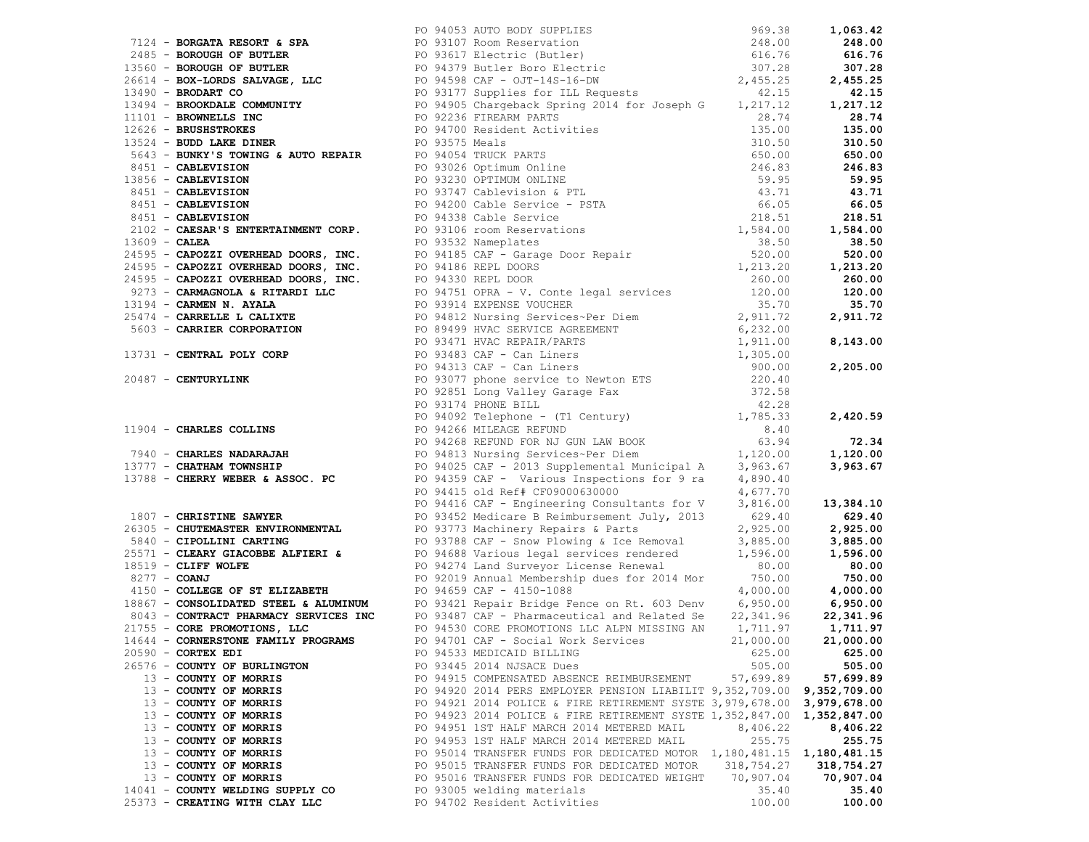|                                  | 1994 - Decoration and New York (1994 - 2002) And 2002 and Anti-Resident Control 2002 - 2000 and 2002 - 2000 and 2002 and 2003 and 2003 and 2003 and 2003 and 2003 and 2003 and 2003 and 2003 and 2003 and 2003 and 2003 and 2 |           |            |
|----------------------------------|-------------------------------------------------------------------------------------------------------------------------------------------------------------------------------------------------------------------------------|-----------|------------|
|                                  |                                                                                                                                                                                                                               |           |            |
|                                  |                                                                                                                                                                                                                               |           |            |
|                                  |                                                                                                                                                                                                                               |           |            |
|                                  |                                                                                                                                                                                                                               |           |            |
|                                  | 14644 - CORNERSTONE FAMILY PROGRAMS PO 94701 CAF - Social Work Services 21,000.00 21,000.00                                                                                                                                   |           |            |
| $20590$ - CORTEX EDI             | PO 94533 MEDICAID BILLING                                                                                                                                                                                                     | 625.00    | 625.00     |
| 26576 - COUNTY OF BURLINGTON     | PO 93445 2014 NJSACE Dues                                                                                                                                                                                                     | 505.00    | 505.00     |
| 13 - COUNTY OF MORRIS            | PO 94915 COMPENSATED ABSENCE REIMBURSEMENT 57,699.89                                                                                                                                                                          |           | 57,699.89  |
| 13 - COUNTY OF MORRIS            | PO 94920 2014 PERS EMPLOYER PENSION LIABILIT 9,352,709.00 9,352,709.00                                                                                                                                                        |           |            |
| 13 - COUNTY OF MORRIS            | PO 94921 2014 POLICE & FIRE RETIREMENT SYSTE 3,979,678.00 3,979,678.00                                                                                                                                                        |           |            |
| 13 - COUNTY OF MORRIS            | PO 94923 2014 POLICE & FIRE RETIREMENT SYSTE 1,352,847.00 1,352,847.00                                                                                                                                                        |           |            |
| 13 - COUNTY OF MORRIS            | PO 94951 1ST HALF MARCH 2014 METERED MAIL                                                                                                                                                                                     | 8,406.22  | 8,406.22   |
| 13 - COUNTY OF MORRIS            | PO 94953 1ST HALF MARCH 2014 METERED MAIL                                                                                                                                                                                     | 255.75    | 255.75     |
| 13 - COUNTY OF MORRIS            | PO 95014 TRANSFER FUNDS FOR DEDICATED MOTOR 1,180,481.15 1,180,481.15                                                                                                                                                         |           |            |
| 13 - COUNTY OF MORRIS            | PO 95015 TRANSFER FUNDS FOR DEDICATED MOTOR 318,754.27                                                                                                                                                                        |           | 318,754.27 |
| 13 - COUNTY OF MORRIS            | PO 95016 TRANSFER FUNDS FOR DEDICATED WEIGHT                                                                                                                                                                                  | 70,907.04 | 70,907.04  |
| 14041 - COUNTY WELDING SUPPLY CO | PO 93005 welding materials                                                                                                                                                                                                    | 35.40     | 35.40      |
| 25373 - CREATING WITH CLAY LLC   | PO 94702 Resident Activities                                                                                                                                                                                                  | 100.00    | 100.00     |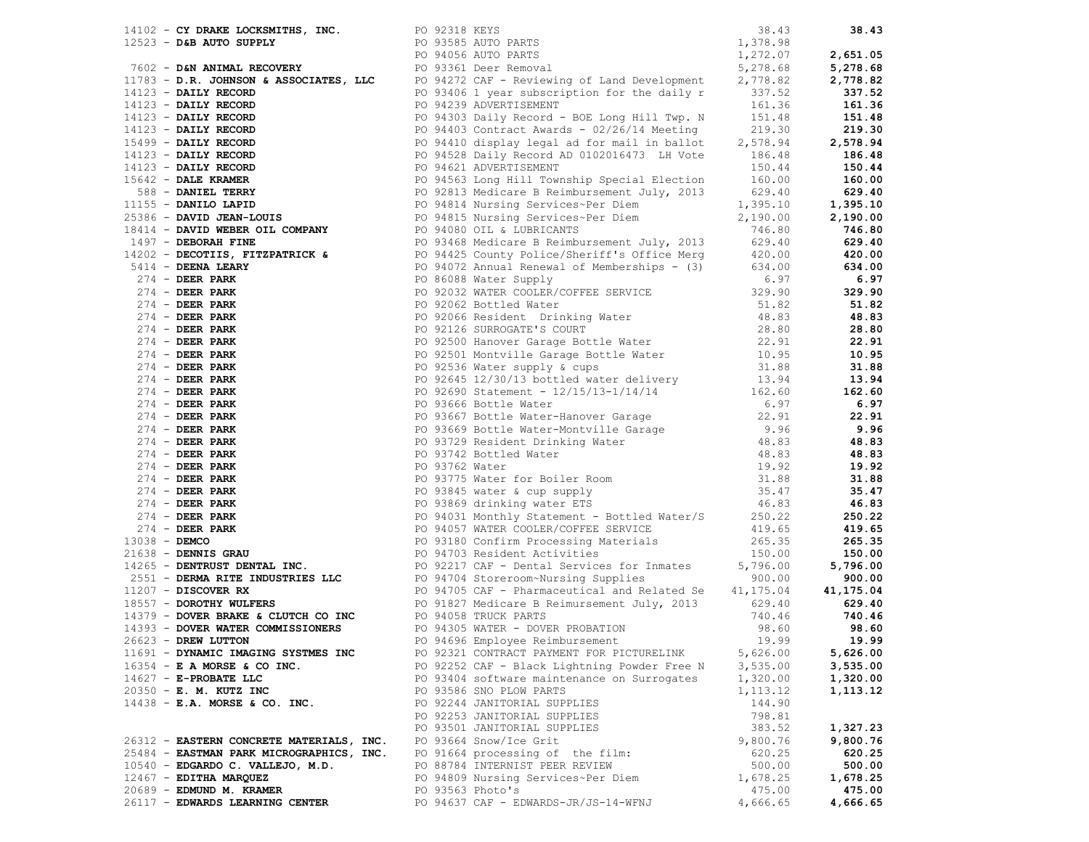|                                                                           |                  | $\begin{bmatrix} 11.5 & -0.0 & 0.004 & 0.004 & 0.004 & 0.004 & 0.004 & 0.004 & 0.004 & 0.004 & 0.004 & 0.004 & 0.004 & 0.004 & 0.004 & 0.004 & 0.004 & 0.004 & 0.004 & 0.004 & 0.004 & 0.004 & 0.004 & 0.004 & 0.004 & 0.004 & 0.004 & 0.004 & 0.004 & 0.004 & 0.004 &$ |           |          |
|---------------------------------------------------------------------------|------------------|-------------------------------------------------------------------------------------------------------------------------------------------------------------------------------------------------------------------------------------------------------------------------|-----------|----------|
|                                                                           |                  |                                                                                                                                                                                                                                                                         |           |          |
|                                                                           |                  |                                                                                                                                                                                                                                                                         |           |          |
|                                                                           |                  |                                                                                                                                                                                                                                                                         |           |          |
|                                                                           |                  |                                                                                                                                                                                                                                                                         |           |          |
|                                                                           |                  |                                                                                                                                                                                                                                                                         |           |          |
| 11691 - DYNAMIC IMAGING SYSTMES INC                                       |                  | PO 92321 CONTRACT PAYMENT FOR PICTURELINK                                                                                                                                                                                                                               | 5,626.00  | 5,626.00 |
| $16354$ - E A MORSE & CO INC.                                             |                  | PO 92252 CAF - Black Lightning Powder Free N                                                                                                                                                                                                                            | 3,535.00  | 3,535.00 |
| $14627 - E - PROBATE$ LLC                                                 |                  | PO 93404 software maintenance on Surrogates                                                                                                                                                                                                                             | 1,320.00  | 1,320.00 |
| 20350 - E. M. KUTZ INC                                                    |                  | PO 93586 SNO PLOW PARTS                                                                                                                                                                                                                                                 | 1, 113.12 | 1,113.12 |
| $14438$ - E.A. MORSE & CO. INC.                                           |                  | PO 92244 JANITORIAL SUPPLIES                                                                                                                                                                                                                                            | 144.90    |          |
|                                                                           |                  | PO 92253 JANITORIAL SUPPLIES                                                                                                                                                                                                                                            | 798.81    |          |
|                                                                           |                  | PO 93501 JANITORIAL SUPPLIES                                                                                                                                                                                                                                            | 383.52    | 1,327.23 |
|                                                                           |                  |                                                                                                                                                                                                                                                                         |           |          |
| 26312 - EASTERN CONCRETE MATERIALS, INC. PO 93664 Snow/Ice Grit           |                  |                                                                                                                                                                                                                                                                         | 9,800.76  | 9,800.76 |
| 25484 - EASTMAN PARK MICROGRAPHICS, INC. PO 91664 processing of the film: |                  |                                                                                                                                                                                                                                                                         | 620.25    | 620.25   |
| $10540$ - EDGARDO C. VALLEJO, M.D.                                        |                  | PO 88784 INTERNIST PEER REVIEW                                                                                                                                                                                                                                          | 500.00    | 500.00   |
| $12467$ - EDITHA MARQUEZ                                                  |                  | PO 94809 Nursing Services~Per Diem                                                                                                                                                                                                                                      | 1,678.25  | 1,678.25 |
| 20689 - EDMUND M. KRAMER                                                  | PO 93563 Photo's |                                                                                                                                                                                                                                                                         | 475.00    | 475.00   |
| 26117 - EDWARDS LEARNING CENTER                                           |                  | PO 94637 CAF - EDWARDS-JR/JS-14-WFNJ                                                                                                                                                                                                                                    | 4,666.65  | 4,666.65 |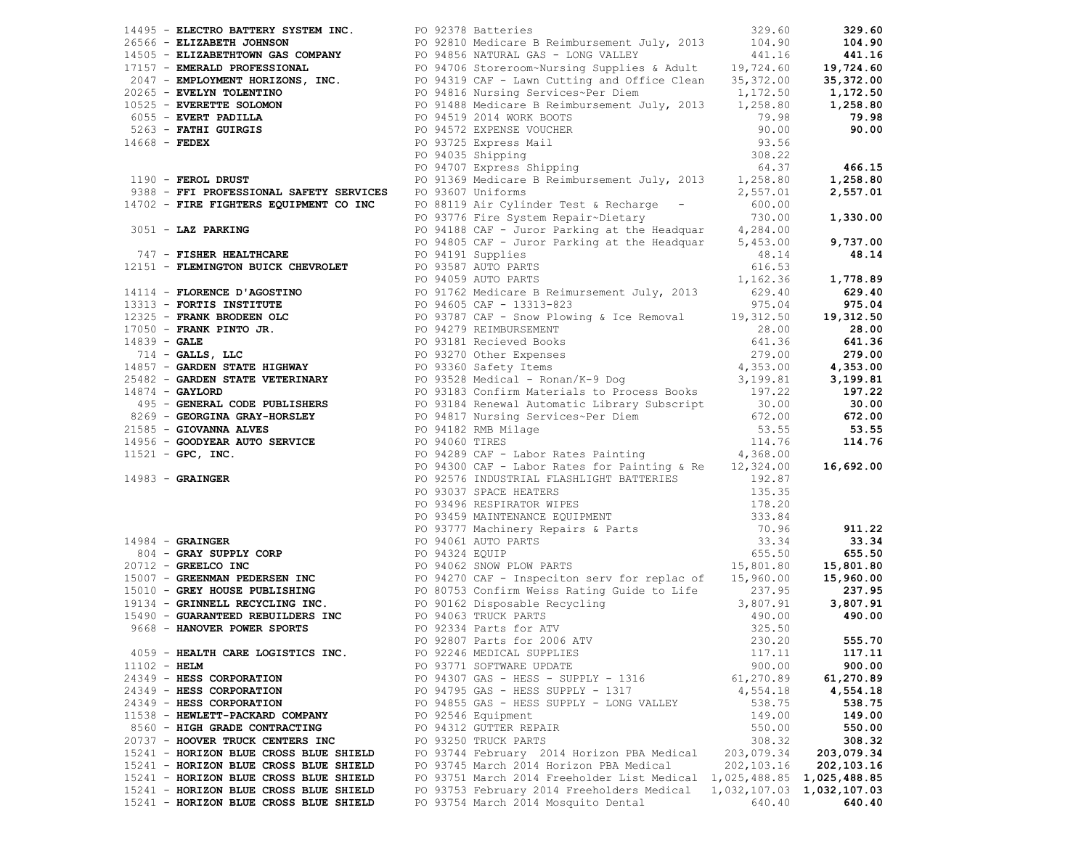|                | 14495 - ELECTRO BATTERY SYSTEM INC. PO 92378 Batteries |                                                                                                                                                                                                                                   | 329.60     | 329.60     |
|----------------|--------------------------------------------------------|-----------------------------------------------------------------------------------------------------------------------------------------------------------------------------------------------------------------------------------|------------|------------|
|                |                                                        |                                                                                                                                                                                                                                   |            |            |
|                |                                                        |                                                                                                                                                                                                                                   |            |            |
|                |                                                        |                                                                                                                                                                                                                                   |            |            |
|                |                                                        |                                                                                                                                                                                                                                   |            |            |
|                |                                                        |                                                                                                                                                                                                                                   |            |            |
|                |                                                        |                                                                                                                                                                                                                                   |            |            |
|                |                                                        |                                                                                                                                                                                                                                   |            |            |
|                |                                                        |                                                                                                                                                                                                                                   |            |            |
|                |                                                        |                                                                                                                                                                                                                                   |            |            |
|                |                                                        |                                                                                                                                                                                                                                   |            |            |
|                |                                                        |                                                                                                                                                                                                                                   |            |            |
|                |                                                        |                                                                                                                                                                                                                                   |            |            |
|                |                                                        |                                                                                                                                                                                                                                   |            |            |
|                |                                                        |                                                                                                                                                                                                                                   |            |            |
|                |                                                        |                                                                                                                                                                                                                                   |            |            |
|                |                                                        |                                                                                                                                                                                                                                   |            |            |
|                |                                                        |                                                                                                                                                                                                                                   |            |            |
|                |                                                        |                                                                                                                                                                                                                                   |            |            |
|                |                                                        |                                                                                                                                                                                                                                   |            |            |
|                |                                                        |                                                                                                                                                                                                                                   |            |            |
|                |                                                        |                                                                                                                                                                                                                                   |            |            |
|                |                                                        |                                                                                                                                                                                                                                   |            |            |
|                |                                                        |                                                                                                                                                                                                                                   |            |            |
|                |                                                        |                                                                                                                                                                                                                                   |            |            |
|                |                                                        |                                                                                                                                                                                                                                   |            |            |
|                |                                                        |                                                                                                                                                                                                                                   |            |            |
|                |                                                        |                                                                                                                                                                                                                                   |            |            |
|                |                                                        |                                                                                                                                                                                                                                   |            |            |
|                |                                                        |                                                                                                                                                                                                                                   |            |            |
|                |                                                        |                                                                                                                                                                                                                                   |            |            |
|                |                                                        |                                                                                                                                                                                                                                   |            |            |
|                |                                                        |                                                                                                                                                                                                                                   |            |            |
|                |                                                        |                                                                                                                                                                                                                                   |            |            |
|                |                                                        |                                                                                                                                                                                                                                   |            |            |
|                |                                                        |                                                                                                                                                                                                                                   |            |            |
|                |                                                        |                                                                                                                                                                                                                                   |            |            |
|                |                                                        |                                                                                                                                                                                                                                   |            |            |
|                |                                                        |                                                                                                                                                                                                                                   |            |            |
|                |                                                        |                                                                                                                                                                                                                                   |            |            |
|                |                                                        |                                                                                                                                                                                                                                   |            |            |
|                |                                                        |                                                                                                                                                                                                                                   |            |            |
|                |                                                        |                                                                                                                                                                                                                                   |            |            |
|                |                                                        |                                                                                                                                                                                                                                   |            |            |
|                |                                                        | 1933 - <b>EMICHION STRUCTS, 200</b> - 200 Million (1933 - 200 Million (1933 - 200 Million (1933 - 200 Million (1933 - 200 Million (1933 - 200 Million (1933 - 200 Million (1933 - 200 Million (1933 - 200 Million (1933 - 200 Mil |            |            |
|                |                                                        |                                                                                                                                                                                                                                   |            |            |
|                |                                                        |                                                                                                                                                                                                                                   |            |            |
|                |                                                        |                                                                                                                                                                                                                                   |            |            |
|                |                                                        |                                                                                                                                                                                                                                   |            |            |
|                |                                                        |                                                                                                                                                                                                                                   |            |            |
|                | 4059 - HEALTH CARE LOGISTICS INC.                      | PO 92246 MEDICAL SUPPLIES                                                                                                                                                                                                         | 117.11     | 117.11     |
| $11102 - HELM$ |                                                        | PO 93771 SOFTWARE UPDATE                                                                                                                                                                                                          | 900.00     | 900.00     |
|                | 24349 - HESS CORPORATION                               | PO 94307 GAS - HESS - SUPPLY - 1316                                                                                                                                                                                               | 61,270.89  | 61,270.89  |
|                | 24349 - HESS CORPORATION                               | PO 94795 GAS - HESS SUPPLY - 1317                                                                                                                                                                                                 | 4,554.18   | 4,554.18   |
|                | 24349 - HESS CORPORATION                               | PO 94855 GAS - HESS SUPPLY - LONG VALLEY                                                                                                                                                                                          | 538.75     | 538.75     |
|                | 11538 - HEWLETT-PACKARD COMPANY                        | PO 92546 Equipment                                                                                                                                                                                                                | 149.00     | 149.00     |
|                | 8560 - HIGH GRADE CONTRACTING                          | PO 94312 GUTTER REPAIR                                                                                                                                                                                                            | 550.00     | 550.00     |
|                | 20737 - HOOVER TRUCK CENTERS INC                       | PO 93250 TRUCK PARTS                                                                                                                                                                                                              | 308.32     | 308.32     |
|                | 15241 - HORIZON BLUE CROSS BLUE SHIELD                 | PO 93744 February 2014 Horizon PBA Medical                                                                                                                                                                                        | 203,079.34 | 203,079.34 |
|                | 15241 - HORIZON BLUE CROSS BLUE SHIELD                 | PO 93745 March 2014 Horizon PBA Medical 202,103.16                                                                                                                                                                                |            | 202,103.16 |
|                | 15241 - HORIZON BLUE CROSS BLUE SHIELD                 | PO 93751 March 2014 Freeholder List Medical 1,025,488.85 1,025,488.85                                                                                                                                                             |            |            |
|                | 15241 - HORIZON BLUE CROSS BLUE SHIELD                 | PO 93753 February 2014 Freeholders Medical 1,032,107.03 1,032,107.03                                                                                                                                                              |            |            |
|                | 15241 - HORIZON BLUE CROSS BLUE SHIELD                 | PO 93754 March 2014 Mosquito Dental                                                                                                                                                                                               | 640.40     | 640.40     |
|                |                                                        |                                                                                                                                                                                                                                   |            |            |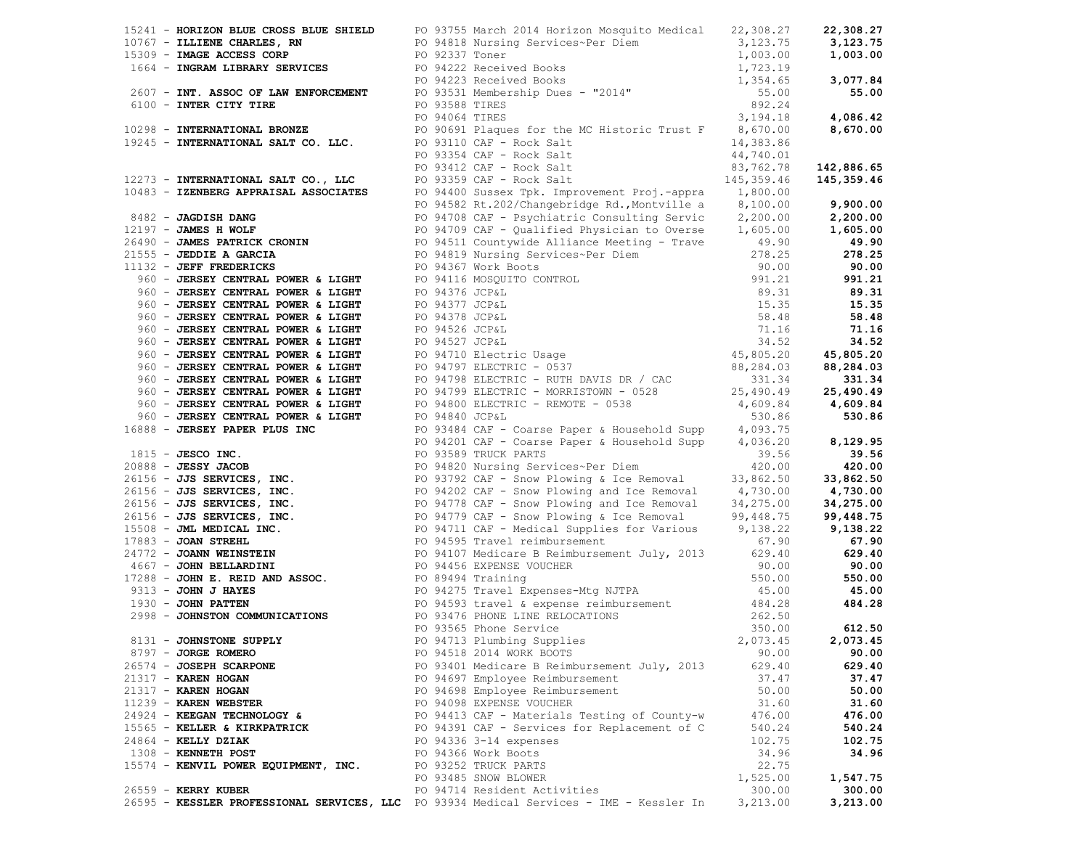|                                      | 15241 <b>- HORIZON ELUERNES, RW</b><br>16767 <b>- ILLIENE CHARLES, RW</b><br>16767 <b>- ILLIENE CHARLES, RW</b><br>1664 <b>- INGRAM LIBRARY SERVICES</b><br>1664 <b>- INGRAM LIBRARY SERVICES</b><br>1664 <b>- INGRAM LIBRARY SERVICES</b><br>2607 <b>- INT. ASSOC OF LAW</b> |          | 22,308.27  |
|--------------------------------------|-------------------------------------------------------------------------------------------------------------------------------------------------------------------------------------------------------------------------------------------------------------------------------|----------|------------|
|                                      |                                                                                                                                                                                                                                                                               |          | 3,123.75   |
|                                      |                                                                                                                                                                                                                                                                               |          | 1,003.00   |
|                                      |                                                                                                                                                                                                                                                                               |          |            |
|                                      |                                                                                                                                                                                                                                                                               |          | 3,077.84   |
|                                      |                                                                                                                                                                                                                                                                               |          | 55.00      |
|                                      |                                                                                                                                                                                                                                                                               |          |            |
|                                      |                                                                                                                                                                                                                                                                               |          | 4,086.42   |
|                                      |                                                                                                                                                                                                                                                                               |          | 8,670.00   |
|                                      |                                                                                                                                                                                                                                                                               |          |            |
|                                      |                                                                                                                                                                                                                                                                               |          |            |
|                                      |                                                                                                                                                                                                                                                                               |          | 142,886.65 |
|                                      |                                                                                                                                                                                                                                                                               |          | 145,359.46 |
|                                      |                                                                                                                                                                                                                                                                               |          |            |
|                                      |                                                                                                                                                                                                                                                                               |          | 9,900.00   |
|                                      |                                                                                                                                                                                                                                                                               |          |            |
|                                      |                                                                                                                                                                                                                                                                               |          |            |
|                                      |                                                                                                                                                                                                                                                                               |          |            |
|                                      |                                                                                                                                                                                                                                                                               |          |            |
|                                      |                                                                                                                                                                                                                                                                               |          |            |
|                                      |                                                                                                                                                                                                                                                                               |          |            |
|                                      |                                                                                                                                                                                                                                                                               |          |            |
|                                      |                                                                                                                                                                                                                                                                               |          |            |
|                                      |                                                                                                                                                                                                                                                                               |          |            |
|                                      |                                                                                                                                                                                                                                                                               |          |            |
|                                      |                                                                                                                                                                                                                                                                               |          |            |
|                                      |                                                                                                                                                                                                                                                                               |          |            |
|                                      |                                                                                                                                                                                                                                                                               |          |            |
|                                      |                                                                                                                                                                                                                                                                               |          |            |
|                                      |                                                                                                                                                                                                                                                                               |          |            |
|                                      |                                                                                                                                                                                                                                                                               |          |            |
|                                      |                                                                                                                                                                                                                                                                               |          |            |
|                                      |                                                                                                                                                                                                                                                                               |          |            |
|                                      |                                                                                                                                                                                                                                                                               |          |            |
|                                      |                                                                                                                                                                                                                                                                               |          |            |
|                                      |                                                                                                                                                                                                                                                                               |          |            |
|                                      |                                                                                                                                                                                                                                                                               |          |            |
|                                      |                                                                                                                                                                                                                                                                               |          |            |
|                                      |                                                                                                                                                                                                                                                                               |          |            |
|                                      |                                                                                                                                                                                                                                                                               |          |            |
|                                      |                                                                                                                                                                                                                                                                               |          |            |
|                                      |                                                                                                                                                                                                                                                                               |          |            |
|                                      |                                                                                                                                                                                                                                                                               |          |            |
|                                      |                                                                                                                                                                                                                                                                               |          |            |
|                                      | 1993 - TROWNS - TROWNS - MOREOV SURVEY (1993 - 1993)<br>1993 - TROWNS APPARENT MOSCOLATES<br>1993 - TROWNS MOREOV (1993 - 1992) International Trouble is a strain of the strain of the strain of the strain of the strain of the                                              |          |            |
|                                      |                                                                                                                                                                                                                                                                               |          |            |
|                                      |                                                                                                                                                                                                                                                                               |          |            |
|                                      |                                                                                                                                                                                                                                                                               |          |            |
|                                      |                                                                                                                                                                                                                                                                               |          |            |
|                                      | PO 94713 Plumbing Supplies 2,073.45 2,073.45                                                                                                                                                                                                                                  |          |            |
| 8797 - JORGE ROMERO                  | PO 94518 2014 WORK BOOTS                                                                                                                                                                                                                                                      | 90.00    | 90.00      |
| 26574 - JOSEPH SCARPONE              | PO 93401 Medicare B Reimbursement July, 2013                                                                                                                                                                                                                                  | 629.40   | 629.40     |
| $21317 -$ KAREN HOGAN                | PO 94697 Employee Reimbursement                                                                                                                                                                                                                                               | 37.47    | 37.47      |
| 21317 - KAREN HOGAN                  | PO 94698 Employee Reimbursement                                                                                                                                                                                                                                               | 50.00    | 50.00      |
| 11239 - KAREN WEBSTER                | PO 94098 EXPENSE VOUCHER                                                                                                                                                                                                                                                      | 31.60    | 31.60      |
| 24924 - KEEGAN TECHNOLOGY &          | PO 94413 CAF - Materials Testing of County-w                                                                                                                                                                                                                                  | 476.00   | 476.00     |
| 15565 - KELLER & KIRKPATRICK         | PO 94391 CAF - Services for Replacement of C                                                                                                                                                                                                                                  | 540.24   | 540.24     |
| $24864$ - KELLY DZIAK                | PO 94336 3-14 expenses                                                                                                                                                                                                                                                        | 102.75   | 102.75     |
| 1308 - KENNETH POST                  | PO 94366 Work Boots                                                                                                                                                                                                                                                           | 34.96    | 34.96      |
| 15574 - KENVIL POWER EQUIPMENT, INC. | PO 93252 TRUCK PARTS                                                                                                                                                                                                                                                          | 22.75    |            |
|                                      | PO 93485 SNOW BLOWER                                                                                                                                                                                                                                                          | 1,525.00 | 1,547.75   |
| 26559 - KERRY KUBER                  | PO 94714 Resident Activities                                                                                                                                                                                                                                                  | 300.00   | 300.00     |
|                                      | 26595 - KESSLER PROFESSIONAL SERVICES, LLC PO 93934 Medical Services - IME - Kessler In                                                                                                                                                                                       | 3,213.00 | 3,213.00   |
|                                      |                                                                                                                                                                                                                                                                               |          |            |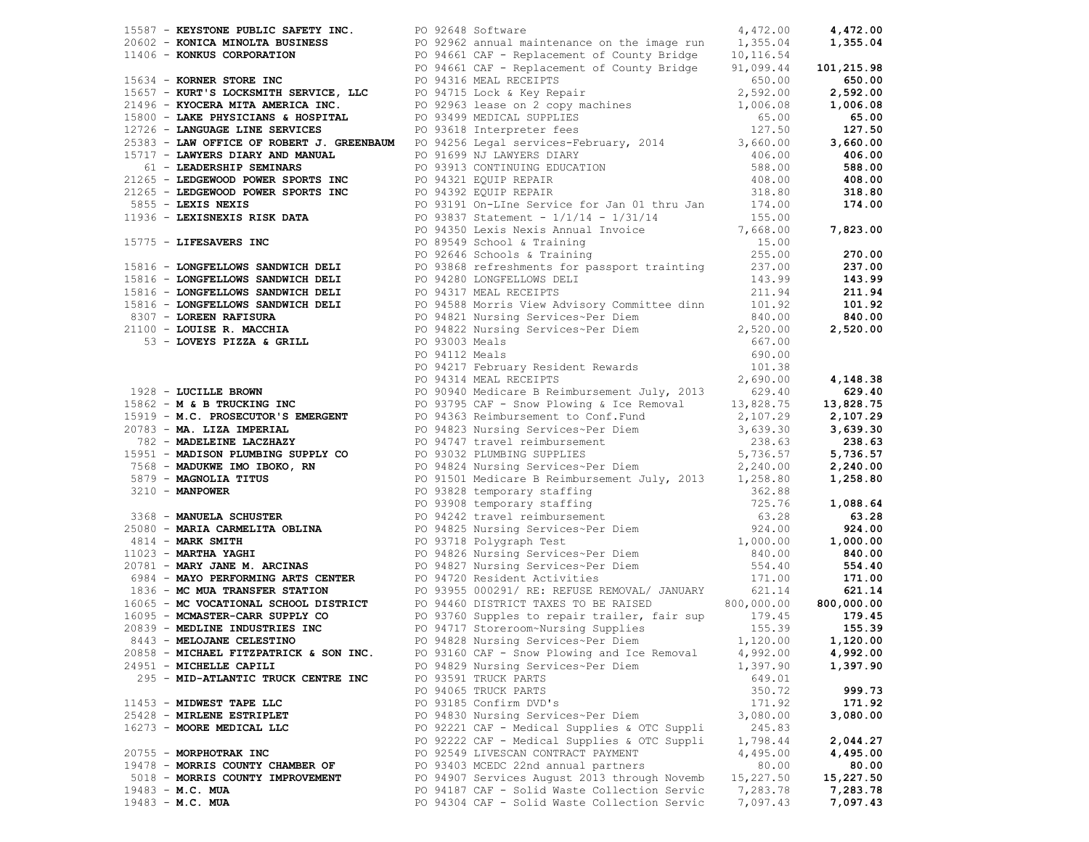|                                        | 1942 - <b>ENTRY DERIVATION CONFIRMATION</b> FOR DEVISION - Continues of the priori 1942 - 1950 - 1950 - 1950 - 1950 - 1950 - 1950 - 1950 - 1950 - 1950 - 1950 - 1950 - 1950 - 1950 - 1950 - 1950 - 1950 - 1950 - 1950 - 1950 - 195 |           |           |
|----------------------------------------|------------------------------------------------------------------------------------------------------------------------------------------------------------------------------------------------------------------------------------|-----------|-----------|
|                                        |                                                                                                                                                                                                                                    |           |           |
|                                        |                                                                                                                                                                                                                                    |           |           |
|                                        |                                                                                                                                                                                                                                    |           |           |
|                                        |                                                                                                                                                                                                                                    |           |           |
|                                        |                                                                                                                                                                                                                                    |           |           |
|                                        |                                                                                                                                                                                                                                    |           |           |
|                                        |                                                                                                                                                                                                                                    |           |           |
|                                        |                                                                                                                                                                                                                                    |           |           |
|                                        |                                                                                                                                                                                                                                    |           |           |
|                                        |                                                                                                                                                                                                                                    |           |           |
|                                        |                                                                                                                                                                                                                                    |           |           |
|                                        |                                                                                                                                                                                                                                    |           |           |
|                                        |                                                                                                                                                                                                                                    |           |           |
|                                        |                                                                                                                                                                                                                                    |           |           |
|                                        |                                                                                                                                                                                                                                    |           |           |
|                                        |                                                                                                                                                                                                                                    |           |           |
|                                        |                                                                                                                                                                                                                                    |           |           |
|                                        |                                                                                                                                                                                                                                    |           |           |
|                                        |                                                                                                                                                                                                                                    |           |           |
|                                        |                                                                                                                                                                                                                                    |           |           |
|                                        |                                                                                                                                                                                                                                    |           |           |
|                                        |                                                                                                                                                                                                                                    |           |           |
|                                        |                                                                                                                                                                                                                                    |           |           |
|                                        |                                                                                                                                                                                                                                    |           |           |
|                                        |                                                                                                                                                                                                                                    |           |           |
|                                        |                                                                                                                                                                                                                                    |           |           |
|                                        |                                                                                                                                                                                                                                    |           |           |
|                                        |                                                                                                                                                                                                                                    |           |           |
|                                        |                                                                                                                                                                                                                                    |           |           |
|                                        |                                                                                                                                                                                                                                    |           |           |
|                                        |                                                                                                                                                                                                                                    |           |           |
|                                        |                                                                                                                                                                                                                                    |           |           |
|                                        |                                                                                                                                                                                                                                    |           |           |
|                                        |                                                                                                                                                                                                                                    |           |           |
|                                        |                                                                                                                                                                                                                                    |           |           |
|                                        |                                                                                                                                                                                                                                    |           |           |
|                                        |                                                                                                                                                                                                                                    |           |           |
|                                        |                                                                                                                                                                                                                                    |           |           |
|                                        |                                                                                                                                                                                                                                    |           |           |
|                                        |                                                                                                                                                                                                                                    |           |           |
|                                        |                                                                                                                                                                                                                                    |           |           |
|                                        |                                                                                                                                                                                                                                    |           |           |
|                                        |                                                                                                                                                                                                                                    |           |           |
|                                        |                                                                                                                                                                                                                                    |           |           |
|                                        |                                                                                                                                                                                                                                    |           |           |
|                                        |                                                                                                                                                                                                                                    |           |           |
|                                        |                                                                                                                                                                                                                                    |           |           |
|                                        |                                                                                                                                                                                                                                    |           |           |
|                                        |                                                                                                                                                                                                                                    |           |           |
| 20858 - MICHAEL FITZPATRICK & SON INC. | PO 93160 CAF - Snow Plowing and Ice Removal                                                                                                                                                                                        | 4,992.00  | 4,992.00  |
| 24951 - MICHELLE CAPILI                | PO 94829 Nursing Services~Per Diem                                                                                                                                                                                                 | 1,397.90  | 1,397.90  |
| 295 - MID-ATLANTIC TRUCK CENTRE INC    | PO 93591 TRUCK PARTS                                                                                                                                                                                                               | 649.01    |           |
|                                        | PO 94065 TRUCK PARTS                                                                                                                                                                                                               | 350.72    | 999.73    |
| 11453 - MIDWEST TAPE LLC               | PO 93185 Confirm DVD's                                                                                                                                                                                                             | 171.92    | 171.92    |
| 25428 - MIRLENE ESTRIPLET              | PO 94830 Nursing Services~Per Diem                                                                                                                                                                                                 | 3,080.00  | 3,080.00  |
| 16273 - MOORE MEDICAL LLC              | PO 92221 CAF - Medical Supplies & OTC Suppli                                                                                                                                                                                       | 245.83    |           |
|                                        | PO 92222 CAF - Medical Supplies & OTC Suppli                                                                                                                                                                                       | 1,798.44  | 2,044.27  |
| 20755 - MORPHOTRAK INC                 | PO 92549 LIVESCAN CONTRACT PAYMENT                                                                                                                                                                                                 | 4,495.00  | 4,495.00  |
| 19478 - MORRIS COUNTY CHAMBER OF       | PO 93403 MCEDC 22nd annual partners                                                                                                                                                                                                | 80.00     | 80.00     |
| 5018 - MORRIS COUNTY IMPROVEMENT       | PO 94907 Services August 2013 through Novemb                                                                                                                                                                                       | 15,227.50 | 15,227.50 |
| $19483 - M.C. MUA$                     | PO 94187 CAF - Solid Waste Collection Servic                                                                                                                                                                                       | 7,283.78  | 7,283.78  |
| $19483 - M.C. MUA$                     | PO 94304 CAF - Solid Waste Collection Servic                                                                                                                                                                                       | 7,097.43  | 7,097.43  |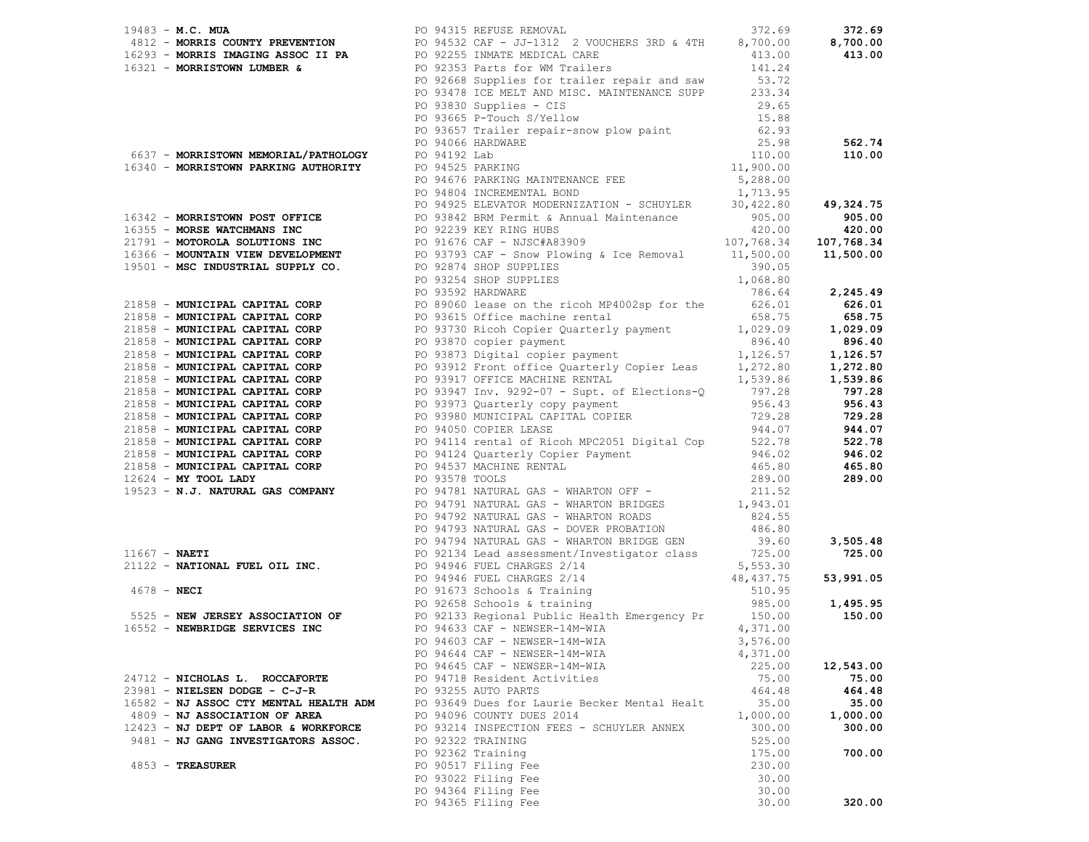| 1941 - M.C. Million (1953) (1953) (1955) (1955) (1957) (1957) (1957) (1957) (1957) (1957) (1958) (1958) (1958) (1958) (1958) (1958) (1958) (1958) (1958) (1958) (1958) (1958) (1958) (1958) (1958) (1958) (1958) (1958) (1958 |                                                                |                  |           |
|-------------------------------------------------------------------------------------------------------------------------------------------------------------------------------------------------------------------------------|----------------------------------------------------------------|------------------|-----------|
|                                                                                                                                                                                                                               |                                                                |                  |           |
|                                                                                                                                                                                                                               |                                                                |                  |           |
|                                                                                                                                                                                                                               |                                                                |                  |           |
|                                                                                                                                                                                                                               |                                                                |                  |           |
|                                                                                                                                                                                                                               |                                                                |                  |           |
|                                                                                                                                                                                                                               |                                                                |                  |           |
|                                                                                                                                                                                                                               |                                                                |                  |           |
|                                                                                                                                                                                                                               |                                                                |                  |           |
|                                                                                                                                                                                                                               |                                                                |                  |           |
|                                                                                                                                                                                                                               |                                                                |                  |           |
|                                                                                                                                                                                                                               |                                                                |                  |           |
|                                                                                                                                                                                                                               |                                                                |                  |           |
|                                                                                                                                                                                                                               |                                                                |                  |           |
|                                                                                                                                                                                                                               |                                                                |                  |           |
|                                                                                                                                                                                                                               |                                                                |                  |           |
|                                                                                                                                                                                                                               |                                                                |                  |           |
|                                                                                                                                                                                                                               |                                                                |                  |           |
|                                                                                                                                                                                                                               |                                                                |                  |           |
|                                                                                                                                                                                                                               |                                                                |                  |           |
|                                                                                                                                                                                                                               |                                                                |                  |           |
|                                                                                                                                                                                                                               |                                                                |                  |           |
|                                                                                                                                                                                                                               |                                                                |                  |           |
|                                                                                                                                                                                                                               |                                                                |                  |           |
|                                                                                                                                                                                                                               |                                                                |                  |           |
|                                                                                                                                                                                                                               |                                                                |                  |           |
|                                                                                                                                                                                                                               |                                                                |                  |           |
|                                                                                                                                                                                                                               |                                                                |                  |           |
|                                                                                                                                                                                                                               |                                                                |                  |           |
|                                                                                                                                                                                                                               |                                                                |                  | 729.28    |
|                                                                                                                                                                                                                               |                                                                |                  |           |
|                                                                                                                                                                                                                               |                                                                |                  |           |
|                                                                                                                                                                                                                               |                                                                |                  |           |
|                                                                                                                                                                                                                               |                                                                |                  |           |
|                                                                                                                                                                                                                               |                                                                |                  |           |
|                                                                                                                                                                                                                               |                                                                |                  |           |
|                                                                                                                                                                                                                               |                                                                |                  |           |
|                                                                                                                                                                                                                               |                                                                |                  |           |
|                                                                                                                                                                                                                               |                                                                |                  |           |
|                                                                                                                                                                                                                               |                                                                |                  |           |
|                                                                                                                                                                                                                               |                                                                |                  |           |
|                                                                                                                                                                                                                               |                                                                |                  |           |
|                                                                                                                                                                                                                               |                                                                |                  |           |
|                                                                                                                                                                                                                               |                                                                |                  |           |
|                                                                                                                                                                                                                               |                                                                |                  |           |
|                                                                                                                                                                                                                               |                                                                |                  |           |
|                                                                                                                                                                                                                               | PO 94603 CAF - NEWSER-14M-WIA                                  | 3,576.00         |           |
|                                                                                                                                                                                                                               | PO 94644 CAF - NEWSER-14M-WIA                                  | 4,371.00         |           |
|                                                                                                                                                                                                                               | PO 94645 CAF - NEWSER-14M-WIA                                  | 225.00           | 12,543.00 |
| 24712 - NICHOLAS L. ROCCAFORTE                                                                                                                                                                                                | PO 94718 Resident Activities                                   | 75.00            | 75.00     |
| 23981 - NIELSEN DODGE - C-J-R                                                                                                                                                                                                 | PO 93255 AUTO PARTS                                            | 464.48           | 464.48    |
| 16582 - NJ ASSOC CTY MENTAL HEALTH ADM                                                                                                                                                                                        | PO 93649 Dues for Laurie Becker Mental Healt                   | 35.00            | 35.00     |
| 4809 - NJ ASSOCIATION OF AREA                                                                                                                                                                                                 | PO 94096 COUNTY DUES 2014                                      | 1,000.00         | 1,000.00  |
| 12423 - NJ DEPT OF LABOR & WORKFORCE<br>9481 - NJ GANG INVESTIGATORS ASSOC.                                                                                                                                                   | PO 93214 INSPECTION FEES - SCHUYLER ANNEX<br>PO 92322 TRAINING | 300.00<br>525.00 | 300.00    |
|                                                                                                                                                                                                                               | PO 92362 Training                                              | 175.00           | 700.00    |
| $4853$ - TREASURER                                                                                                                                                                                                            | PO 90517 Filing Fee                                            | 230.00           |           |
|                                                                                                                                                                                                                               | PO 93022 Filing Fee                                            | 30.00            |           |
|                                                                                                                                                                                                                               | PO 94364 Filing Fee                                            | 30.00            |           |
|                                                                                                                                                                                                                               | PO 94365 Filing Fee                                            | 30.00            | 320.00    |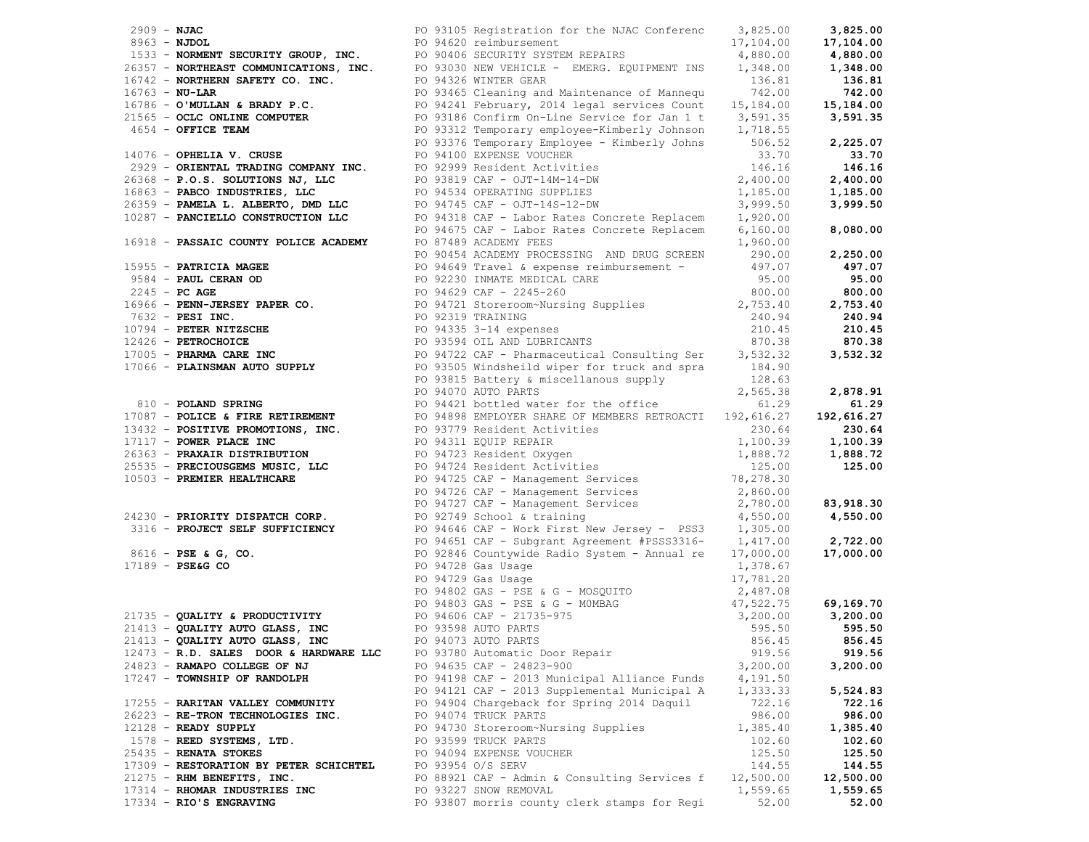|                                                                                                                                          |  |                                                                                                                                                                                                                                                                                       |                      | 3,825.00   |
|------------------------------------------------------------------------------------------------------------------------------------------|--|---------------------------------------------------------------------------------------------------------------------------------------------------------------------------------------------------------------------------------------------------------------------------------------|----------------------|------------|
|                                                                                                                                          |  |                                                                                                                                                                                                                                                                                       |                      | 17,104.00  |
|                                                                                                                                          |  |                                                                                                                                                                                                                                                                                       |                      | 4,880.00   |
|                                                                                                                                          |  |                                                                                                                                                                                                                                                                                       |                      | 1,348.00   |
|                                                                                                                                          |  |                                                                                                                                                                                                                                                                                       |                      | 136.81     |
|                                                                                                                                          |  |                                                                                                                                                                                                                                                                                       |                      | 742.00     |
|                                                                                                                                          |  |                                                                                                                                                                                                                                                                                       |                      | 15,184.00  |
|                                                                                                                                          |  |                                                                                                                                                                                                                                                                                       |                      | 3,591.35   |
|                                                                                                                                          |  |                                                                                                                                                                                                                                                                                       |                      |            |
|                                                                                                                                          |  |                                                                                                                                                                                                                                                                                       |                      | 2,225.07   |
|                                                                                                                                          |  | 2909 <b>- NJAC</b><br>2963 <b>- NJAC</b><br>2963 <b>- NJAC</b><br>2963 <b>- NJAC</b><br>2095 <b>- NDARENT SECURITY GROUP, INC.</b><br>20963 <b>- NORMENT SECURITY GROUP, INC.</b><br>20963 <b>- NORMENT SECURITY GROUP, INC.</b><br>20963 <b>- NORMENT SECURITY CO. INC.</b><br>20963 |                      | 33.70      |
|                                                                                                                                          |  |                                                                                                                                                                                                                                                                                       |                      | 146.16     |
|                                                                                                                                          |  |                                                                                                                                                                                                                                                                                       |                      | 2,400.00   |
|                                                                                                                                          |  |                                                                                                                                                                                                                                                                                       |                      |            |
|                                                                                                                                          |  |                                                                                                                                                                                                                                                                                       |                      | 1,185.00   |
|                                                                                                                                          |  |                                                                                                                                                                                                                                                                                       |                      | 3,999.50   |
|                                                                                                                                          |  |                                                                                                                                                                                                                                                                                       |                      |            |
|                                                                                                                                          |  |                                                                                                                                                                                                                                                                                       |                      | 8,080.00   |
|                                                                                                                                          |  |                                                                                                                                                                                                                                                                                       |                      |            |
|                                                                                                                                          |  |                                                                                                                                                                                                                                                                                       |                      | 2,250.00   |
|                                                                                                                                          |  |                                                                                                                                                                                                                                                                                       |                      | 497.07     |
|                                                                                                                                          |  |                                                                                                                                                                                                                                                                                       |                      | 95.00      |
|                                                                                                                                          |  |                                                                                                                                                                                                                                                                                       |                      | 800.00     |
|                                                                                                                                          |  |                                                                                                                                                                                                                                                                                       |                      | 2,753.40   |
|                                                                                                                                          |  |                                                                                                                                                                                                                                                                                       |                      | 240.94     |
|                                                                                                                                          |  |                                                                                                                                                                                                                                                                                       |                      | 210.45     |
|                                                                                                                                          |  |                                                                                                                                                                                                                                                                                       |                      | 870.38     |
|                                                                                                                                          |  |                                                                                                                                                                                                                                                                                       |                      | 3,532.32   |
|                                                                                                                                          |  |                                                                                                                                                                                                                                                                                       |                      |            |
|                                                                                                                                          |  |                                                                                                                                                                                                                                                                                       |                      |            |
|                                                                                                                                          |  |                                                                                                                                                                                                                                                                                       |                      | 2,878.91   |
|                                                                                                                                          |  | 810 - POLAND SPRING<br>PO 94421 bottled water for the office<br>PO 94421 bottled water for the office<br>PO 94421 bottled water for the office<br>PO 9488 EMPLOYER SHARE RETROACTI 192,616.27<br>PO 94898 EMPLOYER SHARE OF MEMBERS RETR                                              |                      | 61.29      |
|                                                                                                                                          |  |                                                                                                                                                                                                                                                                                       |                      | 192,616.27 |
|                                                                                                                                          |  | 17087 - POLICE & FIRE RETIREMENT<br>13432 - POSITIVE PROMOTIONS, INC.<br>17087 - PONER PLACE INC.<br>1717 - POWER PLACE INC.<br>230.64<br>1717 - POWER PLACE INC.<br>230.64<br>230.64<br>25535 - PRECIOUSGEMS MUSIC, LLC<br>10503 - PREMIER HEAL                                      |                      | 230.64     |
|                                                                                                                                          |  |                                                                                                                                                                                                                                                                                       |                      | 1,100.39   |
|                                                                                                                                          |  |                                                                                                                                                                                                                                                                                       |                      | 1,888.72   |
|                                                                                                                                          |  |                                                                                                                                                                                                                                                                                       |                      | 125.00     |
|                                                                                                                                          |  |                                                                                                                                                                                                                                                                                       |                      |            |
|                                                                                                                                          |  |                                                                                                                                                                                                                                                                                       |                      |            |
|                                                                                                                                          |  |                                                                                                                                                                                                                                                                                       |                      | 83,918.30  |
| 24230 - PRIORITY DISPATCH CORP.<br>24230 - PRIORITY DISPATCH CORP.<br>PO 92749 School & training                                         |  |                                                                                                                                                                                                                                                                                       |                      | 4,550.00   |
|                                                                                                                                          |  |                                                                                                                                                                                                                                                                                       |                      |            |
|                                                                                                                                          |  | 3316 - PROJECT SELF SUFFICIENCY PO 94646 CAF - Work First New Jersey - PSS3 $1,305.00$<br>PO 94651 CAF - Subgrant Agreement #PSSS3316- 1,417.00                                                                                                                                       |                      | 2,722.00   |
|                                                                                                                                          |  | 8616 - PSE & G, CO.<br>17189 - PSE&G CO.<br>17189 - PSE&G CO.<br>217189 - PSE&G CO.<br>217189 - PSE&G CO.<br>217189 - PSE&G CO.<br>217189 - PSE&G CO.<br>217189 - PSE&G CO.<br>217189 - PSE&G CO.<br>217189 - PSE&G CO.<br>217189 - PSE&G CO.<br>217                                  |                      |            |
|                                                                                                                                          |  |                                                                                                                                                                                                                                                                                       |                      |            |
|                                                                                                                                          |  |                                                                                                                                                                                                                                                                                       |                      |            |
|                                                                                                                                          |  |                                                                                                                                                                                                                                                                                       |                      |            |
|                                                                                                                                          |  |                                                                                                                                                                                                                                                                                       |                      |            |
|                                                                                                                                          |  |                                                                                                                                                                                                                                                                                       |                      |            |
|                                                                                                                                          |  |                                                                                                                                                                                                                                                                                       |                      |            |
| 21413 - QUALITY AUTO GLASS, INC<br>21413 - QUALITY AUTO GLASS, INC<br>21413 - QUALITY AUTO GLASS, INC<br>21413 - CUALITY AUTO GLASS, INC |  | 856.45                                                                                                                                                                                                                                                                                |                      | 856.45     |
| 12473 - R.D. SALES DOOR & HARDWARE LLC                                                                                                   |  | PO 93780 Automatic Door Repair                                                                                                                                                                                                                                                        | 919.56               | 919.56     |
| 24823 - RAMAPO COLLEGE OF NJ                                                                                                             |  | PO 94635 CAF - 24823-900                                                                                                                                                                                                                                                              | 3,200.00             | 3,200.00   |
| 17247 - TOWNSHIP OF RANDOLPH                                                                                                             |  |                                                                                                                                                                                                                                                                                       |                      |            |
|                                                                                                                                          |  | PO 94198 CAF - 2013 Municipal Alliance Funds                                                                                                                                                                                                                                          | 4,191.50<br>1,333.33 |            |
|                                                                                                                                          |  | PO 94121 CAF - 2013 Supplemental Municipal A<br>PO 94904 Chargeback for Spring 2014 Daquil                                                                                                                                                                                            | 722.16               | 5,524.83   |
| 17255 - RARITAN VALLEY COMMUNITY                                                                                                         |  | PO 94074 TRUCK PARTS                                                                                                                                                                                                                                                                  |                      | 722.16     |
| 26223 - RE-TRON TECHNOLOGIES INC.                                                                                                        |  |                                                                                                                                                                                                                                                                                       | 986.00               | 986.00     |
| $12128$ - READY SUPPLY                                                                                                                   |  | PO 94730 Storeroom~Nursing Supplies                                                                                                                                                                                                                                                   | 1,385.40             | 1,385.40   |
| $1578$ - REED SYSTEMS, LTD.                                                                                                              |  | PO 93599 TRUCK PARTS                                                                                                                                                                                                                                                                  | 102.60               | 102.60     |
| $25435$ - RENATA STOKES                                                                                                                  |  | PO 94094 EXPENSE VOUCHER                                                                                                                                                                                                                                                              | 125.50               | 125.50     |
| 17309 - RESTORATION BY PETER SCHICHTEL                                                                                                   |  | PO 93954 O/S SERV                                                                                                                                                                                                                                                                     | 144.55               | 144.55     |
| 21275 - RHM BENEFITS, INC.                                                                                                               |  | PO 88921 CAF - Admin & Consulting Services f                                                                                                                                                                                                                                          | 12,500.00            | 12,500.00  |
| 17314 - RHOMAR INDUSTRIES INC                                                                                                            |  | PO 93227 SNOW REMOVAL                                                                                                                                                                                                                                                                 | 1,559.65             | 1,559.65   |
| 17334 - RIO'S ENGRAVING                                                                                                                  |  | PO 93807 morris county clerk stamps for Regi                                                                                                                                                                                                                                          | 52.00                | 52.00      |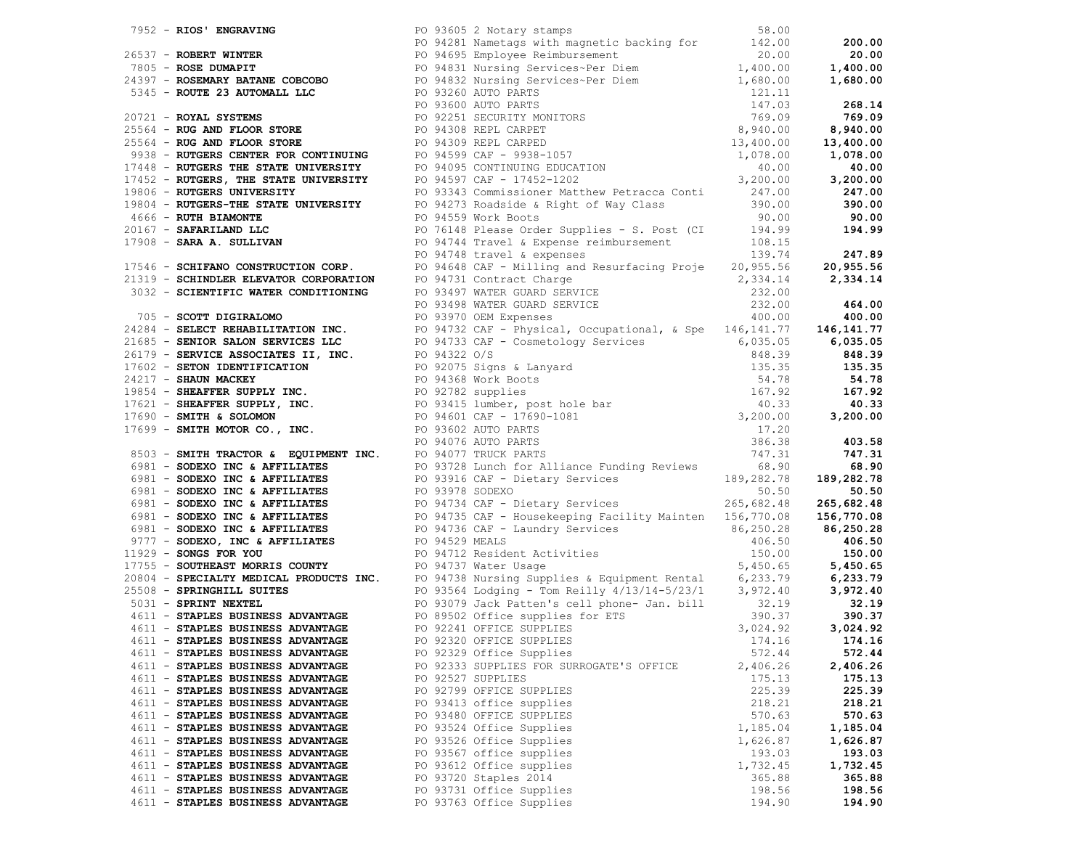|                                   | 974 - ROOF MURANCHE PROPERTY PROPERTY PROPERTY PROPERTY (2001) 2013 - 1000 - 1000 - 1000 - 1000 - 1000 - 1000 - 1000 - 1000 - 1000 - 1000 - 1000 - 1000 - 1000 - 1000 - 1000 - 1000 - 1000 - 1000 - 1000 - 1000 - 1000 - 10 |          |          |
|-----------------------------------|-----------------------------------------------------------------------------------------------------------------------------------------------------------------------------------------------------------------------------|----------|----------|
|                                   |                                                                                                                                                                                                                             |          |          |
|                                   |                                                                                                                                                                                                                             |          |          |
|                                   |                                                                                                                                                                                                                             |          |          |
|                                   |                                                                                                                                                                                                                             |          |          |
| 4611 - STAPLES BUSINESS ADVANTAGE | PO 92320 OFFICE SUPPLIES                                                                                                                                                                                                    | 174.16   | 174.16   |
| 4611 - STAPLES BUSINESS ADVANTAGE | PO 92329 Office Supplies                                                                                                                                                                                                    | 572.44   | 572.44   |
| 4611 - STAPLES BUSINESS ADVANTAGE | PO 92333 SUPPLIES FOR SURROGATE'S OFFICE                                                                                                                                                                                    | 2,406.26 | 2,406.26 |
| 4611 - STAPLES BUSINESS ADVANTAGE | PO 92527 SUPPLIES                                                                                                                                                                                                           | 175.13   | 175.13   |
| 4611 - STAPLES BUSINESS ADVANTAGE | PO 92799 OFFICE SUPPLIES                                                                                                                                                                                                    | 225.39   | 225.39   |
| 4611 - STAPLES BUSINESS ADVANTAGE | PO 93413 office supplies                                                                                                                                                                                                    | 218.21   | 218.21   |
| 4611 - STAPLES BUSINESS ADVANTAGE | PO 93480 OFFICE SUPPLIES                                                                                                                                                                                                    | 570.63   | 570.63   |
| 4611 - STAPLES BUSINESS ADVANTAGE | PO 93524 Office Supplies                                                                                                                                                                                                    | 1,185.04 | 1,185.04 |
| 4611 - STAPLES BUSINESS ADVANTAGE | PO 93526 Office Supplies                                                                                                                                                                                                    | 1,626.87 | 1,626.87 |
| 4611 - STAPLES BUSINESS ADVANTAGE | PO 93567 office supplies                                                                                                                                                                                                    | 193.03   | 193.03   |
| 4611 - STAPLES BUSINESS ADVANTAGE | PO 93612 Office supplies                                                                                                                                                                                                    | 1,732.45 | 1,732.45 |
| 4611 - STAPLES BUSINESS ADVANTAGE | PO 93720 Staples 2014                                                                                                                                                                                                       | 365.88   | 365.88   |
| 4611 - STAPLES BUSINESS ADVANTAGE | PO 93731 Office Supplies                                                                                                                                                                                                    | 198.56   | 198.56   |
|                                   | PO 93763 Office Supplies                                                                                                                                                                                                    |          |          |
| 4611 - STAPLES BUSINESS ADVANTAGE |                                                                                                                                                                                                                             | 194.90   | 194.90   |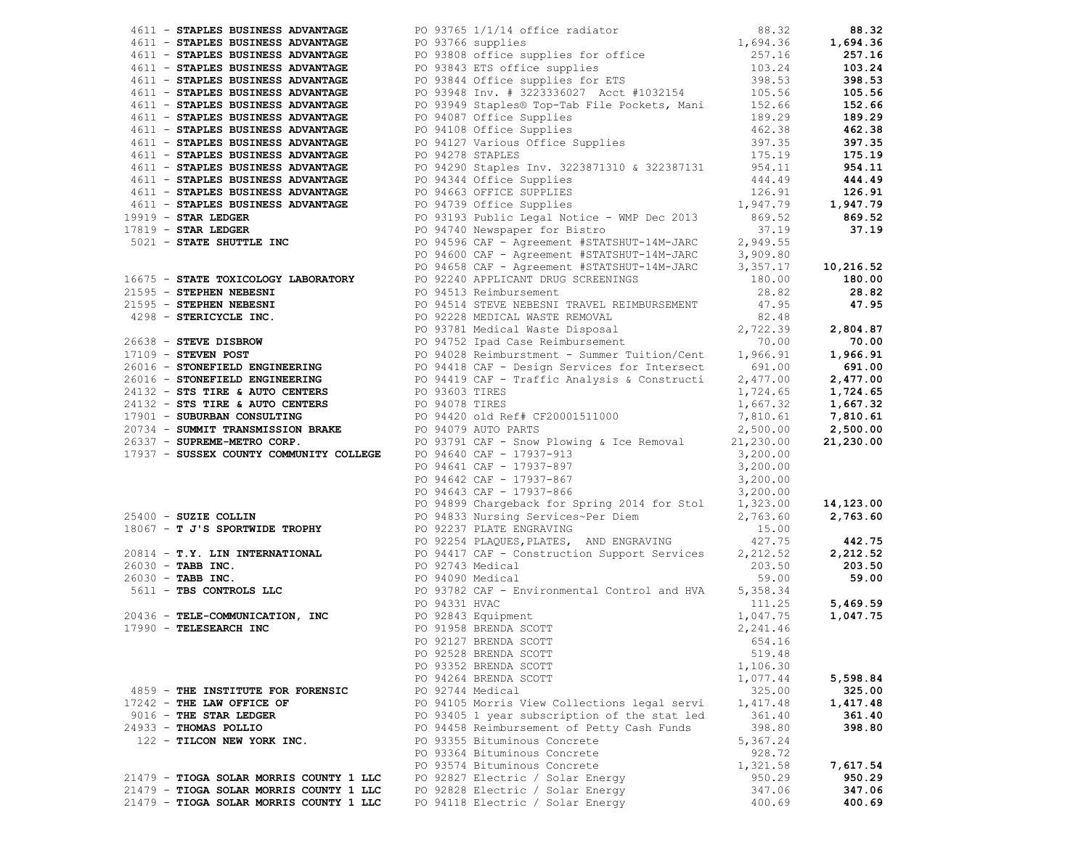|                                         | 1974 - PRANCH BORTHUM ARTONOMY IN DEVICE IN CONTRACT PRODUCTION (1971) - 1972 - 1972 - 1972 - 1972 - 1972 - 1972 - 1972 - 1972 - 1972 - 1972 - 1972 - 1972 - 1972 - 1972 - 1972 - 1972 - 1972 - 1972 - 1972 - 1972 - 1972 - |          |          |
|-----------------------------------------|-----------------------------------------------------------------------------------------------------------------------------------------------------------------------------------------------------------------------------|----------|----------|
|                                         |                                                                                                                                                                                                                             |          |          |
|                                         |                                                                                                                                                                                                                             |          |          |
|                                         |                                                                                                                                                                                                                             |          |          |
|                                         |                                                                                                                                                                                                                             |          |          |
|                                         |                                                                                                                                                                                                                             |          |          |
|                                         | PO 92528 BRENDA SCOTT                                                                                                                                                                                                       | 519.48   |          |
|                                         | PO 93352 BRENDA SCOTT                                                                                                                                                                                                       | 1,106.30 |          |
|                                         | PO 94264 BRENDA SCOTT                                                                                                                                                                                                       | 1,077.44 | 5,598.84 |
| 4859 - THE INSTITUTE FOR FORENSIC       | PO 92744 Medical                                                                                                                                                                                                            | 325.00   | 325.00   |
| 17242 - THE LAW OFFICE OF               | PO 94105 Morris View Collections legal servi                                                                                                                                                                                | 1,417.48 | 1,417.48 |
| 9016 - THE STAR LEDGER                  | PO 93405 1 year subscription of the stat led                                                                                                                                                                                | 361.40   | 361.40   |
| 24933 - THOMAS POLLIO                   | PO 94458 Reimbursement of Petty Cash Funds                                                                                                                                                                                  | 398.80   | 398.80   |
| 122 - TILCON NEW YORK INC.              | PO 93355 Bituminous Concrete                                                                                                                                                                                                | 5,367.24 |          |
|                                         | PO 93364 Bituminous Concrete                                                                                                                                                                                                | 928.72   |          |
|                                         | PO 93574 Bituminous Concrete                                                                                                                                                                                                | 1,321.58 | 7,617.54 |
| 21479 - TIOGA SOLAR MORRIS COUNTY 1 LLC | PO 92827 Electric / Solar Energy                                                                                                                                                                                            | 950.29   | 950.29   |
| 21479 - TIOGA SOLAR MORRIS COUNTY 1 LLC | PO 92828 Electric / Solar Energy                                                                                                                                                                                            | 347.06   | 347.06   |
| 21479 - TIOGA SOLAR MORRIS COUNTY 1 LLC | PO 94118 Electric / Solar Energy                                                                                                                                                                                            | 400.69   | 400.69   |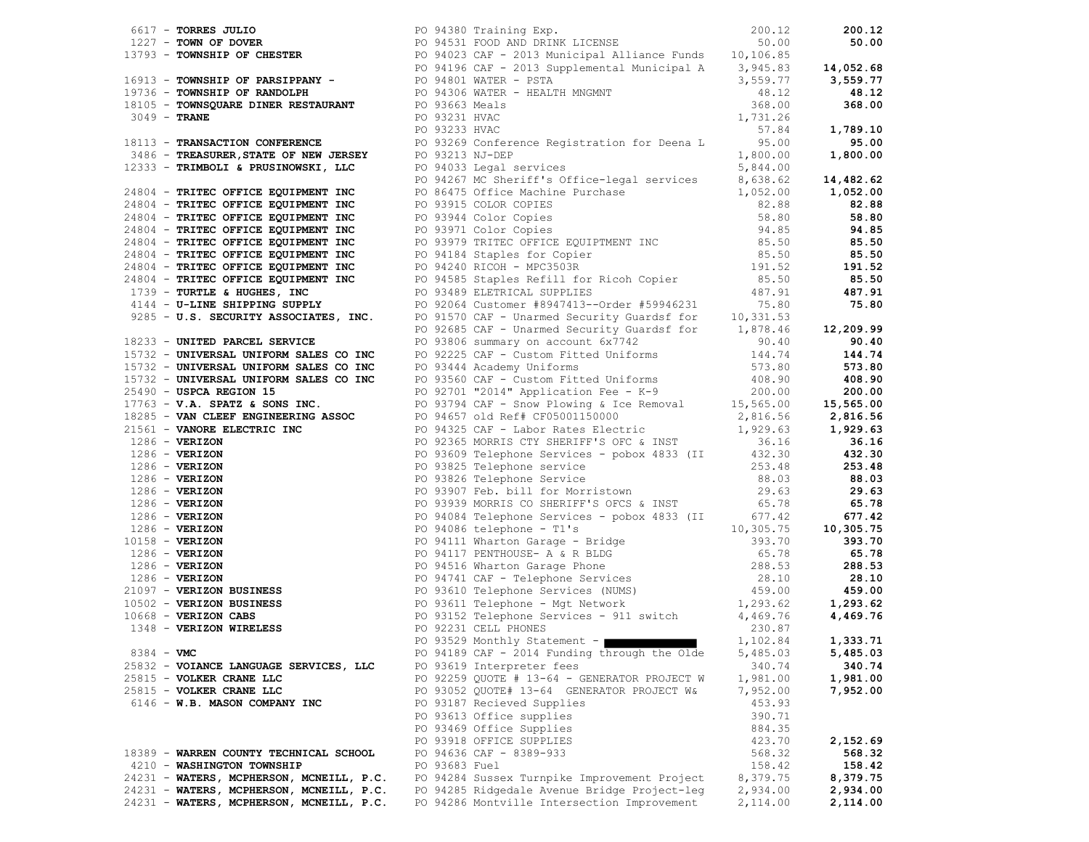|                                          |               |                                                  |          | 85.50    |
|------------------------------------------|---------------|--------------------------------------------------|----------|----------|
|                                          |               |                                                  |          |          |
|                                          |               |                                                  |          |          |
|                                          |               |                                                  |          |          |
|                                          |               |                                                  |          |          |
|                                          |               |                                                  |          |          |
|                                          |               |                                                  |          |          |
|                                          |               |                                                  |          |          |
|                                          |               |                                                  |          |          |
|                                          |               |                                                  |          |          |
|                                          |               |                                                  |          |          |
|                                          |               |                                                  |          |          |
|                                          |               |                                                  |          |          |
|                                          |               |                                                  |          |          |
|                                          |               |                                                  |          |          |
|                                          |               |                                                  |          |          |
|                                          |               |                                                  |          |          |
|                                          |               |                                                  |          |          |
|                                          |               |                                                  |          |          |
|                                          |               |                                                  |          |          |
|                                          |               |                                                  |          |          |
|                                          |               |                                                  |          |          |
|                                          |               |                                                  |          |          |
|                                          |               |                                                  |          |          |
|                                          |               |                                                  |          |          |
|                                          |               |                                                  |          |          |
|                                          |               |                                                  |          |          |
|                                          |               |                                                  |          |          |
|                                          |               |                                                  |          |          |
|                                          |               |                                                  |          |          |
|                                          |               |                                                  |          |          |
|                                          |               |                                                  |          |          |
|                                          |               | PO 93529 Monthly Statement - $1,102.84$ 1,333.71 |          |          |
| $8384 - VMC$                             |               | PO 94189 CAF - 2014 Funding through the Olde     |          | 5,485.03 |
|                                          |               |                                                  | 5,485.03 |          |
| 25832 - VOIANCE LANGUAGE SERVICES, LLC   |               | PO 93619 Interpreter fees                        | 340.74   | 340.74   |
| 25815 - VOLKER CRANE LLC                 |               | PO 92259 QUOTE # 13-64 - GENERATOR PROJECT W     | 1,981.00 | 1,981.00 |
| 25815 - VOLKER CRANE LLC                 |               | PO 93052 QUOTE# 13-64 GENERATOR PROJECT W&       | 7,952.00 | 7,952.00 |
| 6146 - W.B. MASON COMPANY INC            |               | PO 93187 Recieved Supplies                       | 453.93   |          |
|                                          |               | PO 93613 Office supplies                         | 390.71   |          |
|                                          |               | PO 93469 Office Supplies                         | 884.35   |          |
|                                          |               | PO 93918 OFFICE SUPPLIES                         | 423.70   | 2,152.69 |
| 18389 - WARREN COUNTY TECHNICAL SCHOOL   |               | PO 94636 CAF - 8389-933                          | 568.32   | 568.32   |
| 4210 - WASHINGTON TOWNSHIP               | PO 93683 Fuel |                                                  | 158.42   | 158.42   |
| 24231 - WATERS, MCPHERSON, MCNEILL, P.C. |               | PO 94284 Sussex Turnpike Improvement Project     | 8,379.75 | 8,379.75 |
| 24231 - WATERS, MCPHERSON, MCNEILL, P.C. |               | PO 94285 Ridgedale Avenue Bridge Project-leg     | 2,934.00 | 2,934.00 |
| 24231 - WATERS, MCPHERSON, MCNEILL, P.C. |               | PO 94286 Montville Intersection Improvement      | 2,114.00 | 2,114.00 |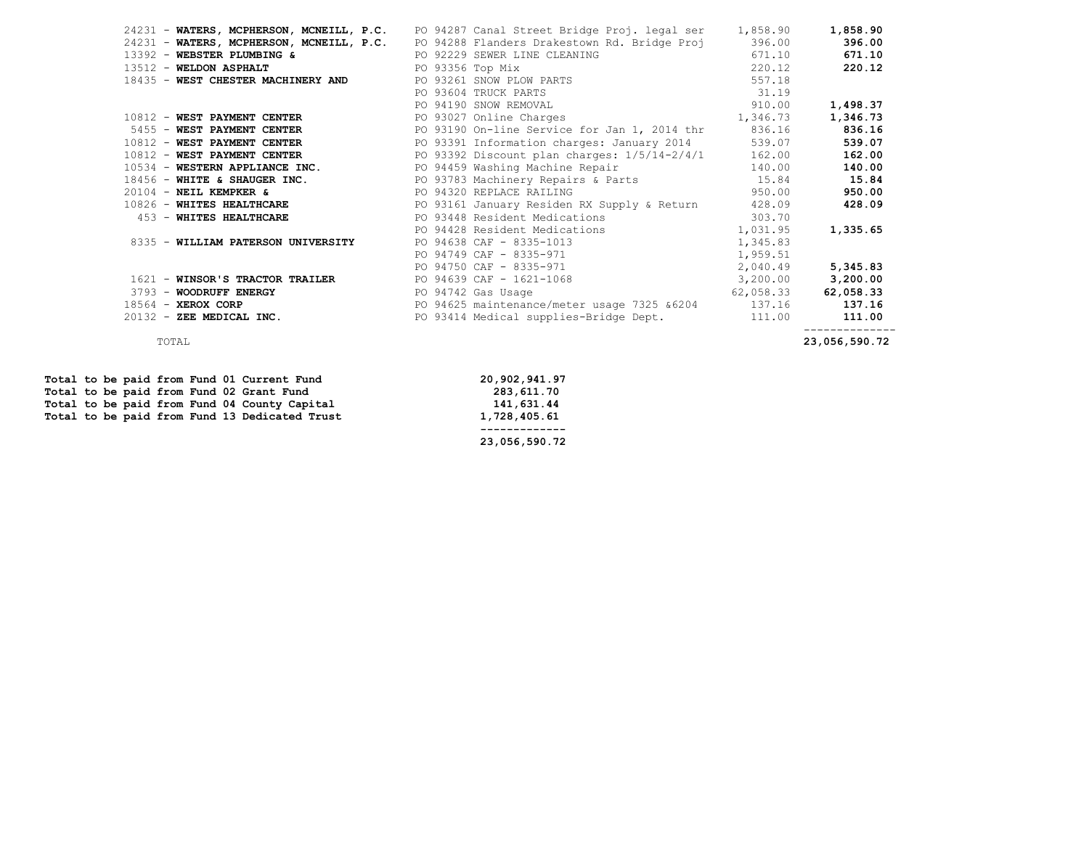|                                                             |                  | 24231 - WATERS, MCPHERSON, MCNEILL, P.C. PO 94287 Canal Street Bridge Proj. legal ser 1,858.90                                                                                                                                 |           | 1,858.90  |
|-------------------------------------------------------------|------------------|--------------------------------------------------------------------------------------------------------------------------------------------------------------------------------------------------------------------------------|-----------|-----------|
|                                                             |                  | 24231 - WATERS, MCPHERSON, MCNEILL, P.C. PO 94288 Flanders Drakestown Rd. Bridge Proj 396.00                                                                                                                                   |           | 396.00    |
| 13392 - WEBSTER PLUMBING & PO 92229 SEWER LINE CLEANING     |                  |                                                                                                                                                                                                                                | 671.10    | 671.10    |
| 13512 - WELDON ASPHALT                                      | PO 93356 Top Mix |                                                                                                                                                                                                                                | 220.12    | 220.12    |
| 18435 - WEST CHESTER MACHINERY AND PO 93261 SNOW PLOW PARTS |                  |                                                                                                                                                                                                                                | 557.18    |           |
|                                                             |                  | PO 93604 TRUCK PARTS                                                                                                                                                                                                           | 31.19     |           |
|                                                             |                  | PO 94190 SNOW REMOVAL                                                                                                                                                                                                          | 910.00    | 1,498.37  |
| 10812 - WEST PAYMENT CENTER                                 |                  | PO 93027 Online Charges 2012 1,346.73                                                                                                                                                                                          |           | 1,346.73  |
|                                                             |                  | 5455 - WEST PAYMENT CENTER <b>Example 2018</b> PO 93190 On-line Service for Jan 1, 2014 thr 836.16                                                                                                                             |           | 836.16    |
|                                                             |                  | 10812 - WEST PAYMENT CENTER <b>Example 2014</b> PO 93391 Information charges: January 2014                                                                                                                                     | 539.07    | 539.07    |
|                                                             |                  | $10812$ - WEST PAYMENT CENTER $PQ$ 93392 Discount plan charges: $1/5/14-2/4/1$                                                                                                                                                 | 162.00    | 162.00    |
|                                                             |                  | 10534 - WESTERN APPLIANCE INC. PO 94459 Washing Machine Repair                                                                                                                                                                 | 140.00    | 140.00    |
|                                                             |                  | 18456 - WHITE & SHAUGER INC. The Revenue of PO 93783 Machinery Repairs & Parts 15.84                                                                                                                                           |           | 15.84     |
| $20104$ - NEIL KEMPKER &                                    |                  | PO 94320 REPLACE RAILING                                                                                                                                                                                                       | 950.00    | 950.00    |
|                                                             |                  | 10826 - WHITES HEALTHCARE THE RESERVIES OF PO 93161 January Residen RX Supply & Return                                                                                                                                         | 428.09    | 428.09    |
| 453 - WHITES HEALTHCARE                                     |                  | PO 93448 Resident Medications 303.70                                                                                                                                                                                           |           |           |
|                                                             |                  | PO 94428 Resident Medications                                                                                                                                                                                                  | 1,031.95  | 1,335.65  |
| 8335 - WILLIAM PATERSON UNIVERSITY                          |                  | PO 94638 CAF - 8335-1013                                                                                                                                                                                                       | 1,345.83  |           |
|                                                             |                  | PO 94749 CAF - 8335-971                                                                                                                                                                                                        | 1,959.51  |           |
|                                                             |                  | PO 94750 CAF - 8335-971                                                                                                                                                                                                        | 2,040.49  | 5,345.83  |
| 1621 - WINSOR'S TRACTOR TRAILER                             |                  | PO 94639 CAF - 1621-1068                                                                                                                                                                                                       | 3,200.00  | 3,200.00  |
| 3793 - WOODRUFF ENERGY                                      |                  | PO 94742 Gas Usage entry the state of the state of the state of the state of the state of the state of the state of the state of the state of the state of the state of the state of the state of the state of the state of th | 62,058.33 | 62,058.33 |
| 18564 - XEROX CORP                                          |                  | PO 94625 maintenance/meter usage 7325 &6204 137.16                                                                                                                                                                             |           | 137.16    |
| 20132 - ZEE MEDICAL INC.                                    |                  | PO 93414 Medical supplies-Bridge Dept.                                                                                                                                                                                         | 111.00    | 111.00    |
|                                                             |                  |                                                                                                                                                                                                                                |           |           |

 **Total to be paid from Fund 01 Current Fund 20,902,941.97** Total to be paid from Fund 02 Grant Fund<br>
Total to be paid from Fund 04 County Capital **283,611.70**<br>
141,631.44 **Total to be paid from Fund 04 County Capital 141,631.44**<br> **Total to be paid from Fund 13 Dedicated Trust** 1,728,405.61 Total to be paid from Fund 13 Dedicated Trust

 **------------- 23,056,590.72**

TOTAL **23,056,590.72**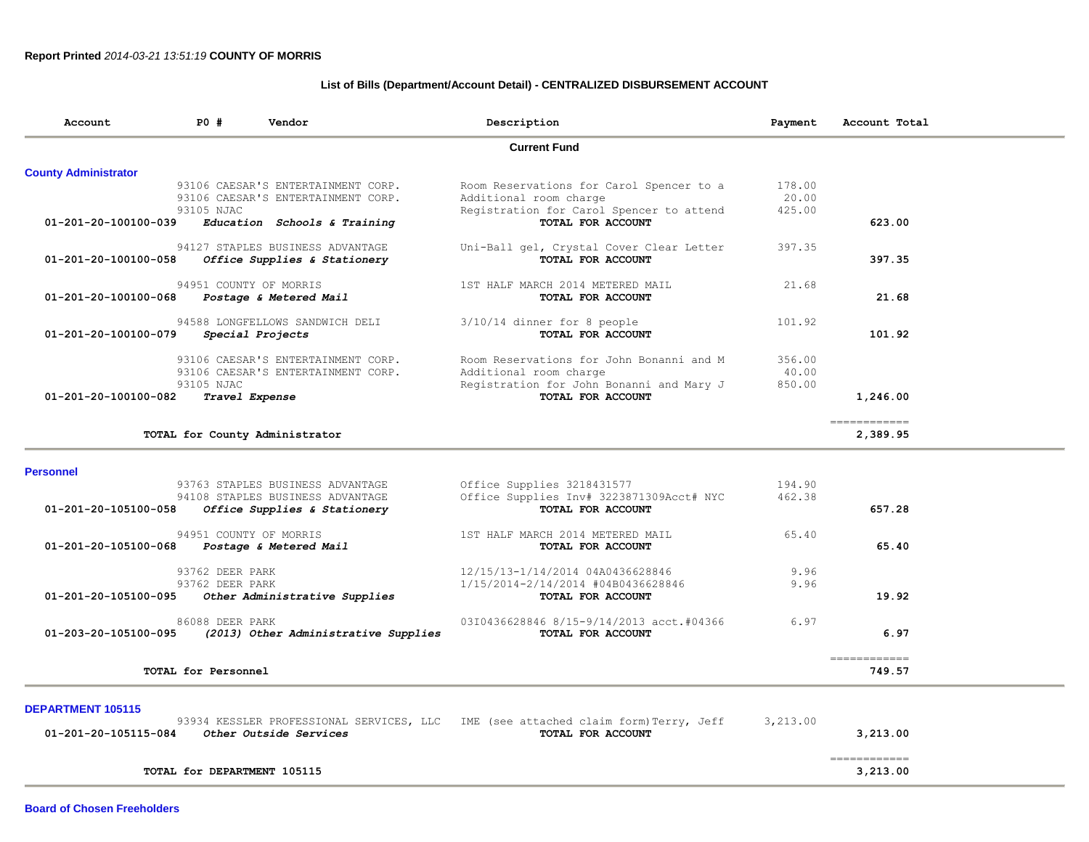# **List of Bills (Department/Account Detail) - CENTRALIZED DISBURSEMENT ACCOUNT**

| 93106 CAESAR'S ENTERTAINMENT CORP.<br>93106 CAESAR'S ENTERTAINMENT CORP.<br>Education Schools & Training<br>94127 STAPLES BUSINESS ADVANTAGE<br>Office Supplies & Stationery | <b>Current Fund</b><br>Room Reservations for Carol Spencer to a<br>Additional room charge<br>Registration for Carol Spencer to attend<br>TOTAL FOR ACCOUNT<br>Uni-Ball gel, Crystal Cover Clear Letter                                                                                       | 178.00<br>20.00<br>425.00                                                                                                                                                                                                                                                                                                                                                                                                                                         | 623.00                     |
|------------------------------------------------------------------------------------------------------------------------------------------------------------------------------|----------------------------------------------------------------------------------------------------------------------------------------------------------------------------------------------------------------------------------------------------------------------------------------------|-------------------------------------------------------------------------------------------------------------------------------------------------------------------------------------------------------------------------------------------------------------------------------------------------------------------------------------------------------------------------------------------------------------------------------------------------------------------|----------------------------|
|                                                                                                                                                                              |                                                                                                                                                                                                                                                                                              |                                                                                                                                                                                                                                                                                                                                                                                                                                                                   |                            |
|                                                                                                                                                                              |                                                                                                                                                                                                                                                                                              |                                                                                                                                                                                                                                                                                                                                                                                                                                                                   |                            |
|                                                                                                                                                                              |                                                                                                                                                                                                                                                                                              |                                                                                                                                                                                                                                                                                                                                                                                                                                                                   |                            |
|                                                                                                                                                                              |                                                                                                                                                                                                                                                                                              |                                                                                                                                                                                                                                                                                                                                                                                                                                                                   |                            |
|                                                                                                                                                                              |                                                                                                                                                                                                                                                                                              |                                                                                                                                                                                                                                                                                                                                                                                                                                                                   |                            |
|                                                                                                                                                                              |                                                                                                                                                                                                                                                                                              |                                                                                                                                                                                                                                                                                                                                                                                                                                                                   |                            |
|                                                                                                                                                                              |                                                                                                                                                                                                                                                                                              | 397.35                                                                                                                                                                                                                                                                                                                                                                                                                                                            |                            |
|                                                                                                                                                                              | TOTAL FOR ACCOUNT                                                                                                                                                                                                                                                                            |                                                                                                                                                                                                                                                                                                                                                                                                                                                                   | 397.35                     |
|                                                                                                                                                                              |                                                                                                                                                                                                                                                                                              | 21.68                                                                                                                                                                                                                                                                                                                                                                                                                                                             |                            |
|                                                                                                                                                                              | TOTAL FOR ACCOUNT                                                                                                                                                                                                                                                                            |                                                                                                                                                                                                                                                                                                                                                                                                                                                                   | 21.68                      |
|                                                                                                                                                                              |                                                                                                                                                                                                                                                                                              |                                                                                                                                                                                                                                                                                                                                                                                                                                                                   |                            |
|                                                                                                                                                                              | TOTAL FOR ACCOUNT                                                                                                                                                                                                                                                                            |                                                                                                                                                                                                                                                                                                                                                                                                                                                                   | 101.92                     |
|                                                                                                                                                                              |                                                                                                                                                                                                                                                                                              |                                                                                                                                                                                                                                                                                                                                                                                                                                                                   |                            |
|                                                                                                                                                                              |                                                                                                                                                                                                                                                                                              | 40.00                                                                                                                                                                                                                                                                                                                                                                                                                                                             |                            |
|                                                                                                                                                                              |                                                                                                                                                                                                                                                                                              | 850.00                                                                                                                                                                                                                                                                                                                                                                                                                                                            |                            |
|                                                                                                                                                                              |                                                                                                                                                                                                                                                                                              |                                                                                                                                                                                                                                                                                                                                                                                                                                                                   | 1,246.00                   |
|                                                                                                                                                                              |                                                                                                                                                                                                                                                                                              |                                                                                                                                                                                                                                                                                                                                                                                                                                                                   | ------------               |
|                                                                                                                                                                              |                                                                                                                                                                                                                                                                                              |                                                                                                                                                                                                                                                                                                                                                                                                                                                                   | 2,389.95                   |
|                                                                                                                                                                              |                                                                                                                                                                                                                                                                                              |                                                                                                                                                                                                                                                                                                                                                                                                                                                                   |                            |
|                                                                                                                                                                              |                                                                                                                                                                                                                                                                                              | 194.90                                                                                                                                                                                                                                                                                                                                                                                                                                                            |                            |
|                                                                                                                                                                              |                                                                                                                                                                                                                                                                                              |                                                                                                                                                                                                                                                                                                                                                                                                                                                                   |                            |
|                                                                                                                                                                              |                                                                                                                                                                                                                                                                                              |                                                                                                                                                                                                                                                                                                                                                                                                                                                                   | 657.28                     |
|                                                                                                                                                                              |                                                                                                                                                                                                                                                                                              | 65.40                                                                                                                                                                                                                                                                                                                                                                                                                                                             |                            |
|                                                                                                                                                                              | TOTAL FOR ACCOUNT                                                                                                                                                                                                                                                                            |                                                                                                                                                                                                                                                                                                                                                                                                                                                                   | 65.40                      |
|                                                                                                                                                                              |                                                                                                                                                                                                                                                                                              | 9.96                                                                                                                                                                                                                                                                                                                                                                                                                                                              |                            |
|                                                                                                                                                                              |                                                                                                                                                                                                                                                                                              | 9.96                                                                                                                                                                                                                                                                                                                                                                                                                                                              |                            |
|                                                                                                                                                                              | TOTAL FOR ACCOUNT                                                                                                                                                                                                                                                                            |                                                                                                                                                                                                                                                                                                                                                                                                                                                                   | 19.92                      |
|                                                                                                                                                                              |                                                                                                                                                                                                                                                                                              | 6.97                                                                                                                                                                                                                                                                                                                                                                                                                                                              |                            |
|                                                                                                                                                                              | TOTAL FOR ACCOUNT                                                                                                                                                                                                                                                                            |                                                                                                                                                                                                                                                                                                                                                                                                                                                                   | 6.97                       |
|                                                                                                                                                                              |                                                                                                                                                                                                                                                                                              |                                                                                                                                                                                                                                                                                                                                                                                                                                                                   |                            |
|                                                                                                                                                                              |                                                                                                                                                                                                                                                                                              |                                                                                                                                                                                                                                                                                                                                                                                                                                                                   | 749.57                     |
| Postage & Metered Mail<br>TOTAL for County Administrator<br>Postage & Metered Mail                                                                                           | 94588 LONGFELLOWS SANDWICH DELI<br>93106 CAESAR'S ENTERTAINMENT CORP.<br>93106 CAESAR'S ENTERTAINMENT CORP.<br>93763 STAPLES BUSINESS ADVANTAGE<br>94108 STAPLES BUSINESS ADVANTAGE<br>Office Supplies & Stationery<br>Other Administrative Supplies<br>(2013) Other Administrative Supplies | 1ST HALF MARCH 2014 METERED MAIL<br>$3/10/14$ dinner for 8 people<br>Room Reservations for John Bonanni and M<br>Additional room charge<br>Registration for John Bonanni and Mary J<br>TOTAL FOR ACCOUNT<br>Office Supplies 3218431577<br>Office Supplies Inv# 3223871309Acct# NYC<br>TOTAL FOR ACCOUNT<br>1ST HALF MARCH 2014 METERED MAIL<br>12/15/13-1/14/2014 04A0436628846<br>1/15/2014-2/14/2014 #04B0436628846<br>03I0436628846 8/15-9/14/2013 acct.#04366 | 101.92<br>356.00<br>462.38 |

#### **DEPARTMENT 105115**

| 93934 KESSLER PROFESSIONAL SERVICES, LLC IME (see attached claim form) Terry, Jeff |                   | 3,213.00 |
|------------------------------------------------------------------------------------|-------------------|----------|
| 01-201-20-105115-084<br><i>Other Outside Services</i>                              | TOTAL FOR ACCOUNT | 3.213.00 |
|                                                                                    |                   |          |
| TOTAL for DEPARTMENT 105115                                                        |                   | 3,213.00 |

**Board of Chosen Freeholders**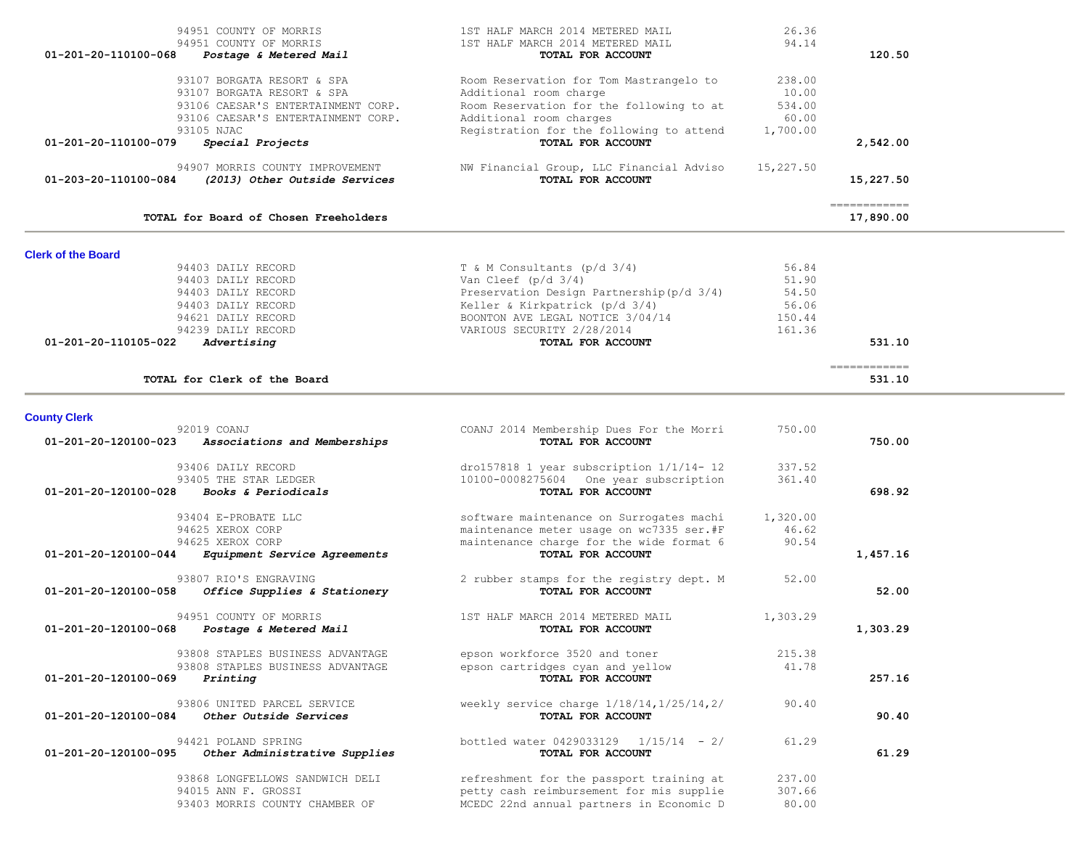| 94951 COUNTY OF MORRIS                                                                   | 1ST HALF MARCH 2014 METERED MAIL                              | 26.36     |                           |  |
|------------------------------------------------------------------------------------------|---------------------------------------------------------------|-----------|---------------------------|--|
| 94951 COUNTY OF MORRIS                                                                   | 1ST HALF MARCH 2014 METERED MAIL                              | 94.14     |                           |  |
| 01-201-20-110100-068<br>Postage & Metered Mail                                           | TOTAL FOR ACCOUNT                                             |           | 120.50                    |  |
| 93107 BORGATA RESORT & SPA                                                               | Room Reservation for Tom Mastrangelo to                       | 238.00    |                           |  |
| 93107 BORGATA RESORT & SPA                                                               | Additional room charge                                        | 10.00     |                           |  |
| 93106 CAESAR'S ENTERTAINMENT CORP.                                                       | Room Reservation for the following to at                      | 534.00    |                           |  |
| 93106 CAESAR'S ENTERTAINMENT CORP.                                                       | Additional room charges                                       | 60.00     |                           |  |
| 93105 NJAC                                                                               | Registration for the following to attend                      | 1,700.00  |                           |  |
| Special Projects<br>01-201-20-110100-079                                                 | TOTAL FOR ACCOUNT                                             |           | 2,542.00                  |  |
|                                                                                          |                                                               |           |                           |  |
| 94907 MORRIS COUNTY IMPROVEMENT<br>01-203-20-110100-084<br>(2013) Other Outside Services | NW Financial Group, LLC Financial Adviso<br>TOTAL FOR ACCOUNT | 15,227.50 | 15,227.50                 |  |
|                                                                                          |                                                               |           |                           |  |
| TOTAL for Board of Chosen Freeholders                                                    |                                                               |           | ============<br>17,890.00 |  |
| <b>Clerk of the Board</b>                                                                |                                                               |           |                           |  |
| 94403 DAILY RECORD                                                                       | $T$ & M Consultants (p/d $3/4$ )                              | 56.84     |                           |  |
| 94403 DAILY RECORD                                                                       | Van Cleef $(p/d \t3/4)$                                       | 51.90     |                           |  |
| 94403 DAILY RECORD                                                                       | Preservation Design Partnership (p/d 3/4)                     | 54.50     |                           |  |
| 94403 DAILY RECORD                                                                       | Keller & Kirkpatrick (p/d 3/4)                                | 56.06     |                           |  |
| 94621 DAILY RECORD                                                                       | BOONTON AVE LEGAL NOTICE 3/04/14                              | 150.44    |                           |  |
| 94239 DAILY RECORD                                                                       | VARIOUS SECURITY 2/28/2014                                    | 161.36    | 531.10                    |  |
| 01-201-20-110105-022<br>Advertising                                                      | TOTAL FOR ACCOUNT                                             |           |                           |  |
|                                                                                          |                                                               |           | ------------              |  |
| TOTAL for Clerk of the Board                                                             |                                                               |           | 531.10                    |  |
|                                                                                          |                                                               |           |                           |  |
| <b>County Clerk</b>                                                                      |                                                               |           |                           |  |
| 92019 COANJ<br>01-201-20-120100-023<br>Associations and Memberships                      | COANJ 2014 Membership Dues For the Morri<br>TOTAL FOR ACCOUNT | 750.00    | 750.00                    |  |
|                                                                                          |                                                               |           |                           |  |
| 93406 DAILY RECORD                                                                       | dro157818 1 year subscription $1/1/14$ - 12                   | 337.52    |                           |  |
| 93405 THE STAR LEDGER                                                                    | 10100-0008275604 One year subscription                        | 361.40    |                           |  |
| 01-201-20-120100-028<br>Books & Periodicals                                              | TOTAL FOR ACCOUNT                                             |           | 698.92                    |  |
| 93404 E-PROBATE LLC                                                                      | software maintenance on Surrogates machi                      | 1,320.00  |                           |  |
| 94625 XEROX CORP                                                                         | maintenance meter usage on wc7335 ser.#F                      | 46.62     |                           |  |
| 94625 XEROX CORP                                                                         | maintenance charge for the wide format 6                      | 90.54     |                           |  |
| 01-201-20-120100-044<br>Equipment Service Agreements                                     | TOTAL FOR ACCOUNT                                             |           | 1,457.16                  |  |
| 93807 RIO'S ENGRAVING                                                                    |                                                               | 52.00     |                           |  |
| 01-201-20-120100-058<br>Office Supplies & Stationery                                     | 2 rubber stamps for the registry dept. M<br>TOTAL FOR ACCOUNT |           | 52.00                     |  |
|                                                                                          |                                                               |           |                           |  |
| 94951 COUNTY OF MORRIS                                                                   | 1ST HALF MARCH 2014 METERED MAIL                              | 1,303.29  |                           |  |
| 01-201-20-120100-068<br>Postage & Metered Mail                                           | TOTAL FOR ACCOUNT                                             |           | 1,303.29                  |  |
| 93808 STAPLES BUSINESS ADVANTAGE                                                         | epson workforce 3520 and toner                                | 215.38    |                           |  |
| 93808 STAPLES BUSINESS ADVANTAGE                                                         | epson cartridges cyan and yellow                              | 41.78     |                           |  |
| $01 - 201 - 20 - 120100 - 069$<br>Printing                                               | TOTAL FOR ACCOUNT                                             |           | 257.16                    |  |
|                                                                                          |                                                               |           |                           |  |
| 93806 UNITED PARCEL SERVICE                                                              | weekly service charge $1/18/14, 1/25/14, 2/$                  | 90.40     |                           |  |
| 01-201-20-120100-084<br>Other Outside Services                                           | TOTAL FOR ACCOUNT                                             |           | 90.40                     |  |
| 94421 POLAND SPRING                                                                      | bottled water 0429033129   1/15/14 - 2/                       | 61.29     |                           |  |
| 01-201-20-120100-095<br>Other Administrative Supplies                                    | TOTAL FOR ACCOUNT                                             |           | 61.29                     |  |
| 93868 LONGFELLOWS SANDWICH DELI                                                          | refreshment for the passport training at                      | 237.00    |                           |  |
| 94015 ANN F. GROSSI                                                                      | petty cash reimbursement for mis supplie                      | 307.66    |                           |  |
| 93403 MORRIS COUNTY CHAMBER OF                                                           | MCEDC 22nd annual partners in Economic D                      | 80.00     |                           |  |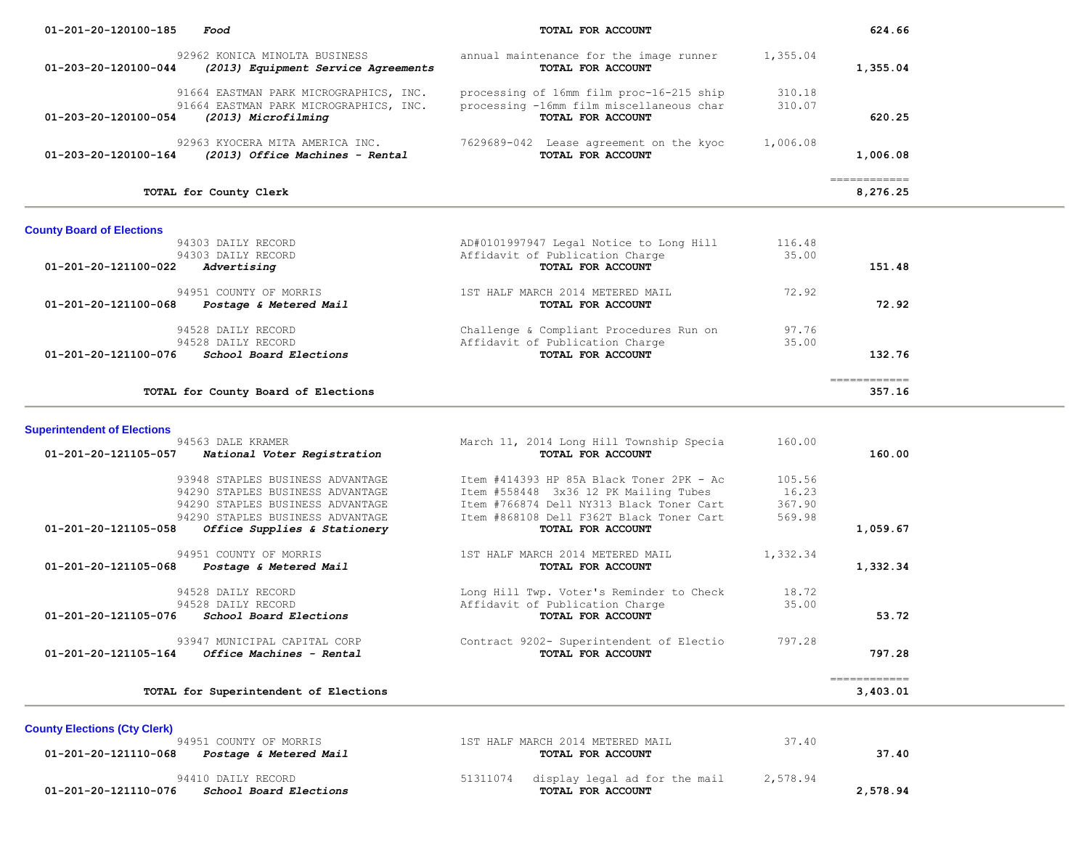| 01-201-20-120100-185               | Food                                                                                                    | TOTAL FOR ACCOUNT                                                                                         |                  | 624.66                                  |  |
|------------------------------------|---------------------------------------------------------------------------------------------------------|-----------------------------------------------------------------------------------------------------------|------------------|-----------------------------------------|--|
| 01-203-20-120100-044               | 92962 KONICA MINOLTA BUSINESS<br>(2013) Equipment Service Agreements                                    | annual maintenance for the image runner<br>TOTAL FOR ACCOUNT                                              | 1,355.04         | 1,355.04                                |  |
| 01-203-20-120100-054               | 91664 EASTMAN PARK MICROGRAPHICS, INC.<br>91664 EASTMAN PARK MICROGRAPHICS, INC.<br>(2013) Microfilming | processing of 16mm film proc-16-215 ship<br>processing -16mm film miscellaneous char<br>TOTAL FOR ACCOUNT | 310.18<br>310.07 | 620.25                                  |  |
| 01-203-20-120100-164               | 92963 KYOCERA MITA AMERICA INC.<br>(2013) Office Machines - Rental                                      | 7629689-042 Lease agreement on the kyoc<br>TOTAL FOR ACCOUNT                                              | 1,006.08         | 1,006.08                                |  |
|                                    | TOTAL for County Clerk                                                                                  |                                                                                                           |                  | $=$ = = = = = = = = = = = =<br>8,276.25 |  |
| <b>County Board of Elections</b>   |                                                                                                         |                                                                                                           |                  |                                         |  |
|                                    | 94303 DAILY RECORD                                                                                      | AD#0101997947 Legal Notice to Long Hill                                                                   | 116.48           |                                         |  |
|                                    | 94303 DAILY RECORD                                                                                      | Affidavit of Publication Charge                                                                           | 35.00            |                                         |  |
| 01-201-20-121100-022               | Advertising                                                                                             | TOTAL FOR ACCOUNT                                                                                         |                  | 151.48                                  |  |
| 01-201-20-121100-068               | 94951 COUNTY OF MORRIS<br>Postage & Metered Mail                                                        | 1ST HALF MARCH 2014 METERED MAIL<br>TOTAL FOR ACCOUNT                                                     | 72.92            | 72.92                                   |  |
|                                    | 94528 DAILY RECORD                                                                                      | Challenge & Compliant Procedures Run on                                                                   | 97.76            |                                         |  |
|                                    | 94528 DAILY RECORD                                                                                      | Affidavit of Publication Charge                                                                           | 35.00            |                                         |  |
| 01-201-20-121100-076               | School Board Elections                                                                                  | TOTAL FOR ACCOUNT                                                                                         |                  | 132.76                                  |  |
|                                    | TOTAL for County Board of Elections                                                                     |                                                                                                           |                  | ============<br>357.16                  |  |
|                                    |                                                                                                         |                                                                                                           |                  |                                         |  |
| <b>Superintendent of Elections</b> |                                                                                                         |                                                                                                           |                  |                                         |  |
|                                    | 94563 DALE KRAMER                                                                                       | March 11, 2014 Long Hill Township Specia                                                                  | 160.00           |                                         |  |
| 01-201-20-121105-057               | National Voter Registration                                                                             | TOTAL FOR ACCOUNT                                                                                         |                  | 160.00                                  |  |
|                                    | 93948 STAPLES BUSINESS ADVANTAGE                                                                        | Item #414393 HP 85A Black Toner 2PK - Ac                                                                  | 105.56           |                                         |  |
|                                    | 94290 STAPLES BUSINESS ADVANTAGE                                                                        | Item #558448 3x36 12 PK Mailing Tubes                                                                     | 16.23            |                                         |  |
|                                    | 94290 STAPLES BUSINESS ADVANTAGE                                                                        | Item #766874 Dell NY313 Black Toner Cart                                                                  | 367.90           |                                         |  |
|                                    | 94290 STAPLES BUSINESS ADVANTAGE                                                                        | Item #868108 Dell F362T Black Toner Cart                                                                  | 569.98           |                                         |  |
| 01-201-20-121105-058               | Office Supplies & Stationery                                                                            | TOTAL FOR ACCOUNT                                                                                         |                  | 1,059.67                                |  |

| 1ST HALF MARCH 2014 METERED MAIL<br>94951 COUNTY OF MORRIS<br>.332.34 | 01-201-20-121105-068 | <i>Postage &amp; Metered Mail</i> | TOTAL FOR ACCOUNT | . 332.34 |
|-----------------------------------------------------------------------|----------------------|-----------------------------------|-------------------|----------|
|                                                                       |                      |                                   |                   |          |

94528 DAILY RECORD Long Hill Twp. Voter's Reminder to Check 18.72<br>94528 DAILY RECORD Affidavit of Publication Charge 35.00  **01-201-20-121105-076** *School Board Elections* **TOTAL FOR ACCOUNT 53.72**

 93947 MUNICIPAL CAPITAL CORP Contract 9202- Superintendent of Electio 797.28  **01-201-20-121105-164** *Office Machines - Rental* **TOTAL FOR ACCOUNT 797.28** ============ **TOTAL for Superintendent of Elections 3,403.01**

Affidavit of Publication Charge<br> **TOTAL FOR ACCOUNT** 

**County Elections (Cty Clerk)**

| 94951 COUNTY OF MORRIS<br>01-201-20-121110-068<br><i>Postage &amp; Metered Mail</i> | 1ST HALF MARCH 2014 METERED MAIL<br>TOTAL FOR ACCOUNT          | 37.40<br>37.40       |  |
|-------------------------------------------------------------------------------------|----------------------------------------------------------------|----------------------|--|
| 94410 DAILY RECORD<br>01-201-20-121110-076<br>School Board Elections                | 51311074<br>display legal ad for the mail<br>TOTAL FOR ACCOUNT | 2,578.94<br>2,578.94 |  |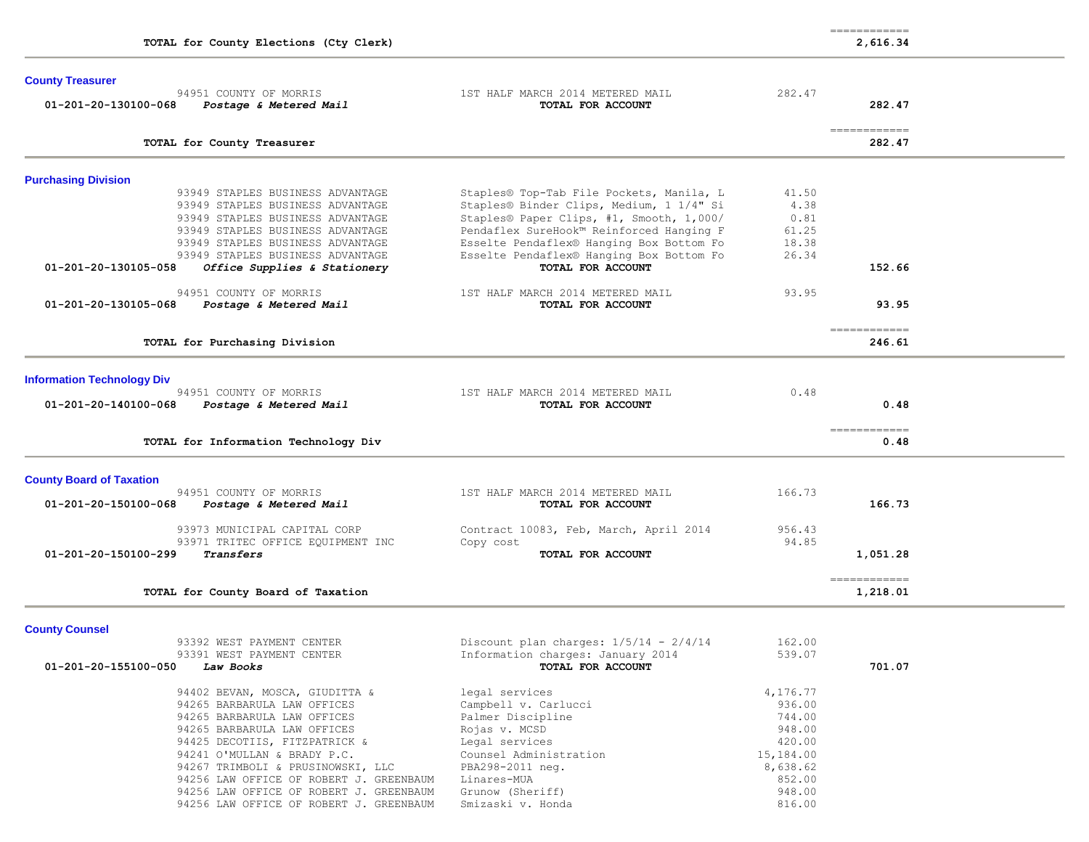|                                   | TOTAL for County Elections (Cty Clerk)                                                                                                                                                                                                                                                                                 |                                                                                                                                                                                                                                                                      |                                                                                               | ============<br>2,616.34 |
|-----------------------------------|------------------------------------------------------------------------------------------------------------------------------------------------------------------------------------------------------------------------------------------------------------------------------------------------------------------------|----------------------------------------------------------------------------------------------------------------------------------------------------------------------------------------------------------------------------------------------------------------------|-----------------------------------------------------------------------------------------------|--------------------------|
| <b>County Treasurer</b>           |                                                                                                                                                                                                                                                                                                                        |                                                                                                                                                                                                                                                                      |                                                                                               |                          |
| 01-201-20-130100-068              | 94951 COUNTY OF MORRIS<br>Postage & Metered Mail                                                                                                                                                                                                                                                                       | 1ST HALF MARCH 2014 METERED MAIL<br>TOTAL FOR ACCOUNT                                                                                                                                                                                                                | 282.47                                                                                        | 282.47                   |
|                                   | TOTAL for County Treasurer                                                                                                                                                                                                                                                                                             |                                                                                                                                                                                                                                                                      |                                                                                               | ------------<br>282.47   |
| <b>Purchasing Division</b>        |                                                                                                                                                                                                                                                                                                                        |                                                                                                                                                                                                                                                                      |                                                                                               |                          |
|                                   | 93949 STAPLES BUSINESS ADVANTAGE<br>93949 STAPLES BUSINESS ADVANTAGE<br>93949 STAPLES BUSINESS ADVANTAGE<br>93949 STAPLES BUSINESS ADVANTAGE<br>93949 STAPLES BUSINESS ADVANTAGE<br>93949 STAPLES BUSINESS ADVANTAGE                                                                                                   | Staples® Top-Tab File Pockets, Manila, L<br>Staples® Binder Clips, Medium, 1 1/4" Si<br>Staples® Paper Clips, #1, Smooth, 1,000/<br>Pendaflex SureHook™ Reinforced Hanging F<br>Esselte Pendaflex® Hanging Box Bottom Fo<br>Esselte Pendaflex® Hanging Box Bottom Fo | 41.50<br>4.38<br>0.81<br>61.25<br>18.38<br>26.34                                              |                          |
| 01-201-20-130105-058              | Office Supplies & Stationery                                                                                                                                                                                                                                                                                           | TOTAL FOR ACCOUNT                                                                                                                                                                                                                                                    |                                                                                               | 152.66                   |
| 01-201-20-130105-068              | 94951 COUNTY OF MORRIS<br><i>Postage &amp; Metered Mail</i>                                                                                                                                                                                                                                                            | 1ST HALF MARCH 2014 METERED MAIL<br>TOTAL FOR ACCOUNT                                                                                                                                                                                                                | 93.95                                                                                         | 93.95                    |
|                                   | TOTAL for Purchasing Division                                                                                                                                                                                                                                                                                          |                                                                                                                                                                                                                                                                      |                                                                                               | ============<br>246.61   |
| <b>Information Technology Div</b> |                                                                                                                                                                                                                                                                                                                        |                                                                                                                                                                                                                                                                      |                                                                                               |                          |
| 01-201-20-140100-068              | 94951 COUNTY OF MORRIS<br><i>Postage &amp; Metered Mail</i>                                                                                                                                                                                                                                                            | 1ST HALF MARCH 2014 METERED MAIL<br>TOTAL FOR ACCOUNT                                                                                                                                                                                                                | 0.48                                                                                          | 0.48                     |
|                                   | TOTAL for Information Technology Div                                                                                                                                                                                                                                                                                   |                                                                                                                                                                                                                                                                      |                                                                                               | ------------<br>0.48     |
| <b>County Board of Taxation</b>   |                                                                                                                                                                                                                                                                                                                        |                                                                                                                                                                                                                                                                      |                                                                                               |                          |
| 01-201-20-150100-068              | 94951 COUNTY OF MORRIS<br>Postage & Metered Mail                                                                                                                                                                                                                                                                       | 1ST HALF MARCH 2014 METERED MAIL<br>TOTAL FOR ACCOUNT                                                                                                                                                                                                                | 166.73                                                                                        | 166.73                   |
| 01-201-20-150100-299              | 93973 MUNICIPAL CAPITAL CORP<br>93971 TRITEC OFFICE EQUIPMENT INC<br>Transfers                                                                                                                                                                                                                                         | Contract 10083, Feb, March, April 2014<br>Copy cost<br>TOTAL FOR ACCOUNT                                                                                                                                                                                             | 956.43<br>94.85                                                                               | 1,051.28                 |
|                                   | TOTAL for County Board of Taxation                                                                                                                                                                                                                                                                                     |                                                                                                                                                                                                                                                                      |                                                                                               | ------------<br>1,218.01 |
| <b>County Counsel</b>             |                                                                                                                                                                                                                                                                                                                        |                                                                                                                                                                                                                                                                      |                                                                                               |                          |
| 01-201-20-155100-050              | 93392 WEST PAYMENT CENTER<br>93391 WEST PAYMENT CENTER<br>Law Books                                                                                                                                                                                                                                                    | Discount plan charges: $1/5/14 - 2/4/14$<br>Information charges: January 2014<br>TOTAL FOR ACCOUNT                                                                                                                                                                   | 162.00<br>539.07                                                                              | 701.07                   |
|                                   | 94402 BEVAN, MOSCA, GIUDITTA &<br>94265 BARBARULA LAW OFFICES<br>94265 BARBARULA LAW OFFICES<br>94265 BARBARULA LAW OFFICES<br>94425 DECOTIIS, FITZPATRICK &<br>94241 O'MULLAN & BRADY P.C.<br>94267 TRIMBOLI & PRUSINOWSKI, LLC<br>94256 LAW OFFICE OF ROBERT J. GREENBAUM<br>94256 LAW OFFICE OF ROBERT J. GREENBAUM | legal services<br>Campbell v. Carlucci<br>Palmer Discipline<br>Rojas v. MCSD<br>Legal services<br>Counsel Administration<br>PBA298-2011 neg.<br>Linares-MUA<br>Grunow (Sheriff)                                                                                      | 4,176.77<br>936.00<br>744.00<br>948.00<br>420.00<br>15,184.00<br>8,638.62<br>852.00<br>948.00 |                          |

94256 LAW OFFICE OF ROBERT J. GREENBAUM Smizaski v. Honda 816.00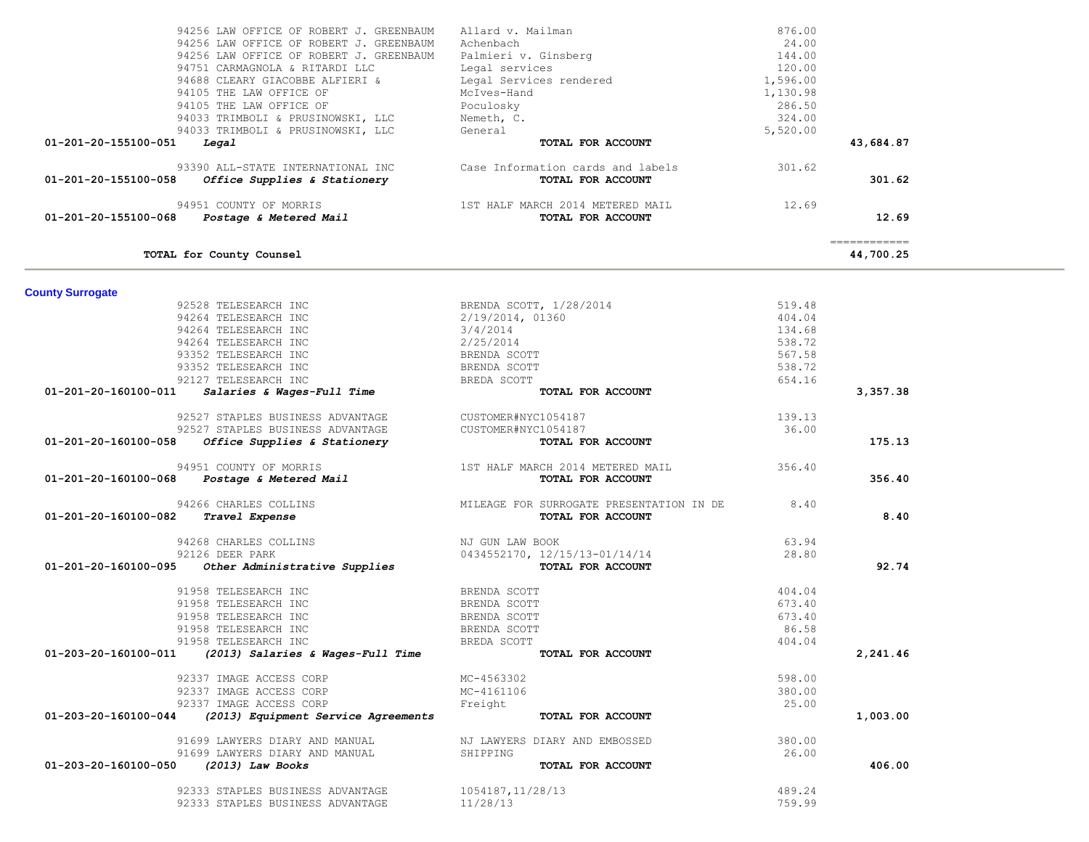| <b>157 HALF MARCH 2014 METERED MAIL</b><br>19931 COUNTY OF MORRIS 1ST HALF MARCH 2014 METERED MAIL <b>TOTAL FOR ACCOUNT</b>         |                                  | 12.69  | 12.69                                    |
|-------------------------------------------------------------------------------------------------------------------------------------|----------------------------------|--------|------------------------------------------|
| TOTAL for County Counsel                                                                                                            |                                  |        | $=$ = = = = = = = = = = = =<br>44,700.25 |
| <b>County Surrogate</b>                                                                                                             |                                  |        |                                          |
| 92528 TELESEARCH INC                                                                                                                | BRENDA SCOTT, 1/28/2014          | 519.48 |                                          |
| 94264 TELESEARCH INC                                                                                                                | 2/19/2014, 01360                 | 404.04 |                                          |
| 94264 TELESEARCH INC                                                                                                                | 3/4/2014                         | 134.68 |                                          |
| 94264 TELESEARCH INC                                                                                                                | 2/25/2014                        | 538.72 |                                          |
| 93352 TELESEARCH INC                                                                                                                | BRENDA SCOTT                     | 567.58 |                                          |
| 93352 TELESEARCH INC                                                                                                                | BRENDA SCOTT                     | 538.72 |                                          |
| 92127 TELESEARCH INC                                                                                                                | BREDA SCOTT                      | 654.16 |                                          |
| Salaries & Wages-Full Time<br>01-201-20-160100-011                                                                                  | TOTAL FOR ACCOUNT                |        | 3,357.38                                 |
| 92527 STAPLES BUSINESS ADVANTAGE                                                                                                    | CUSTOMER#NYC1054187              | 139.13 |                                          |
| 92527 STAPLES BUSINESS ADVANTAGE                                                                                                    | CUSTOMER#NYC1054187              | 36.00  |                                          |
| Office Supplies & Stationery<br>01-201-20-160100-058                                                                                | TOTAL FOR ACCOUNT                |        | 175.13                                   |
| 94951 COUNTY OF MORRIS                                                                                                              | 1ST HALF MARCH 2014 METERED MAIL | 356.40 |                                          |
| 51 COUNTY OF MORRIS<br><i>Postage &amp; Metered Mail</i><br>01-201-20-160100-068                                                    | TOTAL FOR ACCOUNT                |        | 356.40                                   |
|                                                                                                                                     | 94266 CHARLES COLLINS 6.40       |        |                                          |
| Travel Expense<br>01-201-20-160100-082                                                                                              | TOTAL FOR ACCOUNT                |        | 8.40                                     |
|                                                                                                                                     |                                  |        |                                          |
| 94268 CHARLES COLLINS<br>92126 PEEP PAPK                                                                                            | NJ GUN LAW BOOK                  | 63.94  |                                          |
| 92126 DEER PARK                                                                                                                     | 0434552170, 12/15/13-01/14/14    | 28.80  |                                          |
| Other Administrative Supplies<br>01-201-20-160100-095                                                                               | TOTAL FOR ACCOUNT                |        | 92.74                                    |
| 91958 TELESEARCH INC                                                                                                                | BRENDA SCOTT                     | 404.04 |                                          |
| 91958 TELESEARCH INC                                                                                                                | BRENDA SCOTT                     | 673.40 |                                          |
| 91958 TELESEARCH INC                                                                                                                | BRENDA SCOTT                     | 673.40 |                                          |
| 91958 TELESEARCH INC                                                                                                                | BRENDA SCOTT                     | 86.58  |                                          |
| 91958 TELESEARCH INC                                                                                                                | BREDA SCOTT                      | 404.04 |                                          |
| ------------- ---<br>88 TELESEARCH INC<br>88 TELESEARCH INC<br><b>(2013) Salaries &amp; Wages-Full Time</b><br>01-203-20-160100-011 | TOTAL FOR ACCOUNT                |        | 2,241.46                                 |
| 92337 IMAGE ACCESS CORP<br>MC-4563302                                                                                               |                                  | 598.00 |                                          |
| 92337 IMAGE ACCESS CORP                                                                                                             | MC-4161106                       | 380.00 |                                          |
| 92337 IMAGE ACCESS CORP                                                                                                             | Freight                          | 25.00  |                                          |
| (2013) Equipment Service Agreements<br>01-203-20-160100-044                                                                         | TOTAL FOR ACCOUNT                |        | 1,003.00                                 |
| 91699 LAWYERS DIARY AND MANUAL                                                                                                      | NJ LAWYERS DIARY AND EMBOSSED    | 380.00 |                                          |
| 91699 LAWYERS DIARY AND MANUAL                                                                                                      | SHIPPING                         | 26.00  |                                          |
| $(2013)$ Law Books<br>01-203-20-160100-050                                                                                          | TOTAL FOR ACCOUNT                |        | 406.00                                   |
| 92333 STAPLES BUSINESS ADVANTAGE                                                                                                    | 1054187,11/28/13                 | 489.24 |                                          |
| 92333 STAPLES BUSINESS ADVANTAGE                                                                                                    | 11/28/13                         | 759.99 |                                          |
|                                                                                                                                     |                                  |        |                                          |

| 94256 LAW OFFICE OF ROBERT J. GREENBAUM              | Allard v. Mailman                 | 876.00   |              |  |
|------------------------------------------------------|-----------------------------------|----------|--------------|--|
| 94256 LAW OFFICE OF ROBERT J. GREENBAUM              | Achenbach                         | 24.00    |              |  |
| 94256 LAW OFFICE OF ROBERT J. GREENBAUM              | Palmieri v. Ginsberg              | 144.00   |              |  |
| 94751 CARMAGNOLA & RITARDI LLC                       | Legal services                    | 120.00   |              |  |
| 94688 CLEARY GIACOBBE ALFIERI &                      | Legal Services rendered           | 1,596.00 |              |  |
| 94105 THE LAW OFFICE OF                              | McIves-Hand                       | 1,130.98 |              |  |
| 94105 THE LAW OFFICE OF                              | Poculosky                         | 286.50   |              |  |
| 94033 TRIMBOLI & PRUSINOWSKI, LLC                    | Nemeth, C.                        | 324.00   |              |  |
| 94033 TRIMBOLI & PRUSINOWSKI, LLC                    | General                           | 5,520.00 |              |  |
| 01-201-20-155100-051<br><i><b>Legal</b></i>          | TOTAL FOR ACCOUNT                 |          | 43,684.87    |  |
| 93390 ALL-STATE INTERNATIONAL INC                    | Case Information cards and labels | 301.62   |              |  |
| 01-201-20-155100-058<br>Office Supplies & Stationery | TOTAL FOR ACCOUNT                 |          | 301.62       |  |
| 94951 COUNTY OF MORRIS                               | 1ST HALF MARCH 2014 METERED MAIL  | 12.69    |              |  |
| 01-201-20-155100-068<br>Postage & Metered Mail       | TOTAL FOR ACCOUNT                 |          | 12.69        |  |
|                                                      |                                   |          | ============ |  |
| TOTAL for County Counsel                             |                                   |          | 44,700.25    |  |

and in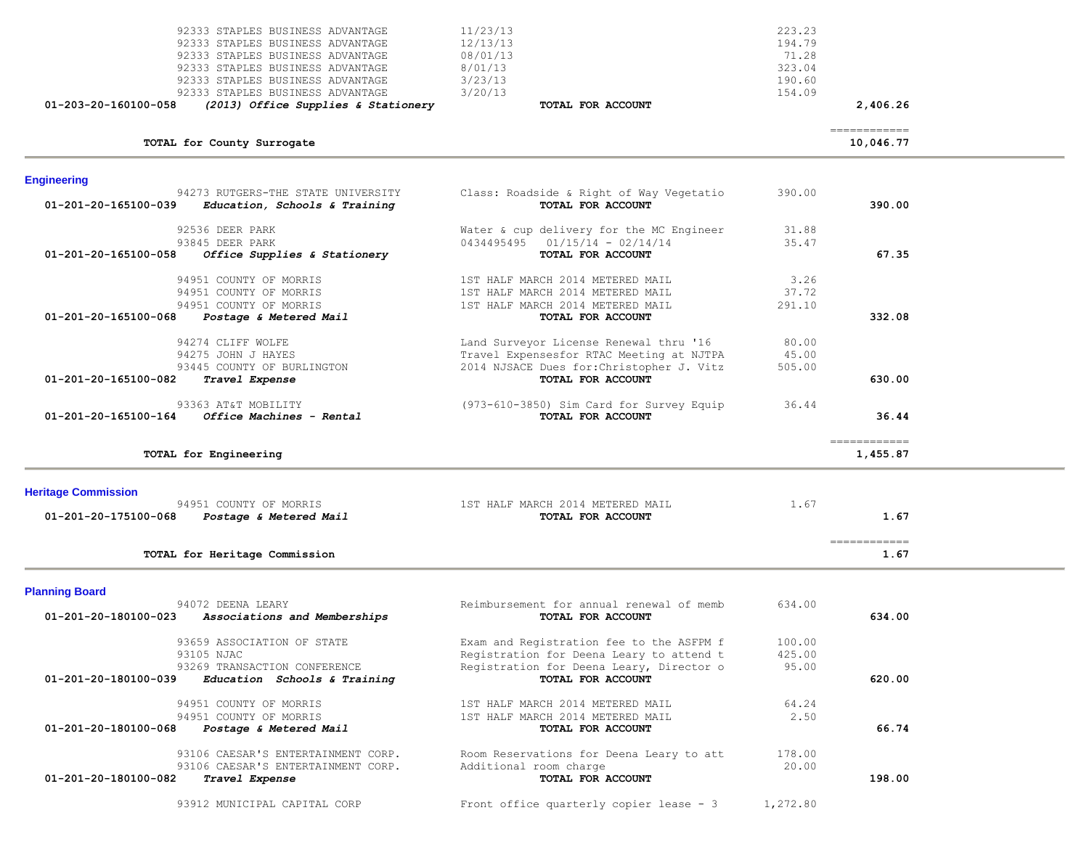| 92333 STAPLES BUSINESS ADVANTAGE<br>92333 STAPLES BUSINESS ADVANTAGE<br>92333 STAPLES BUSINESS ADVANTAGE<br>92333 STAPLES BUSINESS ADVANTAGE<br>92333 STAPLES BUSINESS ADVANTAGE<br>92333 STAPLES BUSINESS ADVANTAGE<br>01-203-20-160100-058<br>(2013) Office Supplies & Stationery | 11/23/13<br>12/13/13<br>08/01/13<br>8/01/13<br>3/23/13<br>3/20/13<br>TOTAL FOR ACCOUNT                                                                | 223.23<br>194.79<br>71.28<br>323.04<br>190.60<br>154.09 | 2,406.26                                                                                                                                                                                                                                                                                                                                                                                                                                                                                           |  |
|-------------------------------------------------------------------------------------------------------------------------------------------------------------------------------------------------------------------------------------------------------------------------------------|-------------------------------------------------------------------------------------------------------------------------------------------------------|---------------------------------------------------------|----------------------------------------------------------------------------------------------------------------------------------------------------------------------------------------------------------------------------------------------------------------------------------------------------------------------------------------------------------------------------------------------------------------------------------------------------------------------------------------------------|--|
| TOTAL for County Surrogate                                                                                                                                                                                                                                                          |                                                                                                                                                       |                                                         | ============<br>10,046.77                                                                                                                                                                                                                                                                                                                                                                                                                                                                          |  |
| <b>Engineering</b>                                                                                                                                                                                                                                                                  |                                                                                                                                                       |                                                         |                                                                                                                                                                                                                                                                                                                                                                                                                                                                                                    |  |
| 94273 RUTGERS-THE STATE UNIVERSITY<br>01-201-20-165100-039<br>Education, Schools & Training                                                                                                                                                                                         | Class: Roadside & Right of Way Vegetatio<br>TOTAL FOR ACCOUNT                                                                                         | 390.00                                                  | 390.00                                                                                                                                                                                                                                                                                                                                                                                                                                                                                             |  |
| 92536 DEER PARK<br>93845 DEER PARK<br>01-201-20-165100-058<br>Office Supplies & Stationery                                                                                                                                                                                          | Water & cup delivery for the MC Engineer<br>$0434495495$ $01/15/14 - 02/14/14$<br>TOTAL FOR ACCOUNT                                                   | 31.88<br>35.47                                          | 67.35                                                                                                                                                                                                                                                                                                                                                                                                                                                                                              |  |
| 94951 COUNTY OF MORRIS<br>94951 COUNTY OF MORRIS<br>94951 COUNTY OF MORRIS<br>01-201-20-165100-068<br>Postage & Metered Mail                                                                                                                                                        | 1ST HALF MARCH 2014 METERED MAIL<br>1ST HALF MARCH 2014 METERED MAIL<br>1ST HALF MARCH 2014 METERED MAIL<br>TOTAL FOR ACCOUNT                         | 3.26<br>37.72<br>291.10                                 | 332.08                                                                                                                                                                                                                                                                                                                                                                                                                                                                                             |  |
| 94274 CLIFF WOLFE<br>94275 JOHN J HAYES<br>93445 COUNTY OF BURLINGTON<br>01-201-20-165100-082<br>Travel Expense                                                                                                                                                                     | Land Surveyor License Renewal thru '16<br>Travel Expensesfor RTAC Meeting at NJTPA<br>2014 NJSACE Dues for: Christopher J. Vitz<br>TOTAL FOR ACCOUNT  | 80.00<br>45.00<br>505.00                                | 630.00                                                                                                                                                                                                                                                                                                                                                                                                                                                                                             |  |
| 93363 AT&T MOBILITY<br>Office Machines - Rental<br>01-201-20-165100-164                                                                                                                                                                                                             | (973-610-3850) Sim Card for Survey Equip<br>TOTAL FOR ACCOUNT                                                                                         | 36.44                                                   | 36.44                                                                                                                                                                                                                                                                                                                                                                                                                                                                                              |  |
| TOTAL for Engineering                                                                                                                                                                                                                                                               |                                                                                                                                                       |                                                         | $\begin{array}{cccccccccc} \multicolumn{2}{c}{} & \multicolumn{2}{c}{} & \multicolumn{2}{c}{} & \multicolumn{2}{c}{} & \multicolumn{2}{c}{} & \multicolumn{2}{c}{} & \multicolumn{2}{c}{} & \multicolumn{2}{c}{} & \multicolumn{2}{c}{} & \multicolumn{2}{c}{} & \multicolumn{2}{c}{} & \multicolumn{2}{c}{} & \multicolumn{2}{c}{} & \multicolumn{2}{c}{} & \multicolumn{2}{c}{} & \multicolumn{2}{c}{} & \multicolumn{2}{c}{} & \multicolumn{2}{c}{} & \multicolumn{2}{c}{} & \mult$<br>1,455.87 |  |
| <b>Heritage Commission</b><br>94951 COUNTY OF MORRIS<br>Postage & Metered Mail<br>01-201-20-175100-068                                                                                                                                                                              | 1ST HALF MARCH 2014 METERED MAIL<br>TOTAL FOR ACCOUNT                                                                                                 | 1.67                                                    | 1.67<br>$\begin{array}{cccccccccc} \multicolumn{2}{c}{} & \multicolumn{2}{c}{} & \multicolumn{2}{c}{} & \multicolumn{2}{c}{} & \multicolumn{2}{c}{} & \multicolumn{2}{c}{} & \multicolumn{2}{c}{} & \multicolumn{2}{c}{} & \multicolumn{2}{c}{} & \multicolumn{2}{c}{} & \multicolumn{2}{c}{} & \multicolumn{2}{c}{} & \multicolumn{2}{c}{} & \multicolumn{2}{c}{} & \multicolumn{2}{c}{} & \multicolumn{2}{c}{} & \multicolumn{2}{c}{} & \multicolumn{2}{c}{} & \multicolumn{2}{c}{} & \mult$     |  |
| TOTAL for Heritage Commission                                                                                                                                                                                                                                                       |                                                                                                                                                       |                                                         | 1.67                                                                                                                                                                                                                                                                                                                                                                                                                                                                                               |  |
| <b>Planning Board</b><br>94072 DEENA LEARY<br>01-201-20-180100-023<br>Associations and Memberships                                                                                                                                                                                  | Reimbursement for annual renewal of memb<br>TOTAL FOR ACCOUNT                                                                                         | 634.00                                                  | 634.00                                                                                                                                                                                                                                                                                                                                                                                                                                                                                             |  |
| 93659 ASSOCIATION OF STATE<br>93105 NJAC<br>93269 TRANSACTION CONFERENCE<br>01-201-20-180100-039<br>Education Schools & Training                                                                                                                                                    | Exam and Registration fee to the ASFPM f<br>Registration for Deena Leary to attend t<br>Registration for Deena Leary, Director o<br>TOTAL FOR ACCOUNT | 100.00<br>425.00<br>95.00                               | 620.00                                                                                                                                                                                                                                                                                                                                                                                                                                                                                             |  |
| 94951 COUNTY OF MORRIS<br>94951 COUNTY OF MORRIS<br>01-201-20-180100-068<br>Postage & Metered Mail                                                                                                                                                                                  | 1ST HALF MARCH 2014 METERED MAIL<br>1ST HALF MARCH 2014 METERED MAIL<br>TOTAL FOR ACCOUNT                                                             | 64.24<br>2.50                                           | 66.74                                                                                                                                                                                                                                                                                                                                                                                                                                                                                              |  |
| 93106 CAESAR'S ENTERTAINMENT CORP.<br>93106 CAESAR'S ENTERTAINMENT CORP.<br>01-201-20-180100-082<br>Travel Expense                                                                                                                                                                  | Room Reservations for Deena Leary to att<br>Additional room charge<br>TOTAL FOR ACCOUNT                                                               | 178.00<br>20.00                                         | 198.00                                                                                                                                                                                                                                                                                                                                                                                                                                                                                             |  |
| 93912 MUNICIPAL CAPITAL CORP                                                                                                                                                                                                                                                        | Front office quarterly copier lease - 3                                                                                                               | 1,272.80                                                |                                                                                                                                                                                                                                                                                                                                                                                                                                                                                                    |  |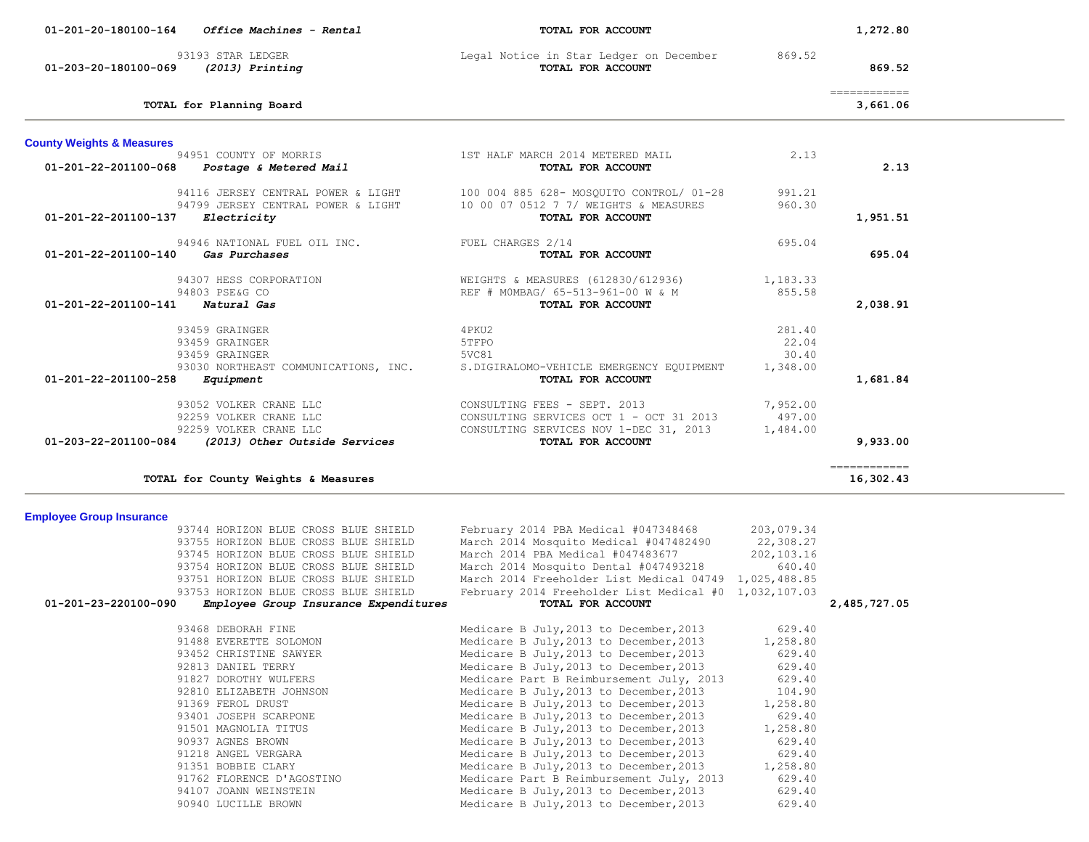| 01-203-20-180100-069                                    | 93193 STAR LEDGER<br>(2013) Printing                                                                                                                                                                                                                                                                                                                                  | Legal Notice in Star Ledger on December<br>TOTAL FOR ACCOUNT                                                                                                                                                                                                                                                                                                                                                                                                                                                                                                                                                                                                        | 869.52                                                                                                                                                     | 869.52                                                                                                                                                                                                                                                                                                                                                                                                                                                                                              |  |
|---------------------------------------------------------|-----------------------------------------------------------------------------------------------------------------------------------------------------------------------------------------------------------------------------------------------------------------------------------------------------------------------------------------------------------------------|---------------------------------------------------------------------------------------------------------------------------------------------------------------------------------------------------------------------------------------------------------------------------------------------------------------------------------------------------------------------------------------------------------------------------------------------------------------------------------------------------------------------------------------------------------------------------------------------------------------------------------------------------------------------|------------------------------------------------------------------------------------------------------------------------------------------------------------|-----------------------------------------------------------------------------------------------------------------------------------------------------------------------------------------------------------------------------------------------------------------------------------------------------------------------------------------------------------------------------------------------------------------------------------------------------------------------------------------------------|--|
|                                                         | TOTAL for Planning Board                                                                                                                                                                                                                                                                                                                                              |                                                                                                                                                                                                                                                                                                                                                                                                                                                                                                                                                                                                                                                                     |                                                                                                                                                            | $\begin{array}{cccccccccc} \multicolumn{2}{c}{} & \multicolumn{2}{c}{} & \multicolumn{2}{c}{} & \multicolumn{2}{c}{} & \multicolumn{2}{c}{} & \multicolumn{2}{c}{} & \multicolumn{2}{c}{} & \multicolumn{2}{c}{} & \multicolumn{2}{c}{} & \multicolumn{2}{c}{} & \multicolumn{2}{c}{} & \multicolumn{2}{c}{} & \multicolumn{2}{c}{} & \multicolumn{2}{c}{} & \multicolumn{2}{c}{} & \multicolumn{2}{c}{} & \multicolumn{2}{c}{} & \multicolumn{2}{c}{} & \multicolumn{2}{c}{} & \mult$<br>3,661.06  |  |
| <b>County Weights &amp; Measures</b>                    |                                                                                                                                                                                                                                                                                                                                                                       |                                                                                                                                                                                                                                                                                                                                                                                                                                                                                                                                                                                                                                                                     |                                                                                                                                                            |                                                                                                                                                                                                                                                                                                                                                                                                                                                                                                     |  |
| 01-201-22-201100-068                                    | 94951 COUNTY OF MORRIS<br>Postage & Metered Mail                                                                                                                                                                                                                                                                                                                      | 1ST HALF MARCH 2014 METERED MAIL<br>TOTAL FOR ACCOUNT                                                                                                                                                                                                                                                                                                                                                                                                                                                                                                                                                                                                               | 2.13                                                                                                                                                       | 2.13                                                                                                                                                                                                                                                                                                                                                                                                                                                                                                |  |
| 01-201-22-201100-137                                    | 94116 JERSEY CENTRAL POWER & LIGHT<br>94799 JERSEY CENTRAL POWER & LIGHT<br>Electricity                                                                                                                                                                                                                                                                               | 100 004 885 628- MOSQUITO CONTROL/ 01-28<br>10 00 07 0512 7 7/ WEIGHTS & MEASURES<br>TOTAL FOR ACCOUNT                                                                                                                                                                                                                                                                                                                                                                                                                                                                                                                                                              | 991.21<br>960.30                                                                                                                                           | 1,951.51                                                                                                                                                                                                                                                                                                                                                                                                                                                                                            |  |
| 01-201-22-201100-140                                    | 94946 NATIONAL FUEL OIL INC.<br>Gas Purchases                                                                                                                                                                                                                                                                                                                         | FUEL CHARGES 2/14<br>TOTAL FOR ACCOUNT                                                                                                                                                                                                                                                                                                                                                                                                                                                                                                                                                                                                                              | 695.04                                                                                                                                                     | 695.04                                                                                                                                                                                                                                                                                                                                                                                                                                                                                              |  |
| 01-201-22-201100-141 Natural Gas                        | 94307 HESS CORPORATION<br>94803 PSE&G CO                                                                                                                                                                                                                                                                                                                              | WEIGHTS & MEASURES (612830/612936)<br>REF # MOMBAG/ 65-513-961-00 W & M<br>TOTAL FOR ACCOUNT                                                                                                                                                                                                                                                                                                                                                                                                                                                                                                                                                                        | 1,183.33<br>855.58                                                                                                                                         | 2,038.91                                                                                                                                                                                                                                                                                                                                                                                                                                                                                            |  |
| 01-201-22-201100-258                                    | 93459 GRAINGER<br>93459 GRAINGER<br>93459 GRAINGER<br>93030 NORTHEAST COMMUNICATIONS, INC.<br>Equipment                                                                                                                                                                                                                                                               | 4PKU2<br>5TFPO<br>5VC81<br>S.DIGIRALOMO-VEHICLE EMERGENCY EQUIPMENT<br>TOTAL FOR ACCOUNT                                                                                                                                                                                                                                                                                                                                                                                                                                                                                                                                                                            | 281.40<br>22.04<br>30.40<br>1,348.00                                                                                                                       | 1,681.84                                                                                                                                                                                                                                                                                                                                                                                                                                                                                            |  |
| 01-203-22-201100-084                                    | 93052 VOLKER CRANE LLC<br>92259 VOLKER CRANE LLC<br>92259 VOLKER CRANE LLC<br>(2013) Other Outside Services                                                                                                                                                                                                                                                           | CONSULTING FEES - SEPT. 2013<br>CONSULTING SERVICES OCT 1 - OCT 31 2013<br>CONSULTING SERVICES NOV 1-DEC 31, 2013<br>TOTAL FOR ACCOUNT                                                                                                                                                                                                                                                                                                                                                                                                                                                                                                                              | 7,952.00<br>497.00<br>1,484.00                                                                                                                             | 9,933.00                                                                                                                                                                                                                                                                                                                                                                                                                                                                                            |  |
|                                                         | TOTAL for County Weights & Measures                                                                                                                                                                                                                                                                                                                                   |                                                                                                                                                                                                                                                                                                                                                                                                                                                                                                                                                                                                                                                                     |                                                                                                                                                            | $\begin{array}{cccccccccc} \multicolumn{2}{c}{} & \multicolumn{2}{c}{} & \multicolumn{2}{c}{} & \multicolumn{2}{c}{} & \multicolumn{2}{c}{} & \multicolumn{2}{c}{} & \multicolumn{2}{c}{} & \multicolumn{2}{c}{} & \multicolumn{2}{c}{} & \multicolumn{2}{c}{} & \multicolumn{2}{c}{} & \multicolumn{2}{c}{} & \multicolumn{2}{c}{} & \multicolumn{2}{c}{} & \multicolumn{2}{c}{} & \multicolumn{2}{c}{} & \multicolumn{2}{c}{} & \multicolumn{2}{c}{} & \multicolumn{2}{c}{} & \mult$<br>16,302.43 |  |
| <b>Employee Group Insurance</b><br>01-201-23-220100-090 | 93744 HORIZON BLUE CROSS BLUE SHIELD<br>93755 HORIZON BLUE CROSS BLUE SHIELD<br>93745 HORIZON BLUE CROSS BLUE SHIELD<br>93754 HORIZON BLUE CROSS BLUE SHIELD<br>93751 HORIZON BLUE CROSS BLUE SHIELD<br>93753 HORIZON BLUE CROSS BLUE SHIELD<br>Employee Group Insurance Expenditures                                                                                 | February 2014 PBA Medical #047348468<br>March 2014 Mosquito Medical #047482490<br>March 2014 PBA Medical #047483677<br>March 2014 Mosquito Dental #047493218<br>March 2014 Freeholder List Medical 04749 1,025,488.85<br>February 2014 Freeholder List Medical #0 1,032,107.03<br>TOTAL FOR ACCOUNT                                                                                                                                                                                                                                                                                                                                                                 | 203,079.34<br>22,308.27<br>202,103.16<br>640.40                                                                                                            | 2,485,727.05                                                                                                                                                                                                                                                                                                                                                                                                                                                                                        |  |
|                                                         | 93468 DEBORAH FINE<br>91488 EVERETTE SOLOMON<br>93452 CHRISTINE SAWYER<br>92813 DANIEL TERRY<br>91827 DOROTHY WULFERS<br>92810 ELIZABETH JOHNSON<br>91369 FEROL DRUST<br>93401 JOSEPH SCARPONE<br>91501 MAGNOLIA TITUS<br>90937 AGNES BROWN<br>91218 ANGEL VERGARA<br>91351 BOBBIE CLARY<br>91762 FLORENCE D'AGOSTINO<br>94107 JOANN WEINSTEIN<br>90940 LUCILLE BROWN | Medicare B July, 2013 to December, 2013<br>Medicare B July, 2013 to December, 2013<br>Medicare B July, 2013 to December, 2013<br>Medicare B July, 2013 to December, 2013<br>Medicare Part B Reimbursement July, 2013<br>Medicare B July, 2013 to December, 2013<br>Medicare B July, 2013 to December, 2013<br>Medicare B July, 2013 to December, 2013<br>Medicare B July, 2013 to December, 2013<br>Medicare B July, 2013 to December, 2013<br>Medicare B July, 2013 to December, 2013<br>Medicare B July, 2013 to December, 2013<br>Medicare Part B Reimbursement July, 2013<br>Medicare B July, 2013 to December, 2013<br>Medicare B July, 2013 to December, 2013 | 629.40<br>1,258.80<br>629.40<br>629.40<br>629.40<br>104.90<br>1,258.80<br>629.40<br>1,258.80<br>629.40<br>629.40<br>1,258.80<br>629.40<br>629.40<br>629.40 |                                                                                                                                                                                                                                                                                                                                                                                                                                                                                                     |  |

a.

-

 **01-201-20-180100-164** *Office Machines - Rental* **TOTAL FOR ACCOUNT 1,272.80**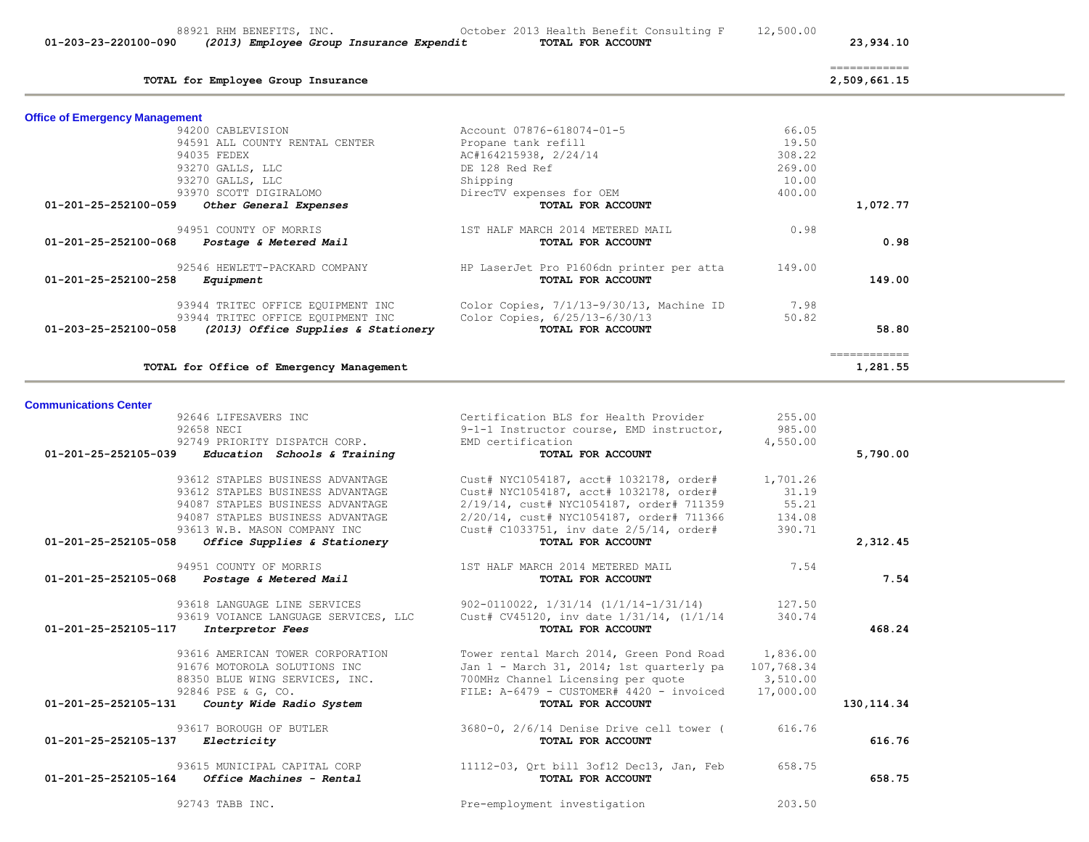| 01-203-23-220100-090<br>(2013) Employee Group Insurance Expendit                | TOTAL FOR ACCOUNT                                     |            | 23,934.10                                                                                                                                                                                                                                                                                                                                                                                                                                                                                              |  |
|---------------------------------------------------------------------------------|-------------------------------------------------------|------------|--------------------------------------------------------------------------------------------------------------------------------------------------------------------------------------------------------------------------------------------------------------------------------------------------------------------------------------------------------------------------------------------------------------------------------------------------------------------------------------------------------|--|
| TOTAL for Employee Group Insurance                                              |                                                       |            | $\begin{array}{cccccccccc} \multicolumn{2}{c}{} & \multicolumn{2}{c}{} & \multicolumn{2}{c}{} & \multicolumn{2}{c}{} & \multicolumn{2}{c}{} & \multicolumn{2}{c}{} & \multicolumn{2}{c}{} & \multicolumn{2}{c}{} & \multicolumn{2}{c}{} & \multicolumn{2}{c}{} & \multicolumn{2}{c}{} & \multicolumn{2}{c}{} & \multicolumn{2}{c}{} & \multicolumn{2}{c}{} & \multicolumn{2}{c}{} & \multicolumn{2}{c}{} & \multicolumn{2}{c}{} & \multicolumn{2}{c}{} & \multicolumn{2}{c}{} & \mult$<br>2,509,661.15 |  |
|                                                                                 |                                                       |            |                                                                                                                                                                                                                                                                                                                                                                                                                                                                                                        |  |
| <b>Office of Emergency Management</b>                                           |                                                       |            |                                                                                                                                                                                                                                                                                                                                                                                                                                                                                                        |  |
| 94200 CABLEVISION                                                               | Account 07876-618074-01-5                             | 66.05      |                                                                                                                                                                                                                                                                                                                                                                                                                                                                                                        |  |
| 94591 ALL COUNTY RENTAL CENTER                                                  | Propane tank refill                                   | 19.50      |                                                                                                                                                                                                                                                                                                                                                                                                                                                                                                        |  |
| 94035 FEDEX                                                                     | AC#164215938, 2/24/14                                 | 308.22     |                                                                                                                                                                                                                                                                                                                                                                                                                                                                                                        |  |
| 93270 GALLS, LLC                                                                | DE 128 Red Ref                                        | 269.00     |                                                                                                                                                                                                                                                                                                                                                                                                                                                                                                        |  |
| 93270 GALLS, LLC                                                                | Shipping                                              | 10.00      |                                                                                                                                                                                                                                                                                                                                                                                                                                                                                                        |  |
| 93970 SCOTT DIGIRALOMO<br>Other General Expenses<br>01-201-25-252100-059        | DirecTV expenses for OEM<br>TOTAL FOR ACCOUNT         | 400.00     | 1,072.77                                                                                                                                                                                                                                                                                                                                                                                                                                                                                               |  |
|                                                                                 |                                                       |            |                                                                                                                                                                                                                                                                                                                                                                                                                                                                                                        |  |
| 94951 COUNTY OF MORRIS<br>$01 - 201 - 25 - 252100 - 068$ Postage & Metered Mail | 1ST HALF MARCH 2014 METERED MAIL<br>TOTAL FOR ACCOUNT | 0.98       | 0.98                                                                                                                                                                                                                                                                                                                                                                                                                                                                                                   |  |
|                                                                                 |                                                       |            |                                                                                                                                                                                                                                                                                                                                                                                                                                                                                                        |  |
| 92546 HEWLETT-PACKARD COMPANY                                                   | HP LaserJet Pro P1606dn printer per atta              | 149.00     |                                                                                                                                                                                                                                                                                                                                                                                                                                                                                                        |  |
| 01-201-25-252100-258<br>Equipment                                               | TOTAL FOR ACCOUNT                                     |            | 149.00                                                                                                                                                                                                                                                                                                                                                                                                                                                                                                 |  |
| 93944 TRITEC OFFICE EQUIPMENT INC                                               | Color Copies, 7/1/13-9/30/13, Machine ID              | 7.98       |                                                                                                                                                                                                                                                                                                                                                                                                                                                                                                        |  |
| 93944 TRITEC OFFICE EQUIPMENT INC                                               | Color Copies, 6/25/13-6/30/13                         | 50.82      |                                                                                                                                                                                                                                                                                                                                                                                                                                                                                                        |  |
| 01-203-25-252100-058<br>(2013) Office Supplies & Stationery                     | TOTAL FOR ACCOUNT                                     |            | 58.80                                                                                                                                                                                                                                                                                                                                                                                                                                                                                                  |  |
|                                                                                 |                                                       |            | $\begin{array}{cccccccccc} \multicolumn{2}{c}{} & \multicolumn{2}{c}{} & \multicolumn{2}{c}{} & \multicolumn{2}{c}{} & \multicolumn{2}{c}{} & \multicolumn{2}{c}{} & \multicolumn{2}{c}{} & \multicolumn{2}{c}{} & \multicolumn{2}{c}{} & \multicolumn{2}{c}{} & \multicolumn{2}{c}{} & \multicolumn{2}{c}{} & \multicolumn{2}{c}{} & \multicolumn{2}{c}{} & \multicolumn{2}{c}{} & \multicolumn{2}{c}{} & \multicolumn{2}{c}{} & \multicolumn{2}{c}{} & \multicolumn{2}{c}{} & \mult$                 |  |
| TOTAL for Office of Emergency Management                                        |                                                       |            | 1,281.55                                                                                                                                                                                                                                                                                                                                                                                                                                                                                               |  |
|                                                                                 |                                                       |            |                                                                                                                                                                                                                                                                                                                                                                                                                                                                                                        |  |
| <b>Communications Center</b>                                                    |                                                       |            |                                                                                                                                                                                                                                                                                                                                                                                                                                                                                                        |  |
| 92646 LIFESAVERS INC                                                            | Certification BLS for Health Provider                 | 255.00     |                                                                                                                                                                                                                                                                                                                                                                                                                                                                                                        |  |
| 92658 NECI                                                                      | 9-1-1 Instructor course, EMD instructor,              | 985.00     |                                                                                                                                                                                                                                                                                                                                                                                                                                                                                                        |  |
| 92749 PRIORITY DISPATCH CORP.                                                   | EMD certification                                     | 4,550.00   |                                                                                                                                                                                                                                                                                                                                                                                                                                                                                                        |  |
| 01-201-25-252105-039<br>Education Schools & Training                            | TOTAL FOR ACCOUNT                                     |            | 5,790.00                                                                                                                                                                                                                                                                                                                                                                                                                                                                                               |  |
| 93612 STAPLES BUSINESS ADVANTAGE                                                | Cust# NYC1054187, acct# 1032178, order#               | 1,701.26   |                                                                                                                                                                                                                                                                                                                                                                                                                                                                                                        |  |
| 93612 STAPLES BUSINESS ADVANTAGE                                                | Cust# NYC1054187, acct# 1032178, order#               | 31.19      |                                                                                                                                                                                                                                                                                                                                                                                                                                                                                                        |  |
| 94087 STAPLES BUSINESS ADVANTAGE                                                | 2/19/14, cust# NYC1054187, order# 711359              | 55.21      |                                                                                                                                                                                                                                                                                                                                                                                                                                                                                                        |  |
| 94087 STAPLES BUSINESS ADVANTAGE                                                | 2/20/14, cust# NYC1054187, order# 711366              | 134.08     |                                                                                                                                                                                                                                                                                                                                                                                                                                                                                                        |  |
| 93613 W.B. MASON COMPANY INC                                                    | Cust# C1033751, inv date 2/5/14, order#               | 390.71     |                                                                                                                                                                                                                                                                                                                                                                                                                                                                                                        |  |
| 01-201-25-252105-058<br>Office Supplies & Stationery                            | TOTAL FOR ACCOUNT                                     |            | 2,312.45                                                                                                                                                                                                                                                                                                                                                                                                                                                                                               |  |
| 94951 COUNTY OF MORRIS                                                          | 1ST HALF MARCH 2014 METERED MAIL                      | 7.54       |                                                                                                                                                                                                                                                                                                                                                                                                                                                                                                        |  |
| 01-201-25-252105-068<br>Postage & Metered Mail                                  | TOTAL FOR ACCOUNT                                     |            | 7.54                                                                                                                                                                                                                                                                                                                                                                                                                                                                                                   |  |
| 93618 LANGUAGE LINE SERVICES                                                    | 902-0110022, 1/31/14 (1/1/14-1/31/14)                 | 127.50     |                                                                                                                                                                                                                                                                                                                                                                                                                                                                                                        |  |
| 93619 VOIANCE LANGUAGE SERVICES, LLC                                            | Cust# CV45120, inv date $1/31/14$ , $(1/1/14)$        | 340.74     |                                                                                                                                                                                                                                                                                                                                                                                                                                                                                                        |  |
| 01-201-25-252105-117<br>Interpretor Fees                                        | TOTAL FOR ACCOUNT                                     |            | 468.24                                                                                                                                                                                                                                                                                                                                                                                                                                                                                                 |  |
|                                                                                 |                                                       |            |                                                                                                                                                                                                                                                                                                                                                                                                                                                                                                        |  |
| 93616 AMERICAN TOWER CORPORATION                                                | Tower rental March 2014, Green Pond Road 1,836.00     |            |                                                                                                                                                                                                                                                                                                                                                                                                                                                                                                        |  |
| 91676 MOTOROLA SOLUTIONS INC                                                    | Jan 1 - March 31, 2014; 1st quarterly pa              | 107,768.34 |                                                                                                                                                                                                                                                                                                                                                                                                                                                                                                        |  |
| 88350 BLUE WING SERVICES, INC.                                                  | 700MHz Channel Licensing per quote                    | 3,510.00   |                                                                                                                                                                                                                                                                                                                                                                                                                                                                                                        |  |
| 92846 PSE & G, CO.                                                              | FILE: $A-6479$ - CUSTOMER# 4420 - invoiced            | 17,000.00  |                                                                                                                                                                                                                                                                                                                                                                                                                                                                                                        |  |
| 01-201-25-252105-131<br>County Wide Radio System                                | TOTAL FOR ACCOUNT                                     |            | 130, 114.34                                                                                                                                                                                                                                                                                                                                                                                                                                                                                            |  |
| 93617 BOROUGH OF BUTLER                                                         | 3680-0, 2/6/14 Denise Drive cell tower (              | 616.76     |                                                                                                                                                                                                                                                                                                                                                                                                                                                                                                        |  |
| 01-201-25-252105-137<br><i>Electricity</i>                                      | TOTAL FOR ACCOUNT                                     |            | 616.76                                                                                                                                                                                                                                                                                                                                                                                                                                                                                                 |  |
| 93615 MUNICIPAL CAPITAL CORP                                                    | 11112-03, Qrt bill 3of12 Dec13, Jan, Feb              | 658.75     |                                                                                                                                                                                                                                                                                                                                                                                                                                                                                                        |  |
| 01-201-25-252105-164<br>Office Machines - Rental                                | TOTAL FOR ACCOUNT                                     |            | 658.75                                                                                                                                                                                                                                                                                                                                                                                                                                                                                                 |  |
|                                                                                 |                                                       |            |                                                                                                                                                                                                                                                                                                                                                                                                                                                                                                        |  |
| 92743 TABB INC.                                                                 | Pre-employment investigation                          | 203.50     |                                                                                                                                                                                                                                                                                                                                                                                                                                                                                                        |  |

88921 RHM BENEFITS, INC. October 2013 Health Benefit Consulting F 12,500.00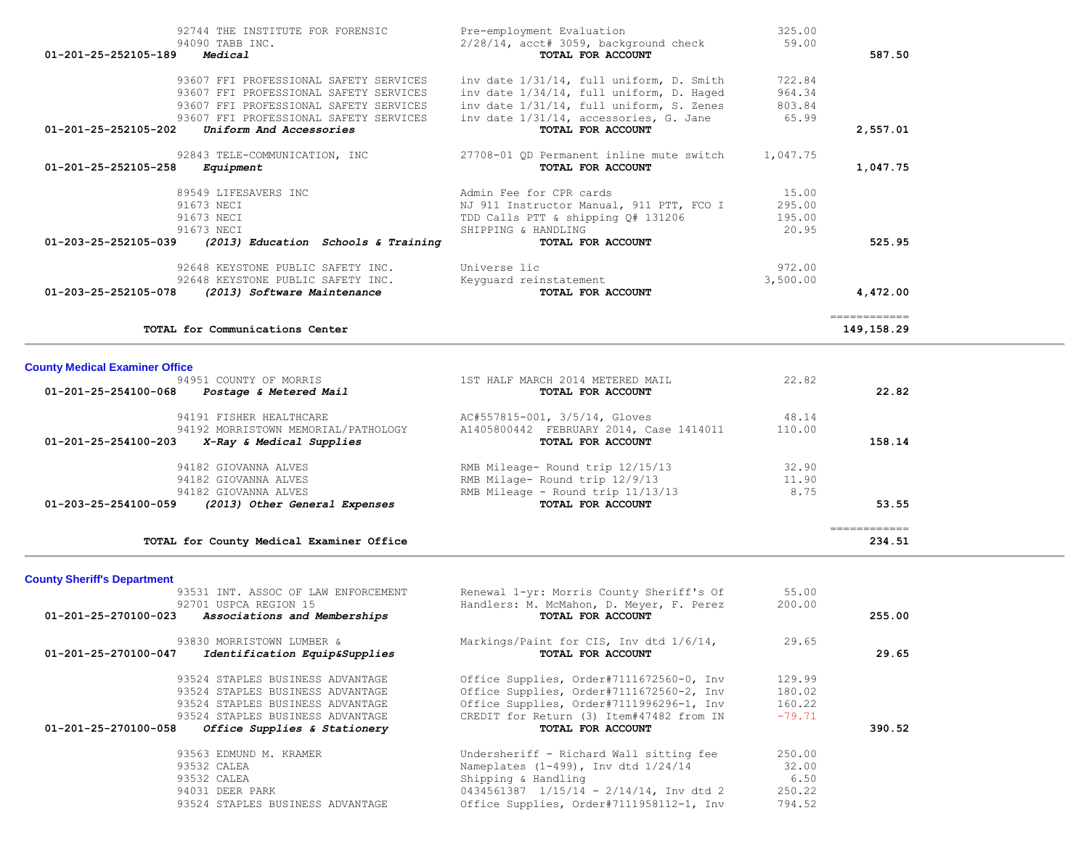| 92744 THE INSTITUTE FOR FORENSIC<br>94090 TABB INC.                              | Pre-employment Evaluation<br>$2/28/14$ , acct# 3059, background check                | 325.00<br>59.00  |                             |
|----------------------------------------------------------------------------------|--------------------------------------------------------------------------------------|------------------|-----------------------------|
| Medical<br>01-201-25-252105-189                                                  | TOTAL FOR ACCOUNT                                                                    |                  | 587.50                      |
| 93607 FFI PROFESSIONAL SAFETY SERVICES                                           | inv date 1/31/14, full uniform, D. Smith                                             | 722.84           |                             |
| 93607 FFI PROFESSIONAL SAFETY SERVICES<br>93607 FFI PROFESSIONAL SAFETY SERVICES | inv date 1/34/14, full uniform, D. Haged<br>inv date 1/31/14, full uniform, S. Zenes | 964.34<br>803.84 |                             |
| 93607 FFI PROFESSIONAL SAFETY SERVICES                                           | inv date 1/31/14, accessories, G. Jane                                               | 65.99            |                             |
| Uniform And Accessories<br>01-201-25-252105-202                                  | TOTAL FOR ACCOUNT                                                                    |                  | 2,557.01                    |
|                                                                                  | 92843 TELE-COMMUNICATION, INC 27708-01 OD Permanent inline mute switch               | 1,047.75         |                             |
| 01-201-25-252105-258<br>Equipment                                                | TOTAL FOR ACCOUNT                                                                    |                  | 1,047.75                    |
| 89549 LIFESAVERS INC                                                             | Admin Fee for CPR cards                                                              | 15.00            |                             |
| 91673 NECI                                                                       | NJ 911 Instructor Manual, 911 PTT, FCO I                                             | 295.00           |                             |
| 91673 NECI<br>91673 NECI                                                         | TDD Calls PTT & shipping Q# 131206<br>SHIPPING & HANDLING                            | 195.00<br>20.95  |                             |
| 01-203-25-252105-039<br>(2013) Education Schools & Training                      | TOTAL FOR ACCOUNT                                                                    |                  | 525.95                      |
| 92648 KEYSTONE PUBLIC SAFETY INC. Universe lic                                   |                                                                                      | 972.00           |                             |
| 92648 KEYSTONE PUBLIC SAFETY INC.                                                | Keyquard reinstatement                                                               | 3,500.00         |                             |
| 01-203-25-252105-078<br>(2013) Software Maintenance                              | TOTAL FOR ACCOUNT                                                                    |                  | 4,472.00                    |
| TOTAL for Communications Center                                                  |                                                                                      |                  | ============<br>149, 158.29 |
|                                                                                  |                                                                                      |                  |                             |
| <b>County Medical Examiner Office</b>                                            |                                                                                      |                  |                             |
| 94951 COUNTY OF MORRIS<br>01-201-25-254100-068 Postage & Metered Mail            | 1ST HALF MARCH 2014 METERED MAIL<br>TOTAL FOR ACCOUNT                                | 22.82            | 22.82                       |
|                                                                                  |                                                                                      |                  |                             |
| 94191 FISHER HEALTHCARE                                                          | AC#557815-001, 3/5/14, Gloves                                                        | 48.14            |                             |

| 94191 FISHER HEALTHCARE                               | AC#557815-001, 375714, Gloves           | 48.14  |        |
|-------------------------------------------------------|-----------------------------------------|--------|--------|
| 94192 MORRISTOWN MEMORIAL/PATHOLOGY                   | A1405800442 FEBRUARY 2014, Case 1414011 | 110.00 |        |
| 01-201-25-254100-203<br>X-Ray & Medical Supplies      | TOTAL FOR ACCOUNT                       |        | 158.14 |
| 94182 GIOVANNA ALVES                                  | RMB Mileage- Round trip 12/15/13        | 32.90  |        |
| 94182 GIOVANNA ALVES                                  | RMB Milage- Round trip 12/9/13          | 11.90  |        |
| 94182 GIOVANNA ALVES                                  | RMB Mileage - Round trip 11/13/13       | 8.75   |        |
| 01-203-25-254100-059<br>(2013) Other General Expenses | TOTAL FOR ACCOUNT                       |        | 53.55  |
|                                                       |                                         |        |        |

|                                                                                  | ____________<br>____________ |
|----------------------------------------------------------------------------------|------------------------------|
| TOTAL for County Medical Examiner Office                                         | 234.51                       |
| ,我们也不会有什么?""我们的人,我们也不会有什么?""我们的人,我们也不会有什么?""我们的人,我们也不会有什么?""我们的人,我们也不会有什么?""我们的人 |                              |

**County Sheriff's Department**

| 93531 INT. ASSOC OF LAW ENFORCEMENT                            | Renewal 1-yr: Morris County Sheriff's Of       | 55.00    |        |
|----------------------------------------------------------------|------------------------------------------------|----------|--------|
| 92701 USPCA REGION 15                                          | Handlers: M. McMahon, D. Meyer, F. Perez       | 200.00   |        |
| $01 - 201 - 25 - 270100 - 023$<br>Associations and Memberships | TOTAL FOR ACCOUNT                              |          | 255.00 |
| 93830 MORRISTOWN LUMBER &                                      | Markings/Paint for CIS, Inv dtd 1/6/14,        | 29.65    |        |
| 01-201-25-270100-047<br>Identification Equip&Supplies          | TOTAL FOR ACCOUNT                              |          | 29.65  |
| 93524 STAPLES BUSINESS ADVANTAGE                               | Office Supplies, Order#7111672560-0, Inv       | 129.99   |        |
| 93524 STAPLES BUSINESS ADVANTAGE                               | Office Supplies, Order#7111672560-2, Inv       | 180.02   |        |
| 93524 STAPLES BUSINESS ADVANTAGE                               | Office Supplies, Order#7111996296-1, Inv       | 160.22   |        |
| 93524 STAPLES BUSINESS ADVANTAGE                               | CREDIT for Return (3) Item#47482 from IN       | $-79.71$ |        |
| 01-201-25-270100-058<br>Office Supplies & Stationery           | TOTAL FOR ACCOUNT                              |          | 390.52 |
| 93563 EDMUND M. KRAMER                                         | Undersheriff - Richard Wall sitting fee        | 250.00   |        |
| 93532 CALEA                                                    | Nameplates $(1-499)$ , Inv dtd $1/24/14$       | 32.00    |        |
| 93532 CALEA                                                    | Shipping & Handling                            | 6.50     |        |
| 94031 DEER PARK                                                | $0434561387$ $1/15/14$ - $2/14/14$ , Inv dtd 2 | 250.22   |        |
| 93524 STAPLES BUSINESS ADVANTAGE                               | Office Supplies, Order#7111958112-1, Inv       | 794.52   |        |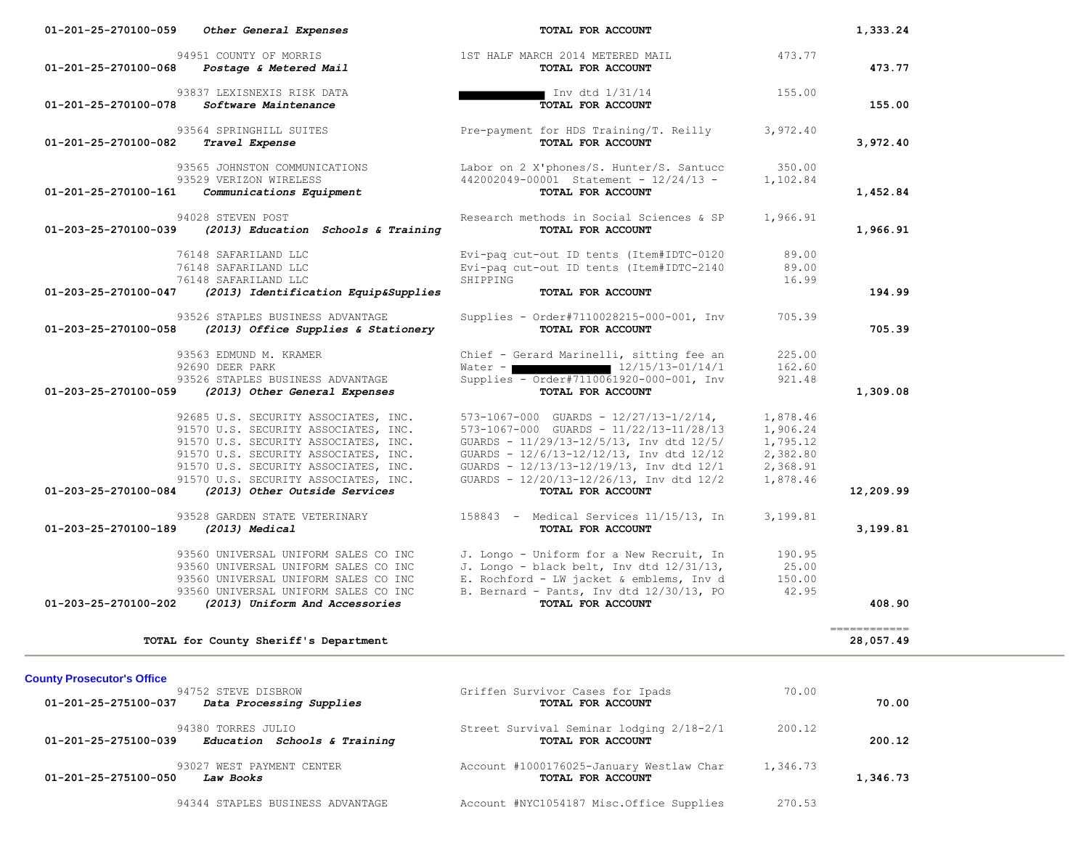| 01-201-25-270100-068 | 94951 COUNTY OF MORRIS<br>Postage & Metered Mail                                                                                                                                                                                                                              | 1ST HALF MARCH 2014 METERED MAIL<br>TOTAL FOR ACCOUNT                                                                                                                                                                                                                                            | 473.77                                                               | 473.77                                                                                                                                                                                                                                                                                                                                                                                                                                                                                              |
|----------------------|-------------------------------------------------------------------------------------------------------------------------------------------------------------------------------------------------------------------------------------------------------------------------------|--------------------------------------------------------------------------------------------------------------------------------------------------------------------------------------------------------------------------------------------------------------------------------------------------|----------------------------------------------------------------------|-----------------------------------------------------------------------------------------------------------------------------------------------------------------------------------------------------------------------------------------------------------------------------------------------------------------------------------------------------------------------------------------------------------------------------------------------------------------------------------------------------|
| 01-201-25-270100-078 | 93837 LEXISNEXIS RISK DATA<br>Software Maintenance                                                                                                                                                                                                                            | ∎ Inv dtd 1/31/14<br>TOTAL FOR ACCOUNT                                                                                                                                                                                                                                                           | 155.00                                                               | 155.00                                                                                                                                                                                                                                                                                                                                                                                                                                                                                              |
| 01-201-25-270100-082 | 93564 SPRINGHILL SUITES<br>Travel Expense                                                                                                                                                                                                                                     | Pre-payment for HDS Training/T. Reilly<br>TOTAL FOR ACCOUNT                                                                                                                                                                                                                                      | 3,972.40                                                             | 3,972.40                                                                                                                                                                                                                                                                                                                                                                                                                                                                                            |
| 01-201-25-270100-161 | 93565 JOHNSTON COMMUNICATIONS<br>93529 VERIZON WIRELESS<br>Communications Equipment                                                                                                                                                                                           | Labor on 2 X'phones/S. Hunter/S. Santucc<br>442002049-00001 Statement - 12/24/13 -<br>TOTAL FOR ACCOUNT                                                                                                                                                                                          | 350.00<br>1,102.84                                                   | 1,452.84                                                                                                                                                                                                                                                                                                                                                                                                                                                                                            |
| 01-203-25-270100-039 | 94028 STEVEN POST<br>(2013) Education Schools & Training                                                                                                                                                                                                                      | Research methods in Social Sciences & SP<br>TOTAL FOR ACCOUNT                                                                                                                                                                                                                                    | 1,966.91                                                             | 1,966.91                                                                                                                                                                                                                                                                                                                                                                                                                                                                                            |
|                      | 76148 SAFARILAND LLC<br>76148 SAFARILAND LLC<br>76148 SAFARILAND LLC                                                                                                                                                                                                          | Evi-paq cut-out ID tents (Item#IDTC-0120<br>Evi-paq cut-out ID tents (Item#IDTC-2140<br>SHIPPING                                                                                                                                                                                                 | 89.00<br>89.00<br>16.99                                              |                                                                                                                                                                                                                                                                                                                                                                                                                                                                                                     |
| 01-203-25-270100-047 | (2013) Identification Equip&Supplies                                                                                                                                                                                                                                          | TOTAL FOR ACCOUNT                                                                                                                                                                                                                                                                                |                                                                      | 194.99                                                                                                                                                                                                                                                                                                                                                                                                                                                                                              |
| 01-203-25-270100-058 | 93526 STAPLES BUSINESS ADVANTAGE<br>(2013) Office Supplies & Stationery                                                                                                                                                                                                       | Supplies - Order#7110028215-000-001, Inv<br>TOTAL FOR ACCOUNT                                                                                                                                                                                                                                    | 705.39                                                               | 705.39                                                                                                                                                                                                                                                                                                                                                                                                                                                                                              |
|                      | 93563 EDMUND M. KRAMER<br>92690 DEER PARK<br>93526 STAPLES BUSINESS ADVANTAGE                                                                                                                                                                                                 | Chief - Gerard Marinelli, sitting fee an<br>Water - $\blacksquare$ 12/15/13-01/14/1<br>Supplies - Order#7110061920-000-001, Inv                                                                                                                                                                  | 225.00<br>162.60<br>921.48                                           |                                                                                                                                                                                                                                                                                                                                                                                                                                                                                                     |
| 01-203-25-270100-059 | (2013) Other General Expenses                                                                                                                                                                                                                                                 | TOTAL FOR ACCOUNT                                                                                                                                                                                                                                                                                |                                                                      | 1,309.08                                                                                                                                                                                                                                                                                                                                                                                                                                                                                            |
| 01-203-25-270100-084 | 92685 U.S. SECURITY ASSOCIATES, INC.<br>91570 U.S. SECURITY ASSOCIATES, INC.<br>91570 U.S. SECURITY ASSOCIATES, INC.<br>91570 U.S. SECURITY ASSOCIATES, INC.<br>91570 U.S. SECURITY ASSOCIATES, INC.<br>91570 U.S. SECURITY ASSOCIATES, INC.<br>(2013) Other Outside Services | $573-1067-000$ GUARDS - $12/27/13-1/2/14$ ,<br>573-1067-000 GUARDS - 11/22/13-11/28/13<br>GUARDS - 11/29/13-12/5/13, Inv dtd 12/5/<br>GUARDS - 12/6/13-12/12/13, Inv dtd 12/12<br>GUARDS - $12/13/13-12/19/13$ , Inv dtd $12/1$<br>GUARDS - 12/20/13-12/26/13, Inv dtd 12/2<br>TOTAL FOR ACCOUNT | 1,878.46<br>1,906.24<br>1,795.12<br>2,382.80<br>2,368.91<br>1,878.46 | 12,209.99                                                                                                                                                                                                                                                                                                                                                                                                                                                                                           |
| 01-203-25-270100-189 | 93528 GARDEN STATE VETERINARY<br>$(2013)$ Medical                                                                                                                                                                                                                             | 158843 - Medical Services 11/15/13, In<br>TOTAL FOR ACCOUNT                                                                                                                                                                                                                                      | 3,199.81                                                             | 3,199.81                                                                                                                                                                                                                                                                                                                                                                                                                                                                                            |
|                      | 93560 UNIVERSAL UNIFORM SALES CO INC<br>93560 UNIVERSAL UNIFORM SALES CO INC<br>93560 UNIVERSAL UNIFORM SALES CO INC<br>93560 UNIVERSAL UNIFORM SALES CO INC                                                                                                                  | J. Longo - Uniform for a New Recruit, In<br>J. Longo - black belt, Inv dtd 12/31/13,<br>E. Rochford - LW jacket & emblems, Inv d<br>B. Bernard - Pants, Inv dtd 12/30/13, PO                                                                                                                     | 190.95<br>25.00<br>150.00<br>42.95                                   |                                                                                                                                                                                                                                                                                                                                                                                                                                                                                                     |
| 01-203-25-270100-202 | (2013) Uniform And Accessories                                                                                                                                                                                                                                                | TOTAL FOR ACCOUNT                                                                                                                                                                                                                                                                                |                                                                      | 408.90                                                                                                                                                                                                                                                                                                                                                                                                                                                                                              |
|                      | TOTAL for County Sheriff's Department                                                                                                                                                                                                                                         |                                                                                                                                                                                                                                                                                                  |                                                                      | $\begin{array}{cccccccccc} \multicolumn{2}{c}{} & \multicolumn{2}{c}{} & \multicolumn{2}{c}{} & \multicolumn{2}{c}{} & \multicolumn{2}{c}{} & \multicolumn{2}{c}{} & \multicolumn{2}{c}{} & \multicolumn{2}{c}{} & \multicolumn{2}{c}{} & \multicolumn{2}{c}{} & \multicolumn{2}{c}{} & \multicolumn{2}{c}{} & \multicolumn{2}{c}{} & \multicolumn{2}{c}{} & \multicolumn{2}{c}{} & \multicolumn{2}{c}{} & \multicolumn{2}{c}{} & \multicolumn{2}{c}{} & \multicolumn{2}{c}{} & \mult$<br>28,057.49 |

 **01-201-25-270100-059** *Other General Expenses* **TOTAL FOR ACCOUNT 1,333.24**

| 01-201-25-275100-037 | 94752 STEVE DISBROW<br>Data Processing Supplies    | Griffen Survivor Cases for Ipads<br>TOTAL FOR ACCOUNT         | 70.00    | 70.00    |
|----------------------|----------------------------------------------------|---------------------------------------------------------------|----------|----------|
| 01-201-25-275100-039 | 94380 TORRES JULIO<br>Education Schools & Training | Street Survival Seminar lodging 2/18-2/1<br>TOTAL FOR ACCOUNT | 200.12   | 200.12   |
| 01-201-25-275100-050 | 93027 WEST PAYMENT CENTER<br>Law Books             | Account #1000176025-January Westlaw Char<br>TOTAL FOR ACCOUNT | 1,346.73 | 1,346.73 |
|                      | 94344 STAPLES BUSINESS ADVANTAGE                   | Account #NYC1054187 Misc.Office Supplies                      | 270.53   |          |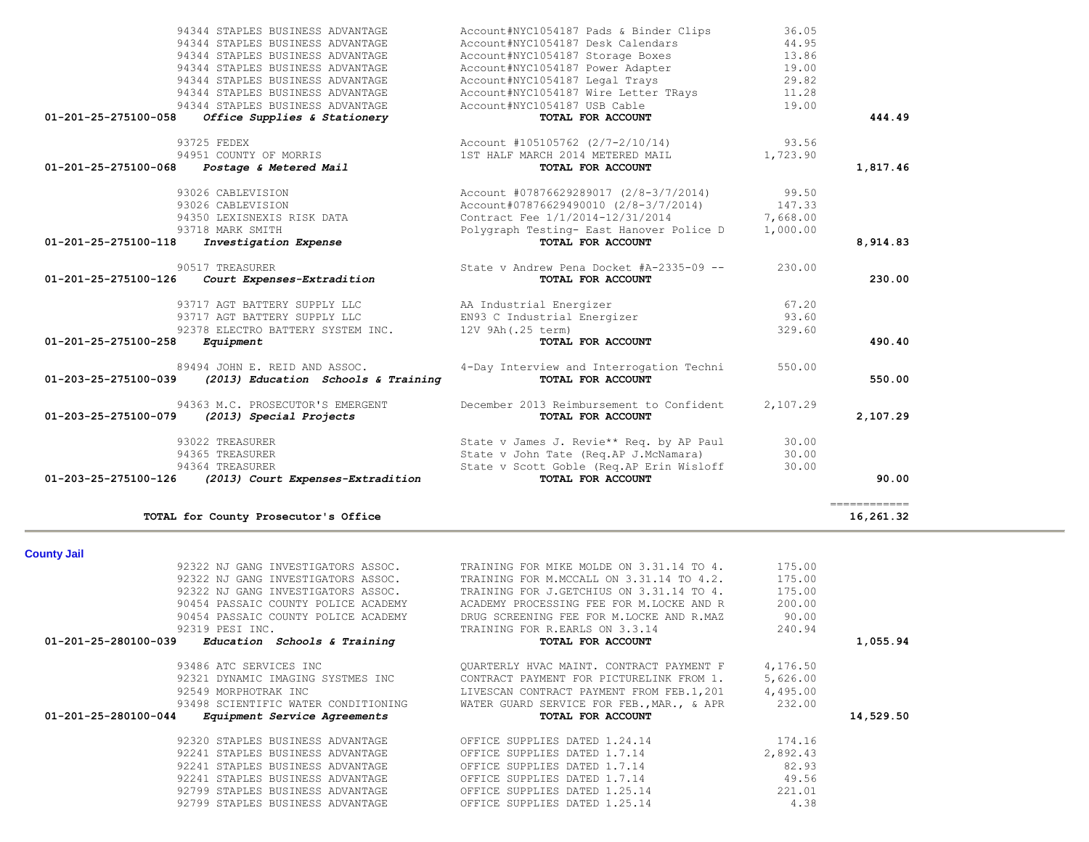| 01-201-25-275100-118 | 93718 MARK SMITH<br>Investigation Expense                                  | Polygraph Testing- East Hanover Police D<br>TOTAL FOR ACCOUNT                                                                 | 1,000.00                | 8,914.83                  |
|----------------------|----------------------------------------------------------------------------|-------------------------------------------------------------------------------------------------------------------------------|-------------------------|---------------------------|
| 01-201-25-275100-126 | 90517 TREASURER<br>Court Expenses-Extradition                              | State v Andrew Pena Docket #A-2335-09 --<br>TOTAL FOR ACCOUNT                                                                 | 230.00                  | 230.00                    |
|                      | 93717 AGT BATTERY SUPPLY LLC                                               | AA Industrial Energizer                                                                                                       | 67.20                   |                           |
|                      | 93717 AGT BATTERY SUPPLY LLC                                               | EN93 C Industrial Energizer                                                                                                   | 93.60                   |                           |
| 01-201-25-275100-258 | 92378 ELECTRO BATTERY SYSTEM INC.<br>Equipment                             | 12V 9Ah (.25 term)<br>TOTAL FOR ACCOUNT                                                                                       | 329.60                  | 490.40                    |
| 01-203-25-275100-039 | 89494 JOHN E. REID AND ASSOC.<br>(2013) Education Schools & Training       | 4-Day Interview and Interrogation Techni<br>TOTAL FOR ACCOUNT                                                                 | 550.00                  | 550.00                    |
| 01-203-25-275100-079 | 94363 M.C. PROSECUTOR'S EMERGENT<br>(2013) Special Projects                | December 2013 Reimbursement to Confident<br>TOTAL FOR ACCOUNT                                                                 | 2,107.29                | 2,107.29                  |
|                      | 93022 TREASURER<br>94365 TREASURER<br>94364 TREASURER                      | State v James J. Revie** Req. by AP Paul<br>State v John Tate (Req.AP J.McNamara)<br>State v Scott Goble (Req.AP Erin Wisloff | 30.00<br>30.00<br>30.00 |                           |
| 01-203-25-275100-126 | (2013) Court Expenses-Extradition                                          | TOTAL FOR ACCOUNT                                                                                                             |                         | 90.00                     |
|                      | TOTAL for County Prosecutor's Office                                       |                                                                                                                               |                         | ------------<br>16,261.32 |
| <b>County Jail</b>   |                                                                            |                                                                                                                               |                         |                           |
|                      | 92322 NJ GANG INVESTIGATORS ASSOC.                                         | TRAINING FOR MIKE MOLDE ON 3.31.14 TO 4.                                                                                      | 175.00                  |                           |
|                      | 92322 NJ GANG INVESTIGATORS ASSOC.                                         | TRAINING FOR M.MCCALL ON 3.31.14 TO 4.2.                                                                                      | 175.00                  |                           |
|                      | 92322 NJ GANG INVESTIGATORS ASSOC.                                         | TRAINING FOR J.GETCHIUS ON 3.31.14 TO 4.                                                                                      | 175.00                  |                           |
|                      | 90454 PASSAIC COUNTY POLICE ACADEMY<br>90454 PASSAIC COUNTY POLICE ACADEMY | ACADEMY PROCESSING FEE FOR M.LOCKE AND R<br>DRUG SCREENING FEE FOR M.LOCKE AND R.MAZ                                          | 200.00<br>90.00         |                           |
|                      | 92319 PESI INC.                                                            | TRAINING FOR R.EARLS ON 3.3.14                                                                                                | 240.94                  |                           |
| 01-201-25-280100-039 | Education Schools & Training                                               | TOTAL FOR ACCOUNT                                                                                                             |                         | 1,055.94                  |
|                      |                                                                            |                                                                                                                               |                         |                           |
|                      | 93486 ATC SERVICES INC                                                     | QUARTERLY HVAC MAINT. CONTRACT PAYMENT F                                                                                      | 4,176.50                |                           |
|                      | 92321 DYNAMIC IMAGING SYSTMES INC                                          | CONTRACT PAYMENT FOR PICTURELINK FROM 1.                                                                                      | 5,626.00                |                           |
|                      | 92549 MORPHOTRAK INC                                                       | LIVESCAN CONTRACT PAYMENT FROM FEB.1,201                                                                                      | 4,495.00                |                           |
|                      | 93498 SCIENTIFIC WATER CONDITIONING                                        | WATER GUARD SERVICE FOR FEB., MAR., & APR                                                                                     | 232.00                  |                           |
| 01-201-25-280100-044 | Equipment Service Agreements                                               | TOTAL FOR ACCOUNT                                                                                                             |                         | 14,529.50                 |
|                      | 92320 STAPLES BUSINESS ADVANTAGE                                           | OFFICE SUPPLIES DATED 1.24.14                                                                                                 | 174.16                  |                           |
|                      | 92241 STAPLES BUSINESS ADVANTAGE                                           | OFFICE SUPPLIES DATED 1.7.14                                                                                                  | 2,892.43                |                           |
|                      | 92241 STAPLES BUSINESS ADVANTAGE                                           | OFFICE SUPPLIES DATED 1.7.14                                                                                                  | 82.93                   |                           |
|                      | 92241 STAPLES BUSINESS ADVANTAGE<br>92799 STAPLES BUSINESS ADVANTAGE       | OFFICE SUPPLIES DATED 1.7.14<br>OFFICE SUPPLIES DATED 1.25.14                                                                 | 49.56<br>221.01         |                           |
|                      |                                                                            |                                                                                                                               |                         |                           |

| 93022 TREASURER                                                                              | State v James J. Revie** Req. by AP Paul                      | 30.00    |          |
|----------------------------------------------------------------------------------------------|---------------------------------------------------------------|----------|----------|
| 94363 M.C. PROSECUTOR'S EMERGENT<br>01-203-25-275100-079<br>(2013) Special Projects          | December 2013 Reimbursement to Confident<br>TOTAL FOR ACCOUNT | 2,107.29 | 2,107.29 |
| 89494 JOHN E. REID AND ASSOC.<br>01-203-25-275100-039<br>(2013) Education Schools & Training | 4-Day Interview and Interrogation Techni<br>TOTAL FOR ACCOUNT | 550.00   | 550.00   |
| 01-201-25-275100-258<br>Equipment                                                            | TOTAL FOR ACCOUNT                                             |          | 490.40   |
| 92378 ELECTRO BATTERY SYSTEM INC.                                                            | 12V 9Ah (.25 term)                                            | 329.60   |          |
| 93717 AGT BATTERY SUPPLY LLC                                                                 | EN93 C Industrial Energizer                                   | 93.60    |          |
| 93717 AGT BATTERY SUPPLY LLC                                                                 | AA Industrial Energizer                                       | 67.20    |          |
| 01-201-25-275100-126<br>Court Expenses-Extradition                                           | TOTAL FOR ACCOUNT                                             |          | 230.00   |
| 90517 TREASURER                                                                              | State v Andrew Pena Docket #A-2335-09 --                      | 230.00   |          |
| 01-201-25-275100-118<br>Investigation Expense                                                | TOTAL FOR ACCOUNT                                             |          | 8,914.83 |
| 93718 MARK SMITH                                                                             | Polygraph Testing- East Hanover Police D                      | 1,000.00 |          |
| 94350 LEXISNEXIS RISK DATA                                                                   | Contract Fee 1/1/2014-12/31/2014                              | 7,668.00 |          |
| 93026 CABLEVISION                                                                            | Account#07876629490010 (2/8-3/7/2014)                         | 147.33   |          |
| 93026 CABLEVISION                                                                            | Account #07876629289017 (2/8-3/7/2014) 99.50                  |          |          |
| 01-201-25-275100-068<br><i>Postage &amp; Metered Mail</i>                                    | TOTAL FOR ACCOUNT                                             |          | 1,817.46 |
| 94951 COUNTY OF MORRIS                                                                       | 1ST HALF MARCH 2014 METERED MAIL                              | 1,723.90 |          |
| 93725 FEDEX                                                                                  | Account #105105762 (2/7-2/10/14)                              | 93.56    |          |
| 01-201-25-275100-058<br>Office Supplies & Stationery                                         | TOTAL FOR ACCOUNT                                             |          | 444.49   |
| 94344 STAPLES BUSINESS ADVANTAGE                                                             | Account#NYC1054187 USB Cable                                  | 19.00    |          |
| 94344 STAPLES BUSINESS ADVANTAGE                                                             | Account#NYC1054187 Wire Letter TRays                          | 11.28    |          |
| 94344 STAPLES BUSINESS ADVANTAGE                                                             | Account#NYC1054187 Legal Trays                                | 29.82    |          |
| 94344 STAPLES BUSINESS ADVANTAGE                                                             | Account#NYC1054187 Power Adapter                              | 19.00    |          |
| 94344 STAPLES BUSINESS ADVANTAGE                                                             | Account#NYC1054187 Storage Boxes                              | 13.86    |          |
| 94344 STAPLES BUSINESS ADVANTAGE                                                             | Account#NYC1054187 Desk Calendars                             | 44.95    |          |
| 94344 STAPLES BUSINESS ADVANTAGE                                                             | Account#NYC1054187 Pads & Binder Clips                        | 36.05    |          |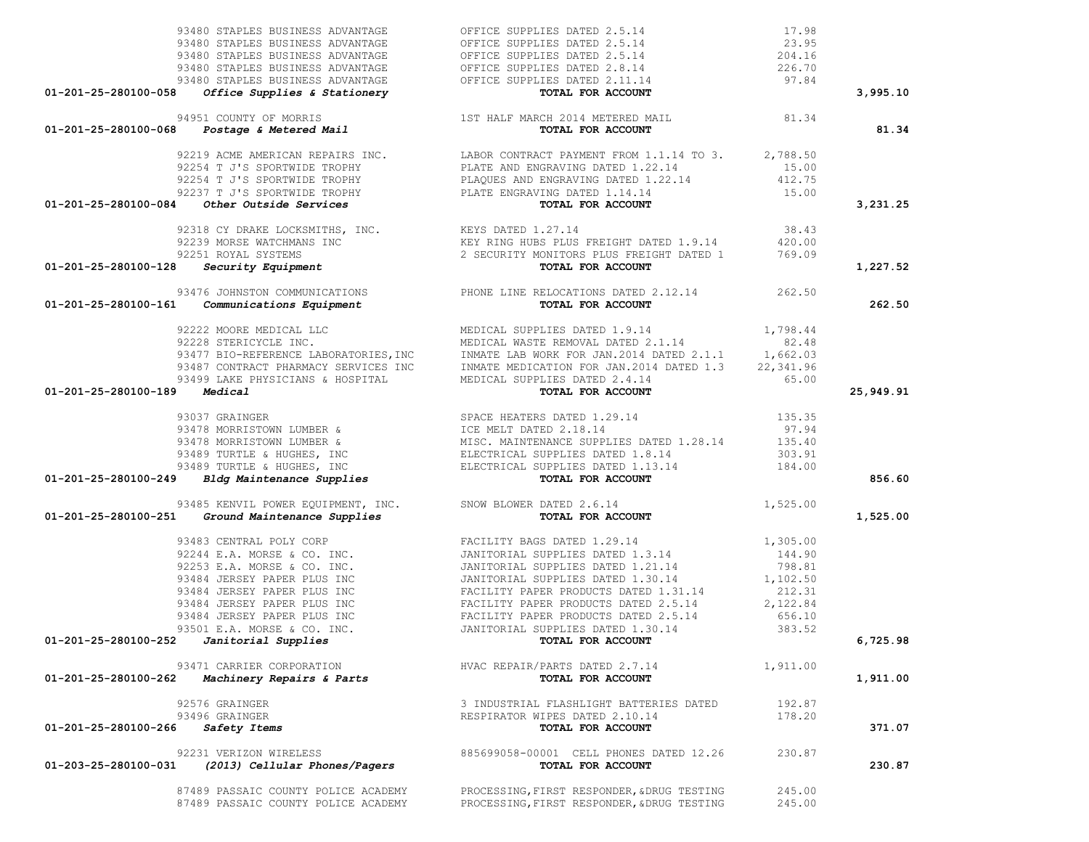|                      | 93480 STAPLES BUSINESS ADVANTAGE                                          | OFFICE SUPPLIES DATED 2.5.14                                                                                                                                                                                                                 | 17.98    |           |
|----------------------|---------------------------------------------------------------------------|----------------------------------------------------------------------------------------------------------------------------------------------------------------------------------------------------------------------------------------------|----------|-----------|
|                      |                                                                           | 93480 STAPLES BUSINESS ADVANTAGE OFFICE SUPPLIES DATED 2.5.14<br>93480 STAPLES BUSINESS ADVANTAGE OFFICE SUPPLIES DATED 2.5.14<br>93480 STAPLES BUSINESS ADVANTAGE OFFICE SUPPLIES DATED 2.8.14<br>93480 STAPLES BUSINESS ADVANTAGE OFF      | 23.95    |           |
|                      |                                                                           |                                                                                                                                                                                                                                              | 204.16   |           |
|                      |                                                                           |                                                                                                                                                                                                                                              | 226.70   |           |
|                      |                                                                           |                                                                                                                                                                                                                                              | 97.84    |           |
| 01-201-25-280100-058 | Office Supplies & Stationery                                              | TOTAL FOR ACCOUNT                                                                                                                                                                                                                            |          | 3,995.10  |
|                      |                                                                           |                                                                                                                                                                                                                                              |          |           |
| 01-201-25-280100-068 | 4951 COUNTY OF MORRIS<br>Postage & Metered Mail<br>94951 COUNTY OF MORRIS | 1ST HALF MARCH 2014 METERED MAIL 61.34<br>TOTAL FOR ACCOUNT                                                                                                                                                                                  |          | 81.34     |
|                      |                                                                           |                                                                                                                                                                                                                                              |          |           |
|                      |                                                                           | 92219 ACME AMERICAN REPAIRS INC.<br>92254 T J'S SPORTWIDE TROPHY PLATE AND ENGRAVING DATED 1.22.14 15.00<br>92254 T J'S SPORTWIDE TROPHY PLAQUES AND ENGRAVING DATED 1.22.14 412.75                                                          |          |           |
|                      |                                                                           |                                                                                                                                                                                                                                              |          |           |
|                      |                                                                           |                                                                                                                                                                                                                                              |          |           |
|                      |                                                                           | 92237 T J'S SPORTWIDE TROPHY<br><b>1</b> Other Outside Services <b>Security</b> PLATE ENGRAVING DATED 1.14.14                                                                                                                                | 15.00    |           |
|                      | $01-201-25-280100-084$ Other Outside Services                             |                                                                                                                                                                                                                                              |          | 3,231.25  |
|                      | 92318 CY DRAKE LOCKSMITHS, INC. KEYS DATED 1.27.14                        |                                                                                                                                                                                                                                              | 38.43    |           |
|                      |                                                                           |                                                                                                                                                                                                                                              |          |           |
|                      |                                                                           | 92239 MORSE WATCHMANS INC<br>92251 ROYAL SYSTEMS<br>2 SECURITY MONITORS PLUS FREIGHT DATED 1 769.09                                                                                                                                          |          |           |
| 01-201-25-280100-128 | 51 ROYAL SYSTEMS<br>Security Equipment                                    | TOTAL FOR ACCOUNT                                                                                                                                                                                                                            |          | 1,227.52  |
|                      |                                                                           |                                                                                                                                                                                                                                              |          |           |
|                      |                                                                           |                                                                                                                                                                                                                                              |          |           |
|                      |                                                                           | 93476 JOHNSTON COMMUNICATIONS PHONE LINE RELOCATIONS DATED 2.12.14<br><b>01-201-25-280100-161</b> <i>Communications Equipment</i> <b>PHONE LINE RELOCATIONS DATED 2.12.14</b>                                                                |          | 262.50    |
|                      |                                                                           | 92222 MOORE MEDICAL LLC MEDICAL SUPPLIES DATED 1.9.14 1,798.44<br>92228 STERICYCLE INC. MEDICAL WASTE REMOVAL DATED 2.1.14 82.48<br>93477 BIO-REFERENCE LABORATORIES, INC INMATE LAB WORK FOR JAN.2014 DATED 2.1.1 1,662.03<br>93487 CO      |          |           |
|                      |                                                                           |                                                                                                                                                                                                                                              |          |           |
|                      |                                                                           |                                                                                                                                                                                                                                              |          |           |
|                      |                                                                           |                                                                                                                                                                                                                                              |          |           |
|                      |                                                                           | 93499 LAKE PHYSICIANS & HOSPITAL MEDICAL SUPPLIES DATED 2.4.14                                                                                                                                                                               | 65.00    |           |
| 01-201-25-280100-189 | Medical                                                                   | TOTAL FOR ACCOUNT                                                                                                                                                                                                                            |          | 25,949.91 |
|                      |                                                                           |                                                                                                                                                                                                                                              |          |           |
|                      |                                                                           |                                                                                                                                                                                                                                              |          |           |
|                      |                                                                           |                                                                                                                                                                                                                                              |          |           |
|                      |                                                                           |                                                                                                                                                                                                                                              |          |           |
|                      |                                                                           |                                                                                                                                                                                                                                              |          |           |
|                      |                                                                           |                                                                                                                                                                                                                                              |          |           |
|                      |                                                                           | 93037 GRAINGER<br>93037 GRAINGER SPACE HEATERS DATED 1.29.14<br>93478 MORRISTOWN LUMBER &<br>93489 TURTLE & HUGHES, INC<br>93489 TURTLE & HUGHES, INC<br>93489 TURTLE & HUGHES, INC<br>93489 TURTLE & HUGHES, INC<br>93489 TURTLE & HUGHES,  |          | 856.60    |
|                      | 93485 KENVIL POWER EQUIPMENT, INC. SNOW BLOWER DATED 2.6.14               |                                                                                                                                                                                                                                              | 1,525.00 |           |
|                      | 01-201-25-280100-251 Ground Maintenance Supplies                          | TOTAL FOR ACCOUNT                                                                                                                                                                                                                            |          | 1,525.00  |
|                      |                                                                           | 93483 CENTRAL POLY CORP<br>92244 E.A. MORSE & CO. INC.<br>92253 E.A. MORSE & CO. INC.<br>93484 JERSEY PAPER PLUS INC<br>93484 JERSEY PAPER PLUS INC<br>93484 JERSEY PAPER PLUS INC<br>93484 JERSEY PAPER PLUS INC<br>93484 JERSEY PAPER PLUS | 1,305.00 |           |
|                      |                                                                           |                                                                                                                                                                                                                                              | 144.90   |           |
|                      |                                                                           |                                                                                                                                                                                                                                              | 798.81   |           |
|                      |                                                                           |                                                                                                                                                                                                                                              |          |           |
|                      |                                                                           |                                                                                                                                                                                                                                              | 1,102.50 |           |
|                      |                                                                           |                                                                                                                                                                                                                                              | 212.31   |           |
|                      |                                                                           |                                                                                                                                                                                                                                              | 2,122.84 |           |
|                      |                                                                           |                                                                                                                                                                                                                                              | 656.10   |           |
|                      | 93501 E.A. MORSE & CO. INC.                                               | JANITORIAL SUPPLIES DATED 1.30.14                                                                                                                                                                                                            | 383.52   |           |
|                      | $01-201-25-280100-252$ Janitorial Supplies                                | TOTAL FOR ACCOUNT                                                                                                                                                                                                                            |          | 6,725.98  |
|                      | 93471 CARRIER CORPORATION                                                 | HVAC REPAIR/PARTS DATED 2.7.14                                                                                                                                                                                                               | 1,911.00 |           |
| 01-201-25-280100-262 | Machinery Repairs & Parts                                                 | TOTAL FOR ACCOUNT                                                                                                                                                                                                                            |          | 1,911.00  |
|                      | 92576 GRAINGER                                                            | 3 INDUSTRIAL FLASHLIGHT BATTERIES DATED                                                                                                                                                                                                      | 192.87   |           |
|                      | 93496 GRAINGER                                                            | RESPIRATOR WIPES DATED 2.10.14                                                                                                                                                                                                               | 178.20   |           |
| 01-201-25-280100-266 | Safety Items                                                              | TOTAL FOR ACCOUNT                                                                                                                                                                                                                            |          | 371.07    |
|                      |                                                                           |                                                                                                                                                                                                                                              |          |           |
|                      | 92231 VERIZON WIRELESS                                                    | 885699058-00001 CELL PHONES DATED 12.26                                                                                                                                                                                                      | 230.87   |           |
| 01-203-25-280100-031 | (2013) Cellular Phones/Pagers                                             | TOTAL FOR ACCOUNT                                                                                                                                                                                                                            |          | 230.87    |
|                      |                                                                           |                                                                                                                                                                                                                                              |          |           |
|                      | 87489 PASSAIC COUNTY POLICE ACADEMY                                       | PROCESSING, FIRST RESPONDER, &DRUG TESTING                                                                                                                                                                                                   | 245.00   |           |
|                      | 87489 PASSAIC COUNTY POLICE ACADEMY                                       | PROCESSING, FIRST RESPONDER, & DRUG TESTING                                                                                                                                                                                                  | 245.00   |           |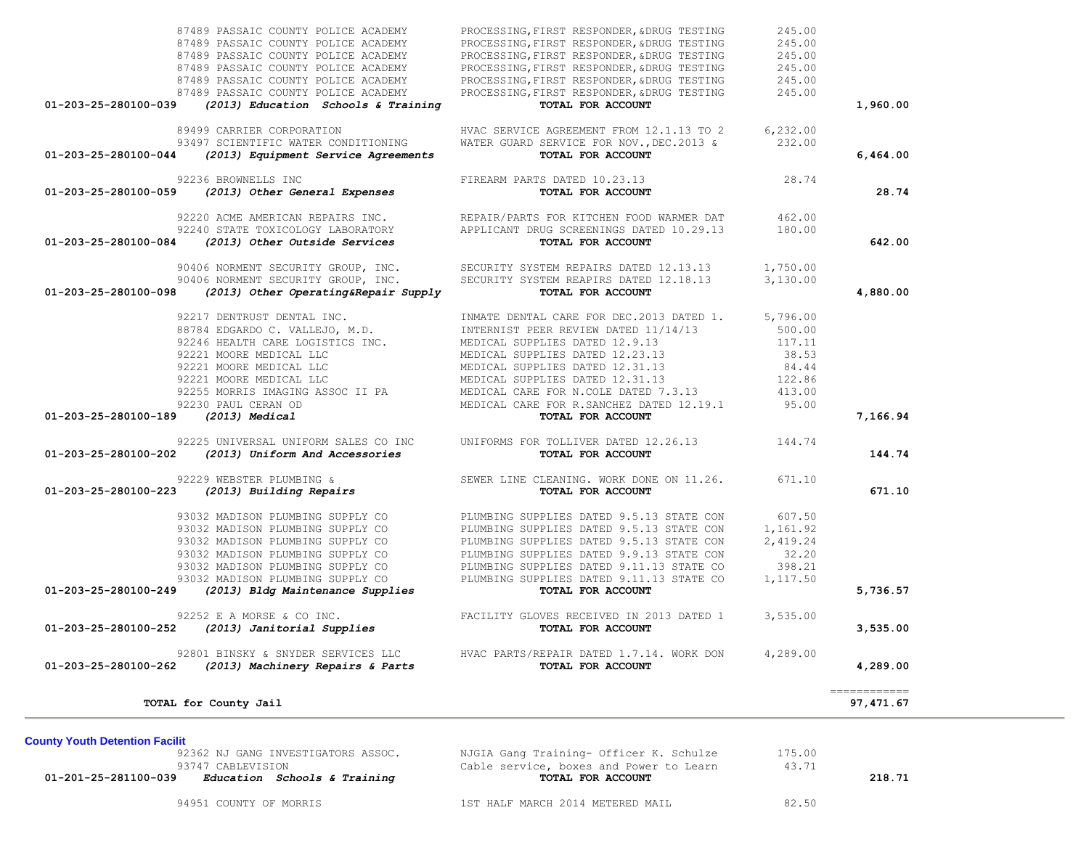|                                     | TOTAL for County Jail                                                      |                                                                                                                                                                                                                                                                                                                                                                                                                       |                  | ============<br>97, 471.67 |
|-------------------------------------|----------------------------------------------------------------------------|-----------------------------------------------------------------------------------------------------------------------------------------------------------------------------------------------------------------------------------------------------------------------------------------------------------------------------------------------------------------------------------------------------------------------|------------------|----------------------------|
|                                     |                                                                            | 92801 BINSKY & SNYDER SERVICES LLC HVAC PARTS/REPAIR DATED 1.7.14. WORK DON 4,289.00<br>$01-203-25-280100-262$ (2013) Machinery Repairs & Parts TOTAL FOR ACCOUNT                                                                                                                                                                                                                                                     |                  | 4,289.00                   |
| 01-203-25-280100-252                | 92252 E A MORSE & CO INC.                                                  | % E A MORSE & CO INC.<br>(2013) Janitorial Supplies TACILITY GLOVES RECEIVED IN 2013 DATED 1 3,535.00<br>TOTAL FOR ACCOUNT                                                                                                                                                                                                                                                                                            |                  | 3,535.00                   |
| 01-203-25-280100-249                |                                                                            | 93032 MADISON PLUMBING SUPPLY CON<br>93032 MADISON PLUMBING SUPPLY CON<br>93032 MADISON PLUMBING SUPPLY CON<br>93032 MADISON PLUMBING SUPPLY CON<br>93032 MADISON PLUMBING SUPPLY CON<br>93032 MADISON PLUMBING SUPPLY CON<br>93032 MADISO                                                                                                                                                                            |                  | 5,736.57                   |
|                                     |                                                                            |                                                                                                                                                                                                                                                                                                                                                                                                                       | 1,117.50         |                            |
|                                     |                                                                            |                                                                                                                                                                                                                                                                                                                                                                                                                       | 398.21           |                            |
|                                     |                                                                            |                                                                                                                                                                                                                                                                                                                                                                                                                       | 32.20            |                            |
|                                     |                                                                            |                                                                                                                                                                                                                                                                                                                                                                                                                       | 2,419.24         |                            |
|                                     |                                                                            |                                                                                                                                                                                                                                                                                                                                                                                                                       | 1,161.92         |                            |
|                                     |                                                                            |                                                                                                                                                                                                                                                                                                                                                                                                                       | 607.50           |                            |
| 01-203-25-280100-223                |                                                                            |                                                                                                                                                                                                                                                                                                                                                                                                                       |                  | 671.10                     |
|                                     |                                                                            | 92229 WEBSTER PLUMBING & SEWER LINE CLEANING. WORK DONE ON 11.26. 671.10<br>3 (2013) Building Repairs (2013) Sunset of the Sewer Country of Torian Country (2013) Sunset of the Sepairs (2                                                                                                                                                                                                                            |                  |                            |
| 01-203-25-280100-202                |                                                                            | 92225 UNIVERSAL UNIFORM SALES CO INC<br>(2013) Uniform And Accessories<br>TOTAL FOR ACCOUNT                                                                                                                                                                                                                                                                                                                           |                  | 144.74                     |
|                                     |                                                                            |                                                                                                                                                                                                                                                                                                                                                                                                                       |                  |                            |
| 01-203-25-280100-189 (2013) Medical |                                                                            | $\begin{tabular}{lllllllllllllllllllll} 92217 & \text{DENTRUST} & \text{DENTRUST} & \text{DENTRUST} & \text{DENTRUST} & \text{DENTRUST} & \text{DENTRIST} & \text{PERTAL} & \text{CARE FOR DEC.2013 DATED 11}, & 5,796.00 \\ 88784 & \text{EDGARDO C. VALLEJO, M.D.} & \text{INTERR EVIEW DATED 11/14/13} & 500.00 \\ 92246 & \text{HEALTH CARE LOGISTICS INC.} & \text{MEDICAL SUPPLIES DATED 12.9.13} & 117.11 \\ $ |                  | 7,166.94                   |
|                                     |                                                                            |                                                                                                                                                                                                                                                                                                                                                                                                                       |                  |                            |
|                                     |                                                                            |                                                                                                                                                                                                                                                                                                                                                                                                                       |                  |                            |
|                                     |                                                                            |                                                                                                                                                                                                                                                                                                                                                                                                                       |                  |                            |
|                                     |                                                                            |                                                                                                                                                                                                                                                                                                                                                                                                                       |                  |                            |
|                                     |                                                                            |                                                                                                                                                                                                                                                                                                                                                                                                                       |                  |                            |
|                                     |                                                                            |                                                                                                                                                                                                                                                                                                                                                                                                                       |                  |                            |
|                                     |                                                                            |                                                                                                                                                                                                                                                                                                                                                                                                                       |                  |                            |
|                                     |                                                                            |                                                                                                                                                                                                                                                                                                                                                                                                                       |                  |                            |
| 01-203-25-280100-098                | (2013) Other Operating&Repair Supply                                       | TOTAL FOR ACCOUNT                                                                                                                                                                                                                                                                                                                                                                                                     |                  | 4,880.00                   |
|                                     |                                                                            | 90406 NORMENT SECURITY GROUP, INC.<br>90406 NORMENT SECURITY GROUP, INC. SECURITY SYSTEM REAPIRS DATED 12.18.13 3,130.00                                                                                                                                                                                                                                                                                              |                  |                            |
|                                     |                                                                            |                                                                                                                                                                                                                                                                                                                                                                                                                       |                  |                            |
| 01-203-25-280100-084                |                                                                            | 92220 ACME AMERICAN REPAIRS INC.<br>92240 STATE TOXICOLOGY LABORATORY APPLICANT DRUG SCREENINGS DATED 10.29.13 180.00<br>1 (2013) Other Outside Services TOTAL FOR ACCOUNT                                                                                                                                                                                                                                            |                  | 642.00                     |
|                                     |                                                                            |                                                                                                                                                                                                                                                                                                                                                                                                                       |                  |                            |
|                                     |                                                                            |                                                                                                                                                                                                                                                                                                                                                                                                                       |                  |                            |
|                                     |                                                                            | 92236 BROWNELLS INC<br><b>01-203-25-280100-059</b> (2013) Other General Expenses<br><b>TOTAL FOR ACCOUNT</b>                                                                                                                                                                                                                                                                                                          |                  | 28.74                      |
|                                     |                                                                            |                                                                                                                                                                                                                                                                                                                                                                                                                       | 28.74            |                            |
| 01-203-25-280100-044                | (2013) Equipment Service Agreements                                        | TOTAL FOR ACCOUNT                                                                                                                                                                                                                                                                                                                                                                                                     |                  | 6,464.00                   |
|                                     | 89499 CARRIER CORPORATION<br>93497 SCIENTIFIC WATER CONDITIONING           | HVAC SERVICE AGREEMENT FROM 12.1.13 TO 2 6,232.00<br>WATER GUARD SERVICE FOR NOV., DEC. 2013 & 232.00                                                                                                                                                                                                                                                                                                                 |                  |                            |
|                                     |                                                                            |                                                                                                                                                                                                                                                                                                                                                                                                                       |                  |                            |
| 01-203-25-280100-039                | (2013) Education Schools & Training                                        | TOTAL FOR ACCOUNT                                                                                                                                                                                                                                                                                                                                                                                                     |                  | 1,960.00                   |
|                                     | 87489 PASSAIC COUNTY POLICE ACADEMY<br>87489 PASSAIC COUNTY POLICE ACADEMY | PROCESSING, FIRST RESPONDER, &DRUG TESTING<br>PROCESSING, FIRST RESPONDER, &DRUG TESTING                                                                                                                                                                                                                                                                                                                              | 245.00<br>245.00 |                            |
|                                     |                                                                            | PROCESSING, FIRST RESPONDER, &DRUG TESTING                                                                                                                                                                                                                                                                                                                                                                            | 245.00           |                            |
|                                     | 87489 PASSAIC COUNTY POLICE ACADEMY                                        |                                                                                                                                                                                                                                                                                                                                                                                                                       |                  |                            |
|                                     | 87489 PASSAIC COUNTY POLICE ACADEMY<br>87489 PASSAIC COUNTY POLICE ACADEMY | PROCESSING, FIRST RESPONDER, &DRUG TESTING<br>PROCESSING, FIRST RESPONDER, &DRUG TESTING                                                                                                                                                                                                                                                                                                                              | 245.00<br>245.00 |                            |
|                                     | 87489 PASSAIC COUNTY POLICE ACADEMY                                        | PROCESSING, FIRST RESPONDER, &DRUG TESTING                                                                                                                                                                                                                                                                                                                                                                            | 245.00           |                            |
|                                     |                                                                            |                                                                                                                                                                                                                                                                                                                                                                                                                       |                  |                            |

**County Youth Detention Facilit**<br>92362 NJ GANG INVESTIGATORS ASSOC. 92362 NJ GANG INVESTIGATORS ASSOC. NJGIA Gang Training- Officer K. Schulze 175.00 93747 CABLEVISION Cable service, boxes and Power to Learn 43.71

 **01-201-25-281100-039** *Education Schools & Training* **TOTAL FOR ACCOUNT 218.71**

94951 COUNTY OF MORRIS 1ST HALF MARCH 2014 METERED MAIL 82.50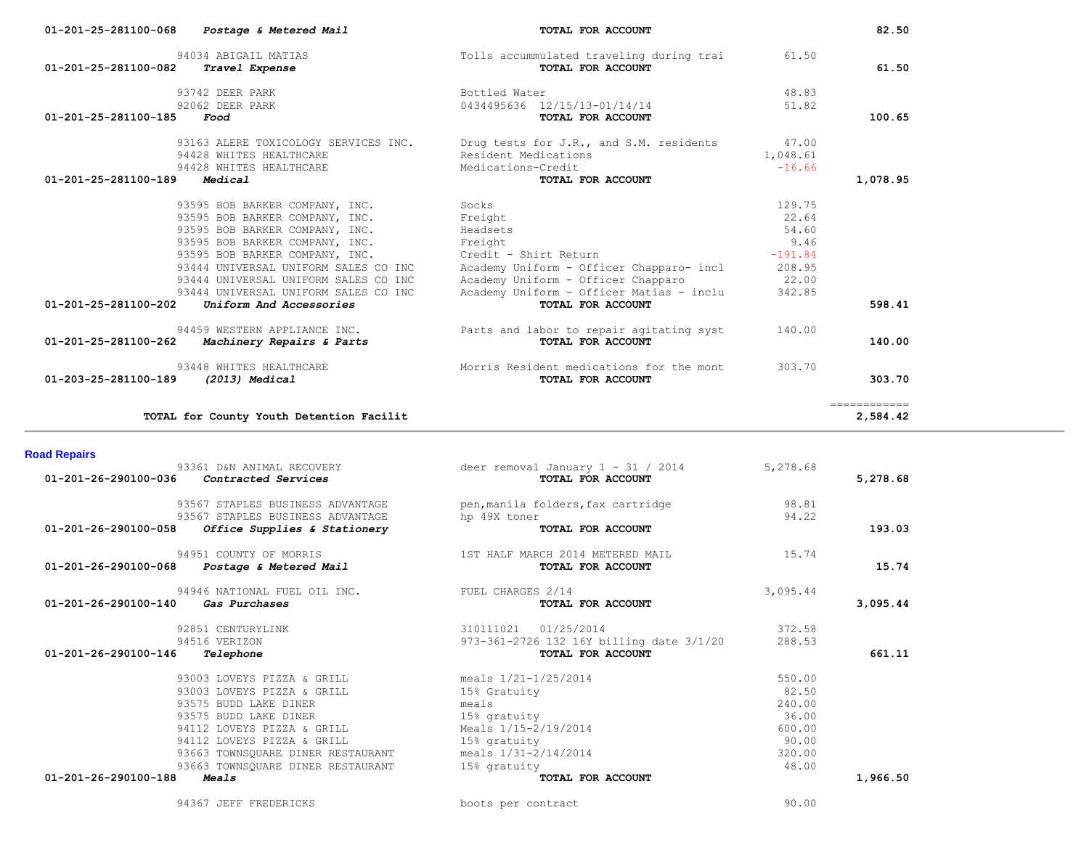| 01-201-25-281100-068 | Postage & Metered Mail                   | TOTAL FOR ACCOUNT                                             |               | 82.50                                                                                                                                                                                                                                                                                                                                                                                                                                                                                              |
|----------------------|------------------------------------------|---------------------------------------------------------------|---------------|----------------------------------------------------------------------------------------------------------------------------------------------------------------------------------------------------------------------------------------------------------------------------------------------------------------------------------------------------------------------------------------------------------------------------------------------------------------------------------------------------|
| 01-201-25-281100-082 | 94034 ABIGAIL MATIAS<br>Travel Expense   | Tolls accummulated traveling during trai<br>TOTAL FOR ACCOUNT | 61.50         | 61.50                                                                                                                                                                                                                                                                                                                                                                                                                                                                                              |
|                      | 93742 DEER PARK                          | Bottled Water                                                 | 48.83         |                                                                                                                                                                                                                                                                                                                                                                                                                                                                                                    |
| 01-201-25-281100-185 | 92062 DEER PARK<br>Food                  | 0434495636 12/15/13-01/14/14<br>TOTAL FOR ACCOUNT             | 51.82         | 100.65                                                                                                                                                                                                                                                                                                                                                                                                                                                                                             |
|                      | 93163 ALERE TOXICOLOGY SERVICES INC.     | Drug tests for J.R., and S.M. residents                       | 47.00         |                                                                                                                                                                                                                                                                                                                                                                                                                                                                                                    |
|                      | 94428 WHITES HEALTHCARE                  | Resident Medications                                          | 1,048.61      |                                                                                                                                                                                                                                                                                                                                                                                                                                                                                                    |
|                      | 94428 WHITES HEALTHCARE                  | Medications-Credit                                            | $-16.66$      |                                                                                                                                                                                                                                                                                                                                                                                                                                                                                                    |
| 01-201-25-281100-189 | Medical                                  | TOTAL FOR ACCOUNT                                             |               | 1,078.95                                                                                                                                                                                                                                                                                                                                                                                                                                                                                           |
|                      | 93595 BOB BARKER COMPANY, INC.           | Socks                                                         | 129.75        |                                                                                                                                                                                                                                                                                                                                                                                                                                                                                                    |
|                      | 93595 BOB BARKER COMPANY, INC.           | Freight                                                       | 22.64         |                                                                                                                                                                                                                                                                                                                                                                                                                                                                                                    |
|                      | 93595 BOB BARKER COMPANY, INC.           | Headsets                                                      | 54.60         |                                                                                                                                                                                                                                                                                                                                                                                                                                                                                                    |
|                      | 93595 BOB BARKER COMPANY, INC.           | Freight                                                       | 9.46          |                                                                                                                                                                                                                                                                                                                                                                                                                                                                                                    |
|                      | 93595 BOB BARKER COMPANY, INC.           | Credit - Shirt Return                                         | $-191.84$     |                                                                                                                                                                                                                                                                                                                                                                                                                                                                                                    |
|                      | 93444 UNIVERSAL UNIFORM SALES CO INC     | Academy Uniform - Officer Chapparo- incl                      | 208.95        |                                                                                                                                                                                                                                                                                                                                                                                                                                                                                                    |
|                      | 93444 UNIVERSAL UNIFORM SALES CO INC     | Academy Uniform - Officer Chapparo                            | 22.00         |                                                                                                                                                                                                                                                                                                                                                                                                                                                                                                    |
|                      | 93444 UNIVERSAL UNIFORM SALES CO INC     | Academy Uniform - Officer Matias - inclu                      | 342.85        |                                                                                                                                                                                                                                                                                                                                                                                                                                                                                                    |
| 01-201-25-281100-202 | Uniform And Accessories                  | TOTAL FOR ACCOUNT                                             |               | 598.41                                                                                                                                                                                                                                                                                                                                                                                                                                                                                             |
|                      | 94459 WESTERN APPLIANCE INC.             | Parts and labor to repair agitating syst                      | 140.00        |                                                                                                                                                                                                                                                                                                                                                                                                                                                                                                    |
| 01-201-25-281100-262 | Machinery Repairs & Parts                | TOTAL FOR ACCOUNT                                             |               | 140.00                                                                                                                                                                                                                                                                                                                                                                                                                                                                                             |
|                      | 93448 WHITES HEALTHCARE                  | Morris Resident medications for the mont                      | 303.70        |                                                                                                                                                                                                                                                                                                                                                                                                                                                                                                    |
| 01-203-25-281100-189 | (2013) Medical                           | TOTAL FOR ACCOUNT                                             |               | 303.70                                                                                                                                                                                                                                                                                                                                                                                                                                                                                             |
|                      | TOTAL for County Youth Detention Facilit |                                                               |               | $\begin{array}{cccccccccc} \multicolumn{2}{c}{} & \multicolumn{2}{c}{} & \multicolumn{2}{c}{} & \multicolumn{2}{c}{} & \multicolumn{2}{c}{} & \multicolumn{2}{c}{} & \multicolumn{2}{c}{} & \multicolumn{2}{c}{} & \multicolumn{2}{c}{} & \multicolumn{2}{c}{} & \multicolumn{2}{c}{} & \multicolumn{2}{c}{} & \multicolumn{2}{c}{} & \multicolumn{2}{c}{} & \multicolumn{2}{c}{} & \multicolumn{2}{c}{} & \multicolumn{2}{c}{} & \multicolumn{2}{c}{} & \multicolumn{2}{c}{} & \mult$<br>2,584.42 |
| <b>Road Repairs</b>  |                                          |                                                               |               |                                                                                                                                                                                                                                                                                                                                                                                                                                                                                                    |
|                      | 93361 D&N ANIMAL RECOVERY                | deer removal January 1 - 31 / 2014                            | 5,278.68      |                                                                                                                                                                                                                                                                                                                                                                                                                                                                                                    |
| 01-201-26-290100-036 | Contracted Services                      | TOTAL FOR ACCOUNT                                             |               | 5,278.68                                                                                                                                                                                                                                                                                                                                                                                                                                                                                           |
|                      | 93567 STAPLES BUSINESS ADVANTAGE         | pen, manila folders, fax cartridge                            | 98.81         |                                                                                                                                                                                                                                                                                                                                                                                                                                                                                                    |
|                      | 93567 STAPLES BUSINESS ADVANTAGE         | hp 49X toner                                                  | 94.22         |                                                                                                                                                                                                                                                                                                                                                                                                                                                                                                    |
| 01-201-26-290100-058 | Office Supplies & Stationery             | TOTAL FOR ACCOUNT                                             |               | 193.03                                                                                                                                                                                                                                                                                                                                                                                                                                                                                             |
|                      |                                          |                                                               |               |                                                                                                                                                                                                                                                                                                                                                                                                                                                                                                    |
|                      | 94951 COUNTY OF MORRIS                   | 1ST HALF MARCH 2014 METERED MAIL                              | 15.74         |                                                                                                                                                                                                                                                                                                                                                                                                                                                                                                    |
| 01-201-26-290100-068 | <i>Postage &amp; Metered Mail</i>        | TOTAL FOR ACCOUNT                                             |               | 15.74                                                                                                                                                                                                                                                                                                                                                                                                                                                                                              |
|                      | 94946 NATIONAL FUEL OIL INC.             | FUEL CHARGES 2/14                                             | 3,095.44      |                                                                                                                                                                                                                                                                                                                                                                                                                                                                                                    |
| 01-201-26-290100-140 | Gas Purchases                            | TOTAL FOR ACCOUNT                                             |               | 3,095.44                                                                                                                                                                                                                                                                                                                                                                                                                                                                                           |
|                      |                                          |                                                               |               |                                                                                                                                                                                                                                                                                                                                                                                                                                                                                                    |
|                      | 02951 CEMPHDVITNI                        | $210111021$ $01/25/2014$                                      | <b>270 50</b> |                                                                                                                                                                                                                                                                                                                                                                                                                                                                                                    |

| $01 - 201 - 26 - 290100 - 140$<br>Gas Purchases | TOTAL FOR ACCOUNT                        | 3,095.44 |  |
|-------------------------------------------------|------------------------------------------|----------|--|
| 92851 CENTURYLINK                               | 01/25/2014<br>310111021                  | 372.58   |  |
| 94516 VERIZON                                   | 973-361-2726 132 16Y billing date 3/1/20 | 288.53   |  |
| 01-201-26-290100-146<br>Telephone               | TOTAL FOR ACCOUNT                        | 661.11   |  |
| 93003 LOVEYS PIZZA & GRILL                      | meals $1/21-1/25/2014$                   | 550.00   |  |
| 93003 LOVEYS PIZZA & GRILL                      | 15% Gratuity                             | 82.50    |  |
| 93575 BUDD LAKE DINER                           | meals                                    | 240.00   |  |
| 93575 BUDD LAKE DINER                           | 15% gratuity                             | 36.00    |  |
| 94112 LOVEYS PIZZA & GRILL                      | Meals 1/15-2/19/2014                     | 600.00   |  |
| 94112 LOVEYS PIZZA & GRILL                      | 15% gratuity                             | 90.00    |  |
| 93663 TOWNSOUARE DINER RESTAURANT               | meals $1/31 - 2/14/2014$                 | 320.00   |  |
| 93663 TOWNSOUARE DINER RESTAURANT               | 15% gratuity                             | 48.00    |  |
| 01-201-26-290100-188<br>Meals                   | TOTAL FOR ACCOUNT                        | 1,966.50 |  |

94367 JEFF FREDERICKS boots per contract 90.00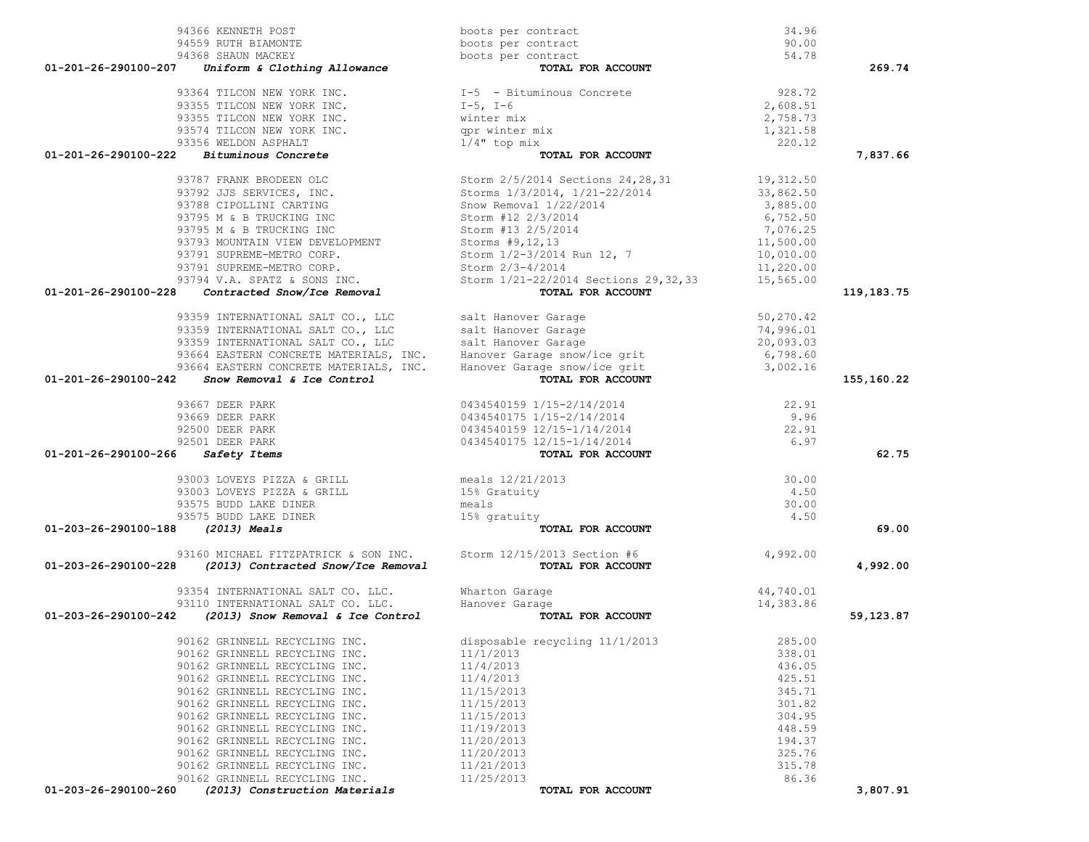|                                   | 94366 KENNETH POST                                               | boots per contract                                                                                                                                                                                                                     | 34.96                  |            |
|-----------------------------------|------------------------------------------------------------------|----------------------------------------------------------------------------------------------------------------------------------------------------------------------------------------------------------------------------------------|------------------------|------------|
|                                   | 94559 RUTH BIAMONTE                                              | boots per contract                                                                                                                                                                                                                     | 90.00                  |            |
|                                   | 94368 SHAUN MACKEY                                               | boots per contract                                                                                                                                                                                                                     | 54.78                  |            |
| 01-201-26-290100-207              | Uniform & Clothing Allowance                                     | TOTAL FOR ACCOUNT                                                                                                                                                                                                                      |                        | 269.74     |
|                                   |                                                                  |                                                                                                                                                                                                                                        | 928.72                 |            |
|                                   | 93364 TILCON NEW YORK INC.<br>93355 TILCON NEW YORK INC.         | I-5 - Bituminous Concrete<br>I-5, I-6                                                                                                                                                                                                  | 2,608.51               |            |
|                                   |                                                                  | winter mix                                                                                                                                                                                                                             | 2,758.73               |            |
|                                   | 93355 TILCON NEW YORK INC.<br>93574 TILCON NEW YORK INC.         | qpr winter mix                                                                                                                                                                                                                         | 1,321.58               |            |
|                                   | 93356 WELDON ASPHALT                                             | $1/4$ " top mix                                                                                                                                                                                                                        | 220.12                 |            |
|                                   | $01-201-26-290100-222$ Bituminous Concrete                       | TOTAL FOR ACCOUNT                                                                                                                                                                                                                      |                        | 7,837.66   |
|                                   |                                                                  |                                                                                                                                                                                                                                        |                        |            |
|                                   | 93787 FRANK BRODEEN OLC                                          | Storm 2/5/2014 Sections 24, 28, 31 19, 312.50<br>Storms 1/3/2014, 1/21-22/2014 33, 862.50                                                                                                                                              |                        |            |
|                                   | 93792 JJS SERVICES, INC.                                         |                                                                                                                                                                                                                                        |                        |            |
|                                   | 93788 CIPOLLINI CARTING                                          | Snow Removal 1/22/2014                                                                                                                                                                                                                 | 3,885.00               |            |
|                                   | 93795 M & B TRUCKING INC                                         | Storm #12 2/3/2014                                                                                                                                                                                                                     | 6,752.50               |            |
|                                   | 93795 M & B TRUCKING INC                                         | Storm #13 2/5/2014                                                                                                                                                                                                                     | 7,076.25               |            |
|                                   | 93793 MOUNTAIN VIEW DEVELOPMENT                                  | Storm #13 2/3/2017<br>Storms #9,12,13<br>Storm 1/2-3/2014 Run 12, 7<br>Storms #9,12,13                                                                                                                                                 | 11,500.00              |            |
|                                   | 93791 SUPREME-METRO CORP.                                        |                                                                                                                                                                                                                                        | 10,010.00              |            |
|                                   | 93791 SUPREME-METRO CORP.                                        | Storm 2/3-4/2014                                                                                                                                                                                                                       | 11,220.00              |            |
|                                   | 93794 V.A. SPATZ & SONS INC.                                     | Storm 1/21-22/2014 Sections 29, 32, 33                                                                                                                                                                                                 | 15,565.00              |            |
| 01-201-26-290100-228              | Contracted Snow/Ice Removal                                      | TOTAL FOR ACCOUNT                                                                                                                                                                                                                      |                        | 119,183.75 |
|                                   |                                                                  | 93359 INTERNATIONAL SALT CO., LLC<br>93359 INTERNATIONAL SALT CO., LLC<br>93359 INTERNATIONAL SALT CO., LLC<br>93664 EASTERN CONCRETE MATERIALS, INC. Hanover Garage snow/ice grit<br>93664 EASTERN CONCRETE MATERIALS, INC. Hanover G | 50,270.42              |            |
|                                   |                                                                  |                                                                                                                                                                                                                                        |                        |            |
|                                   |                                                                  |                                                                                                                                                                                                                                        | 74,996.01<br>20,093.03 |            |
|                                   |                                                                  |                                                                                                                                                                                                                                        | 6,798.60               |            |
|                                   |                                                                  |                                                                                                                                                                                                                                        | 3,002.16               |            |
|                                   | $01-201-26-290100-242$ Snow Removal & Ice Control                |                                                                                                                                                                                                                                        |                        | 155,160.22 |
|                                   |                                                                  |                                                                                                                                                                                                                                        |                        |            |
|                                   | 93667 DEER PARK                                                  | 0434540159 1/15-2/14/2014                                                                                                                                                                                                              | 22.91                  |            |
|                                   | 93669 DEER PARK                                                  | 0434540175 1/15-2/14/2014                                                                                                                                                                                                              | 9.96                   |            |
|                                   | 92500 DEER PARK                                                  | 0434540159 12/15-1/14/2014                                                                                                                                                                                                             | 22.91                  |            |
|                                   | 92501 DEER PARK                                                  | 0434540175 12/15-1/14/2014                                                                                                                                                                                                             | 6.97                   |            |
| 01-201-26-290100-266 Safety Items |                                                                  | TOTAL FOR ACCOUNT                                                                                                                                                                                                                      |                        | 62.75      |
|                                   | 93003 LOVEYS PIZZA & GRILL<br>11110 December 1970 & GRILL        |                                                                                                                                                                                                                                        | 30.00                  |            |
|                                   | 93003 LOVEYS PIZZA & GRILL                                       | meals 12/21/2013<br>15% Gratuity                                                                                                                                                                                                       | 4.50                   |            |
|                                   | 93575 BUDD LAKE DINER                                            | meals                                                                                                                                                                                                                                  | 30.00                  |            |
|                                   | 93575 BUDD LAKE DINER                                            | 15% gratuity                                                                                                                                                                                                                           | 4.50                   |            |
| 01-203-26-290100-188 (2013) Meals |                                                                  | TOTAL FOR ACCOUNT                                                                                                                                                                                                                      |                        | 69.00      |
|                                   |                                                                  |                                                                                                                                                                                                                                        |                        |            |
|                                   | 93160 MICHAEL FITZPATRICK & SON INC. Storm 12/15/2013 Section #6 |                                                                                                                                                                                                                                        | 4,992.00               |            |
| 01-203-26-290100-228              | (2013) Contracted Snow/Ice Removal                               | TOTAL FOR ACCOUNT                                                                                                                                                                                                                      |                        | 4,992.00   |
|                                   | 93354 INTERNATIONAL SALT CO. LLC.                                | Wharton Garage                                                                                                                                                                                                                         | 44,740.01              |            |
|                                   | 93110 INTERNATIONAL SALT CO. LLC.                                | Wharton Garage<br>Hanover Garage                                                                                                                                                                                                       | 14,383.86              |            |
|                                   | $01-203-26-290100-242$ (2013) Snow Removal & Ice Control         | TOTAL FOR ACCOUNT                                                                                                                                                                                                                      |                        | 59,123.87  |
|                                   |                                                                  |                                                                                                                                                                                                                                        |                        |            |
|                                   | 90162 GRINNELL RECYCLING INC.                                    | disposable recycling 11/1/2013                                                                                                                                                                                                         | 285.00                 |            |
|                                   | 90162 GRINNELL RECYCLING INC.                                    | 11/1/2013                                                                                                                                                                                                                              | 338.01                 |            |
|                                   | 90162 GRINNELL RECYCLING INC.                                    | 11/4/2013                                                                                                                                                                                                                              | 436.05                 |            |
|                                   | 90162 GRINNELL RECYCLING INC.                                    | 11/4/2013                                                                                                                                                                                                                              | 425.51                 |            |
|                                   | 90162 GRINNELL RECYCLING INC.                                    | 11/15/2013                                                                                                                                                                                                                             | 345.71                 |            |
|                                   | 90162 GRINNELL RECYCLING INC.                                    | 11/15/2013                                                                                                                                                                                                                             | 301.82                 |            |
|                                   | 90162 GRINNELL RECYCLING INC.                                    | 11/15/2013                                                                                                                                                                                                                             | 304.95                 |            |
|                                   | 90162 GRINNELL RECYCLING INC.                                    | 11/19/2013                                                                                                                                                                                                                             | 448.59                 |            |
|                                   | 90162 GRINNELL RECYCLING INC.                                    | 11/20/2013                                                                                                                                                                                                                             | 194.37                 |            |
|                                   | 90162 GRINNELL RECYCLING INC.                                    | 11/20/2013                                                                                                                                                                                                                             | 325.76                 |            |
|                                   | 90162 GRINNELL RECYCLING INC.                                    | 11/21/2013                                                                                                                                                                                                                             | 315.78                 |            |
|                                   | 90162 GRINNELL RECYCLING INC.                                    | 11/25/2013                                                                                                                                                                                                                             | 86.36                  | 3,807.91   |
| 01-203-26-290100-260              | (2013) Construction Materials                                    | TOTAL FOR ACCOUNT                                                                                                                                                                                                                      |                        |            |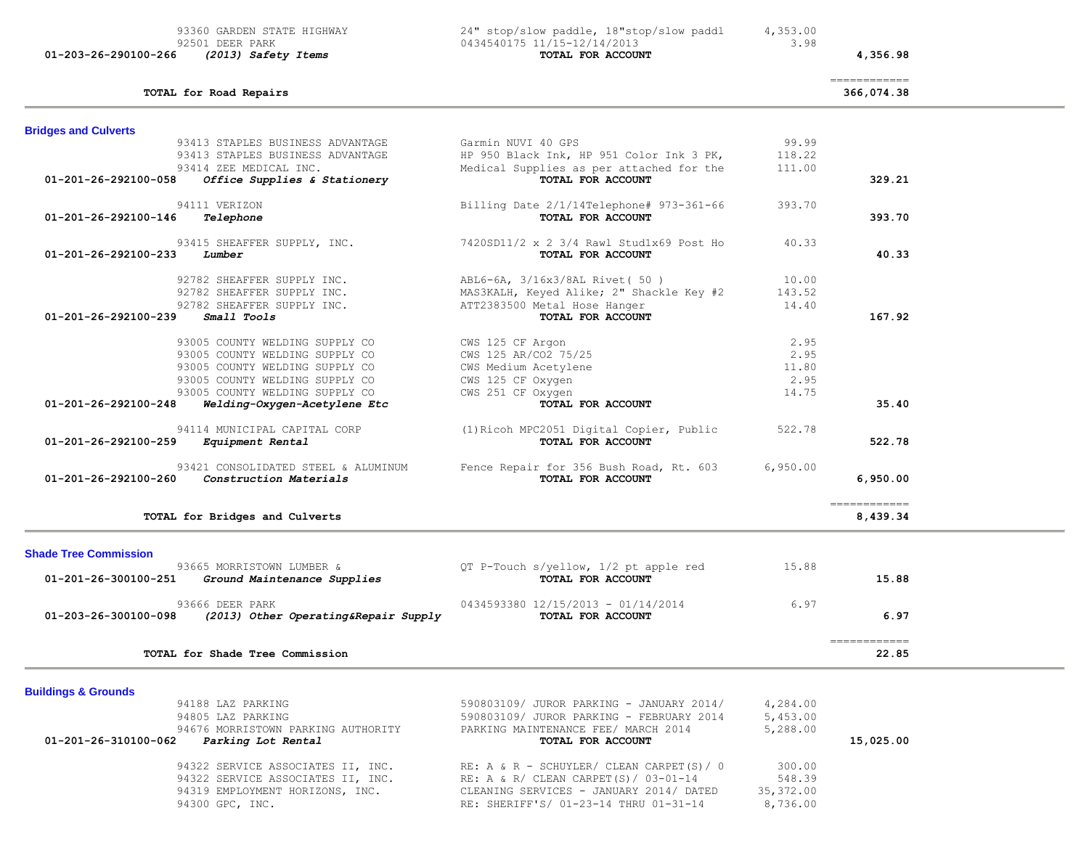| 93360 GARDEN STATE HIGHWAY<br>92501 DEER PARK<br>01-203-26-290100-266<br>(2013) Safety Items | 24" stop/slow paddle, 18"stop/slow paddl<br>0434540175 11/15-12/14/2013<br>TOTAL FOR ACCOUNT | 4,353.00<br>3.98 | 4,356.98                                |  |
|----------------------------------------------------------------------------------------------|----------------------------------------------------------------------------------------------|------------------|-----------------------------------------|--|
| TOTAL for Road Repairs                                                                       |                                                                                              |                  | ============<br>366,074.38              |  |
| <b>Bridges and Culverts</b>                                                                  |                                                                                              |                  |                                         |  |
| 93413 STAPLES BUSINESS ADVANTAGE                                                             | Garmin NUVI 40 GPS                                                                           | 99.99            |                                         |  |
| 93413 STAPLES BUSINESS ADVANTAGE                                                             | HP 950 Black Ink, HP 951 Color Ink 3 PK,                                                     | 118.22           |                                         |  |
| 93414 ZEE MEDICAL INC.                                                                       | Medical Supplies as per attached for the                                                     | 111.00           |                                         |  |
| Office Supplies & Stationery<br>01-201-26-292100-058                                         | TOTAL FOR ACCOUNT                                                                            |                  | 329.21                                  |  |
| 94111 VERIZON                                                                                | Billing Date 2/1/14Telephone# 973-361-66                                                     | 393.70           |                                         |  |
| 01-201-26-292100-146<br>Telephone                                                            | TOTAL FOR ACCOUNT                                                                            |                  | 393.70                                  |  |
| 93415 SHEAFFER SUPPLY, INC.                                                                  | 7420SD11/2 x 2 3/4 Rawl Stud1x69 Post Ho                                                     | 40.33            |                                         |  |
| $01 - 201 - 26 - 292100 - 233$<br>Lumber                                                     | TOTAL FOR ACCOUNT                                                                            |                  | 40.33                                   |  |
| 92782 SHEAFFER SUPPLY INC.                                                                   | ABL6-6A, 3/16x3/8AL Rivet (50)                                                               | 10.00            |                                         |  |
| 92782 SHEAFFER SUPPLY INC.                                                                   | MAS3KALH, Keyed Alike; 2" Shackle Key #2                                                     | 143.52           |                                         |  |
| 92782 SHEAFFER SUPPLY INC.                                                                   | ATT2383500 Metal Hose Hanger                                                                 | 14.40            |                                         |  |
| Small Tools<br>01-201-26-292100-239                                                          | TOTAL FOR ACCOUNT                                                                            |                  | 167.92                                  |  |
| 93005 COUNTY WELDING SUPPLY CO                                                               | CWS 125 CF Argon                                                                             | 2.95             |                                         |  |
| 93005 COUNTY WELDING SUPPLY CO                                                               | CWS 125 AR/CO2 75/25                                                                         | 2.95             |                                         |  |
| 93005 COUNTY WELDING SUPPLY CO                                                               | CWS Medium Acetylene                                                                         | 11.80            |                                         |  |
| 93005 COUNTY WELDING SUPPLY CO                                                               | CWS 125 CF Oxygen                                                                            | 2.95             |                                         |  |
| 93005 COUNTY WELDING SUPPLY CO                                                               | CWS 251 CF Oxygen                                                                            | 14.75            |                                         |  |
| 01-201-26-292100-248<br>Welding-Oxygen-Acetylene Etc                                         | TOTAL FOR ACCOUNT                                                                            |                  | 35.40                                   |  |
| 94114 MUNICIPAL CAPITAL CORP<br>01-201-26-292100-259<br>Equipment Rental                     | (1) Ricoh MPC2051 Digital Copier, Public<br>TOTAL FOR ACCOUNT                                | 522.78           | 522.78                                  |  |
|                                                                                              |                                                                                              |                  |                                         |  |
| 93421 CONSOLIDATED STEEL & ALUMINUM                                                          | Fence Repair for 356 Bush Road, Rt. 603                                                      | 6,950.00         |                                         |  |
| <i>Construction Materials</i><br>01-201-26-292100-260                                        | TOTAL FOR ACCOUNT                                                                            |                  | 6,950.00                                |  |
| TOTAL for Bridges and Culverts                                                               |                                                                                              |                  | $=$ = = = = = = = = = = = =<br>8,439.34 |  |
|                                                                                              |                                                                                              |                  |                                         |  |
| <b>Shade Tree Commission</b>                                                                 |                                                                                              |                  |                                         |  |
| 93665 MORRISTOWN LUMBER &                                                                    | QT P-Touch s/yellow, 1/2 pt apple red                                                        | 15.88            |                                         |  |
| 01-201-26-300100-251<br>Ground Maintenance Supplies                                          | TOTAL FOR ACCOUNT                                                                            |                  | 15.88                                   |  |
| 93666 DEER PARK                                                                              | 0434593380 12/15/2013 - 01/14/2014                                                           | 6.97             |                                         |  |
| 01-203-26-300100-098<br>(2013) Other Operating&Repair Supply                                 | TOTAL FOR ACCOUNT                                                                            |                  | 6.97                                    |  |

 ============ **TOTAL for Shade Tree Commission 22.85**

**Buildings & Grounds** 

| 94188 LAZ PARKING<br>94805 LAZ PARKING                                           | 590803109/ JUROR PARKING - JANUARY 2014/<br>590803109/ JUROR PARKING - FEBRUARY 2014 | 4,284.00<br>5,453.00 |           |
|----------------------------------------------------------------------------------|--------------------------------------------------------------------------------------|----------------------|-----------|
| 94676 MORRISTOWN PARKING AUTHORITY<br>01-201-26-310100-062<br>Parking Lot Rental | PARKING MAINTENANCE FEE/ MARCH 2014<br>TOTAL FOR ACCOUNT                             | 5,288.00             | 15,025.00 |
| 94322 SERVICE ASSOCIATES II, INC.                                                | RE: A & R - SCHUYLER/ CLEAN CARPET(S)/ 0                                             | 300.00               |           |
| 94322 SERVICE ASSOCIATES II, INC.                                                | RE: A & R/ CLEAN CARPET(S)/ $03-01-14$                                               | 548.39               |           |
| 94319 EMPLOYMENT HORIZONS, INC.                                                  | CLEANING SERVICES - JANUARY 2014/ DATED                                              | 35,372.00            |           |
| 94300 GPC, INC.                                                                  | RE: SHERIFF'S/ 01-23-14 THRU 01-31-14                                                | 8,736.00             |           |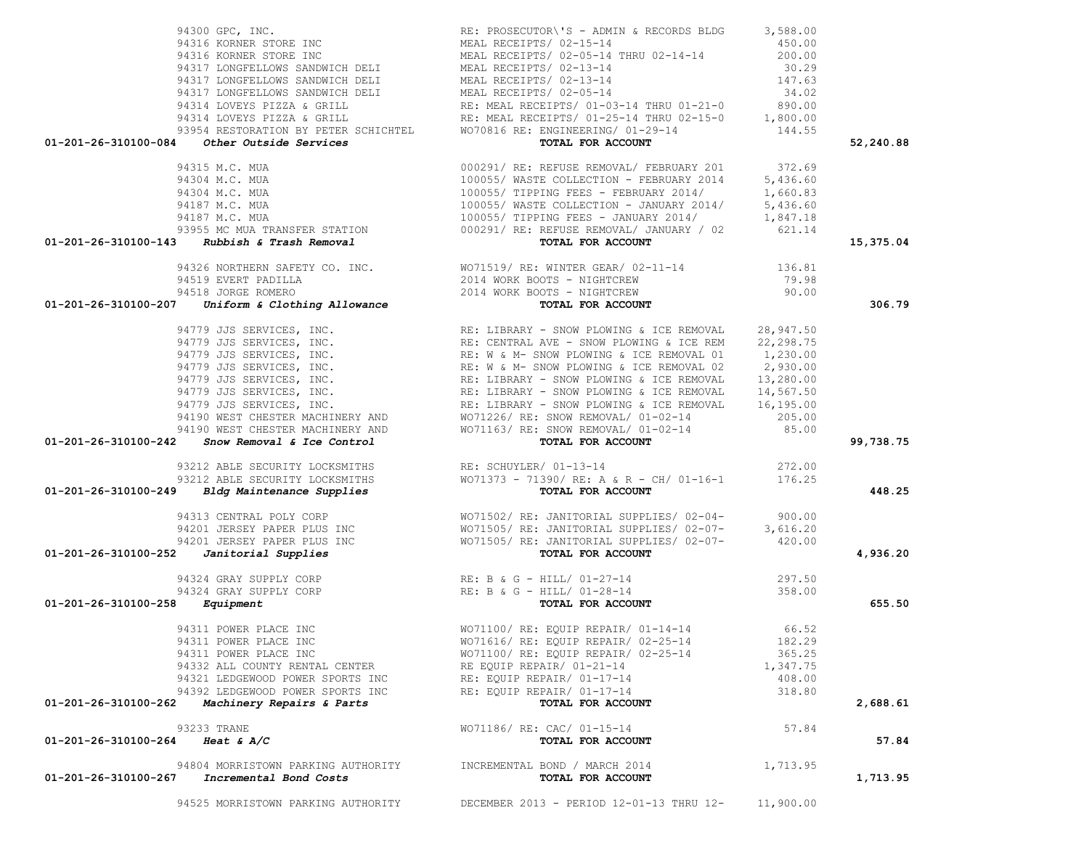94525 MORRISTOWN PARKING AUTHORITY DECEMBER 2013 - PERIOD 12-01-13 THRU 12- 11,900.00

| 94300 GPC, INC.                                                                                                                                                                                                                                                                                                                                         | RE: PROSECUTOR\'S - ADMIN & RECORDS BLDG 3,588.00                                                                                                                                                                        |          |           |
|---------------------------------------------------------------------------------------------------------------------------------------------------------------------------------------------------------------------------------------------------------------------------------------------------------------------------------------------------------|--------------------------------------------------------------------------------------------------------------------------------------------------------------------------------------------------------------------------|----------|-----------|
|                                                                                                                                                                                                                                                                                                                                                         |                                                                                                                                                                                                                          |          |           |
|                                                                                                                                                                                                                                                                                                                                                         |                                                                                                                                                                                                                          |          |           |
|                                                                                                                                                                                                                                                                                                                                                         |                                                                                                                                                                                                                          |          |           |
|                                                                                                                                                                                                                                                                                                                                                         |                                                                                                                                                                                                                          |          |           |
|                                                                                                                                                                                                                                                                                                                                                         |                                                                                                                                                                                                                          |          |           |
|                                                                                                                                                                                                                                                                                                                                                         |                                                                                                                                                                                                                          |          |           |
|                                                                                                                                                                                                                                                                                                                                                         |                                                                                                                                                                                                                          |          |           |
|                                                                                                                                                                                                                                                                                                                                                         |                                                                                                                                                                                                                          |          |           |
|                                                                                                                                                                                                                                                                                                                                                         |                                                                                                                                                                                                                          |          |           |
| 94300 GPC, INC.<br>94316 KORNER STORE INC<br>94316 KORNER STORE INC<br>94316 KORNER STORE INC<br>94317 LONGFELLOWS SANDWICH DELI<br>94317 LONGFELLOWS SANDWICH DELI<br>94317 LONGFELLOWS SANDWICH DELI<br>94317 LONGFELLOWS SANDWICH DELI<br>                                                                                                           |                                                                                                                                                                                                                          |          | 52,240.88 |
|                                                                                                                                                                                                                                                                                                                                                         |                                                                                                                                                                                                                          |          |           |
|                                                                                                                                                                                                                                                                                                                                                         |                                                                                                                                                                                                                          |          |           |
|                                                                                                                                                                                                                                                                                                                                                         |                                                                                                                                                                                                                          |          |           |
|                                                                                                                                                                                                                                                                                                                                                         |                                                                                                                                                                                                                          |          |           |
|                                                                                                                                                                                                                                                                                                                                                         |                                                                                                                                                                                                                          |          |           |
|                                                                                                                                                                                                                                                                                                                                                         |                                                                                                                                                                                                                          |          |           |
|                                                                                                                                                                                                                                                                                                                                                         |                                                                                                                                                                                                                          |          |           |
| $\begin{array}{cccccc} 94315&\text{M.C. MUA} & 000291/RE: REFUSE REMOVAL/ FEBRUARY & 201 & 372.69 \\ 94304&\text{M.C. MUA} & 100055/ WASTE COLLECTION - FEBRUARY & 2014 & 5,436.60 \\ 94304&\text{M.C. MUA} & 100055/ TIPPING FES - FEBRUARY & 2014/ & 1,660.83 \\ 94187&\text{M.C. MUA} & 100055/ WASTE COLLECTION - JANUARY & 2014/ & 5,436.60 \\ 94$ |                                                                                                                                                                                                                          |          | 15,375.04 |
|                                                                                                                                                                                                                                                                                                                                                         |                                                                                                                                                                                                                          |          |           |
|                                                                                                                                                                                                                                                                                                                                                         |                                                                                                                                                                                                                          |          |           |
|                                                                                                                                                                                                                                                                                                                                                         |                                                                                                                                                                                                                          |          |           |
|                                                                                                                                                                                                                                                                                                                                                         |                                                                                                                                                                                                                          |          | 306.79    |
|                                                                                                                                                                                                                                                                                                                                                         |                                                                                                                                                                                                                          |          |           |
|                                                                                                                                                                                                                                                                                                                                                         |                                                                                                                                                                                                                          |          |           |
|                                                                                                                                                                                                                                                                                                                                                         |                                                                                                                                                                                                                          |          |           |
|                                                                                                                                                                                                                                                                                                                                                         |                                                                                                                                                                                                                          |          |           |
|                                                                                                                                                                                                                                                                                                                                                         |                                                                                                                                                                                                                          |          |           |
|                                                                                                                                                                                                                                                                                                                                                         |                                                                                                                                                                                                                          |          |           |
|                                                                                                                                                                                                                                                                                                                                                         |                                                                                                                                                                                                                          |          |           |
|                                                                                                                                                                                                                                                                                                                                                         |                                                                                                                                                                                                                          |          |           |
|                                                                                                                                                                                                                                                                                                                                                         |                                                                                                                                                                                                                          |          |           |
|                                                                                                                                                                                                                                                                                                                                                         |                                                                                                                                                                                                                          |          |           |
|                                                                                                                                                                                                                                                                                                                                                         |                                                                                                                                                                                                                          |          | 99,738.75 |
| 93212 ABLE SECURITY LOCKSMITHS RE: SCHUYLER/ 01-13-14                                                                                                                                                                                                                                                                                                   |                                                                                                                                                                                                                          | 272.00   |           |
|                                                                                                                                                                                                                                                                                                                                                         |                                                                                                                                                                                                                          |          |           |
|                                                                                                                                                                                                                                                                                                                                                         |                                                                                                                                                                                                                          |          | 448.25    |
| 93212 ABLE SECURITY LOCKSMITHS WOTLES 71390/RE: A & R - CH/01-16-1 93212 ABLE SECURITY LOCKSMITHS WOTLES WOTLES                                                                                                                                                                                                                                         |                                                                                                                                                                                                                          |          |           |
|                                                                                                                                                                                                                                                                                                                                                         |                                                                                                                                                                                                                          |          |           |
|                                                                                                                                                                                                                                                                                                                                                         |                                                                                                                                                                                                                          |          |           |
|                                                                                                                                                                                                                                                                                                                                                         |                                                                                                                                                                                                                          |          |           |
| $01-201-26-310100-252$ Janitorial Supplies                                                                                                                                                                                                                                                                                                              | 94313 CENTRAL POLY CORP<br>900.00 MO71502/ RE: JANITORIAL SUPPLIES/ 02-04-<br>900.00 MO71505/ RE: JANITORIAL SUPPLIES/ 02-07-<br>94201 JERSEY PAPER PLUS INC<br>94201 JERSEY PAPER PLUS INC<br>7 <b>77AL FOR ACCOUNT</b> |          | 4,936.20  |
|                                                                                                                                                                                                                                                                                                                                                         |                                                                                                                                                                                                                          |          |           |
|                                                                                                                                                                                                                                                                                                                                                         | 94324 GRAY SUPPLY CORP<br>94324 GRAY SUPPLY CORP<br><b>8</b> Equipment<br><b>8</b> Equipment<br><b>1058.00</b><br><b>8 Equipment</b>                                                                                     |          |           |
|                                                                                                                                                                                                                                                                                                                                                         |                                                                                                                                                                                                                          |          |           |
| $01 - 201 - 26 - 310100 - 258$ Equipment                                                                                                                                                                                                                                                                                                                |                                                                                                                                                                                                                          |          | 655.50    |
|                                                                                                                                                                                                                                                                                                                                                         |                                                                                                                                                                                                                          |          |           |
|                                                                                                                                                                                                                                                                                                                                                         |                                                                                                                                                                                                                          |          |           |
| 94311 POWER PLACE INC                                                                                                                                                                                                                                                                                                                                   | WO71100/ RE: EQUIP REPAIR/ 02-25-14                                                                                                                                                                                      | 365.25   |           |
| 94332 ALL COUNTY RENTAL CENTER                                                                                                                                                                                                                                                                                                                          | RE EQUIP REPAIR/ 01-21-14                                                                                                                                                                                                | 1,347.75 |           |
| 94321 LEDGEWOOD POWER SPORTS INC                                                                                                                                                                                                                                                                                                                        | RE: EQUIP REPAIR/ 01-17-14                                                                                                                                                                                               | 408.00   |           |
| 94392 LEDGEWOOD POWER SPORTS INC                                                                                                                                                                                                                                                                                                                        | RE: EQUIP REPAIR/ 01-17-14                                                                                                                                                                                               | 318.80   |           |
| Machinery Repairs & Parts<br>01-201-26-310100-262                                                                                                                                                                                                                                                                                                       | TOTAL FOR ACCOUNT                                                                                                                                                                                                        |          | 2,688.61  |
|                                                                                                                                                                                                                                                                                                                                                         |                                                                                                                                                                                                                          |          |           |
| 93233 TRANE<br>01-201-26-310100-264 Heat & A/C                                                                                                                                                                                                                                                                                                          | WO71186/ RE: CAC/ 01-15-14<br>TOTAL FOR ACCOUNT                                                                                                                                                                          | 57.84    | 57.84     |
|                                                                                                                                                                                                                                                                                                                                                         |                                                                                                                                                                                                                          |          |           |
| 94804 MORRISTOWN PARKING AUTHORITY                                                                                                                                                                                                                                                                                                                      | INCREMENTAL BOND / MARCH 2014                                                                                                                                                                                            | 1,713.95 |           |
| 01-201-26-310100-267<br>Incremental Bond Costs                                                                                                                                                                                                                                                                                                          | TOTAL FOR ACCOUNT                                                                                                                                                                                                        |          | 1,713.95  |
|                                                                                                                                                                                                                                                                                                                                                         |                                                                                                                                                                                                                          |          |           |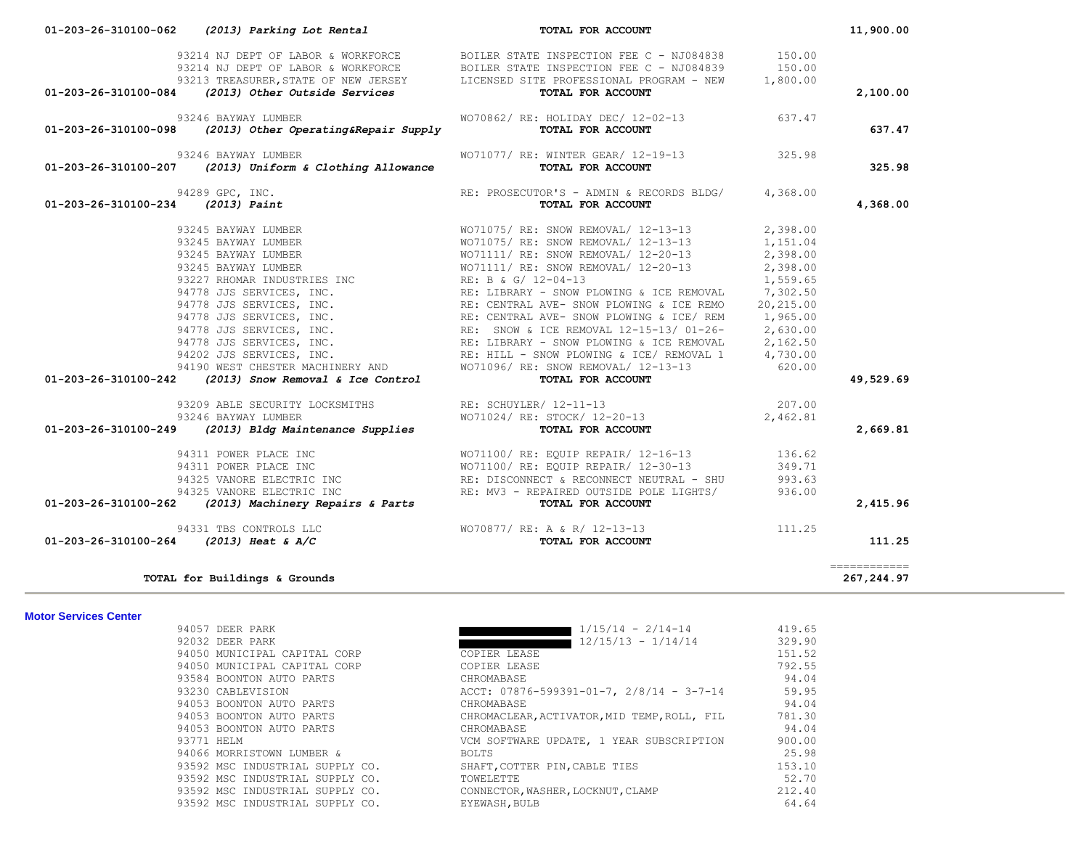|                              | 01-203-26-310100-084 (2013) Other Outside Services                              | 93214 NJ DEPT OF LABOR & WORKFORCE BOILER STATE INSPECTION FEE C - NJ084839<br>93213 TREASURER, STATE OF NEW JERSEY LICENSED SITE PROFESSIONAL PROGRAM - NEW<br>TOTAL FOR ACCOUNT                                                   | 150.00<br>1,800.00 | 2,100.00     |
|------------------------------|---------------------------------------------------------------------------------|-------------------------------------------------------------------------------------------------------------------------------------------------------------------------------------------------------------------------------------|--------------------|--------------|
| 01-203-26-310100-098         | 93246 BAYWAY LUMBER<br>(2013) Other Operating&Repair Supply                     | WO70862/ RE: HOLIDAY DEC/ 12-02-13<br>TOTAL FOR ACCOUNT                                                                                                                                                                             | 637.47             | 637.47       |
|                              | 93246 BAYWAY LUMBER<br>01-203-26-310100-207 (2013) Uniform & Clothing Allowance | WO71077/ RE: WINTER GEAR/ 12-19-13 325.98<br>TOTAL FOR ACCOUNT                                                                                                                                                                      |                    | 325.98       |
|                              |                                                                                 | 01-203-26-310100-234 (2013) Paint RECORD RE: PROSECUTOR'S - ADMIN & RECORDS BLDG/ 4, 368.00<br>91245 BAYWAY LUMBER<br>92245 BAYWAY LUMBER WOTILITY RE: SNOW REMOVAL/ 12-13-13<br>92245 BAYWAY LUMBER WOTILITY RE: SNOW REMOVAL/ 12- |                    | 4,368.00     |
|                              |                                                                                 |                                                                                                                                                                                                                                     |                    |              |
|                              |                                                                                 |                                                                                                                                                                                                                                     |                    |              |
|                              |                                                                                 |                                                                                                                                                                                                                                     |                    |              |
|                              |                                                                                 |                                                                                                                                                                                                                                     |                    |              |
|                              |                                                                                 |                                                                                                                                                                                                                                     |                    |              |
|                              |                                                                                 |                                                                                                                                                                                                                                     |                    |              |
|                              |                                                                                 |                                                                                                                                                                                                                                     |                    |              |
|                              |                                                                                 |                                                                                                                                                                                                                                     |                    |              |
|                              |                                                                                 |                                                                                                                                                                                                                                     |                    |              |
|                              |                                                                                 |                                                                                                                                                                                                                                     |                    |              |
|                              |                                                                                 |                                                                                                                                                                                                                                     |                    |              |
|                              |                                                                                 |                                                                                                                                                                                                                                     |                    | 49,529.69    |
|                              |                                                                                 |                                                                                                                                                                                                                                     |                    |              |
|                              | 93209 ABLE SECURITY LOCKSMITHS RE: SCHUYLER/ 12-11-13                           |                                                                                                                                                                                                                                     | 207.00             |              |
|                              | 93246 BAYWAY LUMBER                                                             | WO71024/ RE: STOCK/ 12-20-13                                                                                                                                                                                                        | 2,462.81           |              |
|                              | 01-203-26-310100-249 (2013) Bldg Maintenance Supplies                           | TOTAL FOR ACCOUNT                                                                                                                                                                                                                   |                    | 2,669.81     |
|                              | 94311 POWER PLACE INC                                                           | WO71100/ RE: EQUIP REPAIR/ 12-16-13<br>WO71100/ RE: EQUIP REPAIR/ 12-30-13<br>RE: DISCONNECT & RECONNECT NEUTRAL - SHU                                                                                                              | 136.62             |              |
|                              | 94311 POWER PLACE INC                                                           |                                                                                                                                                                                                                                     | 349.71             |              |
|                              | 94325 VANORE ELECTRIC INC                                                       |                                                                                                                                                                                                                                     | 993.63             |              |
|                              | 94325 VANORE ELECTRIC INC                                                       | RE: MV3 - REPAIRED OUTSIDE POLE LIGHTS/                                                                                                                                                                                             | 936.00             |              |
|                              | 01-203-26-310100-262 (2013) Machinery Repairs & Parts                           | TOTAL FOR ACCOUNT                                                                                                                                                                                                                   |                    | 2,415.96     |
|                              | 94331 TBS CONTROLS LLC                                                          | WO70877/ RE: A & R/ 12-13-13                                                                                                                                                                                                        | 111.25             |              |
|                              | 01-203-26-310100-264 (2013) Heat & A/C                                          | TOTAL FOR ACCOUNT                                                                                                                                                                                                                   |                    | 111.25       |
|                              |                                                                                 |                                                                                                                                                                                                                                     |                    | ============ |
|                              | TOTAL for Buildings & Grounds                                                   |                                                                                                                                                                                                                                     |                    | 267,244.97   |
| <b>Motor Services Center</b> |                                                                                 |                                                                                                                                                                                                                                     |                    |              |
|                              | 94057 DEER PARK                                                                 | $1/15/14 - 2/14-14$<br><u>a sa Basan</u>                                                                                                                                                                                            | 419.65             |              |
|                              | 92032 DEER PARK                                                                 | $12/15/13 - 1/14/14$<br><b>The Company</b>                                                                                                                                                                                          | 329.90             |              |
|                              | 94050 MUNICIPAL CAPITAL CORP<br>94050 MUNICIPAL CAPITAL CORP                    | COPIER LEASE<br>COPIER LEASE                                                                                                                                                                                                        | 151.52<br>792.55   |              |
|                              | 93584 BOONTON AUTO PARTS                                                        | CHROMABASE                                                                                                                                                                                                                          | 94.04              |              |
|                              | 93230 CABLEVISION                                                               | ACCT: $07876 - 599391 - 01 - 7$ , $2/8/14 - 3-7-14$                                                                                                                                                                                 | 59.95              |              |
|                              | 94053 BOONTON AUTO PARTS                                                        | CHROMABASE                                                                                                                                                                                                                          | 94.04              |              |
|                              | 94053 BOONTON AUTO PARTS                                                        | CHROMACLEAR, ACTIVATOR, MID TEMP, ROLL, FIL                                                                                                                                                                                         | 781.30             |              |
|                              | 94053 BOONTON AUTO PARTS                                                        | CHROMABASE                                                                                                                                                                                                                          | 94.04              |              |
|                              | 93771 HELM                                                                      | VCM SOFTWARE UPDATE, 1 YEAR SUBSCRIPTION                                                                                                                                                                                            | 900.00             |              |
|                              | 94066 MORRISTOWN LUMBER &                                                       | <b>BOLTS</b>                                                                                                                                                                                                                        | 25.98              |              |
|                              | 93592 MSC INDUSTRIAL SUPPLY CO.                                                 | SHAFT, COTTER PIN, CABLE TIES                                                                                                                                                                                                       | 153.10             |              |
|                              | 93592 MSC INDUSTRIAL SUPPLY CO.                                                 | TOWELETTE                                                                                                                                                                                                                           | 52.70              |              |
|                              | 93592 MSC INDUSTRIAL SUPPLY CO.                                                 | CONNECTOR, WASHER, LOCKNUT, CLAMP                                                                                                                                                                                                   | 212.40             |              |
|                              | 93592 MSC INDUSTRIAL SUPPLY CO.                                                 | EYEWASH, BULB                                                                                                                                                                                                                       | 64.64              |              |

 **01-203-26-310100-062** *(2013) Parking Lot Rental* **TOTAL FOR ACCOUNT 11,900.00**

93214 NJ DEPT OF LABOR & WORKFORCE BOILER STATE INSPECTION FEE C - NJ084838 150.00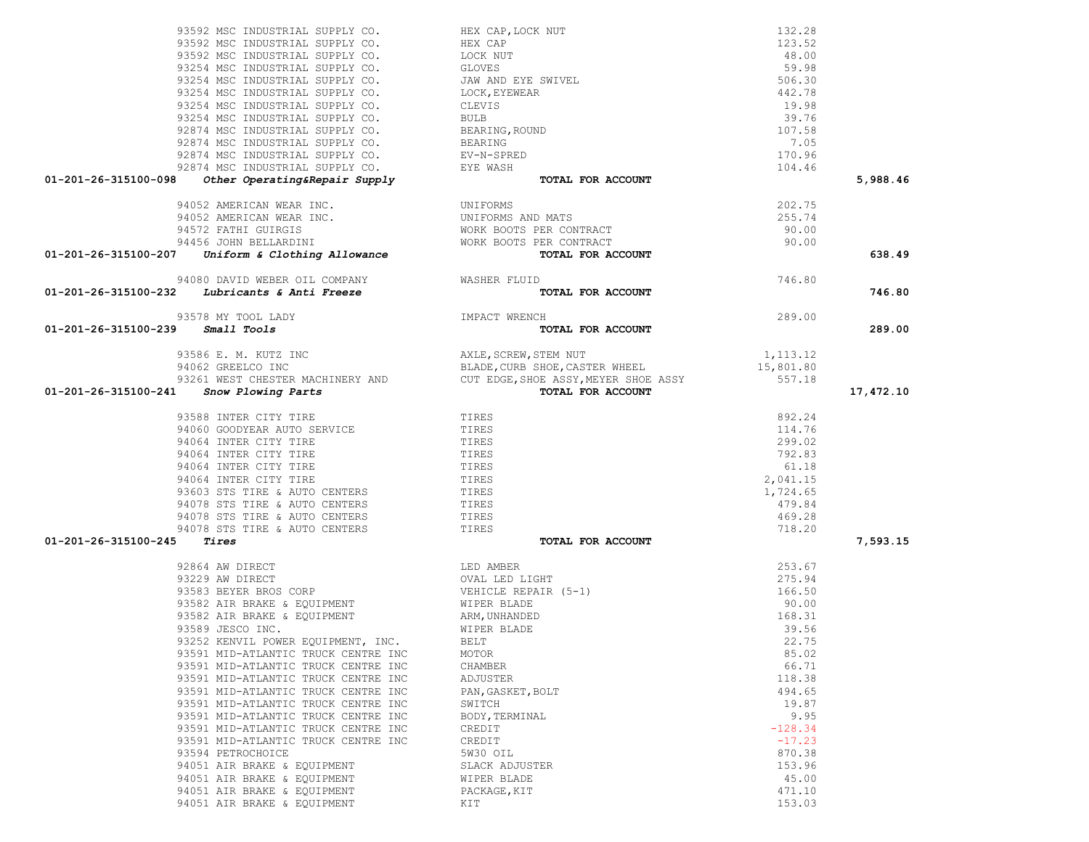| 01-201-26-315100-098                                                                                                                                                                                                                         |                                                                                                                                                                                                                                             |           | 5,988.46  |
|----------------------------------------------------------------------------------------------------------------------------------------------------------------------------------------------------------------------------------------------|---------------------------------------------------------------------------------------------------------------------------------------------------------------------------------------------------------------------------------------------|-----------|-----------|
|                                                                                                                                                                                                                                              |                                                                                                                                                                                                                                             |           |           |
|                                                                                                                                                                                                                                              |                                                                                                                                                                                                                                             | 202.75    |           |
|                                                                                                                                                                                                                                              |                                                                                                                                                                                                                                             | 255.74    |           |
|                                                                                                                                                                                                                                              |                                                                                                                                                                                                                                             | 90.00     |           |
|                                                                                                                                                                                                                                              |                                                                                                                                                                                                                                             | 90.00     |           |
| 94052 AMERICAN WEAR INC.<br>94052 AMERICAN WEAR INC.<br>94552 FATHI GUIRGIS WORK BOOTS PER CONTRACT<br>94456 JOHN BELLARDINI WORK BOOTS PER CONTRACT<br>94456 JOHN BELLARDINI WORK BOOTS PER CONTRACT<br><b>01-201-26-315100-207</b> Uniform |                                                                                                                                                                                                                                             |           | 638.49    |
|                                                                                                                                                                                                                                              |                                                                                                                                                                                                                                             |           |           |
| 94080 DAVID WEBER OIL COMPANY WASHER FLUID<br>01-201-26-315100-232 Lubricants & Anti Freeze                                                                                                                                                  | TOTAL FOR ACCOUNT                                                                                                                                                                                                                           | 746.80    | 746.80    |
|                                                                                                                                                                                                                                              |                                                                                                                                                                                                                                             |           |           |
| 93578 MY TOOL LADY                                                                                                                                                                                                                           |                                                                                                                                                                                                                                             | 289.00    |           |
| IMPACT WRENCH TO<br>$01 - 201 - 26 - 315100 - 239$ Small Tools                                                                                                                                                                               | TOTAL FOR ACCOUNT                                                                                                                                                                                                                           |           | 289.00    |
|                                                                                                                                                                                                                                              | 93586 E. M. KUTZ INC<br>94062 GREELCO INC<br>93261 WEST CHESTER MACHINERY AND<br>93261 WEST CHESTER MACHINERY AND<br>93261 WEST CHESTER MACHINERY AND<br>93261 WEST CHESTER MACHINERY AND<br>93261 WEST CHESTER MACHINERY AND<br>93261 WEST |           |           |
|                                                                                                                                                                                                                                              |                                                                                                                                                                                                                                             |           |           |
|                                                                                                                                                                                                                                              |                                                                                                                                                                                                                                             |           |           |
| 01-201-26-315100-241 Snow Plowing Parts                                                                                                                                                                                                      |                                                                                                                                                                                                                                             |           | 17,472.10 |
|                                                                                                                                                                                                                                              |                                                                                                                                                                                                                                             |           |           |
|                                                                                                                                                                                                                                              |                                                                                                                                                                                                                                             | 892.24    |           |
|                                                                                                                                                                                                                                              |                                                                                                                                                                                                                                             | 114.76    |           |
|                                                                                                                                                                                                                                              |                                                                                                                                                                                                                                             | 299.02    |           |
|                                                                                                                                                                                                                                              |                                                                                                                                                                                                                                             | 792.83    |           |
|                                                                                                                                                                                                                                              |                                                                                                                                                                                                                                             | 61.18     |           |
|                                                                                                                                                                                                                                              |                                                                                                                                                                                                                                             | 2,041.15  |           |
|                                                                                                                                                                                                                                              |                                                                                                                                                                                                                                             | 1,724.65  |           |
|                                                                                                                                                                                                                                              |                                                                                                                                                                                                                                             | 479.84    |           |
|                                                                                                                                                                                                                                              |                                                                                                                                                                                                                                             | 469.28    |           |
|                                                                                                                                                                                                                                              |                                                                                                                                                                                                                                             | 718.20    |           |
| $01 - 201 - 26 - 315100 - 245$ Tires                                                                                                                                                                                                         | TOTAL FOR ACCOUNT                                                                                                                                                                                                                           |           | 7,593.15  |
|                                                                                                                                                                                                                                              | 92864 AW DIRECT<br>92864 AW DIRECT<br>93229 AW DIRECT<br>93583 BEYER BROS CORP<br>93582 AIR BRAKE & EQUIPMENT<br>93582 AIR BRAKE & EQUIPMENT<br>93582 AIR BRAKE & EQUIPMENT<br>93589 JESCO INC.<br>WIPER BLADE<br>WIPER BLADE               |           |           |
|                                                                                                                                                                                                                                              |                                                                                                                                                                                                                                             | 253.67    |           |
|                                                                                                                                                                                                                                              |                                                                                                                                                                                                                                             | 275.94    |           |
|                                                                                                                                                                                                                                              |                                                                                                                                                                                                                                             | 166.50    |           |
|                                                                                                                                                                                                                                              |                                                                                                                                                                                                                                             | 90.00     |           |
|                                                                                                                                                                                                                                              |                                                                                                                                                                                                                                             | 168.31    |           |
|                                                                                                                                                                                                                                              |                                                                                                                                                                                                                                             | 39.56     |           |
| 93252 KENVIL POWER EQUIPMENT, INC.                                                                                                                                                                                                           | <b>BELT</b>                                                                                                                                                                                                                                 | 22.75     |           |
| 93591 MID-ATLANTIC TRUCK CENTRE INC                                                                                                                                                                                                          | MOTOR                                                                                                                                                                                                                                       | 85.02     |           |
| 93591 MID-ATLANTIC TRUCK CENTRE INC                                                                                                                                                                                                          | CHAMBER                                                                                                                                                                                                                                     | 66.71     |           |
| 93591 MID-ATLANTIC TRUCK CENTRE INC                                                                                                                                                                                                          | ADJUSTER                                                                                                                                                                                                                                    | 118.38    |           |
| 93591 MID-ATLANTIC TRUCK CENTRE INC                                                                                                                                                                                                          | PAN, GASKET, BOLT                                                                                                                                                                                                                           | 494.65    |           |
| 93591 MID-ATLANTIC TRUCK CENTRE INC                                                                                                                                                                                                          | SWITCH                                                                                                                                                                                                                                      | 19.87     |           |
| 93591 MID-ATLANTIC TRUCK CENTRE INC                                                                                                                                                                                                          | BODY, TERMINAL                                                                                                                                                                                                                              | 9.95      |           |
| 93591 MID-ATLANTIC TRUCK CENTRE INC                                                                                                                                                                                                          | CREDIT                                                                                                                                                                                                                                      | $-128.34$ |           |
| 93591 MID-ATLANTIC TRUCK CENTRE INC                                                                                                                                                                                                          | CREDIT                                                                                                                                                                                                                                      | $-17.23$  |           |
| 93594 PETROCHOICE                                                                                                                                                                                                                            | 5W30 OIL                                                                                                                                                                                                                                    | 870.38    |           |
| 94051 AIR BRAKE & EQUIPMENT                                                                                                                                                                                                                  | SLACK ADJUSTER                                                                                                                                                                                                                              | 153.96    |           |
| 94051 AIR BRAKE & EQUIPMENT                                                                                                                                                                                                                  | WIPER BLADE                                                                                                                                                                                                                                 | 45.00     |           |
| 94051 AIR BRAKE & EQUIPMENT                                                                                                                                                                                                                  | PACKAGE, KIT                                                                                                                                                                                                                                | 471.10    |           |
| 94051 AIR BRAKE & EQUIPMENT                                                                                                                                                                                                                  | KIT                                                                                                                                                                                                                                         | 153.03    |           |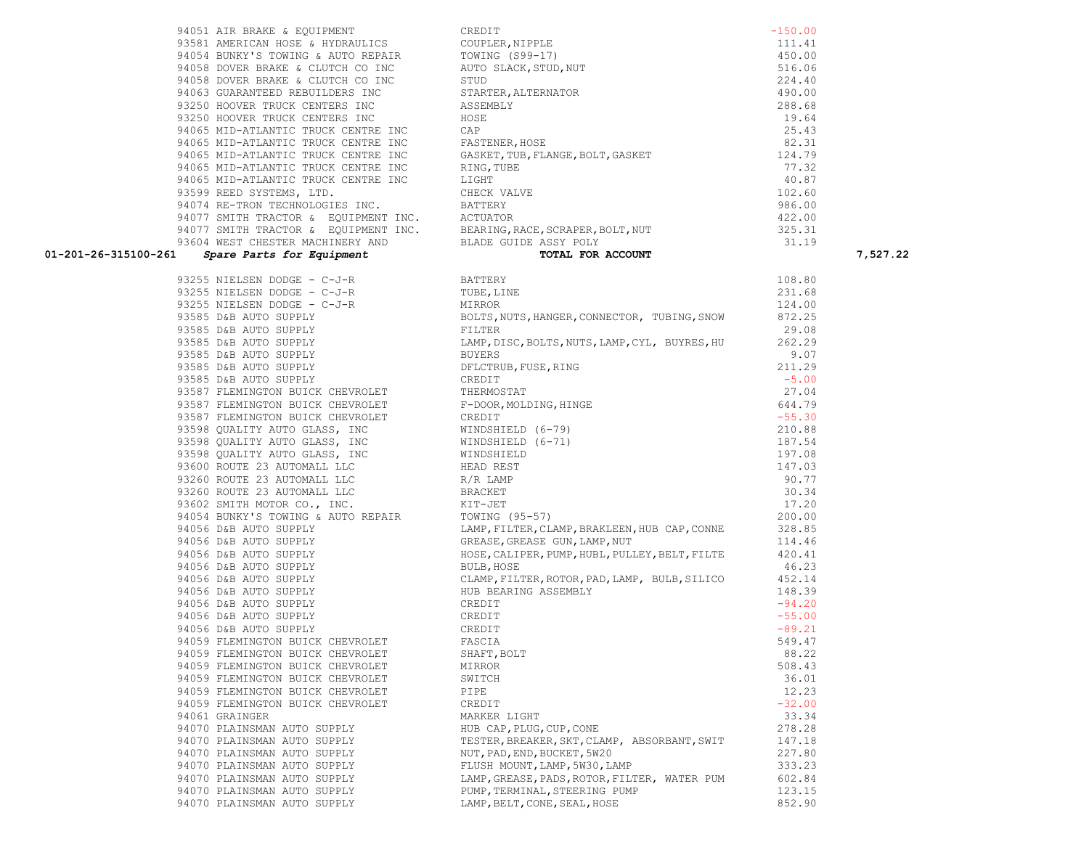**01-201-26-315100-261** *Spare Parts for Equipment* **TOTAL FOR ACCOUNT 7,527.22** 93255 NIELSEN DODGE - C-J-R BATTERY 108.80 93255 NIELSEN DODGE - C-J-R TUBE,LINE 231.68 93255 NIELSEN DODGE - C-J-R MIRROR 124.00 93585 D&B AUTO SUPPLY BOLTS, NUTS, HANGER, CONNECTOR, TUBING, SNOW 872.25 93585 D&B AUTO SUPPLY FILTER 29.08 93585 D&B AUTO SUPPLY LAMP,DISC,BOLTS,NUTS,LAMP,CYL, BUYRES,HU 262.29 93585 D&B AUTO SUPPLY BUYERS 9.07 93585 D&B AUTO SUPPLY DELCTRUB, FUSE, RING 211.29 93585 D&B AUTO SUPPLY CREDIT CREDIT CREDIT 93587 FLEMINGTON BUICK CHEVROLET THERMOSTAT THERMOSTAT 27.04 93587 FLEMINGTON BUICK CHEVROLET F-DOOR, MOLDING, HINGE FRAMINGE 93587 FLEMINGTON BUICK CHEVROLET CREDIT CREDIT CREDIT SALL FOR SALL FOR SALL FOR SALL FOR SALL FOR SALL FOR SA 93598 QUALITY AUTO GLASS, INC WINDSHIELD (6-79) 210.88 93598 QUALITY AUTO GLASS, INC WINDSHIELD (6-71) 187.54 93598 QUALITY AUTO GLASS, INC WINDSHIELD 197.08 93600 ROUTE 23 AUTOMALL LLC HEAD REST 147.03 93260 ROUTE 23 AUTOMALL LLC R/R LAMP 90.77 93260 ROUTE 23 AUTOMALL LLC BRACKET 30.34 93602 SMITH MOTOR CO., INC. THE RESERVE RESERVE TO A RESERVE THE RESERVE TO A RESERVE THE RESERVE TO A RESERVE THE RESERVE THAT A RESERVE THE RESERVE THAT A RESERVE THAT A RESERVE THAT A RESERVE THAT A RESERVE THAT A RESER 94054 BUNKY'S TOWING & AUTO REPAIR TOWING (95-57) 200.00 94056 D&B AUTO SUPPLY LAMP, FILTER, CLAMP, BRAKLEEN, HUB CAP, CONNE 328.85 94056 D&B AUTO SUPPLY GREASE, GREASE, GREASE GUN, LAMP, NUT 414.46 94056 D&B AUTO SUPPLY HOSE,CALIPER,PUMP,HUBL,PULLEY,BELT,FILTE 420.41 94056 D&B AUTO SUPPLY BULB, HOSE BULB, HOSE 46.23 94056 D&B AUTO SUPPLY CLAMP,FILTER,ROTOR,PAD,LAMP, BULB,SILICO 452.14 94056 D&B AUTO SUPPLY THE REARING ASSEMBLY THE SEARING ASSEMBLY 94056 D&B AUTO SUPPLY CREDIT CREDIT CONSIDER THE SERVICE OF SAMPLE SERVICE SERVICE SERVICE SERVICE SERVICE SERVICE SERVICE SERVICE SERVICE SERVICE SERVICE SERVICE SERVICE SERVICE SERVICE SERVICE SERVICE SERVICE SERVICE SER 94056 D&B AUTO SUPPLY CREDIT CREDIT CREDIT 94056 D&B AUTO SUPPLY CREDIT CREDIT -89.21 94059 FLEMINGTON BUICK CHEVROLET FASCIA 549.47 94059 FLEMINGTON BUICK CHEVROLET SHAFT,BOLT 88.22 94059 FLEMINGTON BUICK CHEVROLET MIRROR 508.43 94059 FLEMINGTON BUICK CHEVROLET SWITCH 36.01 94059 FLEMINGTON BUICK CHEVROLET PIPE 12.23 94059 FLEMINGTON BUICK CHEVROLET CREDIT CREDIT CREDIT -32.00 94061 GRAINGER MARKER LIGHT 33.34 94070 PLAINSMAN AUTO SUPPLY HUB CAP, PLUG, CUP, CONE 278.28 94070 PLAINSMAN AUTO SUPPLY TESTER, BREAKER, SKT, CLAMP, ABSORBANT, SWIT 147.18 94070 PLAINSMAN AUTO SUPPLY NUT, PAD, END, BUCKET, 5W20 227.80 94070 PLAINSMAN AUTO SUPPLY FLUSH MOUNT, LAMP, 5W30, LAMP 333.23 94070 PLAINSMAN AUTO SUPPLY LAMP,GREASE,PADS,ROTOR,FILTER, WATER PUM 602.84 94070 PLAINSMAN AUTO SUPPLY PUMP, TERMINAL, STEERING PUMP 123.15 94070 PLAINSMAN AUTO SUPPLY LAMP, BELT, CONE, SEAL, HOSE 852.90

| CREDIT                            | $-150.00$ |
|-----------------------------------|-----------|
| COUPLER, NIPPLE                   | 111.41    |
| TOWING (S99-17)                   | 450.00    |
| AUTO SLACK, STUD, NUT             | 516.06    |
| STUD                              | 224.40    |
| STARTER, ALTERNATOR               | 490.00    |
| <b>ASSEMBLY</b>                   | 288.68    |
| HOSE                              | 19.64     |
| CAP                               | 25.43     |
| FASTENER, HOSE                    | 82.31     |
| GASKET, TUB, FLANGE, BOLT, GASKET | 124.79    |
| RING, TUBE                        | 77.32     |
| <b>LTGHT</b>                      | 40.87     |
| CHECK VALVE                       | 102.60    |
| <b>BATTERY</b>                    | 986.00    |
| <b>ACTUATOR</b>                   | 422.00    |
| BEARING, RACE, SCRAPER, BOLT, NUT | 325.31    |
| BLADE GUIDE ASSY POLY             | 31.19     |
| TOTAL FOR ACCOUNT                 |           |

93599 REED SYSTEMS, LTD. 94074 RE-TRON TECHNOLOGIES INC. 93604 WEST CHESTER MACHINERY AND<br>01-201-26-315100-261 *Spare Parts for Equipment* 

94051 AIR BRAKE & EOUIPMENT 93581 AMERICAN HOSE & HYDRAULICS 94054 BUNKY'S TOWING & AUTO REPAIR 94058 DOVER BRAKE & CLUTCH CO INC 94058 DOVER BRAKE & CLUTCH CO INC 94063 GUARANTEED REBUILDERS INC 93250 HOOVER TRUCK CENTERS INC 93250 HOOVER TRUCK CENTERS INC 94065 MID-ATLANTIC TRUCK CENTRE INC 94065 MID-ATLANTIC TRUCK CENTRE INC 94065 MID-ATLANTIC TRUCK CENTRE INC 94065 MID-ATLANTIC TRUCK CENTRE INC 94065 MID-ATLANTIC TRUCK CENTRE INC 94077 SMITH TRACTOR & EQUIPMENT INC. 94077 SMITH TRACTOR & EQUIPMENT INC.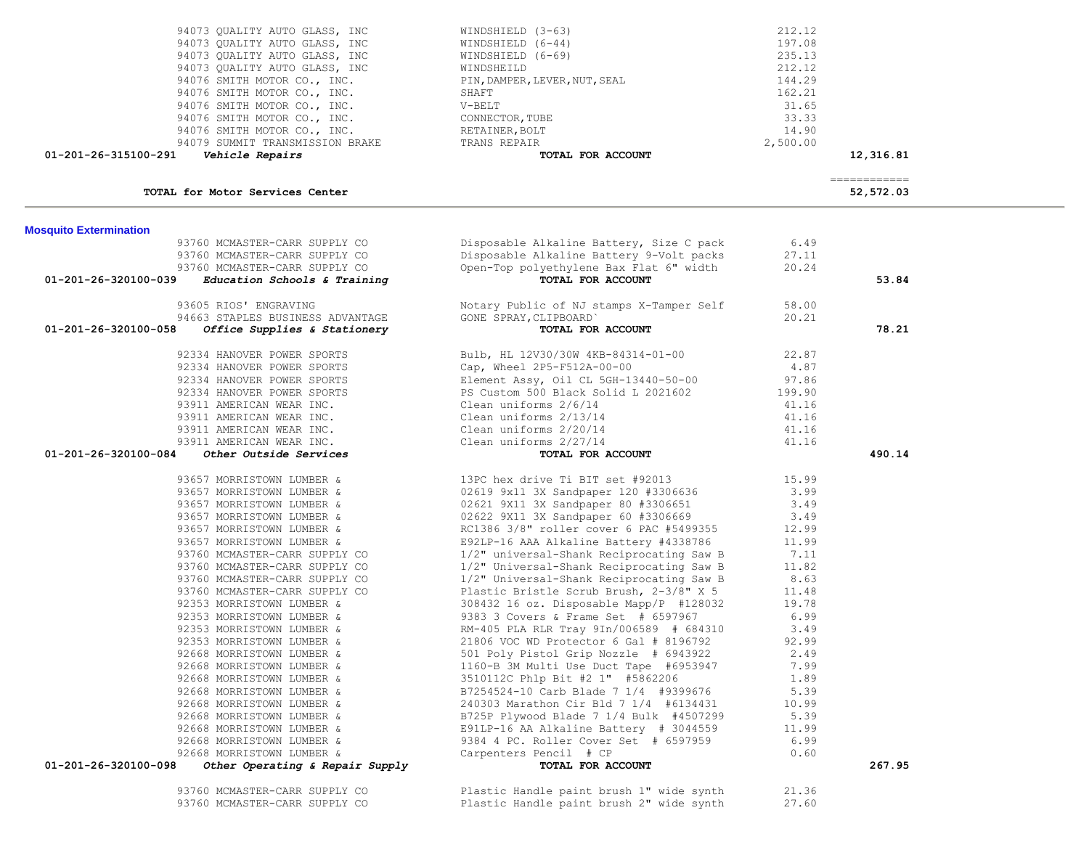| 94076 SMITH MOTOR CO., INC.<br>94076 SMITH MOTOR CO., INC.<br>94079 SUMMIT TRANSMISSION BRAKE TRANS REPAIR | CONNECTOR, TUBE<br>RETAINER, BOLT                                                  | 33.33<br>14.90<br>2,500.00 |                           |  |
|------------------------------------------------------------------------------------------------------------|------------------------------------------------------------------------------------|----------------------------|---------------------------|--|
| 01-201-26-315100-291<br>Vehicle Repairs                                                                    | TOTAL FOR ACCOUNT                                                                  |                            | 12,316.81                 |  |
| TOTAL for Motor Services Center                                                                            |                                                                                    |                            | ============<br>52,572.03 |  |
| <b>Mosquito Extermination</b>                                                                              |                                                                                    |                            |                           |  |
| 93760 MCMASTER-CARR SUPPLY CO                                                                              | Disposable Alkaline Battery, Size C pack                                           | 6.49                       |                           |  |
| 93760 MCMASTER-CARR SUPPLY CO                                                                              | Disposable Alkaline Battery 9-Volt packs                                           | 27.11                      |                           |  |
| 93760 MCMASTER-CARR SUPPLY CO                                                                              | Open-Top polyethylene Bax Flat 6" width                                            | 20.24                      |                           |  |
| 01-201-26-320100-039<br>Education Schools & Training                                                       | TOTAL FOR ACCOUNT                                                                  |                            | 53.84                     |  |
| 93605 RIOS' ENGRAVING                                                                                      | Notary Public of NJ stamps X-Tamper Self                                           | 58.00                      |                           |  |
| 94663 STAPLES BUSINESS ADVANTAGE                                                                           | GONE SPRAY, CLIPBOARD'                                                             | 20.21                      |                           |  |
| 01-201-26-320100-058<br>Office Supplies & Stationery                                                       | <b>LIPBOARD</b><br><b>TOTAL FOR ACCOUNT</b>                                        |                            | 78.21                     |  |
|                                                                                                            |                                                                                    |                            |                           |  |
| 92334 HANOVER POWER SPORTS                                                                                 | Bulb, HL $12V30/30W$ $4KB-84314-01-00$                                             | 22.87                      |                           |  |
| 92334 HANOVER POWER SPORTS                                                                                 | Cap, Wheel 2P5-F512A-00-00                                                         | 4.87                       |                           |  |
| 92334 HANOVER POWER SPORTS                                                                                 | Element Assy, Oil CL 5GH-13440-50-00<br>PS Custom 500 Black Solid L 2021602        | 97.86                      |                           |  |
| 92334 HANOVER POWER SPORTS                                                                                 |                                                                                    | 199.90                     |                           |  |
| 93911 AMERICAN WEAR INC.                                                                                   | Clean uniforms 2/6/14                                                              | 41.16                      |                           |  |
| 93911 AMERICAN WEAR INC.                                                                                   | Clean uniforms 2/13/14<br>Clean uniforms 2/20/14                                   | 41.16<br>41.16             |                           |  |
| 93911 AMERICAN WEAR INC.<br>93911 AMERICAN WEAR INC.                                                       | Clean uniforms 2/27/14                                                             | 41.16                      |                           |  |
| 01-201-26-320100-084<br><b>Other Outside Services</b>                                                      | TOTAL FOR ACCOUNT                                                                  |                            | 490.14                    |  |
|                                                                                                            |                                                                                    |                            |                           |  |
| 93657 MORRISTOWN LUMBER &                                                                                  | 13PC hex drive Ti BIT set #92013                                                   | 15.99                      |                           |  |
| 93657 MORRISTOWN LUMBER &                                                                                  | 02619 9x11 3X Sandpaper 120 #3306636                                               | 3.99                       |                           |  |
| 93657 MORRISTOWN LUMBER &                                                                                  | 02621 9X11 3X Sandpaper 80 #3306651                                                | 3.49                       |                           |  |
| 93657 MORRISTOWN LUMBER &                                                                                  | 02622 9X11 3X Sandpaper 60 #3306669                                                | 3.49                       |                           |  |
| 93657 MORRISTOWN LUMBER &                                                                                  | RC1386 3/8" roller cover 6 PAC #5499355                                            | 12.99                      |                           |  |
| 93657 MORRISTOWN LUMBER &<br>93760 MCMASTER-CARR SUPPLY CO                                                 | E92LP-16 AAA Alkaline Battery #4338786<br>1/2" universal-Shank Reciprocating Saw B | 11.99<br>7.11              |                           |  |
| 93760 MCMASTER-CARR SUPPLY CO                                                                              | 1/2" Universal-Shank Reciprocating Saw B                                           | 11.82                      |                           |  |
| 93760 MCMASTER-CARR SUPPLY CO                                                                              | 1/2" Universal-Shank Reciprocating Saw B                                           | 8.63                       |                           |  |
| 93760 MCMASTER-CARR SUPPLY CO                                                                              | Plastic Bristle Scrub Brush, 2-3/8" X 5                                            | 11.48                      |                           |  |
| 92353 MORRISTOWN LUMBER &                                                                                  | 308432 16 oz. Disposable Mapp/P #128032                                            | 19.78                      |                           |  |
| 92353 MORRISTOWN LUMBER &                                                                                  | 9383 3 Covers & Frame Set # 6597967                                                | 6.99                       |                           |  |
| 92353 MORRISTOWN LUMBER &                                                                                  | RM-405 PLA RLR Tray 9In/006589 # 684310                                            | 3.49                       |                           |  |
| 92353 MORRISTOWN LUMBER &                                                                                  | 21806 VOC WD Protector 6 Gal # 8196792                                             | 92.99                      |                           |  |
| 92668 MORRISTOWN LUMBER &                                                                                  | 501 Poly Pistol Grip Nozzle # 6943922                                              | 2.49                       |                           |  |
| 92668 MORRISTOWN LUMBER &                                                                                  | 1160-B 3M Multi Use Duct Tape #6953947                                             | 7.99                       |                           |  |
| 92668 MORRISTOWN LUMBER &                                                                                  | 3510112C Phlp Bit #2 1" #5862206                                                   | 1.89                       |                           |  |
| 92668 MORRISTOWN LUMBER &                                                                                  | B7254524-10 Carb Blade 7 1/4 #9399676                                              | 5.39                       |                           |  |
| 92668 MORRISTOWN LUMBER &                                                                                  | 240303 Marathon Cir Bld 7 1/4 #6134431                                             | 10.99                      |                           |  |
| 92668 MORRISTOWN LUMBER &<br>92668 MORRISTOWN LUMBER &                                                     | B725P Plywood Blade 7 1/4 Bulk #4507299                                            | 5.39<br>11.99              |                           |  |
| 92668 MORRISTOWN LUMBER &                                                                                  | E91LP-16 AA Alkaline Battery # 3044559<br>9384 4 PC. Roller Cover Set # 6597959    | 6.99                       |                           |  |
| 92668 MORRISTOWN LUMBER &                                                                                  | Carpenters Pencil # CP                                                             | 0.60                       |                           |  |
| 01-201-26-320100-098<br>Other Operating & Repair Supply                                                    | TOTAL FOR ACCOUNT                                                                  |                            | 267.95                    |  |
|                                                                                                            |                                                                                    |                            |                           |  |
| 93760 MCMASTER-CARR SUPPLY CO                                                                              | Plastic Handle paint brush 1" wide synth                                           | 21.36                      |                           |  |
| 93760 MCMASTER-CARR SUPPLY CO                                                                              | Plastic Handle paint brush 2" wide synth                                           | 27.60                      |                           |  |

| Vehicle Repairs                 | TOTAL FOR ACCOUNT             | 12,316   |
|---------------------------------|-------------------------------|----------|
| 94079 SUMMIT TRANSMISSION BRAKE | TRANS REPAIR                  | 2,500.00 |
| 94076 SMITH MOTOR CO., INC.     | RETAINER, BOLT                | 14.90    |
| 94076 SMITH MOTOR CO., INC.     | CONNECTOR, TUBE               | 33.33    |
| 94076 SMITH MOTOR CO., INC.     | V-BELT                        | 31.65    |
| 94076 SMITH MOTOR CO., INC.     | SHAFT                         | 162.21   |
| 94076 SMITH MOTOR CO., INC.     | PIN, DAMPER, LEVER, NUT, SEAL | 144.29   |
| 94073 OUALITY AUTO GLASS, INC   | WINDSHEILD                    | 212.12   |
| 94073 OUALITY AUTO GLASS, INC   | WINDSHIELD (6-69)             | 235.13   |
| 94073 OUALITY AUTO GLASS, INC   | WINDSHIELD $(6-44)$           | 197.08   |
| 94073 OUALITY AUTO GLASS, INC   | WINDSHIELD (3-63)             | 212.12   |
|                                 |                               |          |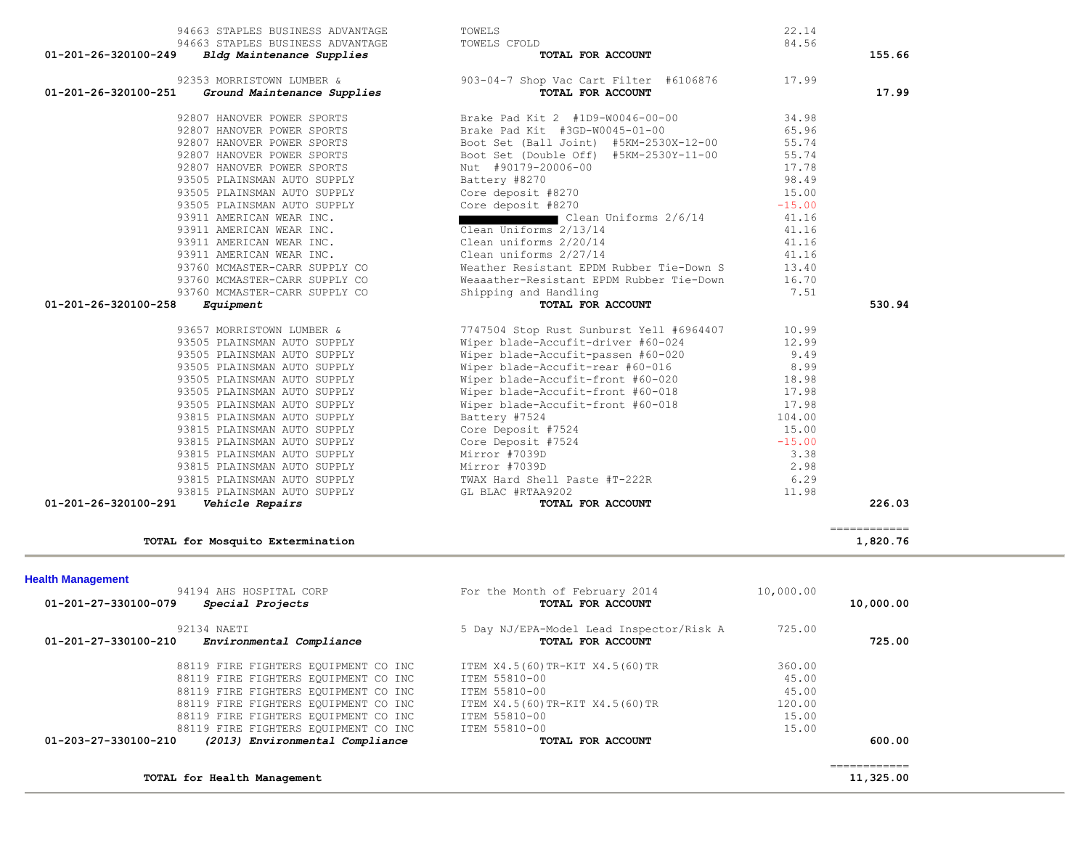| 88119 FIRE FIGHTERS EQUIPMENT CO INC<br>01-203-27-330100-210<br>(2013) Environmental Compliance<br>TOTAL for Health Management |                                                               |                | =============<br>11,325.00  |
|--------------------------------------------------------------------------------------------------------------------------------|---------------------------------------------------------------|----------------|-----------------------------|
|                                                                                                                                |                                                               |                |                             |
|                                                                                                                                |                                                               |                |                             |
|                                                                                                                                | TOTAL FOR ACCOUNT                                             |                | 600.00                      |
| 88119 FIRE FIGHTERS EQUIPMENT CO INC                                                                                           | ITEM 55810-00<br>ITEM 55810-00                                | 15.00<br>15.00 |                             |
| 88119 FIRE FIGHTERS EQUIPMENT CO INC                                                                                           | ITEM X4.5(60)TR-KIT X4.5(60)TR                                | 120.00         |                             |
| 88119 FIRE FIGHTERS EQUIPMENT CO INC                                                                                           | ITEM 55810-00                                                 | 45.00          |                             |
| 88119 FIRE FIGHTERS EQUIPMENT CO INC                                                                                           | ITEM 55810-00                                                 | 45.00          |                             |
| 88119 FIRE FIGHTERS EQUIPMENT CO INC                                                                                           | ITEM X4.5(60)TR-KIT X4.5(60)TR                                | 360.00         |                             |
|                                                                                                                                |                                                               |                |                             |
| 92134 NAETI<br>01-201-27-330100-210<br>Environmental Compliance                                                                | 5 Day NJ/EPA-Model Lead Inspector/Risk A<br>TOTAL FOR ACCOUNT | 725.00         | 725.00                      |
|                                                                                                                                |                                                               |                |                             |
| 01-201-27-330100-079<br>Special Projects                                                                                       | TOTAL FOR ACCOUNT                                             |                | 10,000.00                   |
| <b>Health Management</b><br>94194 AHS HOSPITAL CORP                                                                            | For the Month of February 2014                                | 10,000.00      |                             |
|                                                                                                                                |                                                               |                |                             |
| TOTAL for Mosquito Extermination                                                                                               |                                                               |                | 1,820.76                    |
|                                                                                                                                |                                                               |                | $=$ = = = = = = = = = = = = |
| 01-201-26-320100-291<br>Vehicle Repairs                                                                                        | TOTAL FOR ACCOUNT                                             |                | 226.03                      |
| 93815 PLAINSMAN AUTO SUPPLY                                                                                                    | GL BLAC #RTAA9202                                             | 11.98          |                             |
| 93815 PLAINSMAN AUTO SUPPLY                                                                                                    | TWAX Hard Shell Paste #T-222R                                 | 6.29           |                             |
| 93815 PLAINSMAN AUTO SUPPLY                                                                                                    | Mirror #7039D                                                 | 2.98           |                             |
| 93815 PLAINSMAN AUTO SUPPLY                                                                                                    | Mirror #7039D                                                 | 3.38           |                             |
| 93815 PLAINSMAN AUTO SUPPLY                                                                                                    | Core Deposit #7524                                            | $-15.00$       |                             |
| 93815 PLAINSMAN AUTO SUPPLY                                                                                                    | Core Deposit #7524                                            | 15.00          |                             |
| 93815 PLAINSMAN AUTO SUPPLY                                                                                                    | Battery #7524                                                 | 104.00         |                             |
| 93505 PLAINSMAN AUTO SUPPLY                                                                                                    | Wiper blade-Accufit-front #60-018                             | 17.98          |                             |
| 93505 PLAINSMAN AUTO SUPPLY                                                                                                    | Wiper blade-Accufit-front #60-018                             | 17.98          |                             |
| 93505 PLAINSMAN AUTO SUPPLY                                                                                                    | Wiper blade-Accufit-front #60-020                             | 18.98          |                             |
| 93505 PLAINSMAN AUTO SUPPLY                                                                                                    | Wiper blade-Accufit-rear #60-016                              | 8.99           |                             |
| 93505 PLAINSMAN AUTO SUPPLY                                                                                                    | Wiper blade-Accufit-passen #60-020                            | 9.49           |                             |
| 93505 PLAINSMAN AUTO SUPPLY                                                                                                    | Wiper blade-Accufit-driver #60-024                            | 12.99          |                             |
| 93657 MORRISTOWN LUMBER &                                                                                                      | 7747504 Stop Rust Sunburst Yell #6964407                      | 10.99          |                             |
|                                                                                                                                |                                                               |                |                             |
| 01-201-26-320100-258<br>Equipment                                                                                              | TOTAL FOR ACCOUNT                                             |                | 530.94                      |
| 93760 MCMASTER-CARR SUPPLY CO                                                                                                  | Shipping and Handling                                         | 7.51           |                             |
| 93760 MCMASTER-CARR SUPPLY CO                                                                                                  | Weaaather-Resistant EPDM Rubber Tie-Down                      | 16.70          |                             |
| 93760 MCMASTER-CARR SUPPLY CO                                                                                                  | Weather Resistant EPDM Rubber Tie-Down S                      | 13.40          |                             |
| 93911 AMERICAN WEAR INC.                                                                                                       | Clean uniforms 2/27/14                                        | 41.16          |                             |
|                                                                                                                                | Clean uniforms 2/20/14                                        | 41.16          |                             |
| 93911 AMERICAN WEAR INC.<br>93911 AMERICAN WEAR INC.                                                                           | Clean Uniforms 2/13/14                                        | 41.16          |                             |

| 01-201-26-320100-249 | 94663 STAPLES BUSINESS ADVANTAGE<br>Bldg Maintenance Supplies                 |
|----------------------|-------------------------------------------------------------------------------|
|                      | 92353 MORRISTOWN LUMBER &<br>01-201-26-320100-251 Ground Maintenance Supplies |
|                      | 92807 HANOVER POWER SPORTS                                                    |
|                      | 92807 HANOVER POWER SPORTS                                                    |
|                      | 92807 HANOVER POWER SPORTS                                                    |
|                      | 92807 HANOVER POWER SPORTS                                                    |
|                      | 92807 HANOVER POWER SPORTS                                                    |
|                      | 93505 PLAINSMAN AUTO SUPPLY                                                   |
|                      | 93505 PLAINSMAN AUTO SUPPLY                                                   |
|                      | 93505 PLAINSMAN AUTO SUPPLY                                                   |
|                      | 93911 AMERICAN WEAR INC.                                                      |
|                      | 93911 AMERICAN WEAR INC.                                                      |

|                                | 94663 STAPLES BUSINESS ADVANTAGE                              | TOWELS                                                                                                                                                                                               | 22.14    |        |
|--------------------------------|---------------------------------------------------------------|------------------------------------------------------------------------------------------------------------------------------------------------------------------------------------------------------|----------|--------|
| 01-201-26-320100-249           | 94663 STAPLES BUSINESS ADVANTAGE<br>Bldg Maintenance Supplies | TOWELS CFOLD<br>TOTAL FOR ACCOUNT                                                                                                                                                                    | 84.56    | 155.66 |
|                                |                                                               | 92353 MORRISTOWN LUMBER & 903-04-7 Shop Vac Cart Filter #6106876 17.99                                                                                                                               |          |        |
| $01 - 201 - 26 - 320100 - 251$ | Ground Maintenance Supplies                                   | TOTAL FOR ACCOUNT                                                                                                                                                                                    |          | 17.99  |
|                                | 92807 HANOVER POWER SPORTS                                    | Brake Pad Kit 2 #1D9-W0046-00-00                                                                                                                                                                     | 34.98    |        |
|                                | 92807 HANOVER POWER SPORTS                                    | Brake Pad Kit #3GD-W0045-01-00                                                                                                                                                                       | 65.96    |        |
|                                | 92807 HANOVER POWER SPORTS                                    | Boot Set (Ball Joint) #5KM-2530X-12-00                                                                                                                                                               | 55.74    |        |
|                                | 92807 HANOVER POWER SPORTS                                    | Boot Set (Double Off) #5KM-2530Y-11-00                                                                                                                                                               | 55.74    |        |
|                                | 92807 HANOVER POWER SPORTS                                    |                                                                                                                                                                                                      | 17.78    |        |
|                                | 93505 PLAINSMAN AUTO SUPPLY                                   |                                                                                                                                                                                                      | 98.49    |        |
|                                | 93505 PLAINSMAN AUTO SUPPLY                                   | Boot set (bombo -- )<br>Nut #90179-20006-00<br>Battery #8270<br>Core deposit #8270<br>Core deposit #8270                                                                                             | 15.00    |        |
|                                | 93505 PLAINSMAN AUTO SUPPLY                                   |                                                                                                                                                                                                      | $-15.00$ |        |
|                                | 93911 AMERICAN WEAR INC.                                      | Clean Uniforms 2/6/14                                                                                                                                                                                | 41.16    |        |
|                                | 93911 AMERICAN WEAR INC.                                      | Clean Uniforms 2/13/14                                                                                                                                                                               | 41.16    |        |
|                                | 93911 AMERICAN WEAR INC.                                      | Clean uniforms 2/20/14                                                                                                                                                                               | 41.16    |        |
|                                | 93911 AMERICAN WEAR INC.                                      | Clean uniforms 2/27/14                                                                                                                                                                               | 41.16    |        |
|                                | 93760 MCMASTER-CARR SUPPLY CO                                 | Weather Resistant EPDM Rubber Tie-Down S                                                                                                                                                             | 13.40    |        |
|                                | 93760 MCMASTER-CARR SUPPLY CO                                 | Weaaather-Resistant EPDM Rubber Tie-Down                                                                                                                                                             | 16.70    |        |
|                                | 93760 MCMASTER-CARR SUPPLY CO                                 | Shipping and Handling                                                                                                                                                                                | 7.51     |        |
| 01-201-26-320100-258           | Equipment                                                     | TOTAL FOR ACCOUNT                                                                                                                                                                                    |          | 530.94 |
|                                | 93657 MORRISTOWN LUMBER &                                     | 7747504 Stop Rust Sunburst Yell #6964407 10.99                                                                                                                                                       |          |        |
|                                | 93505 PLAINSMAN AUTO SUPPLY                                   | Wiper blade-Accufit-driver #60-024                                                                                                                                                                   | 12.99    |        |
|                                | 93505 PLAINSMAN AUTO SUPPLY                                   | Wiper blade-Accufit-passen #60-020                                                                                                                                                                   | 9.49     |        |
|                                | 93505 PLAINSMAN AUTO SUPPLY                                   |                                                                                                                                                                                                      | 8.99     |        |
|                                | 93505 PLAINSMAN AUTO SUPPLY                                   |                                                                                                                                                                                                      | 18.98    |        |
|                                | 93505 PLAINSMAN AUTO SUPPLY                                   |                                                                                                                                                                                                      | 17.98    |        |
|                                | 93505 PLAINSMAN AUTO SUPPLY                                   |                                                                                                                                                                                                      | 17.98    |        |
|                                | 93815 PLAINSMAN AUTO SUPPLY                                   | Wiper blade-Accurit-rear #60-016<br>Wiper blade-Accufit-rear #60-016<br>Wiper blade-Accufit-front #60-020<br>Wiper blade-Accufit-front #60-018<br>Wiper blade-Accufit-front #60-018<br>Battery #7524 | 104.00   |        |
|                                | 93815 PLAINSMAN AUTO SUPPLY                                   | Core Deposit #7524                                                                                                                                                                                   | 15.00    |        |
|                                |                                                               |                                                                                                                                                                                                      | $-15.00$ |        |
|                                | 93815 PLAINSMAN AUTO SUPPLY                                   | Core Deposit #7524                                                                                                                                                                                   |          |        |
|                                | 93815 PLAINSMAN AUTO SUPPLY                                   | Mirror #7039D                                                                                                                                                                                        | 3.38     |        |
|                                | 93815 PLAINSMAN AUTO SUPPLY                                   | Mirror #7039D                                                                                                                                                                                        | 2.98     |        |
|                                |                                                               |                                                                                                                                                                                                      | 6.29     |        |
|                                | 93815 PLAINSMAN AUTO SUPPLY<br>93815 PLAINSMAN AUTO SUPPLY    | TWAX Hard Shell Paste #T-222R<br>GL BLAC #RTAA9202                                                                                                                                                   | 11.98    |        |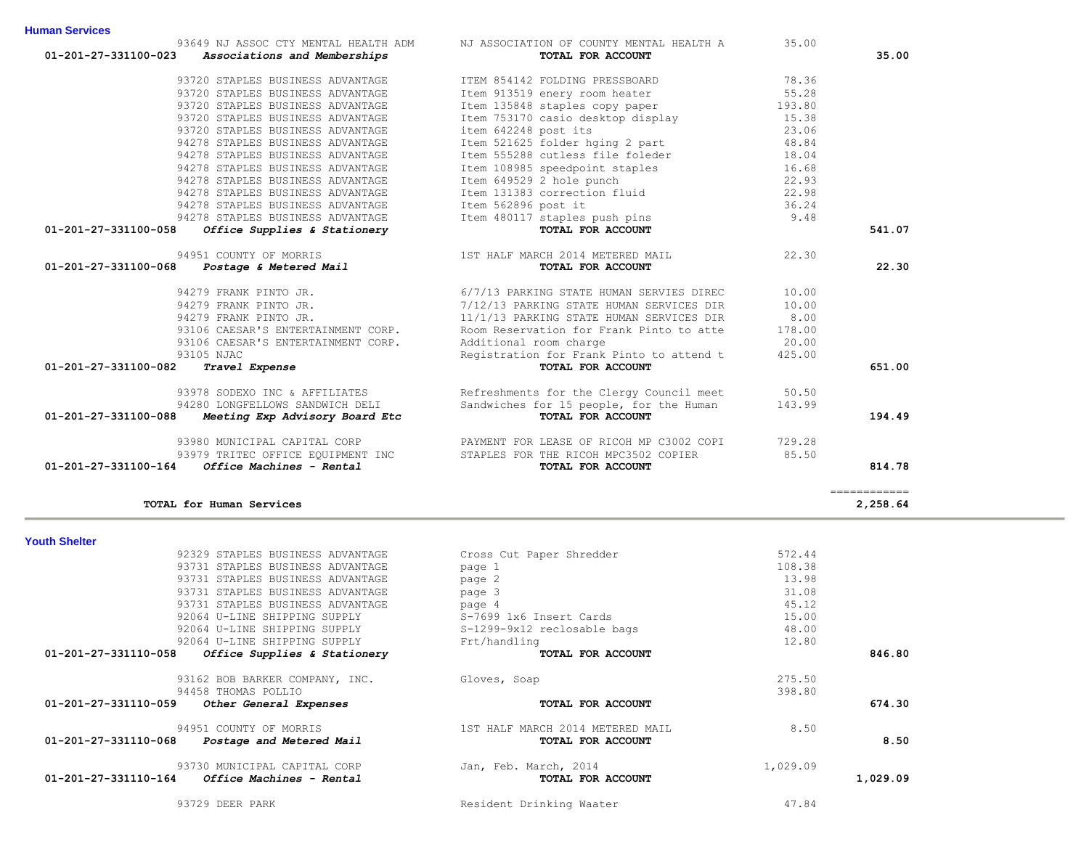| TOTAL for Human Services                             |                                  |          | 2,258.64 |
|------------------------------------------------------|----------------------------------|----------|----------|
| <b>Youth Shelter</b>                                 |                                  |          |          |
| 92329 STAPLES BUSINESS ADVANTAGE                     | Cross Cut Paper Shredder         | 572.44   |          |
| 93731 STAPLES BUSINESS ADVANTAGE                     | page 1                           | 108.38   |          |
| 93731 STAPLES BUSINESS ADVANTAGE                     | page 2                           | 13.98    |          |
| 93731 STAPLES BUSINESS ADVANTAGE                     | page 3                           | 31.08    |          |
| 93731 STAPLES BUSINESS ADVANTAGE                     | page 4                           | 45.12    |          |
| 92064 U-LINE SHIPPING SUPPLY                         | S-7699 1x6 Insert Cards          | 15.00    |          |
| 92064 U-LINE SHIPPING SUPPLY                         | S-1299-9x12 reclosable bags      | 48.00    |          |
| 92064 U-LINE SHIPPING SUPPLY                         | Frt/handling                     | 12.80    |          |
| 01-201-27-331110-058<br>Office Supplies & Stationery | TOTAL FOR ACCOUNT                |          | 846.80   |
| 93162 BOB BARKER COMPANY, INC.                       | Gloves, Soap                     | 275.50   |          |
| 94458 THOMAS POLLIO                                  |                                  | 398.80   |          |
| 01-201-27-331110-059<br>Other General Expenses       | TOTAL FOR ACCOUNT                |          | 674.30   |
| 94951 COUNTY OF MORRIS                               | 1ST HALF MARCH 2014 METERED MAIL | 8.50     |          |
| 01-201-27-331110-068<br>Postage and Metered Mail     | TOTAL FOR ACCOUNT                |          | 8.50     |
| 93730 MUNICIPAL CAPITAL CORP                         | Jan, Feb. March, 2014            | 1,029.09 |          |
| 01-201-27-331110-164<br>Office Machines - Rental     | TOTAL FOR ACCOUNT                |          | 1,029.09 |
| 93729 DEER PARK                                      | Resident Drinking Waater         | 47.84    |          |

# **Youth Shelter**

|                          | ____________<br>____________ |
|--------------------------|------------------------------|
| TOTAL for Human Services | 2,258.64                     |

| 93649 NJ ASSOC CTY MENTAL HEALTH ADM                                                                                                                  | NJ ASSOCIATION OF COUNTY MENTAL HEALTH A                 | 35.00  |        |
|-------------------------------------------------------------------------------------------------------------------------------------------------------|----------------------------------------------------------|--------|--------|
| 01-201-27-331100-023 Associations and Memberships                                                                                                     | TOTAL FOR ACCOUNT                                        |        | 35.00  |
| 93720 STAPLES BUSINESS ADVANTAGE                                                                                                                      | ITEM 854142 FOLDING PRESSBOARD 78.36                     |        |        |
| 93720 STAPLES BUSINESS ADVANTAGE                                                                                                                      | Item 913519 enery room heater                            | 55.28  |        |
| 93720 STAPLES BUSINESS ADVANTAGE                                                                                                                      | Item 135848 staples copy paper                           | 193.80 |        |
| 93720 STAPLES BUSINESS ADVANTAGE                                                                                                                      | Item 753170 casio desktop display                        | 15.38  |        |
| 93720 STAPLES BUSINESS ADVANTAGE                                                                                                                      | item 642248 post its                                     | 23.06  |        |
| 94278 STAPLES BUSINESS ADVANTAGE                                                                                                                      | Item 521625 folder hging 2 part                          | 48.84  |        |
| 94278 STAPLES BUSINESS ADVANTAGE                                                                                                                      | Item 555288 cutless file foleder                         | 18.04  |        |
| 94278 STAPLES BUSINESS ADVANTAGE                                                                                                                      | Item 108985 speedpoint staples                           | 16.68  |        |
| 94278 STAPLES BUSINESS ADVANTAGE                                                                                                                      |                                                          | 22.93  |        |
| 94278 STAPLES BUSINESS ADVANTAGE                                                                                                                      | Item 649529 2 hole punch<br>Item 131383 correction fluid | 22.98  |        |
| 94278 STAPLES BUSINESS ADVANTAGE                                                                                                                      | Item 562896 post it                                      | 36.24  |        |
| 94278 STAPLES BUSINESS ADVANTAGE                                                                                                                      | Item 480117 staples push pins                            | 9.48   |        |
| Office Supplies & Stationery<br>01-201-27-331100-058                                                                                                  | TOTAL FOR ACCOUNT                                        |        | 541.07 |
|                                                                                                                                                       |                                                          | 22.30  |        |
| 94951 COUNTY OF MORRIS 1ST HALF MARCH 2014 METERED MAIL 01-201-27-331100-068 <i>Postage &amp; Metered Mail</i> 15T HALF MARCH 2014 <b>FOR ACCOUNT</b> |                                                          |        | 22.30  |
| 94279 FRANK PINTO JR.                                                                                                                                 | 6/7/13 PARKING STATE HUMAN SERVIES DIREC                 | 10.00  |        |
| 94279 FRANK PINTO JR.                                                                                                                                 | 7/12/13 PARKING STATE HUMAN SERVICES DIR                 | 10.00  |        |
| 94279 FRANK PINTO JR.                                                                                                                                 | 11/1/13 PARKING STATE HUMAN SERVICES DIR                 | 8.00   |        |
| 93106 CAESAR'S ENTERTAINMENT CORP.                                                                                                                    | Room Reservation for Frank Pinto to atte                 | 178.00 |        |
| 93106 CAESAR'S ENTERTAINMENT CORP.                                                                                                                    | Additional room charge                                   | 20.00  |        |
| 93105 NJAC                                                                                                                                            | Registration for Frank Pinto to attend t                 | 425.00 |        |
| 01-201-27-331100-082<br>Travel Expense                                                                                                                | TOTAL FOR ACCOUNT                                        |        | 651.00 |
| 93978 SODEXO INC & AFFILIATES                                                                                                                         | Refreshments for the Clergy Council meet 50.50           |        |        |
| 94280 LONGFELLOWS SANDWICH DELI                                                                                                                       | Sandwiches for 15 people, for the Human                  | 143.99 |        |
| 01-201-27-331100-088<br>Meeting Exp Advisory Board Etc                                                                                                | TOTAL FOR ACCOUNT                                        |        | 194.49 |
| 93980 MUNICIPAL CAPITAL CORP                                                                                                                          | PAYMENT FOR LEASE OF RICOH MP C3002 COPI                 | 729.28 |        |
| 93979 TRITEC OFFICE EQUIPMENT INC                                                                                                                     | STAPLES FOR THE RICOH MPC3502 COPIER                     | 85.50  |        |
| Office Machines - Rental<br>01-201-27-331100-164                                                                                                      | TOTAL FOR ACCOUNT                                        |        | 814.78 |
|                                                                                                                                                       |                                                          |        |        |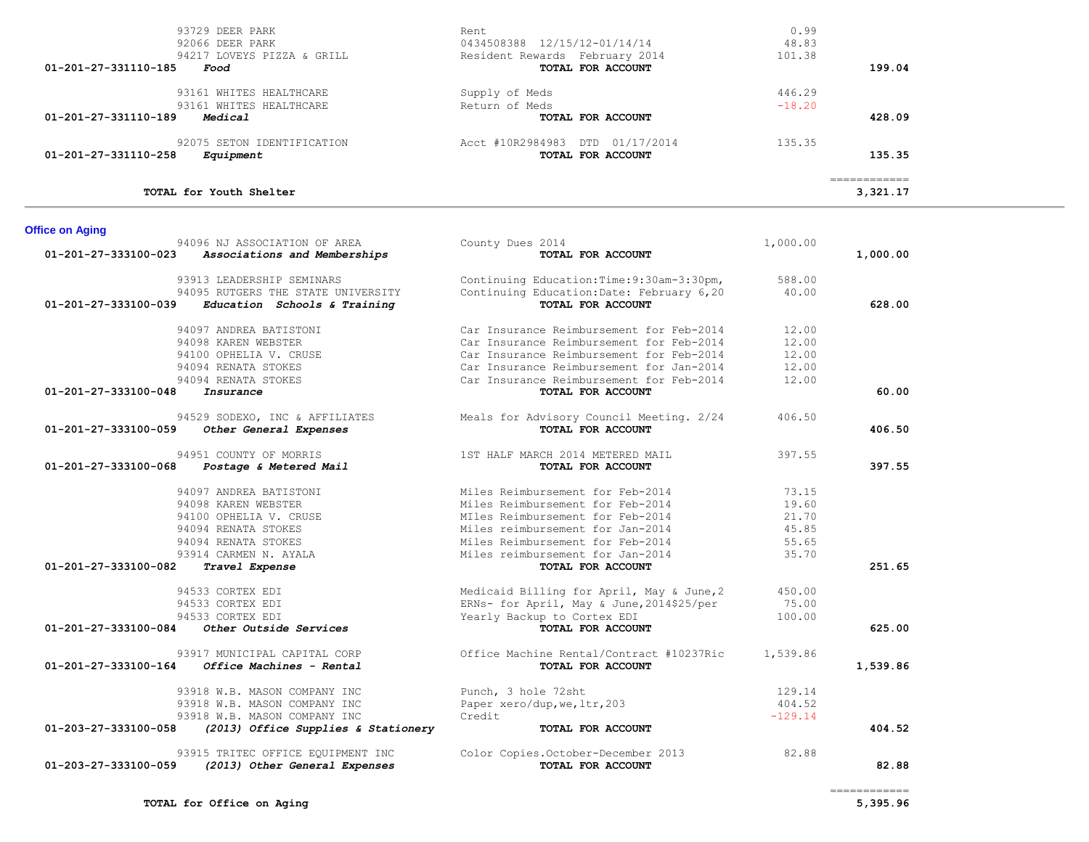| 93729 DEER PARK                                      | Rent.                                      | 0.99     |              |  |
|------------------------------------------------------|--------------------------------------------|----------|--------------|--|
| 92066 DEER PARK                                      | 0434508388 12/15/12-01/14/14               | 48.83    |              |  |
| 94217 LOVEYS PIZZA & GRILL                           | Resident Rewards February 2014             | 101.38   |              |  |
| 01-201-27-331110-185<br>Food                         | TOTAL FOR ACCOUNT                          |          | 199.04       |  |
| 93161 WHITES HEALTHCARE                              | Supply of Meds                             | 446.29   |              |  |
| 93161 WHITES HEALTHCARE                              | Return of Meds                             | $-18.20$ |              |  |
| 01-201-27-331110-189<br>Medical                      | TOTAL FOR ACCOUNT                          |          | 428.09       |  |
| 92075 SETON IDENTIFICATION                           | Acct #10R2984983<br>01/17/2014<br>DTD      | 135.35   |              |  |
| 01-201-27-331110-258<br>Equipment                    | TOTAL FOR ACCOUNT                          |          | 135.35       |  |
|                                                      |                                            |          | ============ |  |
| TOTAL for Youth Shelter                              |                                            |          | 3,321.17     |  |
| <b>Office on Aging</b>                               |                                            |          |              |  |
| 94096 NJ ASSOCIATION OF AREA                         | County Dues 2014                           | 1,000.00 |              |  |
| 01-201-27-333100-023<br>Associations and Memberships | TOTAL FOR ACCOUNT                          |          | 1,000.00     |  |
| 93913 LEADERSHIP SEMINARS                            | Continuing Education: Time: 9:30am-3:30pm, | 588.00   |              |  |
| 94095 RUTGERS THE STATE UNIVERSITY                   | Continuing Education: Date: February 6,20  | 40.00    |              |  |
| 01-201-27-333100-039<br>Education Schools & Training | TOTAL FOR ACCOUNT                          |          | 628.00       |  |

 94097 ANDREA BATISTONI Car Insurance Reimbursement for Feb-2014 12.00 94098 KAREN WEBSTER Car Insurance Reimbursement for Feb-2014 12.00 94100 OPHELIA V. CRUSE Car Insurance Reimbursement for Feb-2014 12.00

94529 SODEXO, INC & AFFILIATES Meals for Advisory Council Meeting.  $2/24$  406.50  **01-201-27-333100-059** *Other General Expenses* **TOTAL FOR ACCOUNT 406.50**

94951 COUNTY OF MORRIS THE STRAIN WARCH 2014 METERED MAIL 397.55  **01-201-27-333100-068** *Postage & Metered Mail* **TOTAL FOR ACCOUNT 397.55**

94097 ANDREA BATISTONI Miles Reimbursement for Feb-2014 73.15

94533 CORTEX EDI **Medicaid Billing for April, May & June, 2** 450.00 94533 CORTEX EDI ERNs- for April, May & June,2014\$25/per 75.00

93917 MUNICIPAL CAPITAL CORP 0ffice Machine Rental/Contract #10237Ric 1,539.86  **01-201-27-333100-164** *Office Machines - Rental* **TOTAL FOR ACCOUNT 1,539.86**

93918 W.B. MASON COMPANY INC Punch, 3 hole 72sht 129.14 93918 W.B. MASON COMPANY INC Paper xero/dup,we,ltr,203 404.52 93918 W.B. MASON COMPANY INC Credit Credit Credit -129.14  **01-203-27-333100-058** *(2013) Office Supplies & Stationery* **TOTAL FOR ACCOUNT 404.52**

 93915 TRITEC OFFICE EQUIPMENT INC Color Copies.October-December 2013 82.88  **01-203-27-333100-059** *(2013) Other General Expenses* **TOTAL FOR ACCOUNT 82.88**

Yearly Backup to Cortex EDI

 **01-201-27-333100-082** *Travel Expense* **TOTAL FOR ACCOUNT 251.65**

 **01-201-27-333100-084** *Other Outside Services* **TOTAL FOR ACCOUNT 625.00**

 **01-201-27-333100-048** *Insurance* **TOTAL FOR ACCOUNT 60.00**

 94094 RENATA STOKES Car Insurance Reimbursement for Jan-2014 12.00 94094 RENATA STOKES Car Insurance Reimbursement for Feb-2014 12.00

 94098 KAREN WEBSTER Miles Reimbursement for Feb-2014 19.60 94100 OPHELIA V. CRUSE MILes Reimbursement for Feb-2014 21.70 94094 RENATA STOKES Miles reimbursement for Jan-2014 45.85 94094 RENATA STOKES Miles Reimbursement for Feb-2014 55.65 93914 CARMEN N. AYALA Miles reimbursement for Jan-2014 35.70

============

**TOTAL for Office on Aging 5,395.96**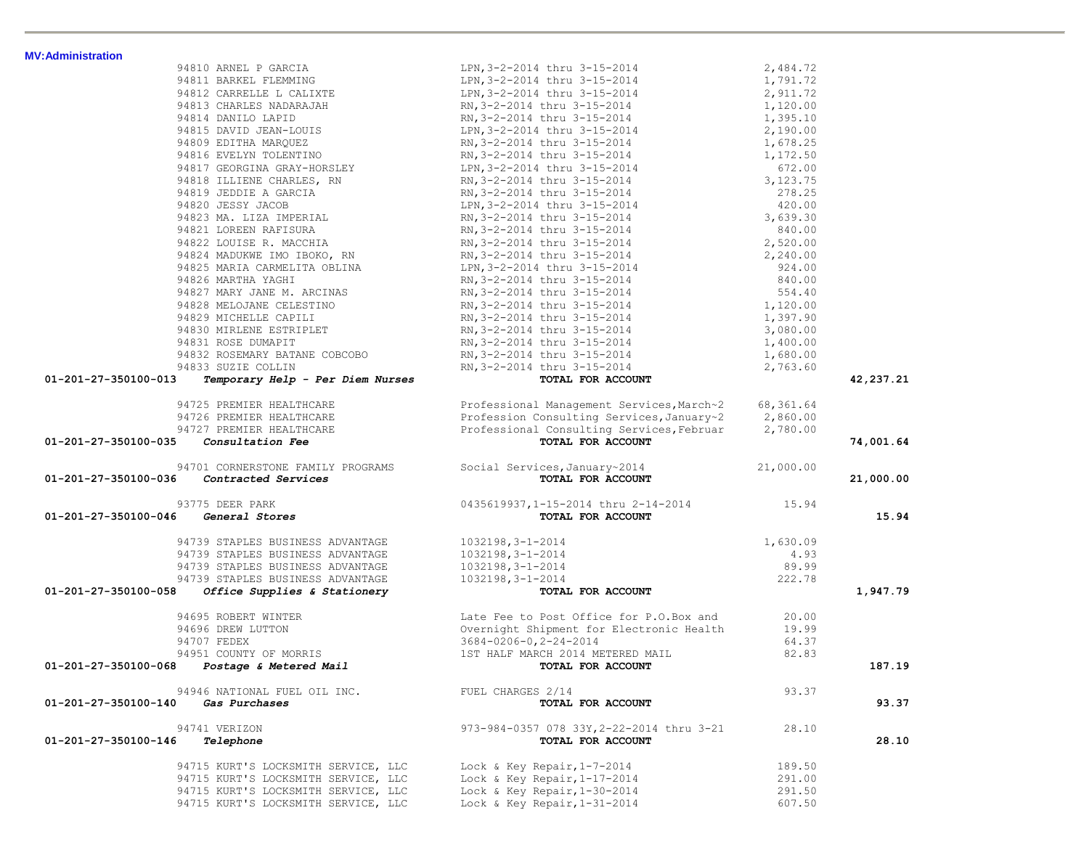| <b>MV:Administration</b> |                                                                         | 94810 ARNEL PORCIA DENTRICA DE ANGli 2-15-2014<br>94811 ARNEL PLEMENT DE REVISSE (1994-172)<br>94812 CARRELLE LOALIXTE DENTRICAL BRANCH DENTRICAL STRAIGHT (1991-72)<br>94813 CHARLES NADARAJAH RRAY 3-2-2014 thru 3-15-2014<br>94814                  |        |             |
|--------------------------|-------------------------------------------------------------------------|--------------------------------------------------------------------------------------------------------------------------------------------------------------------------------------------------------------------------------------------------------|--------|-------------|
|                          |                                                                         |                                                                                                                                                                                                                                                        |        |             |
|                          |                                                                         |                                                                                                                                                                                                                                                        |        |             |
|                          |                                                                         |                                                                                                                                                                                                                                                        |        |             |
|                          |                                                                         |                                                                                                                                                                                                                                                        |        |             |
|                          |                                                                         |                                                                                                                                                                                                                                                        |        |             |
|                          |                                                                         |                                                                                                                                                                                                                                                        |        |             |
|                          |                                                                         |                                                                                                                                                                                                                                                        |        |             |
|                          |                                                                         |                                                                                                                                                                                                                                                        |        |             |
|                          |                                                                         |                                                                                                                                                                                                                                                        |        |             |
|                          |                                                                         |                                                                                                                                                                                                                                                        |        |             |
|                          |                                                                         |                                                                                                                                                                                                                                                        |        |             |
|                          |                                                                         |                                                                                                                                                                                                                                                        |        |             |
|                          |                                                                         |                                                                                                                                                                                                                                                        |        |             |
|                          |                                                                         |                                                                                                                                                                                                                                                        |        |             |
|                          |                                                                         |                                                                                                                                                                                                                                                        |        |             |
|                          |                                                                         |                                                                                                                                                                                                                                                        |        |             |
|                          |                                                                         |                                                                                                                                                                                                                                                        |        |             |
|                          |                                                                         |                                                                                                                                                                                                                                                        |        |             |
|                          |                                                                         |                                                                                                                                                                                                                                                        |        |             |
|                          |                                                                         |                                                                                                                                                                                                                                                        |        |             |
|                          |                                                                         |                                                                                                                                                                                                                                                        |        |             |
|                          |                                                                         |                                                                                                                                                                                                                                                        |        |             |
|                          |                                                                         |                                                                                                                                                                                                                                                        |        |             |
|                          |                                                                         |                                                                                                                                                                                                                                                        |        |             |
| 01-201-27-350100-013     |                                                                         |                                                                                                                                                                                                                                                        |        | 42, 237. 21 |
|                          |                                                                         |                                                                                                                                                                                                                                                        |        |             |
|                          |                                                                         |                                                                                                                                                                                                                                                        |        |             |
|                          |                                                                         |                                                                                                                                                                                                                                                        |        |             |
|                          |                                                                         |                                                                                                                                                                                                                                                        |        |             |
|                          | $01 - 201 - 27 - 350100 - 035$ Consultation Fee                         | TOTAL FOR ACCOUNT                                                                                                                                                                                                                                      |        | 74,001.64   |
|                          |                                                                         |                                                                                                                                                                                                                                                        |        |             |
|                          |                                                                         |                                                                                                                                                                                                                                                        |        |             |
|                          | 01-201-27-350100-036    Contracted Services                             | 94701 CORNERSTONE FAMILY PROGRAMS Social Services, January~2014 21,000.00<br>5 <b>Contracted Services COUNT</b>                                                                                                                                        |        | 21,000.00   |
|                          |                                                                         |                                                                                                                                                                                                                                                        |        |             |
|                          |                                                                         | 93775 DEER PARK 0435619937,1-15-2014 thru 2-14-2014 15.94 01-201-27-350100-046 General Stores                                                                                                                                                          |        |             |
|                          |                                                                         |                                                                                                                                                                                                                                                        |        | 15.94       |
|                          |                                                                         |                                                                                                                                                                                                                                                        |        |             |
|                          |                                                                         |                                                                                                                                                                                                                                                        |        |             |
|                          |                                                                         |                                                                                                                                                                                                                                                        |        |             |
|                          |                                                                         |                                                                                                                                                                                                                                                        |        |             |
|                          |                                                                         |                                                                                                                                                                                                                                                        |        | 1,947.79    |
|                          | $01-201-27-350100-058$ Office Supplies & Stationery                     | 94739 STAPLES BUSINESS ADVANTAGE 1032198, 3-1-2014<br>94739 STAPLES BUSINESS ADVANTAGE 1032198, 3-1-2014<br>94739 STAPLES BUSINESS ADVANTAGE 1032198, 3-1-2014<br>94739 STAPLES BUSINESS ADVANTAGE 1032198, 3-1-2014<br>94739 STAPLES                  |        |             |
|                          |                                                                         | 94695 ROBERT WINTER<br>94707 FEDEX<br>94707 FEDEX<br>94707 FEDEX<br>94707 FEDEX<br>94951 COUNTY OF MORRIS<br>94951 COUNTY OF MORRIS<br>94951 COUNTY OF MORRIS<br>964.37<br>9714 METERED MAIL<br>9714 METERED MAIL<br>9714 METERED MAIL<br>9714 METERED |        |             |
|                          |                                                                         |                                                                                                                                                                                                                                                        |        |             |
|                          |                                                                         |                                                                                                                                                                                                                                                        |        |             |
|                          |                                                                         |                                                                                                                                                                                                                                                        |        |             |
|                          | $01-201-27-350100-068$ Postage & Metered Mail $0.201-201-27-350100-068$ |                                                                                                                                                                                                                                                        |        | 187.19      |
|                          |                                                                         |                                                                                                                                                                                                                                                        |        |             |
|                          | 94946 NATIONAL FUEL OIL INC.                                            | FUEL CHARGES 2/14                                                                                                                                                                                                                                      | 93.37  |             |
| 01-201-27-350100-140     | Gas Purchases                                                           | TOTAL FOR ACCOUNT                                                                                                                                                                                                                                      |        | 93.37       |
|                          |                                                                         |                                                                                                                                                                                                                                                        |        |             |
|                          | 94741 VERIZON                                                           | 973-984-0357 078 33Y, 2-22-2014 thru 3-21                                                                                                                                                                                                              | 28.10  |             |
| 01-201-27-350100-146     | Telephone                                                               | TOTAL FOR ACCOUNT                                                                                                                                                                                                                                      |        | 28.10       |
|                          |                                                                         |                                                                                                                                                                                                                                                        |        |             |
|                          | 94715 KURT'S LOCKSMITH SERVICE, LLC                                     | Lock & Key Repair, $1-7-2014$                                                                                                                                                                                                                          | 189.50 |             |
|                          | 94715 KURT'S LOCKSMITH SERVICE, LLC                                     | Lock & Key Repair, $1-17-2014$                                                                                                                                                                                                                         | 291.00 |             |
|                          | 94715 KURT'S LOCKSMITH SERVICE, LLC                                     | Lock & Key Repair, $1-30-2014$                                                                                                                                                                                                                         | 291.50 |             |
|                          | 94715 KURT'S LOCKSMITH SERVICE, LLC                                     | Lock & Key Repair, $1-31-2014$                                                                                                                                                                                                                         | 607.50 |             |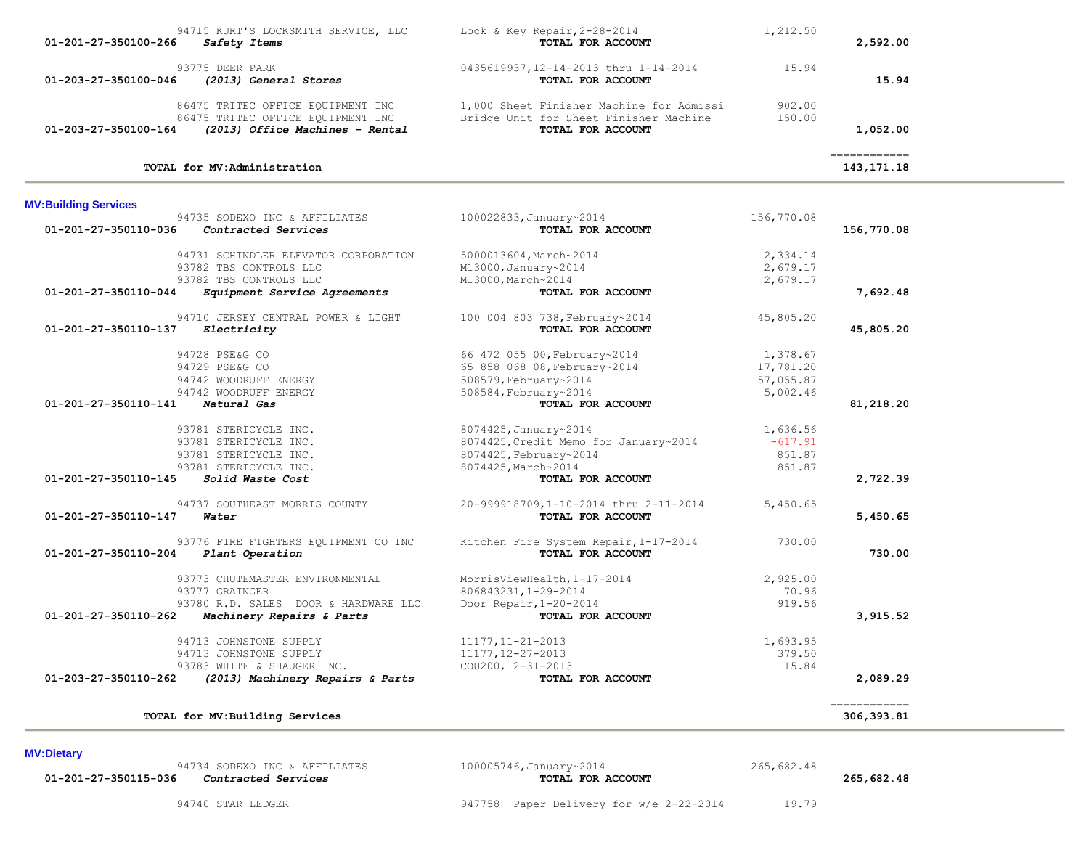| 94715 KURT'S LOCKSMITH SERVICE, LLC<br>01-201-27-350100-266<br>Safety Items                                                                    | Lock & Key Repair, $2-28-2014$<br>TOTAL FOR ACCOUNT                                                             | 1,212.50                                       | 2,592.00                                                                                                                                                                                                                                                                                                                                                                                                                                            |  |
|------------------------------------------------------------------------------------------------------------------------------------------------|-----------------------------------------------------------------------------------------------------------------|------------------------------------------------|-----------------------------------------------------------------------------------------------------------------------------------------------------------------------------------------------------------------------------------------------------------------------------------------------------------------------------------------------------------------------------------------------------------------------------------------------------|--|
| 93775 DEER PARK<br>(2013) General Stores<br>01-203-27-350100-046                                                                               | 0435619937, 12-14-2013 thru 1-14-2014<br>TOTAL FOR ACCOUNT                                                      | 15.94                                          | 15.94                                                                                                                                                                                                                                                                                                                                                                                                                                               |  |
| 86475 TRITEC OFFICE EQUIPMENT INC<br>86475 TRITEC OFFICE EQUIPMENT INC<br>(2013) Office Machines - Rental<br>01-203-27-350100-164              | 1,000 Sheet Finisher Machine for Admissi<br>Bridge Unit for Sheet Finisher Machine<br>TOTAL FOR ACCOUNT         | 902.00<br>150.00                               | 1,052.00                                                                                                                                                                                                                                                                                                                                                                                                                                            |  |
| TOTAL for MV:Administration                                                                                                                    |                                                                                                                 |                                                | $\begin{array}{cccccc} \texttt{m} & \texttt{m} & \texttt{m} & \texttt{m} & \texttt{m} & \texttt{m} & \texttt{m} & \texttt{m} & \texttt{m} & \texttt{m} & \texttt{m} & \texttt{m} & \texttt{m} & \texttt{m} & \texttt{m} & \texttt{m} & \texttt{m} & \texttt{m} & \texttt{m} & \texttt{m} & \texttt{m} & \texttt{m} & \texttt{m} & \texttt{m} & \texttt{m} & \texttt{m} & \texttt{m} & \texttt{m} & \texttt{m} & \texttt{m} & \text$<br>143, 171. 18 |  |
| <b>MV:Building Services</b>                                                                                                                    |                                                                                                                 |                                                |                                                                                                                                                                                                                                                                                                                                                                                                                                                     |  |
| 94735 SODEXO INC & AFFILIATES<br>$01-201-27-350110-036$ Contracted Services                                                                    | 100022833, January~2014<br>TOTAL FOR ACCOUNT                                                                    | 156,770.08                                     | 156,770.08                                                                                                                                                                                                                                                                                                                                                                                                                                          |  |
| 94731 SCHINDLER ELEVATOR CORPORATION<br>93782 TBS CONTROLS LLC                                                                                 | 5000013604, March~2014<br>M13000, January~2014                                                                  | 2,334.14<br>2,679.17                           |                                                                                                                                                                                                                                                                                                                                                                                                                                                     |  |
| 93782 TBS CONTROLS LLC<br>01-201-27-350110-044<br>Equipment Service Agreements                                                                 | M13000, March~2014<br>TOTAL FOR ACCOUNT                                                                         | 2,679.17                                       | 7,692.48                                                                                                                                                                                                                                                                                                                                                                                                                                            |  |
| 94710 JERSEY CENTRAL POWER & LIGHT<br>Electricity<br>01-201-27-350110-137                                                                      | 100 004 803 738, February~2014<br>TOTAL FOR ACCOUNT                                                             | 45,805.20                                      | 45,805.20                                                                                                                                                                                                                                                                                                                                                                                                                                           |  |
| 94728 PSE&G CO<br>94729 PSE&G CO<br>94742 WOODRUFF ENERGY<br>94742 WOODRUFF ENERGY                                                             | 66 472 055 00, February~2014<br>65 858 068 08, February~2014<br>508579, February~2014<br>508584, February~2014  | 1,378.67<br>17,781.20<br>57,055.87<br>5,002.46 |                                                                                                                                                                                                                                                                                                                                                                                                                                                     |  |
| 01-201-27-350110-141<br>Natural Gas                                                                                                            | TOTAL FOR ACCOUNT                                                                                               |                                                | 81,218.20                                                                                                                                                                                                                                                                                                                                                                                                                                           |  |
| 93781 STERICYCLE INC.<br>93781 STERICYCLE INC.<br>93781 STERICYCLE INC.<br>93781 STERICYCLE INC.                                               | 8074425, January~2014<br>8074425, Credit Memo for January~2014<br>8074425, February~2014<br>8074425, March~2014 | 1,636.56<br>$-617.91$<br>851.87<br>851.87      |                                                                                                                                                                                                                                                                                                                                                                                                                                                     |  |
| 01-201-27-350110-145 Solid Waste Cost                                                                                                          | TOTAL FOR ACCOUNT                                                                                               |                                                | 2,722.39                                                                                                                                                                                                                                                                                                                                                                                                                                            |  |
| 94737 SOUTHEAST MORRIS COUNTY<br>01-201-27-350110-147<br>Water                                                                                 | 20-999918709,1-10-2014 thru 2-11-2014<br>TOTAL FOR ACCOUNT                                                      | 5,450.65                                       | 5,450.65                                                                                                                                                                                                                                                                                                                                                                                                                                            |  |
| 93776 FIRE FIGHTERS EQUIPMENT CO INC<br>01-201-27-350110-204 Plant Operation                                                                   | Kitchen Fire System Repair, 1-17-2014<br>TOTAL FOR ACCOUNT                                                      | 730.00                                         | 730.00                                                                                                                                                                                                                                                                                                                                                                                                                                              |  |
| 93773 CHUTEMASTER ENVIRONMENTAL<br>93777 GRAINGER<br>93780 R.D. SALES DOOR & HARDWARE LLC<br>01-201-27-350110-262<br>Machinery Repairs & Parts | MorrisViewHealth, 1-17-2014<br>806843231, 1-29-2014<br>Door Repair, $1-20-2014$<br>TOTAL FOR ACCOUNT            | 2,925.00<br>70.96<br>919.56                    | 3,915.52                                                                                                                                                                                                                                                                                                                                                                                                                                            |  |
| 94713 JOHNSTONE SUPPLY<br>94713 JOHNSTONE SUPPLY<br>93783 WHITE & SHAUGER INC.<br>(2013) Machinery Repairs & Parts<br>01-203-27-350110-262     | 11177, 11-21-2013<br>11177, 12-27-2013<br>$COU200, 12 - 31 - 2013$<br>TOTAL FOR ACCOUNT                         | 1,693.95<br>379.50<br>15.84                    | 2,089.29                                                                                                                                                                                                                                                                                                                                                                                                                                            |  |
| TOTAL for MV: Building Services                                                                                                                |                                                                                                                 |                                                | =============<br>306,393.81                                                                                                                                                                                                                                                                                                                                                                                                                         |  |

**MV:Dietary** 

 **01-201-27-350115-036** *Contracted Services* **TOTAL FOR ACCOUNT 265,682.48**

94734 SODEXO INC & AFFILIATES 100005746,January~2014 265,682.48<br>**Contracted Services 100005746,January~2014 265,682.48** 

94740 STAR LEDGER 947758 Paper Delivery for w/e 2-22-2014 19.79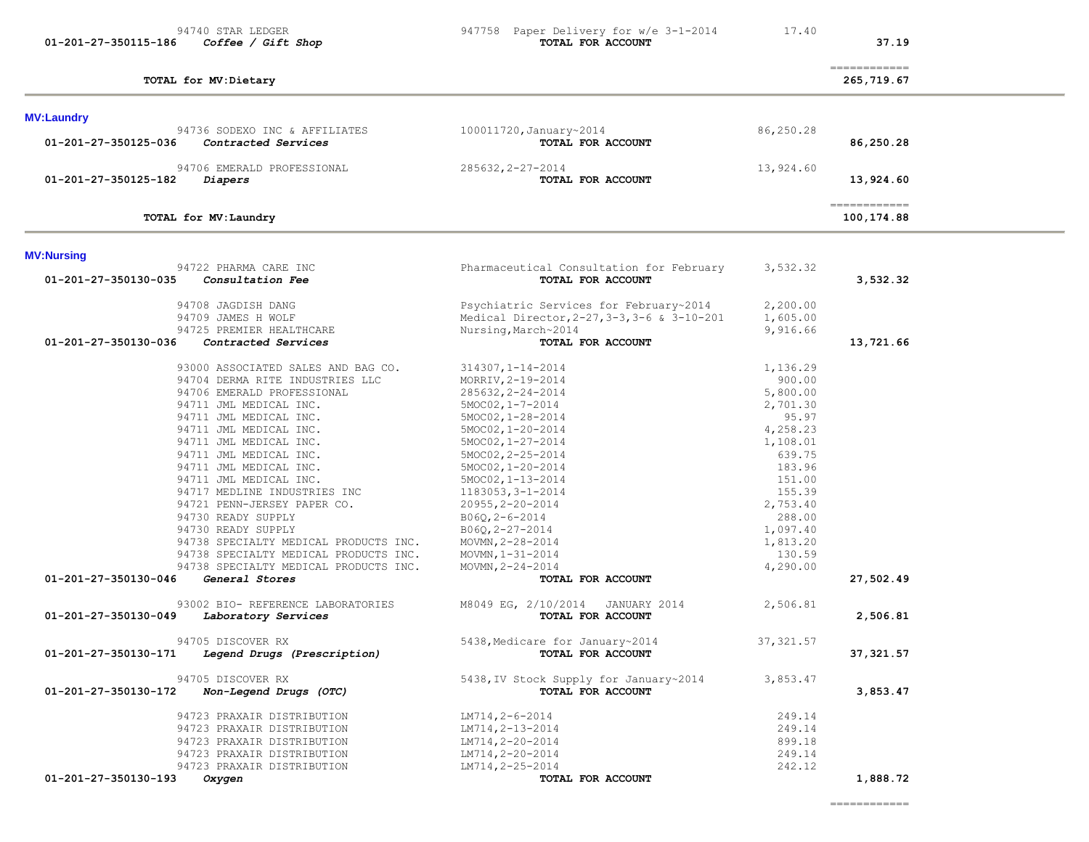============

| TOTAL for MV: Laundry                               |                                             |            | ============<br>100,174.88 |
|-----------------------------------------------------|---------------------------------------------|------------|----------------------------|
| <b>MV:Nursing</b>                                   |                                             |            |                            |
| 94722 PHARMA CARE INC                               | Pharmaceutical Consultation for February    | 3,532.32   |                            |
| 01-201-27-350130-035<br>Consultation Fee            | TOTAL FOR ACCOUNT                           |            | 3,532.32                   |
| 94708 JAGDISH DANG                                  | Psychiatric Services for February~2014      | 2,200.00   |                            |
| 94709 JAMES H WOLF                                  | Medical Director, 2-27, 3-3, 3-6 & 3-10-201 | 1,605.00   |                            |
| 94725 PREMIER HEALTHCARE                            | Nursing, March~2014                         | 9,916.66   |                            |
| 01-201-27-350130-036<br>Contracted Services         | TOTAL FOR ACCOUNT                           |            | 13,721.66                  |
| 93000 ASSOCIATED SALES AND BAG CO.                  | $314307, 1 - 14 - 2014$                     | 1,136.29   |                            |
| 94704 DERMA RITE INDUSTRIES LLC                     | MORRIV, 2-19-2014                           | 900.00     |                            |
| 94706 EMERALD PROFESSIONAL                          | $285632, 2 - 24 - 2014$                     | 5,800.00   |                            |
| 94711 JML MEDICAL INC.                              | 5MOC02, 1-7-2014                            | 2,701.30   |                            |
| 94711 JML MEDICAL INC.                              | $5MOCO2, 1-28-2014$                         | 95.97      |                            |
| 94711 JML MEDICAL INC.                              | $5MOCO2, 1-20-2014$                         | 4,258.23   |                            |
| 94711 JML MEDICAL INC.                              | $5MOC02, 1-27-2014$                         | 1,108.01   |                            |
| 94711 JML MEDICAL INC.                              | 5MOC02, 2-25-2014                           | 639.75     |                            |
| 94711 JML MEDICAL INC.                              |                                             | 183.96     |                            |
| 94711 JML MEDICAL INC.                              | $5MOC02, 1-20-2014$                         | 151.00     |                            |
| 94717 MEDLINE INDUSTRIES INC                        | $5MOC02, 1-13-2014$<br>1183053, 3-1-2014    | 155.39     |                            |
|                                                     |                                             |            |                            |
| 94721 PENN-JERSEY PAPER CO.                         | $20955, 2 - 20 - 2014$                      | 2,753.40   |                            |
| 94730 READY SUPPLY                                  | $B06Q, 2-6-2014$                            | 288.00     |                            |
| 94730 READY SUPPLY                                  | B06Q, 2-27-2014                             | 1,097.40   |                            |
| 94738 SPECIALTY MEDICAL PRODUCTS INC.               | MOVMN, 2-28-2014                            | 1,813.20   |                            |
| 94738 SPECIALTY MEDICAL PRODUCTS INC.               | MOVMN, 1-31-2014                            | 130.59     |                            |
| 94738 SPECIALTY MEDICAL PRODUCTS INC.               | MOVMN, $2 - 24 - 2014$                      | 4,290.00   |                            |
| 01-201-27-350130-046<br>General Stores              | TOTAL FOR ACCOUNT                           |            | 27,502.49                  |
| 93002 BIO- REFERENCE LABORATORIES                   | M8049 EG, 2/10/2014<br>JANUARY 2014         | 2,506.81   |                            |
| 01-201-27-350130-049<br>Laboratory Services         | TOTAL FOR ACCOUNT                           |            | 2,506.81                   |
| 94705 DISCOVER RX                                   | 5438, Medicare for January~2014             | 37, 321.57 |                            |
| Legend Drugs (Prescription)<br>01-201-27-350130-171 | TOTAL FOR ACCOUNT                           |            | 37,321.57                  |
| 94705 DISCOVER RX                                   | 5438, IV Stock Supply for January~2014      | 3,853.47   |                            |
| 01-201-27-350130-172<br>Non-Legend Drugs (OTC)      | TOTAL FOR ACCOUNT                           |            | 3,853.47                   |
| 94723 PRAXAIR DISTRIBUTION                          | $LM714, 2-6-2014$                           | 249.14     |                            |
| 94723 PRAXAIR DISTRIBUTION                          | LM714, 2-13-2014                            | 249.14     |                            |
| 94723 PRAXAIR DISTRIBUTION                          | LM714, 2-20-2014                            | 899.18     |                            |
| 94723 PRAXAIR DISTRIBUTION                          | LM714, 2-20-2014                            | 249.14     |                            |
| 94723 PRAXAIR DISTRIBUTION                          | LM714, 2-25-2014                            | 242.12     |                            |
| 01-201-27-350130-193<br>Oxygen                      | <b>TOTAL FOR ACCOUNT</b>                    |            | 1,888.72                   |

============

**TOTAL for MV:Dietary 265,719.67**

 94736 SODEXO INC & AFFILIATES 100011720,January~2014 86,250.28  **01-201-27-350125-036** *Contracted Services* **TOTAL FOR ACCOUNT 86,250.28**

94706 EMERALD PROFESSIONAL 285632,2-27-2014<br>2 Diapers 13,924.60

# **01-201-27-350125-182** *Diapers* **TOTAL FOR ACCOUNT 13,924.60**

**MV:Laundry** 

 **01-201-27-350115-186** *Coffee / Gift Shop* **TOTAL FOR ACCOUNT 37.19**

# 94740 STAR LEDGER 947758 Paper Delivery for  $w/e$  3-1-2014 17.40<br> **Coffee / Gift Shop 17.40 TOTAL FOR ACCOUNT**

and the control of the control of the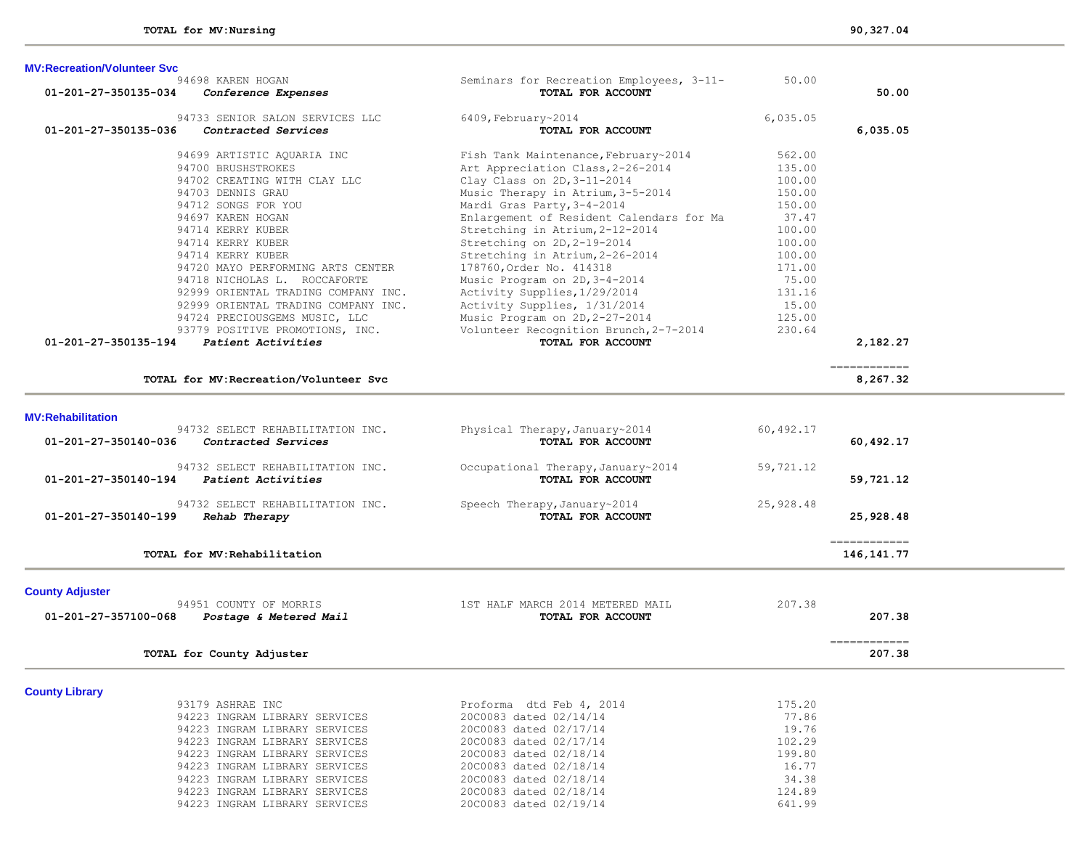| <b>MV:Recreation/Volunteer Svc</b>                           |                                                               |           |           |
|--------------------------------------------------------------|---------------------------------------------------------------|-----------|-----------|
| 94698 KAREN HOGAN<br>01-201-27-350135-034                    | Seminars for Recreation Employees, 3-11-<br>TOTAL FOR ACCOUNT | 50.00     | 50.00     |
| Conference Expenses                                          |                                                               |           |           |
| 94733 SENIOR SALON SERVICES LLC                              | 6409, February~2014                                           | 6,035.05  |           |
| 01-201-27-350135-036<br>Contracted Services                  | TOTAL FOR ACCOUNT                                             |           | 6,035.05  |
| 94699 ARTISTIC AQUARIA INC                                   | Fish Tank Maintenance, February~2014                          | 562.00    |           |
| 94700 BRUSHSTROKES                                           | Art Appreciation Class, 2-26-2014                             | 135.00    |           |
| 94702 CREATING WITH CLAY LLC                                 | Clay Class on 2D, 3-11-2014                                   | 100.00    |           |
| 94703 DENNIS GRAU                                            | Music Therapy in Atrium, 3-5-2014                             | 150.00    |           |
| 94712 SONGS FOR YOU                                          | Mardi Gras Party, 3-4-2014                                    | 150.00    |           |
| 94697 KAREN HOGAN                                            | Enlargement of Resident Calendars for Ma                      | 37.47     |           |
| 94714 KERRY KUBER                                            | Stretching in Atrium, 2-12-2014                               | 100.00    |           |
| 94714 KERRY KUBER                                            | Stretching on 2D, 2-19-2014                                   | 100.00    |           |
| 94714 KERRY KUBER                                            | Stretching in Atrium, 2-26-2014                               | 100.00    |           |
| 94720 MAYO PERFORMING ARTS CENTER                            | 178760, Order No. 414318                                      | 171.00    |           |
| 94718 NICHOLAS L. ROCCAFORTE                                 | Music Program on 2D, 3-4-2014                                 | 75.00     |           |
| 92999 ORIENTAL TRADING COMPANY INC.                          | Activity Supplies, 1/29/2014                                  | 131.16    |           |
| 92999 ORIENTAL TRADING COMPANY INC.                          | Activity Supplies, 1/31/2014                                  | 15.00     |           |
| 94724 PRECIOUSGEMS MUSIC, LLC                                | Music Program on 2D, 2-27-2014                                | 125.00    |           |
| 93779 POSITIVE PROMOTIONS, INC.                              | Volunteer Recognition Brunch, 2-7-2014                        | 230.64    |           |
| 01-201-27-350135-194<br>Patient Activities                   | TOTAL FOR ACCOUNT                                             |           | 2,182.27  |
|                                                              |                                                               |           |           |
| TOTAL for MV: Recreation/Volunteer Svc                       |                                                               |           | 8,267.32  |
|                                                              |                                                               |           |           |
| <b>MV:Rehabilitation</b><br>94732 SELECT REHABILITATION INC. |                                                               |           |           |
| 01-201-27-350140-036<br>Contracted Services                  | Physical Therapy, January~2014<br>TOTAL FOR ACCOUNT           | 60,492.17 | 60,492.17 |
| 94732 SELECT REHABILITATION INC.                             | Occupational Therapy, January~2014                            | 59,721.12 |           |
| 01-201-27-350140-194<br>Patient Activities                   | TOTAL FOR ACCOUNT                                             |           | 59,721.12 |

94732 SELECT REHABILITATION INC.<br> **94732 SELECT REHABILITATION INC.** Speech Therapy,January~2014 **25,928.48 01-201-27-350140-199** *Rehab Therapy* **TOTAL FOR ACCOUNT 25,928.48**

**TOTAL for MV:Rehabilitation 146,141.77**

| <b>County Adjuster</b>                         |                                  |                        |  |
|------------------------------------------------|----------------------------------|------------------------|--|
| 94951 COUNTY OF MORRIS                         | 1ST HALF MARCH 2014 METERED MAIL | 207.38                 |  |
| 01-201-27-357100-068<br>Postage & Metered Mail | TOTAL FOR ACCOUNT                | 207.38                 |  |
| TOTAL for County Adjuster                      |                                  | ============<br>207.38 |  |
| <b>County Library</b>                          |                                  |                        |  |
| 93179 ASHRAE INC                               | Proforma dtd Feb 4, 2014         | 175.20                 |  |
| 94223 INGRAM LIBRARY SERVICES                  | 20C0083 dated 02/14/14           | 77.86                  |  |
| 94223 INGRAM LIBRARY SERVICES                  | 20C0083 dated 02/17/14           | 19.76                  |  |
| 94223 INGRAM LIBRARY SERVICES                  | 20C0083 dated 02/17/14           | 102.29                 |  |
| 94223 INGRAM LIBRARY SERVICES                  | 20C0083 dated 02/18/14           | 199.80                 |  |
| 94223 INGRAM LIBRARY SERVICES                  | 20C0083 dated 02/18/14           | 16.77                  |  |
| 94223 INGRAM LIBRARY SERVICES                  | 20C0083 dated 02/18/14           | 34.38                  |  |
| 94223 INGRAM LIBRARY SERVICES                  | 20C0083 dated 02/18/14           | 124.89                 |  |
| 94223 INGRAM LIBRARY SERVICES                  | 20C0083 dated 02/19/14           | 641.99                 |  |

============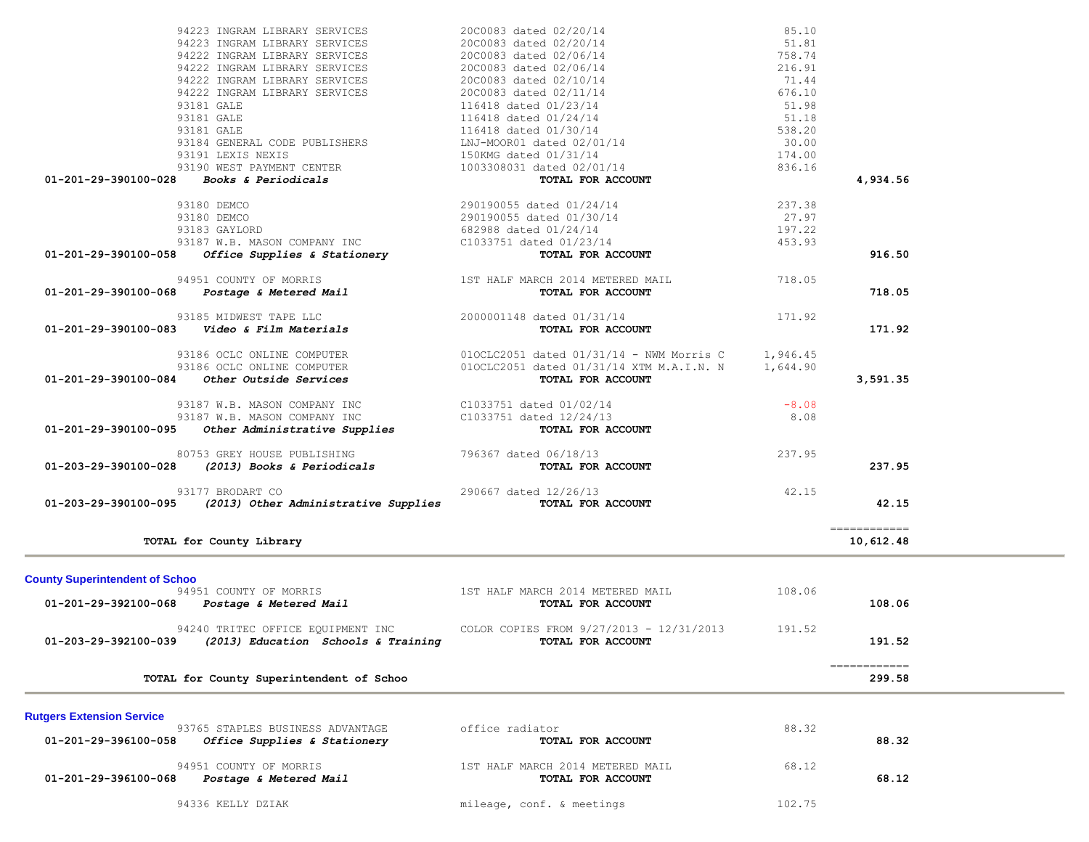|                                       | 94222 INGRAM LIBRARY SERVICES                                                   | 20C0083 dated 02/10/14                                                                               | 71.44    |                        |  |
|---------------------------------------|---------------------------------------------------------------------------------|------------------------------------------------------------------------------------------------------|----------|------------------------|--|
|                                       | 94222 INGRAM LIBRARY SERVICES                                                   | 20C0083 dated 02/11/14                                                                               | 676.10   |                        |  |
|                                       | 93181 GALE                                                                      | 116418 dated 01/23/14                                                                                | 51.98    |                        |  |
|                                       | 93181 GALE                                                                      |                                                                                                      | 51.18    |                        |  |
|                                       | 93181 GALE                                                                      | 116418 dated 01/24/14<br>116418 dated 01/30/14<br>LNJ-MOOR01 dated 02/01/14<br>150KMG dated 01/31/14 | 538.20   |                        |  |
|                                       | 93184 GENERAL CODE PUBLISHERS                                                   |                                                                                                      | 30.00    |                        |  |
|                                       | 93191 LEXIS NEXIS                                                               |                                                                                                      | 174.00   |                        |  |
|                                       | 93190 WEST PAYMENT CENTER                                                       | 1003308031 dated 02/01/14                                                                            | 836.16   |                        |  |
|                                       | $01-201-29-390100-028$ Books & Periodicals                                      | TOTAL FOR ACCOUNT                                                                                    |          | 4,934.56               |  |
|                                       |                                                                                 |                                                                                                      |          |                        |  |
|                                       | 93180 DEMCO                                                                     | 290190055 dated 01/24/14                                                                             | 237.38   |                        |  |
|                                       | 93180 DEMCO                                                                     | 290190055 dated 01/30/14                                                                             | 27.97    |                        |  |
|                                       | 93183 GAYLORD                                                                   | 682988 dated 01/24/14                                                                                | 197.22   |                        |  |
|                                       | 93187 W.B. MASON COMPANY INC                                                    | C1033751 dated 01/23/14                                                                              | 453.93   |                        |  |
| 01-201-29-390100-058                  | <i>Office Supplies &amp; Stationery</i>                                         | TOTAL FOR ACCOUNT                                                                                    |          | 916.50                 |  |
|                                       | 94951 COUNTY OF MORRIS                                                          | 1ST HALF MARCH 2014 METERED MAIL                                                                     | 718.05   |                        |  |
|                                       | 01-201-29-390100-068 Postage & Metered Mail                                     | TOTAL FOR ACCOUNT                                                                                    |          | 718.05                 |  |
|                                       |                                                                                 |                                                                                                      |          |                        |  |
|                                       | 93185 MIDWEST TAPE LLC                                                          | 2000001148 dated 01/31/14                                                                            | 171.92   |                        |  |
|                                       | 01-201-29-390100-083    Video & Film Materials                                  | TOTAL FOR ACCOUNT                                                                                    |          | 171.92                 |  |
|                                       |                                                                                 |                                                                                                      |          |                        |  |
|                                       | 93186 OCLC ONLINE COMPUTER                                                      | $010CLC2051$ dated $01/31/14$ - NWM Morris C                                                         | 1,946.45 |                        |  |
|                                       | 93186 OCLC ONLINE COMPUTER                                                      | 010CLC2051 dated 01/31/14 XTM M.A.I.N. N                                                             | 1,644.90 |                        |  |
|                                       | $01-201-29-390100-084$ Other Outside Services                                   | TOTAL FOR ACCOUNT                                                                                    |          | 3,591.35               |  |
|                                       | 93187 W.B. MASON COMPANY INC                                                    | C1033751 dated 01/02/14                                                                              | $-8.08$  |                        |  |
|                                       | 93187 W.B. MASON COMPANY INC                                                    | C1033751 dated 12/24/13                                                                              | 8.08     |                        |  |
|                                       | 01-201-29-390100-095 Other Administrative Supplies                              | TOTAL FOR ACCOUNT                                                                                    |          |                        |  |
|                                       |                                                                                 |                                                                                                      |          |                        |  |
|                                       | 80753 GREY HOUSE PUBLISHING                                                     | 796367 dated 06/18/13                                                                                | 237.95   |                        |  |
| 01-203-29-390100-028                  | (2013) Books & Periodicals                                                      | TOTAL FOR ACCOUNT                                                                                    |          | 237.95                 |  |
|                                       |                                                                                 |                                                                                                      |          |                        |  |
|                                       | 93177 BRODART CO<br>$01-203-29-390100-095$ (2013) Other Administrative Supplies | 290667 dated 12/26/13<br>TOTAL FOR ACCOUNT                                                           | 42.15    | 42.15                  |  |
|                                       |                                                                                 |                                                                                                      |          |                        |  |
|                                       |                                                                                 |                                                                                                      |          | ============           |  |
|                                       | TOTAL for County Library                                                        |                                                                                                      |          | 10,612.48              |  |
|                                       |                                                                                 |                                                                                                      |          |                        |  |
| <b>County Superintendent of Schoo</b> |                                                                                 |                                                                                                      |          |                        |  |
|                                       | 94951 COUNTY OF MORRIS                                                          | 1ST HALF MARCH 2014 METERED MAIL                                                                     | 108.06   |                        |  |
|                                       | 01-201-29-392100-068    Postage & Metered Mail                                  | TOTAL FOR ACCOUNT                                                                                    |          | 108.06                 |  |
|                                       |                                                                                 | 94240 TRITEC OFFICE EQUIPMENT INC COLOR COPIES FROM 9/27/2013 - 12/31/2013                           | 191.52   |                        |  |
| 01-203-29-392100-039                  | (2013) Education Schools & Training                                             | TOTAL FOR ACCOUNT                                                                                    |          | 191.52                 |  |
|                                       |                                                                                 |                                                                                                      |          |                        |  |
|                                       | TOTAL for County Superintendent of Schoo                                        |                                                                                                      |          | ============<br>299.58 |  |
|                                       |                                                                                 |                                                                                                      |          |                        |  |
|                                       |                                                                                 |                                                                                                      |          |                        |  |
|                                       |                                                                                 |                                                                                                      |          |                        |  |
|                                       | 93765 STAPLES BUSINESS ADVANTAGE                                                | office radiator                                                                                      | 88.32    |                        |  |
| 01-201-29-396100-058                  | Office Supplies & Stationery                                                    | TOTAL FOR ACCOUNT                                                                                    |          | 88.32                  |  |
| <b>Rutgers Extension Service</b>      |                                                                                 |                                                                                                      |          |                        |  |
| 01-201-29-396100-068                  | 94951 COUNTY OF MORRIS<br><i>Postage &amp; Metered Mail</i>                     | 1ST HALF MARCH 2014 METERED MAIL<br>TOTAL FOR ACCOUNT                                                | 68.12    | 68.12                  |  |

94336 KELLY DZIAK 102.75

 94223 INGRAM LIBRARY SERVICES 20C0083 dated 02/20/14 85.10 94223 INGRAM LIBRARY SERVICES 20C0083 dated 02/20/14 51.81 94222 INGRAM LIBRARY SERVICES 20C0083 dated 02/06/14 758.74 94222 INGRAM LIBRARY SERVICES 20C0083 dated 02/06/14 216.91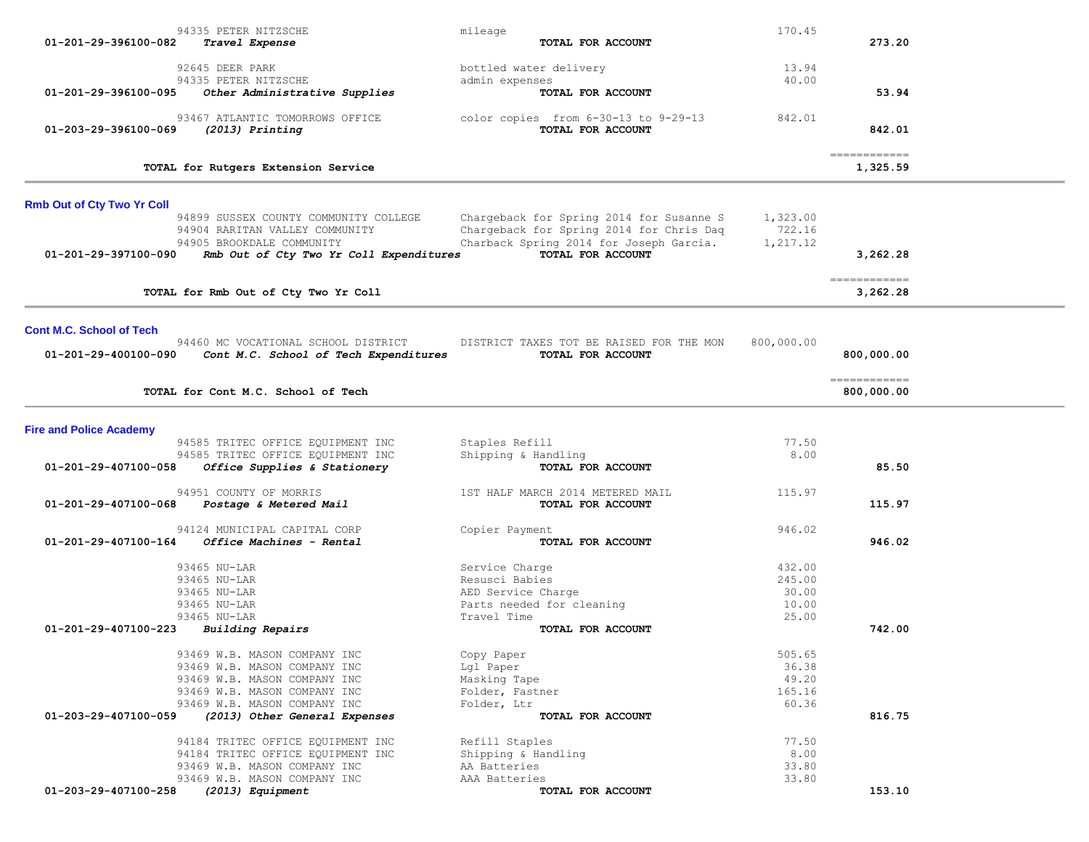|                                   | 94335 PETER NITZSCHE                               | mileage                                                       | 170.45         |                                         |  |
|-----------------------------------|----------------------------------------------------|---------------------------------------------------------------|----------------|-----------------------------------------|--|
| 01-201-29-396100-082              | Travel Expense                                     | TOTAL FOR ACCOUNT                                             |                | 273.20                                  |  |
|                                   |                                                    |                                                               |                |                                         |  |
|                                   | 92645 DEER PARK<br>94335 PETER NITZSCHE            | bottled water delivery<br>admin expenses                      | 13.94<br>40.00 |                                         |  |
| 01-201-29-396100-095              | Other Administrative Supplies                      | TOTAL FOR ACCOUNT                                             |                | 53.94                                   |  |
|                                   |                                                    |                                                               |                |                                         |  |
| 01-203-29-396100-069              | 93467 ATLANTIC TOMORROWS OFFICE<br>(2013) Printing | color copies from $6-30-13$ to $9-29-13$<br>TOTAL FOR ACCOUNT | 842.01         | 842.01                                  |  |
|                                   |                                                    |                                                               |                |                                         |  |
|                                   | TOTAL for Rutgers Extension Service                |                                                               |                | $=$ = = = = = = = = = = = =<br>1,325.59 |  |
|                                   |                                                    |                                                               |                |                                         |  |
| <b>Rmb Out of Cty Two Yr Coll</b> |                                                    |                                                               |                |                                         |  |
|                                   | 94899 SUSSEX COUNTY COMMUNITY COLLEGE              | Chargeback for Spring 2014 for Susanne S                      | 1,323.00       |                                         |  |
|                                   | 94904 RARITAN VALLEY COMMUNITY                     | Chargeback for Spring 2014 for Chris Dag                      | 722.16         |                                         |  |
|                                   | 94905 BROOKDALE COMMUNITY                          | Charback Spring 2014 for Joseph Garcia.                       | 1,217.12       |                                         |  |
| 01-201-29-397100-090              | Rmb Out of Cty Two Yr Coll Expenditures            | TOTAL FOR ACCOUNT                                             |                | 3,262.28                                |  |
|                                   |                                                    |                                                               |                | ------------                            |  |
|                                   | TOTAL for Rmb Out of Cty Two Yr Coll               |                                                               |                | 3,262.28                                |  |
|                                   |                                                    |                                                               |                |                                         |  |
| <b>Cont M.C. School of Tech</b>   | 94460 MC VOCATIONAL SCHOOL DISTRICT                | DISTRICT TAXES TOT BE RAISED FOR THE MON                      | 800,000.00     |                                         |  |
| 01-201-29-400100-090              | Cont M.C. School of Tech Expenditures              | TOTAL FOR ACCOUNT                                             |                | 800,000.00                              |  |
|                                   |                                                    |                                                               |                |                                         |  |
|                                   | TOTAL for Cont M.C. School of Tech                 |                                                               |                | ============<br>800,000.00              |  |
|                                   |                                                    |                                                               |                |                                         |  |
| <b>Fire and Police Academy</b>    |                                                    |                                                               |                |                                         |  |
|                                   | 94585 TRITEC OFFICE EQUIPMENT INC                  | Staples Refill                                                | 77.50          |                                         |  |
|                                   | 94585 TRITEC OFFICE EQUIPMENT INC                  | Shipping & Handling                                           | 8.00           |                                         |  |
| 01-201-29-407100-058              | Office Supplies & Stationery                       | TOTAL FOR ACCOUNT                                             |                | 85.50                                   |  |
|                                   | 94951 COUNTY OF MORRIS                             | 1ST HALF MARCH 2014 METERED MAIL                              | 115.97         |                                         |  |
| 01-201-29-407100-068              | Postage & Metered Mail                             | TOTAL FOR ACCOUNT                                             |                | 115.97                                  |  |
|                                   | 94124 MUNICIPAL CAPITAL CORP                       | Copier Payment                                                | 946.02         |                                         |  |
| 01-201-29-407100-164              | Office Machines - Rental                           | TOTAL FOR ACCOUNT                                             |                | 946.02                                  |  |
|                                   |                                                    |                                                               |                |                                         |  |
|                                   | 93465 NU-LAR                                       | Service Charge                                                | 432.00         |                                         |  |
|                                   | 93465 NU-LAR                                       | Resusci Babies                                                | 245.00         |                                         |  |
|                                   | 93465 NU-LAR                                       | AED Service Charge                                            | 30.00          |                                         |  |
|                                   | 93465 NU-LAR                                       | Parts needed for cleaning                                     | 10.00          |                                         |  |
|                                   | 93465 NU-LAR                                       | Travel Time                                                   | 25.00          |                                         |  |
| 01-201-29-407100-223              | <b>Building Repairs</b>                            | TOTAL FOR ACCOUNT                                             |                | 742.00                                  |  |
|                                   | 93469 W.B. MASON COMPANY INC                       | Copy Paper                                                    | 505.65         |                                         |  |
|                                   | 93469 W.B. MASON COMPANY INC                       | Lgl Paper                                                     | 36.38          |                                         |  |
|                                   | 93469 W.B. MASON COMPANY INC                       | Masking Tape                                                  | 49.20          |                                         |  |
|                                   | 93469 W.B. MASON COMPANY INC                       | Folder, Fastner                                               | 165.16         |                                         |  |
|                                   | 93469 W.B. MASON COMPANY INC                       | Folder, Ltr                                                   | 60.36          |                                         |  |
| 01-203-29-407100-059              | (2013) Other General Expenses                      | TOTAL FOR ACCOUNT                                             |                | 816.75                                  |  |
|                                   | 94184 TRITEC OFFICE EQUIPMENT INC                  | Refill Staples                                                | 77.50          |                                         |  |
|                                   | 94184 TRITEC OFFICE EQUIPMENT INC                  | Shipping & Handling                                           | 8.00           |                                         |  |
|                                   | 93469 W.B. MASON COMPANY INC                       | AA Batteries                                                  | 33.80          |                                         |  |
|                                   | 93469 W.B. MASON COMPANY INC                       | AAA Batteries                                                 | 33.80          |                                         |  |
| 01-203-29-407100-258              | (2013) Equipment                                   | TOTAL FOR ACCOUNT                                             |                | 153.10                                  |  |
|                                   |                                                    |                                                               |                |                                         |  |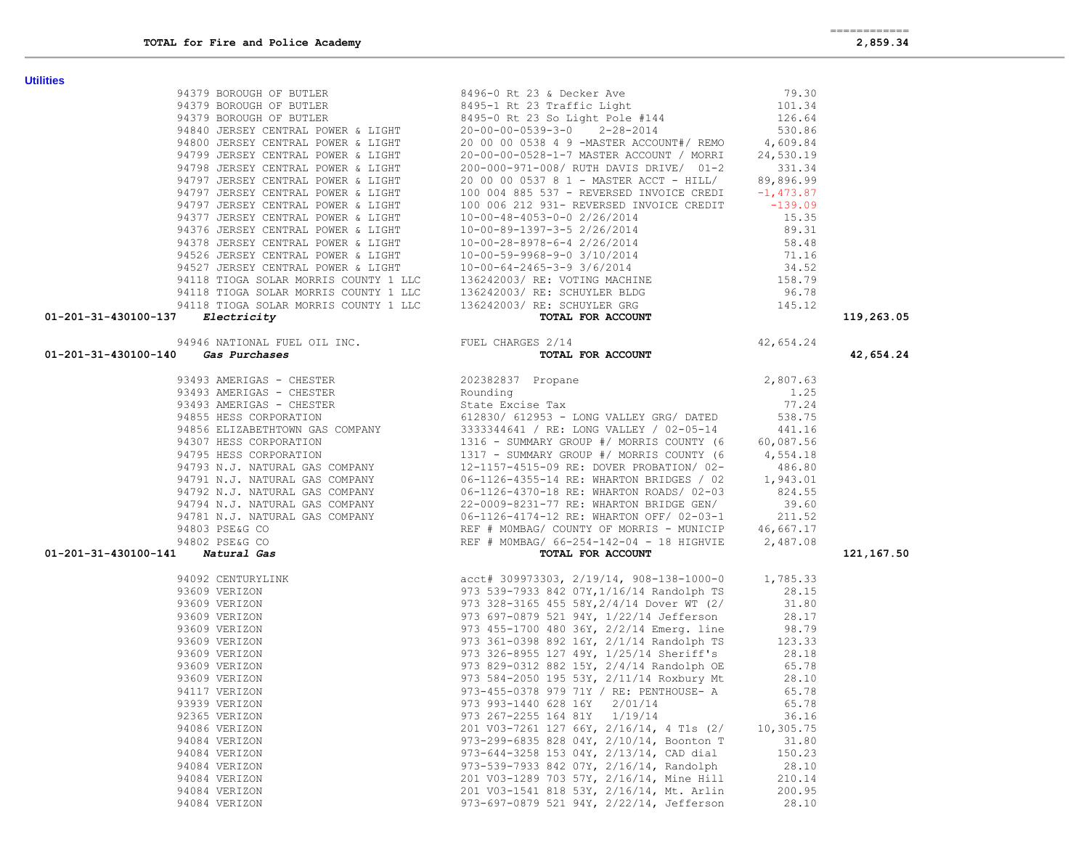| $01 - 201 - 31 - 430100 - 137$ Electricity                                                                                                                            |                                                         |           | 119,263.05 |
|-----------------------------------------------------------------------------------------------------------------------------------------------------------------------|---------------------------------------------------------|-----------|------------|
|                                                                                                                                                                       |                                                         |           |            |
| 94946 NATIONAL FUEL OIL INC.<br>94946 NATIONAL FUEL OIL INC.<br>94946 NATIONAL FUEL OIL INC.<br>94946 NATIONAL FUEL OIL INC.<br>94946 NATIONAL FUEL OIL INC.<br>967AL | $\frac{3}{2}$ /14<br><b>TOTAL FOR ACCOUNT</b> 42,654.24 |           | 42,654.24  |
|                                                                                                                                                                       |                                                         |           |            |
|                                                                                                                                                                       |                                                         |           |            |
|                                                                                                                                                                       |                                                         |           |            |
|                                                                                                                                                                       |                                                         |           |            |
|                                                                                                                                                                       |                                                         |           |            |
|                                                                                                                                                                       |                                                         |           |            |
|                                                                                                                                                                       |                                                         |           |            |
|                                                                                                                                                                       |                                                         |           |            |
|                                                                                                                                                                       |                                                         |           |            |
|                                                                                                                                                                       |                                                         |           |            |
|                                                                                                                                                                       |                                                         |           |            |
|                                                                                                                                                                       |                                                         |           |            |
|                                                                                                                                                                       |                                                         |           |            |
|                                                                                                                                                                       | TOTAL FOR ACCOUNT                                       |           | 121,167.50 |
|                                                                                                                                                                       |                                                         |           |            |
|                                                                                                                                                                       |                                                         |           |            |
|                                                                                                                                                                       |                                                         |           |            |
|                                                                                                                                                                       |                                                         |           |            |
|                                                                                                                                                                       |                                                         |           |            |
|                                                                                                                                                                       |                                                         |           |            |
|                                                                                                                                                                       |                                                         |           |            |
|                                                                                                                                                                       |                                                         |           |            |
|                                                                                                                                                                       |                                                         |           |            |
|                                                                                                                                                                       |                                                         |           |            |
| 93939 VERIZON                                                                                                                                                         | 973 993-1440 628 16Y 2/01/14 65.78                      |           |            |
| 92365 VERIZON                                                                                                                                                         | 973 267-2255 164 81Y 1/19/14                            | 36.16     |            |
| 94086 VERIZON                                                                                                                                                         | 201 V03-7261 127 66Y, 2/16/14, 4 T1s (2/                | 10,305.75 |            |
| 94084 VERIZON                                                                                                                                                         | 973-299-6835 828 04Y, 2/10/14, Boonton T                | 31.80     |            |
| 94084 VERIZON                                                                                                                                                         | 973-644-3258 153 04Y, 2/13/14, CAD dial                 | 150.23    |            |
| 94084 VERIZON                                                                                                                                                         | 973-539-7933 842 07Y, 2/16/14, Randolph                 | 28.10     |            |
| 94084 VERIZON                                                                                                                                                         | 201 V03-1289 703 57Y, 2/16/14, Mine Hill                | 210.14    |            |
| 94084 VERIZON                                                                                                                                                         | 201 V03-1541 818 53Y, 2/16/14, Mt. Arlin                | 200.95    |            |
| 94084 VERIZON                                                                                                                                                         | 973-697-0879 521 94Y, 2/22/14, Jefferson                | 28.10     |            |

**Utilities**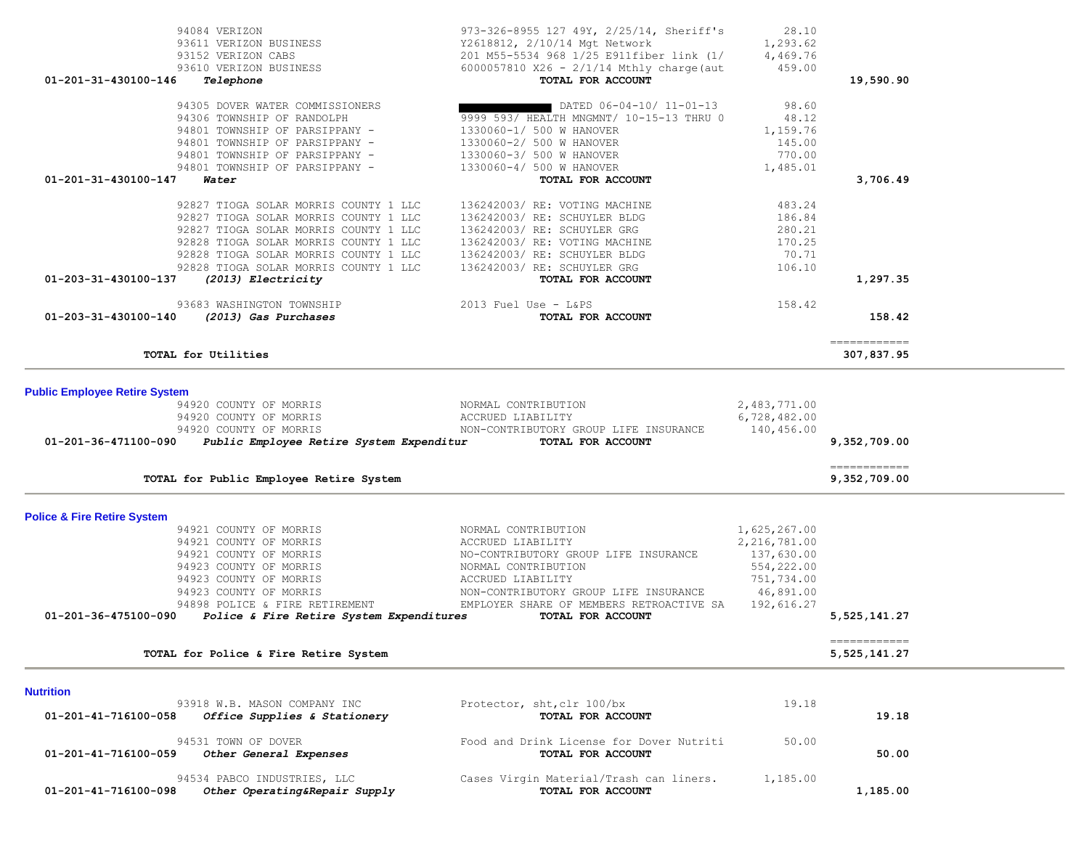|                                        | 94084 VERIZON<br>93611 VERIZON BUSINESS<br>02152 VERIZON CABS<br>93610 VERIZON BUSINESS                                                                                                                                                                                  | 973-326-8955 127 49Y, 2/25/14, Sheriff's<br>Y2618812, 2/10/14 Mgt Network<br>201 M55-5534 968 1/25 E911fiber link (1/<br>6000057810 X26 - $2/1/14$ Mthly charge (aut                                                                   | 28.10<br>1,293.62<br>4,469.76<br>459.00                                                             |                                                                                                                                                                                                                                                                                                                                                                                                                                                                                                      |  |
|----------------------------------------|--------------------------------------------------------------------------------------------------------------------------------------------------------------------------------------------------------------------------------------------------------------------------|----------------------------------------------------------------------------------------------------------------------------------------------------------------------------------------------------------------------------------------|-----------------------------------------------------------------------------------------------------|------------------------------------------------------------------------------------------------------------------------------------------------------------------------------------------------------------------------------------------------------------------------------------------------------------------------------------------------------------------------------------------------------------------------------------------------------------------------------------------------------|--|
| 01-201-31-430100-146                   | Telephone                                                                                                                                                                                                                                                                | TOTAL FOR ACCOUNT                                                                                                                                                                                                                      |                                                                                                     | 19,590.90                                                                                                                                                                                                                                                                                                                                                                                                                                                                                            |  |
| 01-201-31-430100-147                   | 94305 DOVER WATER COMMISSIONERS<br>94306 TOWNSHIP OF RANDOLPH<br>94801 TOWNSHIP OF PARSIPPANY -<br>94801 TOWNSHIP OF PARSIPPANY -<br>94801 TOWNSHIP OF PARSIPPANY -<br>94801 TOWNSHIP OF PARSIPPANY -<br>Water                                                           | DATED 06-04-10/ 11-01-13<br>9999 593/ HEALTH MNGMNT/ 10-15-13 THRU 0<br>1330060-1/ 500 W HANOVER<br>1330060-2/ 500 W HANOVER<br>1330060-3/ 500 W HANOVER<br>1330060-4/ 500 W HANOVER<br>TOTAL FOR ACCOUNT                              | 98.60<br>48.12<br>1,159.76<br>145.00<br>770.00<br>1,485.01                                          | 3,706.49                                                                                                                                                                                                                                                                                                                                                                                                                                                                                             |  |
| 01-203-31-430100-137                   | 92827 TIOGA SOLAR MORRIS COUNTY 1 LLC<br>92827 TIOGA SOLAR MORRIS COUNTY 1 LLC<br>92827 TIOGA SOLAR MORRIS COUNTY 1 LLC<br>92828 TIOGA SOLAR MORRIS COUNTY 1 LLC<br>92828 TIOGA SOLAR MORRIS COUNTY 1 LLC<br>92828 TIOGA SOLAR MORRIS COUNTY 1 LLC<br>(2013) Electricity | 136242003/ RE: VOTING MACHINE<br>136242003/RE: SCHUYLER BLDG<br>136242003/RE: SCHUYLER GRG<br>136242003/RE: VOTING MACHINE<br>136242003/RE: SCHUYLER BLDG<br>136242003/ RE: SCHUYLER GRG<br>TOTAL FOR ACCOUNT                          | 483.24<br>186.84<br>280.21<br>170.25<br>70.71<br>106.10                                             | 1,297.35                                                                                                                                                                                                                                                                                                                                                                                                                                                                                             |  |
| $01 - 203 - 31 - 430100 - 140$         | 93683 WASHINGTON TOWNSHIP<br>(2013) Gas Purchases                                                                                                                                                                                                                        | $2013$ Fuel Use - L&PS<br>TOTAL FOR ACCOUNT                                                                                                                                                                                            | 158.42                                                                                              | 158.42                                                                                                                                                                                                                                                                                                                                                                                                                                                                                               |  |
|                                        | TOTAL for Utilities                                                                                                                                                                                                                                                      |                                                                                                                                                                                                                                        |                                                                                                     | $\begin{array}{cccccccccc} \multicolumn{2}{c}{} & \multicolumn{2}{c}{} & \multicolumn{2}{c}{} & \multicolumn{2}{c}{} & \multicolumn{2}{c}{} & \multicolumn{2}{c}{} & \multicolumn{2}{c}{} & \multicolumn{2}{c}{} & \multicolumn{2}{c}{} & \multicolumn{2}{c}{} & \multicolumn{2}{c}{} & \multicolumn{2}{c}{} & \multicolumn{2}{c}{} & \multicolumn{2}{c}{} & \multicolumn{2}{c}{} & \multicolumn{2}{c}{} & \multicolumn{2}{c}{} & \multicolumn{2}{c}{} & \multicolumn{2}{c}{} & \mult$<br>307,837.95 |  |
| <b>Public Employee Retire System</b>   |                                                                                                                                                                                                                                                                          |                                                                                                                                                                                                                                        |                                                                                                     |                                                                                                                                                                                                                                                                                                                                                                                                                                                                                                      |  |
|                                        | 94920 COUNTY OF MORRIS<br>94920 COUNTY OF MORRIS<br>94920 COUNTY OF MORRIS<br>01-201-36-471100-090 Public Employee Retire System Expenditur TOTAL FOR ACCOUNT                                                                                                            | NORMAL CONTRIBUTION<br>ACCRUED LIABILITY<br>NON-CONTRIBUTORY GROUP LIFE INSURANCE                                                                                                                                                      | 2,483,771.00<br>6,728,482.00<br>140,456.00                                                          | 9,352,709.00                                                                                                                                                                                                                                                                                                                                                                                                                                                                                         |  |
|                                        | TOTAL for Public Employee Retire System                                                                                                                                                                                                                                  |                                                                                                                                                                                                                                        |                                                                                                     | ============<br>9,352,709.00                                                                                                                                                                                                                                                                                                                                                                                                                                                                         |  |
| <b>Police &amp; Fire Retire System</b> |                                                                                                                                                                                                                                                                          |                                                                                                                                                                                                                                        |                                                                                                     |                                                                                                                                                                                                                                                                                                                                                                                                                                                                                                      |  |
| 01-201-36-475100-090                   | 94921 COUNTY OF MORRIS<br>94921 COUNTY OF MORRIS<br>94921 COUNTY OF MORRIS<br>94923 COUNTY OF MORRIS<br>94923 COUNTY OF MORRIS<br>94923 COUNTY OF MORRIS<br>94898 POLICE & FIRE RETIREMENT<br>Police & Fire Retire System Expenditures                                   | NORMAL CONTRIBUTION<br>ACCRUED LIABILITY<br>NO-CONTRIBUTORY GROUP LIFE INSURANCE<br>NORMAL CONTRIBUTION<br>ACCRUED LIABILITY<br>NON-CONTRIBUTORY GROUP LIFE INSURANCE<br>EMPLOYER SHARE OF MEMBERS RETROACTIVE SA<br>TOTAL FOR ACCOUNT | 1,625,267.00<br>2, 216, 781.00<br>137,630.00<br>554,222.00<br>751,734.00<br>46,891.00<br>192,616.27 | 5,525,141.27                                                                                                                                                                                                                                                                                                                                                                                                                                                                                         |  |
|                                        |                                                                                                                                                                                                                                                                          |                                                                                                                                                                                                                                        |                                                                                                     | ============                                                                                                                                                                                                                                                                                                                                                                                                                                                                                         |  |
|                                        | TOTAL for Police & Fire Retire System                                                                                                                                                                                                                                    |                                                                                                                                                                                                                                        |                                                                                                     | 5,525,141.27                                                                                                                                                                                                                                                                                                                                                                                                                                                                                         |  |
| <b>Nutrition</b>                       |                                                                                                                                                                                                                                                                          |                                                                                                                                                                                                                                        |                                                                                                     |                                                                                                                                                                                                                                                                                                                                                                                                                                                                                                      |  |
| 01-201-41-716100-058                   | 93918 W.B. MASON COMPANY INC<br>Office Supplies & Stationery                                                                                                                                                                                                             | Protector, sht, clr 100/bx<br>TOTAL FOR ACCOUNT                                                                                                                                                                                        | 19.18                                                                                               | 19.18                                                                                                                                                                                                                                                                                                                                                                                                                                                                                                |  |
| 01-201-41-716100-059                   | 94531 TOWN OF DOVER<br>Other General Expenses                                                                                                                                                                                                                            | Food and Drink License for Dover Nutriti<br>TOTAL FOR ACCOUNT                                                                                                                                                                          | 50.00                                                                                               | 50.00                                                                                                                                                                                                                                                                                                                                                                                                                                                                                                |  |
| 01-201-41-716100-098                   | 94534 PABCO INDUSTRIES, LLC<br>Other Operating&Repair Supply                                                                                                                                                                                                             | Cases Virgin Material/Trash can liners.<br>TOTAL FOR ACCOUNT                                                                                                                                                                           | 1,185.00                                                                                            | 1,185.00                                                                                                                                                                                                                                                                                                                                                                                                                                                                                             |  |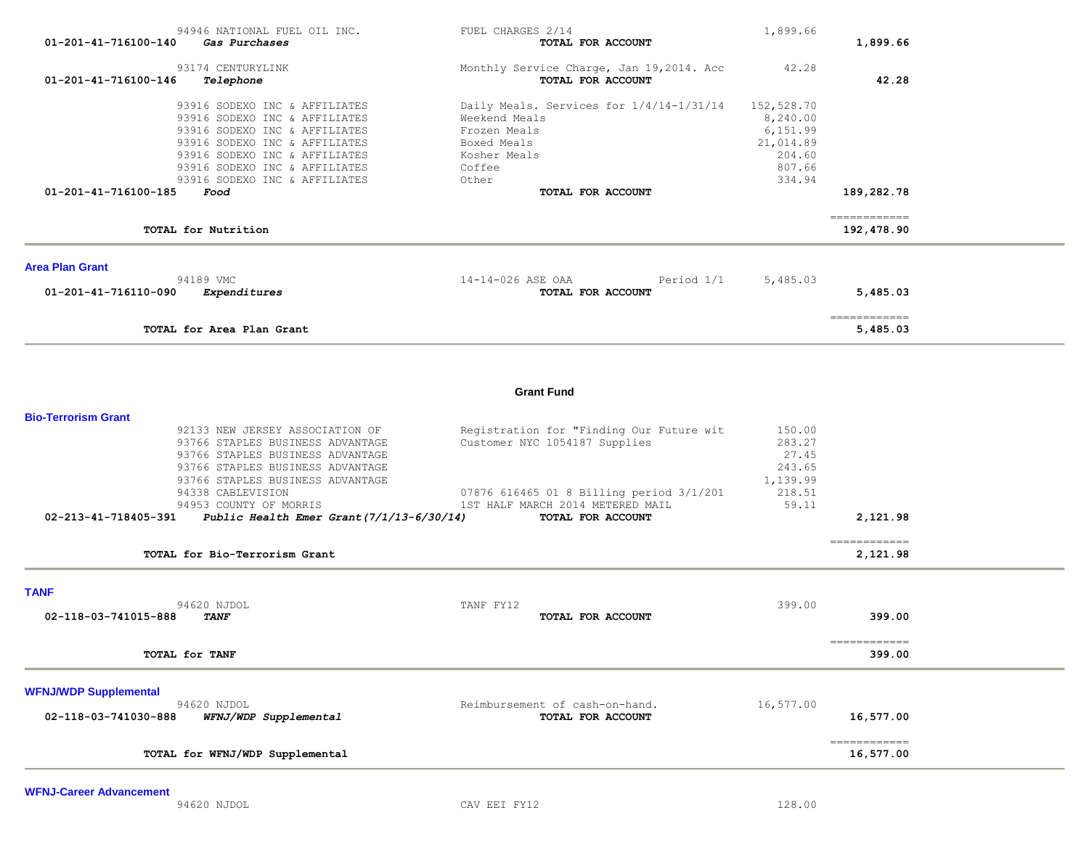| 01-201-41-716100-140                               | 94946 NATIONAL FUEL OIL INC.<br>Gas Purchases                                                                                                                                                                                                                                 | FUEL CHARGES 2/14<br>TOTAL FOR ACCOUNT                                                                                                                                         | 1,899.66                                                                      | 1,899.66                   |  |
|----------------------------------------------------|-------------------------------------------------------------------------------------------------------------------------------------------------------------------------------------------------------------------------------------------------------------------------------|--------------------------------------------------------------------------------------------------------------------------------------------------------------------------------|-------------------------------------------------------------------------------|----------------------------|--|
| 01-201-41-716100-146                               | 93174 CENTURYLINK<br>Telephone                                                                                                                                                                                                                                                | Monthly Service Charge, Jan 19,2014. Acc<br>TOTAL FOR ACCOUNT                                                                                                                  | 42.28                                                                         | 42.28                      |  |
|                                                    | 93916 SODEXO INC & AFFILIATES<br>93916 SODEXO INC & AFFILIATES<br>93916 SODEXO INC & AFFILIATES<br>93916 SODEXO INC & AFFILIATES<br>93916 SODEXO INC & AFFILIATES<br>93916 SODEXO INC & AFFILIATES<br>93916 SODEXO INC & AFFILIATES                                           | Daily Meals. Services for 1/4/14-1/31/14<br>Weekend Meals<br>Frozen Meals<br>Boxed Meals<br>Kosher Meals<br>Coffee<br>Other                                                    | 152,528.70<br>8,240.00<br>6,151.99<br>21,014.89<br>204.60<br>807.66<br>334.94 |                            |  |
| 01-201-41-716100-185                               | Food                                                                                                                                                                                                                                                                          | TOTAL FOR ACCOUNT                                                                                                                                                              |                                                                               | 189,282.78                 |  |
|                                                    | TOTAL for Nutrition                                                                                                                                                                                                                                                           |                                                                                                                                                                                |                                                                               | ============<br>192,478.90 |  |
| <b>Area Plan Grant</b>                             |                                                                                                                                                                                                                                                                               |                                                                                                                                                                                |                                                                               |                            |  |
| 01-201-41-716110-090                               | 94189 VMC<br>Expenditures                                                                                                                                                                                                                                                     | 14-14-026 ASE OAA<br>Period 1/1<br>TOTAL FOR ACCOUNT                                                                                                                           | 5,485.03                                                                      | 5,485.03                   |  |
|                                                    | TOTAL for Area Plan Grant                                                                                                                                                                                                                                                     |                                                                                                                                                                                |                                                                               | ------------<br>5,485.03   |  |
|                                                    |                                                                                                                                                                                                                                                                               | <b>Grant Fund</b>                                                                                                                                                              |                                                                               |                            |  |
| <b>Bio-Terrorism Grant</b><br>02-213-41-718405-391 | 92133 NEW JERSEY ASSOCIATION OF<br>93766 STAPLES BUSINESS ADVANTAGE<br>93766 STAPLES BUSINESS ADVANTAGE<br>93766 STAPLES BUSINESS ADVANTAGE<br>93766 STAPLES BUSINESS ADVANTAGE<br>94338 CABLEVISION<br>94953 COUNTY OF MORRIS<br>Public Health Emer Grant $(7/1/13-6/30/14)$ | Registration for "Finding Our Future wit<br>Customer NYC 1054187 Supplies<br>07876 616465 01 8 Billing period 3/1/201<br>1ST HALF MARCH 2014 METERED MAIL<br>TOTAL FOR ACCOUNT | 150.00<br>283.27<br>27.45<br>243.65<br>1,139.99<br>218.51<br>59.11            | 2,121.98                   |  |
|                                                    | TOTAL for Bio-Terrorism Grant                                                                                                                                                                                                                                                 |                                                                                                                                                                                |                                                                               | ============<br>2,121.98   |  |
| <b>TANF</b><br>02-118-03-741015-888                | 94620 NJDOL<br><b>TANF</b>                                                                                                                                                                                                                                                    | TANF FY12<br>TOTAL FOR ACCOUNT                                                                                                                                                 | 399.00                                                                        | 399.00                     |  |
|                                                    | TOTAL for TANF                                                                                                                                                                                                                                                                |                                                                                                                                                                                |                                                                               | ============<br>399.00     |  |
| <b>WFNJ/WDP Supplemental</b>                       |                                                                                                                                                                                                                                                                               |                                                                                                                                                                                |                                                                               |                            |  |
| 02-118-03-741030-888                               | 94620 NJDOL<br>WFNJ/WDP Supplemental                                                                                                                                                                                                                                          | Reimbursement of cash-on-hand.<br>TOTAL FOR ACCOUNT                                                                                                                            | 16,577.00                                                                     | 16,577.00                  |  |
|                                                    | TOTAL for WFNJ/WDP Supplemental                                                                                                                                                                                                                                               |                                                                                                                                                                                |                                                                               | ------------<br>16,577.00  |  |
|                                                    |                                                                                                                                                                                                                                                                               |                                                                                                                                                                                |                                                                               |                            |  |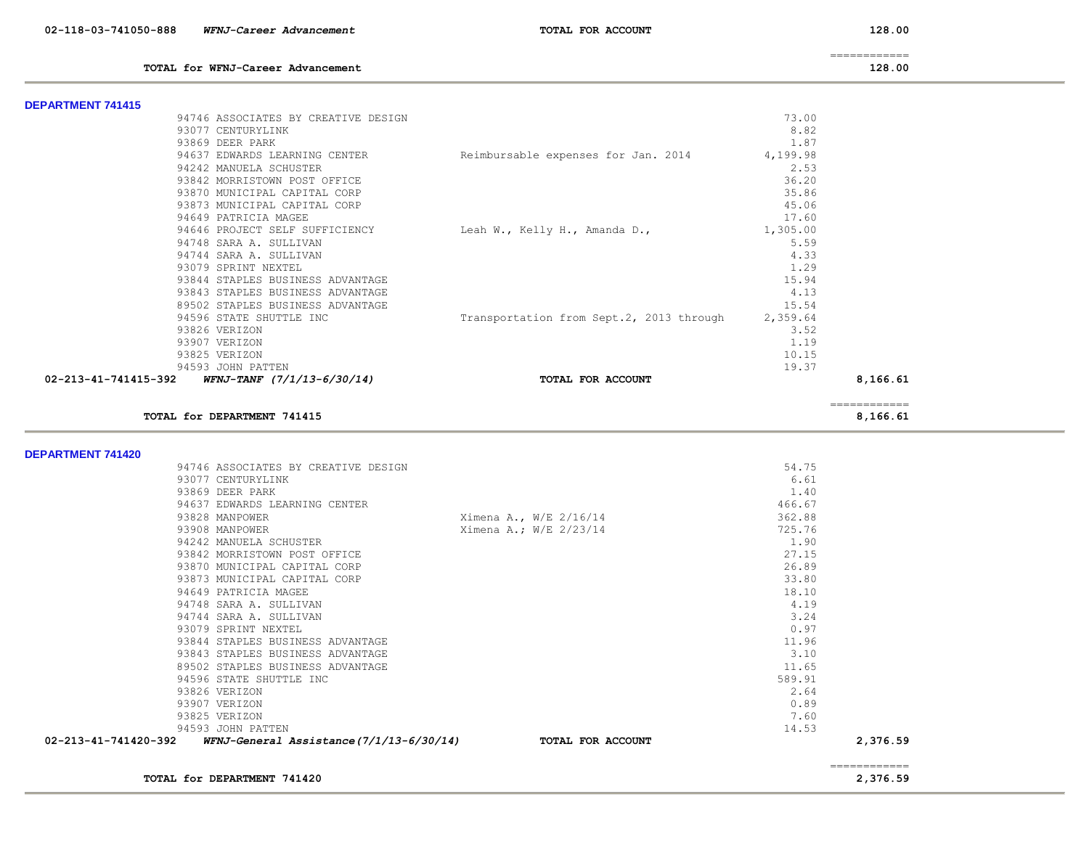**TOTAL for WFNJ-Career Advancement 128.00**

============

| 128.0 |  |  |
|-------|--|--|
|-------|--|--|

| <b>DEPARTMENT 741415</b>                        |                                                      |          |                          |  |
|-------------------------------------------------|------------------------------------------------------|----------|--------------------------|--|
| 94746 ASSOCIATES BY CREATIVE DESIGN             |                                                      | 73.00    |                          |  |
| 93077 CENTURYLINK                               |                                                      | 8.82     |                          |  |
| 93869 DEER PARK                                 |                                                      | 1.87     |                          |  |
| 94637 EDWARDS LEARNING CENTER                   | Reimbursable expenses for Jan. 2014                  | 4,199.98 |                          |  |
| 94242 MANUELA SCHUSTER                          |                                                      | 2.53     |                          |  |
| 93842 MORRISTOWN POST OFFICE                    |                                                      | 36.20    |                          |  |
| 93870 MUNICIPAL CAPITAL CORP                    |                                                      | 35.86    |                          |  |
| 93873 MUNICIPAL CAPITAL CORP                    |                                                      | 45.06    |                          |  |
| 94649 PATRICIA MAGEE                            |                                                      | 17.60    |                          |  |
| 94646 PROJECT SELF SUFFICIENCY                  | Leah W., Kelly H., Amanda D.,                        | 1,305.00 |                          |  |
| 94748 SARA A. SULLIVAN                          |                                                      | 5.59     |                          |  |
| 94744 SARA A. SULLIVAN                          |                                                      | 4.33     |                          |  |
| 93079 SPRINT NEXTEL                             |                                                      | 1.29     |                          |  |
| 93844 STAPLES BUSINESS ADVANTAGE                |                                                      | 15.94    |                          |  |
| 93843 STAPLES BUSINESS ADVANTAGE                |                                                      | 4.13     |                          |  |
| 89502 STAPLES BUSINESS ADVANTAGE                |                                                      | 15.54    |                          |  |
| 94596 STATE SHUTTLE INC                         | Transportation from Sept.2, 2013 through             | 2,359.64 |                          |  |
| 93826 VERIZON                                   |                                                      | 3.52     |                          |  |
| 93907 VERIZON                                   |                                                      | 1.19     |                          |  |
| 93825 VERIZON                                   |                                                      | 10.15    |                          |  |
| 94593 JOHN PATTEN                               |                                                      | 19.37    |                          |  |
| 02-213-41-741415-392 WFNJ-TANF (7/1/13-6/30/14) | TOTAL FOR ACCOUNT                                    |          | 8,166.61                 |  |
| TOTAL for DEPARTMENT 741415                     |                                                      |          | ============<br>8,166.61 |  |
|                                                 |                                                      |          |                          |  |
| <b>DEPARTMENT 741420</b>                        |                                                      |          |                          |  |
| 94746 ASSOCIATES BY CREATIVE DESIGN             |                                                      | 54.75    |                          |  |
| 93077 CENTURYLINK                               |                                                      | 6.61     |                          |  |
| 93869 DEER PARK                                 |                                                      | 1.40     |                          |  |
| 94637 EDWARDS LEARNING CENTER                   |                                                      | 466.67   |                          |  |
| 93828 MANPOWER                                  | Ximena A., W/E 2/16/14                               | 362.88   |                          |  |
| Q3QOR MANDOMED                                  | $Y^{1}_{1}$ mana $\lambda$ $\bullet$ $W/F$ $2/22/14$ | 72576    |                          |  |

| 02-213-41-741420-392 | WFNJ-General Assistance(7/1/13-6/30/14) | TOTAL FOR ACCOUNT      |        | 2,376.59 |
|----------------------|-----------------------------------------|------------------------|--------|----------|
|                      | 94593 JOHN PATTEN                       |                        | 14.53  |          |
|                      | 93825 VERIZON                           |                        | 7.60   |          |
|                      | 93907 VERIZON                           |                        | 0.89   |          |
|                      | 93826 VERIZON                           |                        | 2.64   |          |
|                      | 94596 STATE SHUTTLE INC                 |                        | 589.91 |          |
|                      | 89502 STAPLES BUSINESS ADVANTAGE        |                        | 11.65  |          |
|                      | 93843 STAPLES BUSINESS ADVANTAGE        |                        | 3.10   |          |
|                      | 93844 STAPLES BUSINESS ADVANTAGE        |                        | 11.96  |          |
|                      | 93079 SPRINT NEXTEL                     |                        | 0.97   |          |
|                      | 94744 SARA A. SULLIVAN                  |                        | 3.24   |          |
|                      | 94748 SARA A. SULLIVAN                  |                        | 4.19   |          |
|                      | 94649 PATRICIA MAGEE                    |                        | 18.10  |          |
|                      | 93873 MUNICIPAL CAPITAL CORP            |                        | 33.80  |          |
|                      | 93870 MUNICIPAL CAPITAL CORP            |                        | 26.89  |          |
|                      | 93842 MORRISTOWN POST OFFICE            |                        | 27.15  |          |
|                      | 94242 MANUELA SCHUSTER                  |                        | 1.90   |          |
|                      | 93908 MANPOWER                          | Ximena A.; W/E 2/23/14 | 725.76 |          |
|                      | 93828 MANPOWER                          | Ximena A., W/E 2/16/14 | 362.88 |          |
|                      |                                         |                        | .      |          |

============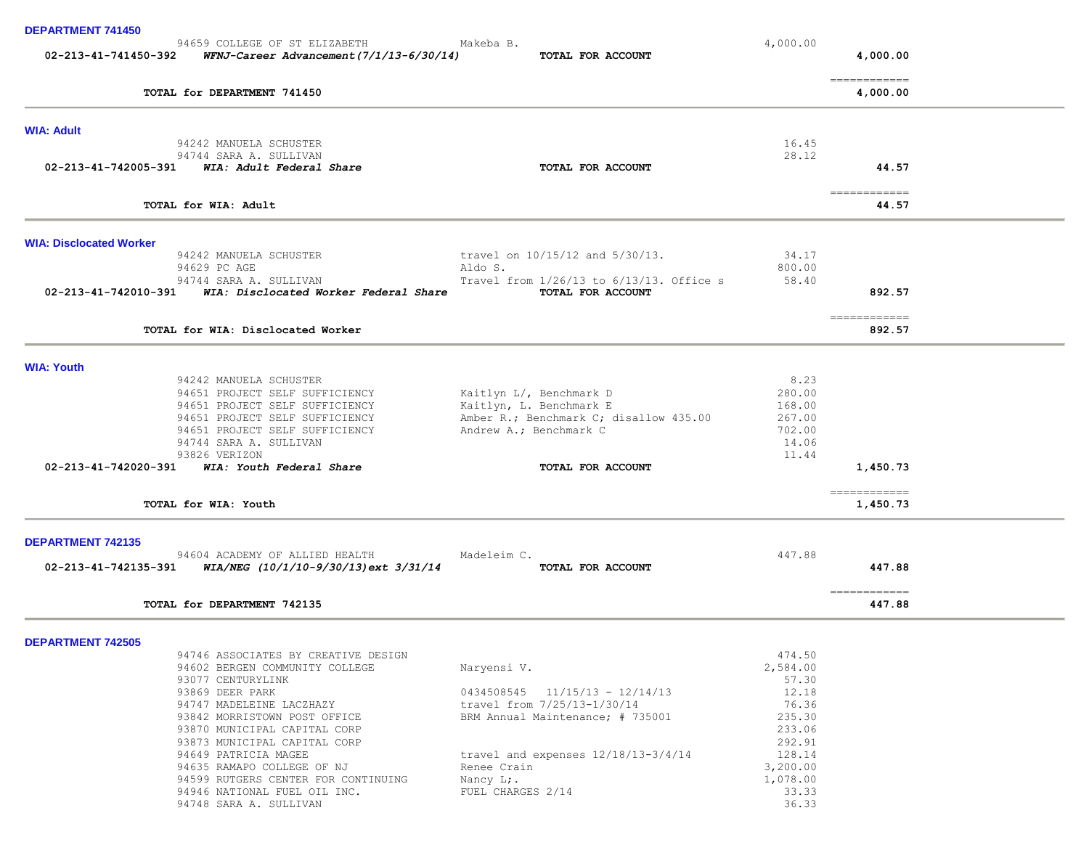| <b>DEPARTMENT 741450</b>       |                                                                                                  |                                                                 |                  |                                         |  |
|--------------------------------|--------------------------------------------------------------------------------------------------|-----------------------------------------------------------------|------------------|-----------------------------------------|--|
|                                | 94659 COLLEGE OF ST ELIZABETH<br>02-213-41-741450-392 WFNJ-Career Advancement $(7/1/13-6/30/14)$ | Makeba B.<br>TOTAL FOR ACCOUNT                                  | 4,000.00         | 4,000.00                                |  |
|                                | TOTAL for DEPARTMENT 741450                                                                      |                                                                 |                  | -------------<br>4,000.00               |  |
| <b>WIA: Adult</b>              |                                                                                                  |                                                                 |                  |                                         |  |
|                                | 94242 MANUELA SCHUSTER                                                                           |                                                                 | 16.45<br>28.12   |                                         |  |
|                                | 94744 SARA A. SULLIVAN<br>02-213-41-742005-391 WIA: Adult Federal Share                          | <b>TOTAL FOR ACCOUNT</b>                                        |                  | 44.57                                   |  |
|                                | TOTAL for WIA: Adult                                                                             |                                                                 |                  | ------------<br>44.57                   |  |
| <b>WIA: Disclocated Worker</b> |                                                                                                  |                                                                 |                  |                                         |  |
|                                | 94242 MANUELA SCHUSTER<br>94629 PC AGE                                                           | travel on $10/15/12$ and $5/30/13$ .<br>Aldo S.                 | 34.17<br>800.00  |                                         |  |
|                                | 94744 SARA A. SULLIVAN<br>02-213-41-742010-391 WIA: Disclocated Worker Federal Share             | Travel from 1/26/13 to 6/13/13. Office s<br>TOTAL FOR ACCOUNT   | 58.40            | 892.57                                  |  |
|                                | TOTAL for WIA: Disclocated Worker                                                                |                                                                 |                  | $=$ = = = = = = = = = = = =<br>892.57   |  |
| <b>WIA: Youth</b>              |                                                                                                  |                                                                 |                  |                                         |  |
|                                | 94242 MANUELA SCHUSTER                                                                           |                                                                 | 8.23             |                                         |  |
|                                | 94651 PROJECT SELF SUFFICIENCY                                                                   | Kaitlyn L/, Benchmark D                                         | 280.00           |                                         |  |
|                                | 94651 PROJECT SELF SUFFICIENCY                                                                   | Kaitlyn, L. Benchmark E                                         | 168.00           |                                         |  |
|                                | 94651 PROJECT SELF SUFFICIENCY<br>94651 PROJECT SELF SUFFICIENCY                                 | Amber R.; Benchmark C; disallow 435.00                          | 267.00<br>702.00 |                                         |  |
|                                | 94744 SARA A. SULLIVAN                                                                           | Andrew A.; Benchmark C                                          | 14.06            |                                         |  |
|                                | 93826 VERIZON                                                                                    |                                                                 | 11.44            |                                         |  |
|                                | 02-213-41-742020-391 WIA: Youth Federal Share                                                    | TOTAL FOR ACCOUNT                                               |                  | 1,450.73                                |  |
|                                | TOTAL for WIA: Youth                                                                             |                                                                 |                  | -------------<br>1,450.73               |  |
|                                |                                                                                                  |                                                                 |                  |                                         |  |
| <b>DEPARTMENT 742135</b>       | 94604 ACADEMY OF ALLIED HEALTH                                                                   | Madeleim C.                                                     | 447.88           |                                         |  |
|                                | 02-213-41-742135-391 WIA/NEG (10/1/10-9/30/13) ext 3/31/14                                       | TOTAL FOR ACCOUNT                                               |                  | 447.88                                  |  |
|                                | TOTAL for DEPARTMENT 742135                                                                      |                                                                 |                  | $=$ = = = = = = = = = = = = =<br>447.88 |  |
| <b>DEPARTMENT 742505</b>       |                                                                                                  |                                                                 |                  |                                         |  |
|                                | 94746 ASSOCIATES BY CREATIVE DESIGN                                                              |                                                                 | 474.50           |                                         |  |
|                                | 94602 BERGEN COMMUNITY COLLEGE                                                                   | Naryensi V.                                                     | 2,584.00         |                                         |  |
|                                | 93077 CENTURYLINK                                                                                |                                                                 | 57.30            |                                         |  |
|                                | 93869 DEER PARK                                                                                  | $0434508545$ $11/15/13 - 12/14/13$                              | 12.18            |                                         |  |
|                                | 94747 MADELEINE LACZHAZY<br>93842 MORRISTOWN POST OFFICE                                         | travel from 7/25/13-1/30/14<br>BRM Annual Maintenance; # 735001 | 76.36<br>235.30  |                                         |  |
|                                | 93870 MUNICIPAL CAPITAL CORP                                                                     |                                                                 | 233.06           |                                         |  |
|                                | 93873 MUNICIPAL CAPITAL CORP                                                                     |                                                                 | 292.91           |                                         |  |
|                                | 94649 PATRICIA MAGEE                                                                             | travel and expenses $12/18/13-3/4/14$                           | 128.14           |                                         |  |
|                                | 94635 RAMAPO COLLEGE OF NJ                                                                       | Renee Crain                                                     | 3,200.00         |                                         |  |
|                                | 94599 RUTGERS CENTER FOR CONTINUING                                                              | Nancy L;.                                                       | 1,078.00         |                                         |  |
|                                | 94946 NATIONAL FUEL OIL INC.                                                                     | FUEL CHARGES 2/14                                               | 33.33            |                                         |  |
|                                | 94748 SARA A. SULLIVAN                                                                           |                                                                 | 36.33            |                                         |  |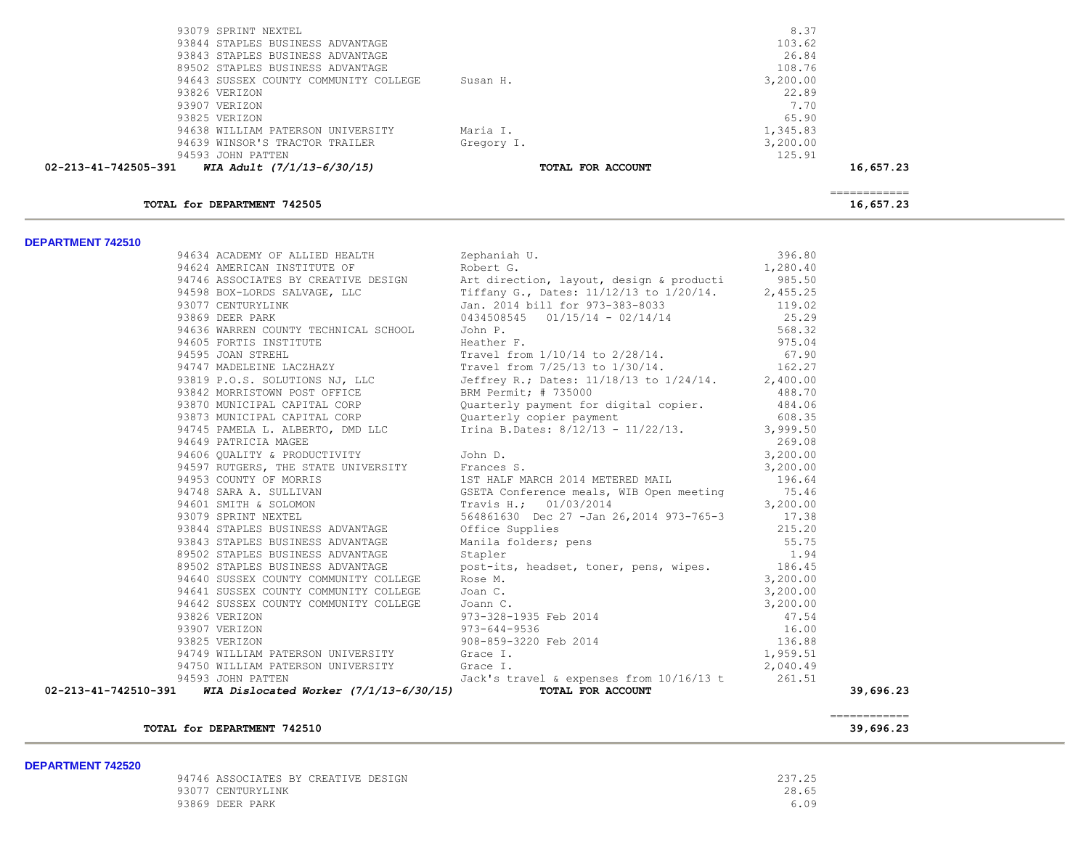| TOTAL for DEPARTMENT 742505                        |                   | ============<br>16,657.23 |  |
|----------------------------------------------------|-------------------|---------------------------|--|
| WIA Adult (7/1/13-6/30/15)<br>02-213-41-742505-391 | TOTAL FOR ACCOUNT | 16,657.23                 |  |
| 94593 JOHN PATTEN                                  |                   | 125.91                    |  |
| 94639 WINSOR'S TRACTOR TRAILER                     | Gregory I.        | 3,200.00                  |  |
| 94638 WILLIAM PATERSON UNIVERSITY                  | Maria I.          | 1,345.83                  |  |
| 93825 VERIZON                                      |                   | 65.90                     |  |
| 93907 VERIZON                                      |                   | 7.70                      |  |
| 93826 VERIZON                                      |                   | 22.89                     |  |
| 94643 SUSSEX COUNTY COMMUNITY COLLEGE              | Susan H.          | 3,200.00                  |  |
| 89502 STAPLES BUSINESS ADVANTAGE                   |                   | 108.76                    |  |
| 93843 STAPLES BUSINESS ADVANTAGE                   |                   | 26.84                     |  |
| 93844 STAPLES BUSINESS ADVANTAGE                   |                   | 103.62                    |  |
| 93079 SPRINT NEXTEL                                |                   | 8.37                      |  |

#### **DEPARTMENT 742510**

|  | 34524 ACCOMPT CP-ALLACTER (ACCOMPT COLLEGE 1964.8)<br>34624 ACCOMPT PROTECTION (ACCOMPT COLLEGE 1964.8)<br>34626 ACCOMPT PROTECTION (ACCOMPT COLLEGE 1973-1233-2022)<br>3477 CENTERNIAL SCALE (ACCOMPT PROTECTION (ACCOMPT)<br>3477 C |           |
|--|---------------------------------------------------------------------------------------------------------------------------------------------------------------------------------------------------------------------------------------|-----------|
|  |                                                                                                                                                                                                                                       |           |
|  |                                                                                                                                                                                                                                       |           |
|  |                                                                                                                                                                                                                                       |           |
|  |                                                                                                                                                                                                                                       |           |
|  |                                                                                                                                                                                                                                       |           |
|  |                                                                                                                                                                                                                                       |           |
|  |                                                                                                                                                                                                                                       |           |
|  |                                                                                                                                                                                                                                       |           |
|  |                                                                                                                                                                                                                                       |           |
|  |                                                                                                                                                                                                                                       |           |
|  |                                                                                                                                                                                                                                       |           |
|  |                                                                                                                                                                                                                                       |           |
|  |                                                                                                                                                                                                                                       |           |
|  |                                                                                                                                                                                                                                       |           |
|  |                                                                                                                                                                                                                                       |           |
|  |                                                                                                                                                                                                                                       |           |
|  |                                                                                                                                                                                                                                       |           |
|  |                                                                                                                                                                                                                                       |           |
|  |                                                                                                                                                                                                                                       |           |
|  |                                                                                                                                                                                                                                       |           |
|  |                                                                                                                                                                                                                                       |           |
|  |                                                                                                                                                                                                                                       |           |
|  |                                                                                                                                                                                                                                       |           |
|  |                                                                                                                                                                                                                                       |           |
|  |                                                                                                                                                                                                                                       |           |
|  |                                                                                                                                                                                                                                       |           |
|  |                                                                                                                                                                                                                                       |           |
|  |                                                                                                                                                                                                                                       |           |
|  |                                                                                                                                                                                                                                       |           |
|  |                                                                                                                                                                                                                                       |           |
|  |                                                                                                                                                                                                                                       |           |
|  |                                                                                                                                                                                                                                       |           |
|  |                                                                                                                                                                                                                                       |           |
|  |                                                                                                                                                                                                                                       |           |
|  |                                                                                                                                                                                                                                       | 39,696.23 |

| TOTAL for DEPARTMENT 742510 | 39,696.23 |
|-----------------------------|-----------|
|                             |           |

### **DEPARTMENT 742520**

| 94746 ASSOCIATES BY CREATIVE DESIGN | 237.25 |
|-------------------------------------|--------|
| 93077 CENTURYLINK                   | 28.65  |
| 93869 DEER PARK                     | 6.09   |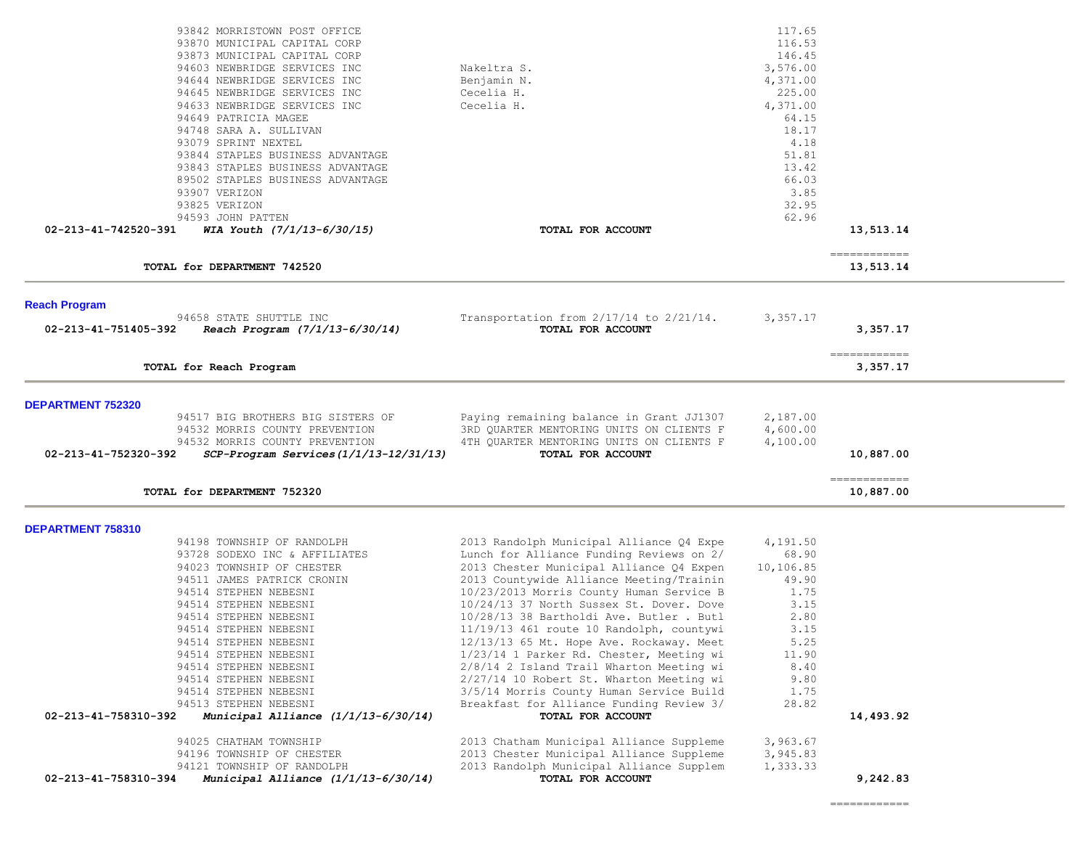| 93842 MORRISTOWN POST OFFICE<br>93870 MUNICIPAL CAPITAL CORP<br>93873 MUNICIPAL CAPITAL CORP<br>94603 NEWBRIDGE SERVICES INC<br>94644 NEWBRIDGE SERVICES INC<br>94645 NEWBRIDGE SERVICES INC<br>94633 NEWBRIDGE SERVICES INC<br>94649 PATRICIA MAGEE<br>94748 SARA A. SULLIVAN<br>93079 SPRINT NEXTEL<br>93844 STAPLES BUSINESS ADVANTAGE<br>93843 STAPLES BUSINESS ADVANTAGE<br>89502 STAPLES BUSINESS ADVANTAGE                                                                                                                                                                                                        | Nakeltra S.<br>Benjamin N.<br>Cecelia H.<br>Cecelia H.                                                                                                                                                                                                                                                                                                                                                                                                                                                                                                                                                                                                                                                                                                                                                             | 117.65<br>116.53<br>146.45<br>3,576.00<br>4,371.00<br>225.00<br>4,371.00<br>64.15<br>18.17<br>4.18<br>51.81<br>13.42<br>66.03<br>3.85                         |                            |  |
|--------------------------------------------------------------------------------------------------------------------------------------------------------------------------------------------------------------------------------------------------------------------------------------------------------------------------------------------------------------------------------------------------------------------------------------------------------------------------------------------------------------------------------------------------------------------------------------------------------------------------|--------------------------------------------------------------------------------------------------------------------------------------------------------------------------------------------------------------------------------------------------------------------------------------------------------------------------------------------------------------------------------------------------------------------------------------------------------------------------------------------------------------------------------------------------------------------------------------------------------------------------------------------------------------------------------------------------------------------------------------------------------------------------------------------------------------------|---------------------------------------------------------------------------------------------------------------------------------------------------------------|----------------------------|--|
| 93907 VERIZON<br>93825 VERIZON<br>94593 JOHN PATTEN                                                                                                                                                                                                                                                                                                                                                                                                                                                                                                                                                                      |                                                                                                                                                                                                                                                                                                                                                                                                                                                                                                                                                                                                                                                                                                                                                                                                                    | 32.95<br>62.96                                                                                                                                                |                            |  |
| 02-213-41-742520-391<br>WIA Youth (7/1/13-6/30/15)                                                                                                                                                                                                                                                                                                                                                                                                                                                                                                                                                                       | TOTAL FOR ACCOUNT                                                                                                                                                                                                                                                                                                                                                                                                                                                                                                                                                                                                                                                                                                                                                                                                  |                                                                                                                                                               | 13,513.14                  |  |
| TOTAL for DEPARTMENT 742520                                                                                                                                                                                                                                                                                                                                                                                                                                                                                                                                                                                              |                                                                                                                                                                                                                                                                                                                                                                                                                                                                                                                                                                                                                                                                                                                                                                                                                    |                                                                                                                                                               | -------------<br>13,513.14 |  |
| <b>Reach Program</b><br>94658 STATE SHUTTLE INC<br>Reach Program (7/1/13-6/30/14)<br>02-213-41-751405-392                                                                                                                                                                                                                                                                                                                                                                                                                                                                                                                | Transportation from $2/17/14$ to $2/21/14$ .<br>TOTAL FOR ACCOUNT                                                                                                                                                                                                                                                                                                                                                                                                                                                                                                                                                                                                                                                                                                                                                  | 3,357.17                                                                                                                                                      | 3,357.17                   |  |
| TOTAL for Reach Program                                                                                                                                                                                                                                                                                                                                                                                                                                                                                                                                                                                                  |                                                                                                                                                                                                                                                                                                                                                                                                                                                                                                                                                                                                                                                                                                                                                                                                                    |                                                                                                                                                               | -------------<br>3,357.17  |  |
| <b>DEPARTMENT 752320</b><br>94517 BIG BROTHERS BIG SISTERS OF<br>94532 MORRIS COUNTY PREVENTION<br>94532 MORRIS COUNTY PREVENTION<br>02-213-41-752320-392<br>SCP-Program Services(1/1/13-12/31/13)                                                                                                                                                                                                                                                                                                                                                                                                                       | Paying remaining balance in Grant JJ1307<br>3RD QUARTER MENTORING UNITS ON CLIENTS F<br>4TH QUARTER MENTORING UNITS ON CLIENTS F<br>TOTAL FOR ACCOUNT                                                                                                                                                                                                                                                                                                                                                                                                                                                                                                                                                                                                                                                              | 2,187.00<br>4,600.00<br>4,100.00                                                                                                                              | 10,887.00                  |  |
| TOTAL for DEPARTMENT 752320                                                                                                                                                                                                                                                                                                                                                                                                                                                                                                                                                                                              |                                                                                                                                                                                                                                                                                                                                                                                                                                                                                                                                                                                                                                                                                                                                                                                                                    |                                                                                                                                                               | -------------<br>10,887.00 |  |
| DEPARTMENT 758310<br>94198 TOWNSHIP OF RANDOLPH<br>93728 SODEXO INC & AFFILIATES<br>94023 TOWNSHIP OF CHESTER<br>94511 JAMES PATRICK CRONIN<br>94514 STEPHEN NEBESNI<br>94514 STEPHEN NEBESNI<br>94514 STEPHEN NEBESNI<br>94514 STEPHEN NEBESNI<br>94514 STEPHEN NEBESNI<br>94514 STEPHEN NEBESNI<br>94514 STEPHEN NEBESNI<br>94514 STEPHEN NEBESNI<br>94514 STEPHEN NEBESNI<br>94513 STEPHEN NEBESNI<br>02-213-41-758310-392<br>Municipal Alliance (1/1/13-6/30/14)<br>94025 CHATHAM TOWNSHIP<br>94196 TOWNSHIP OF CHESTER<br>94121 TOWNSHIP OF RANDOLPH<br>02-213-41-758310-394<br>Municipal Alliance (1/1/13-6/30/14) | 2013 Randolph Municipal Alliance Q4 Expe<br>Lunch for Alliance Funding Reviews on 2/<br>2013 Chester Municipal Alliance Q4 Expen<br>2013 Countywide Alliance Meeting/Trainin<br>10/23/2013 Morris County Human Service B<br>10/24/13 37 North Sussex St. Dover. Dove<br>10/28/13 38 Bartholdi Ave. Butler . Butl<br>11/19/13 461 route 10 Randolph, countywi<br>12/13/13 65 Mt. Hope Ave. Rockaway. Meet<br>1/23/14 1 Parker Rd. Chester, Meeting wi<br>2/8/14 2 Island Trail Wharton Meeting wi<br>2/27/14 10 Robert St. Wharton Meeting wi<br>3/5/14 Morris County Human Service Build<br>Breakfast for Alliance Funding Review 3/<br>TOTAL FOR ACCOUNT<br>2013 Chatham Municipal Alliance Suppleme<br>2013 Chester Municipal Alliance Suppleme<br>2013 Randolph Municipal Alliance Supplem<br>TOTAL FOR ACCOUNT | 4,191.50<br>68.90<br>10,106.85<br>49.90<br>1.75<br>3.15<br>2.80<br>3.15<br>5.25<br>11.90<br>8.40<br>9.80<br>1.75<br>28.82<br>3,963.67<br>3,945.83<br>1,333.33 | 14,493.92<br>9,242.83      |  |
|                                                                                                                                                                                                                                                                                                                                                                                                                                                                                                                                                                                                                          |                                                                                                                                                                                                                                                                                                                                                                                                                                                                                                                                                                                                                                                                                                                                                                                                                    |                                                                                                                                                               | ============               |  |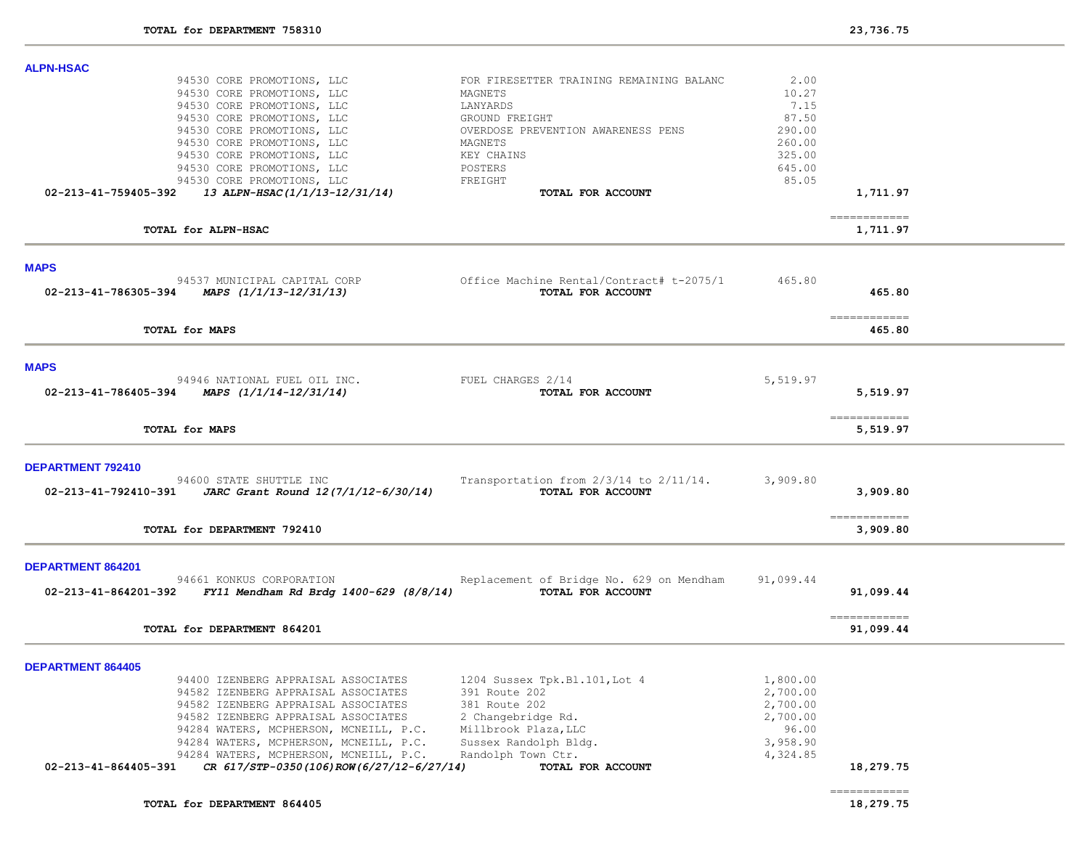| <b>ALPN-HSAC</b>                                                                           |                                                                  |           |                                                                                                                                                                                                                                                                                                                                                                                                                                                                                        |  |
|--------------------------------------------------------------------------------------------|------------------------------------------------------------------|-----------|----------------------------------------------------------------------------------------------------------------------------------------------------------------------------------------------------------------------------------------------------------------------------------------------------------------------------------------------------------------------------------------------------------------------------------------------------------------------------------------|--|
| 94530 CORE PROMOTIONS, LLC                                                                 | FOR FIRESETTER TRAINING REMAINING BALANC                         | 2.00      |                                                                                                                                                                                                                                                                                                                                                                                                                                                                                        |  |
| 94530 CORE PROMOTIONS, LLC                                                                 | MAGNETS                                                          | 10.27     |                                                                                                                                                                                                                                                                                                                                                                                                                                                                                        |  |
| 94530 CORE PROMOTIONS, LLC                                                                 | LANYARDS                                                         | 7.15      |                                                                                                                                                                                                                                                                                                                                                                                                                                                                                        |  |
| 94530 CORE PROMOTIONS, LLC                                                                 | GROUND FREIGHT                                                   | 87.50     |                                                                                                                                                                                                                                                                                                                                                                                                                                                                                        |  |
| 94530 CORE PROMOTIONS, LLC                                                                 | OVERDOSE PREVENTION AWARENESS PENS                               | 290.00    |                                                                                                                                                                                                                                                                                                                                                                                                                                                                                        |  |
| 94530 CORE PROMOTIONS, LLC                                                                 | MAGNETS                                                          | 260.00    |                                                                                                                                                                                                                                                                                                                                                                                                                                                                                        |  |
| 94530 CORE PROMOTIONS, LLC                                                                 | KEY CHAINS                                                       | 325.00    |                                                                                                                                                                                                                                                                                                                                                                                                                                                                                        |  |
| 94530 CORE PROMOTIONS, LLC                                                                 | POSTERS                                                          | 645.00    |                                                                                                                                                                                                                                                                                                                                                                                                                                                                                        |  |
| 94530 CORE PROMOTIONS, LLC                                                                 | FREIGHT                                                          | 85.05     |                                                                                                                                                                                                                                                                                                                                                                                                                                                                                        |  |
| 13 ALPN-HSAC(1/1/13-12/31/14)<br>02-213-41-759405-392                                      | TOTAL FOR ACCOUNT                                                |           | 1,711.97                                                                                                                                                                                                                                                                                                                                                                                                                                                                               |  |
| TOTAL for ALPN-HSAC                                                                        |                                                                  |           | ============<br>1,711.97                                                                                                                                                                                                                                                                                                                                                                                                                                                               |  |
| <b>MAPS</b>                                                                                |                                                                  |           |                                                                                                                                                                                                                                                                                                                                                                                                                                                                                        |  |
| 94537 MUNICIPAL CAPITAL CORP                                                               | Office Machine Rental/Contract# t-2075/1                         | 465.80    |                                                                                                                                                                                                                                                                                                                                                                                                                                                                                        |  |
| 02-213-41-786305-394 MAPS $(1/1/13-12/31/13)$                                              | TOTAL FOR ACCOUNT                                                |           | 465.80                                                                                                                                                                                                                                                                                                                                                                                                                                                                                 |  |
|                                                                                            |                                                                  |           | $\begin{array}{cccccccccc} \multicolumn{2}{c}{} & \multicolumn{2}{c}{} & \multicolumn{2}{c}{} & \multicolumn{2}{c}{} & \multicolumn{2}{c}{} & \multicolumn{2}{c}{} & \multicolumn{2}{c}{} & \multicolumn{2}{c}{} & \multicolumn{2}{c}{} & \multicolumn{2}{c}{} & \multicolumn{2}{c}{} & \multicolumn{2}{c}{} & \multicolumn{2}{c}{} & \multicolumn{2}{c}{} & \multicolumn{2}{c}{} & \multicolumn{2}{c}{} & \multicolumn{2}{c}{} & \multicolumn{2}{c}{} & \multicolumn{2}{c}{} & \mult$ |  |
| TOTAL for MAPS                                                                             |                                                                  |           | 465.80                                                                                                                                                                                                                                                                                                                                                                                                                                                                                 |  |
| <b>MAPS</b>                                                                                |                                                                  |           |                                                                                                                                                                                                                                                                                                                                                                                                                                                                                        |  |
| 94946 NATIONAL FUEL OIL INC.                                                               | FUEL CHARGES 2/14                                                | 5,519.97  |                                                                                                                                                                                                                                                                                                                                                                                                                                                                                        |  |
| 02-213-41-786405-394<br>MAPS (1/1/14-12/31/14)                                             | TOTAL FOR ACCOUNT                                                |           | 5,519.97                                                                                                                                                                                                                                                                                                                                                                                                                                                                               |  |
| TOTAL for MAPS                                                                             |                                                                  |           | -------------<br>5,519.97                                                                                                                                                                                                                                                                                                                                                                                                                                                              |  |
|                                                                                            |                                                                  |           |                                                                                                                                                                                                                                                                                                                                                                                                                                                                                        |  |
| DEPARTMENT 792410                                                                          |                                                                  |           |                                                                                                                                                                                                                                                                                                                                                                                                                                                                                        |  |
| 94600 STATE SHUTTLE INC<br>02-213-41-792410-391 <i>JARC Grant Round 12(7/1/12-6/30/14)</i> | Transportation from $2/3/14$ to $2/11/14$ .<br>TOTAL FOR ACCOUNT | 3,909.80  | 3,909.80                                                                                                                                                                                                                                                                                                                                                                                                                                                                               |  |
|                                                                                            |                                                                  |           | -------------                                                                                                                                                                                                                                                                                                                                                                                                                                                                          |  |
| TOTAL for DEPARTMENT 792410                                                                |                                                                  |           | 3,909.80                                                                                                                                                                                                                                                                                                                                                                                                                                                                               |  |
| DEPARTMENT 864201                                                                          |                                                                  |           |                                                                                                                                                                                                                                                                                                                                                                                                                                                                                        |  |
| 94661 KONKUS CORPORATION<br>02-213-41-864201-392<br>FY11 Mendham Rd Brdg 1400-629 (8/8/14) | Replacement of Bridge No. 629 on Mendham<br>TOTAL FOR ACCOUNT    | 91,099.44 | 91,099.44                                                                                                                                                                                                                                                                                                                                                                                                                                                                              |  |
| TOTAL for DEPARTMENT 864201                                                                |                                                                  |           | -------------<br>91,099.44                                                                                                                                                                                                                                                                                                                                                                                                                                                             |  |
| <b>DEPARTMENT 864405</b>                                                                   |                                                                  |           |                                                                                                                                                                                                                                                                                                                                                                                                                                                                                        |  |
| 94400 IZENBERG APPRAISAL ASSOCIATES                                                        | 1204 Sussex Tpk.Bl.101, Lot 4                                    | 1,800.00  |                                                                                                                                                                                                                                                                                                                                                                                                                                                                                        |  |
| 94582 IZENBERG APPRAISAL ASSOCIATES                                                        | 391 Route 202                                                    | 2,700.00  |                                                                                                                                                                                                                                                                                                                                                                                                                                                                                        |  |
| 94582 IZENBERG APPRAISAL ASSOCIATES                                                        | 381 Route 202                                                    | 2,700.00  |                                                                                                                                                                                                                                                                                                                                                                                                                                                                                        |  |
| 94582 IZENBERG APPRAISAL ASSOCIATES                                                        | 2 Changebridge Rd.                                               | 2,700.00  |                                                                                                                                                                                                                                                                                                                                                                                                                                                                                        |  |
| 94284 WATERS, MCPHERSON, MCNEILL, P.C.                                                     | Millbrook Plaza, LLC                                             | 96.00     |                                                                                                                                                                                                                                                                                                                                                                                                                                                                                        |  |
| 94284 WATERS, MCPHERSON, MCNEILL, P.C.                                                     | Sussex Randolph Bldg.                                            | 3,958.90  |                                                                                                                                                                                                                                                                                                                                                                                                                                                                                        |  |
| 94284 WATERS, MCPHERSON, MCNEILL, P.C.                                                     | Randolph Town Ctr.                                               | 4,324.85  |                                                                                                                                                                                                                                                                                                                                                                                                                                                                                        |  |
| CR 617/STP-0350(106)ROW(6/27/12-6/27/14)<br>02-213-41-864405-391                           | TOTAL FOR ACCOUNT                                                |           | 18,279.75                                                                                                                                                                                                                                                                                                                                                                                                                                                                              |  |
| TOTAL for DEPARTMENT 864405                                                                |                                                                  |           | ============<br>18,279.75                                                                                                                                                                                                                                                                                                                                                                                                                                                              |  |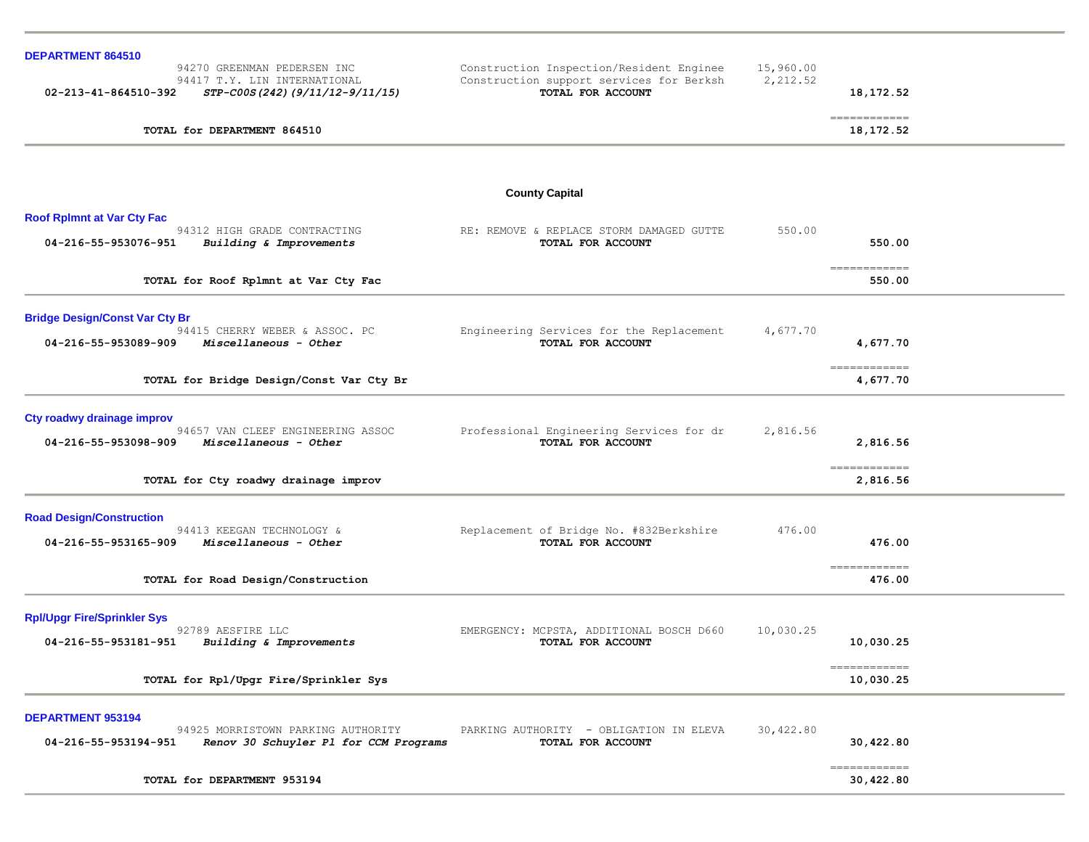| <b>DEPARTMENT 864510</b><br>94270 GREENMAN PEDERSEN INC                                                                  | Construction Inspection/Resident Enginee                      | 15,960.00 |                           |  |
|--------------------------------------------------------------------------------------------------------------------------|---------------------------------------------------------------|-----------|---------------------------|--|
| 94417 T.Y. LIN INTERNATIONAL<br>02-213-41-864510-392<br>STP-C00S(242)(9/11/12-9/11/15)                                   | Construction support services for Berksh<br>TOTAL FOR ACCOUNT | 2,212.52  | 18, 172.52                |  |
| TOTAL for DEPARTMENT 864510                                                                                              |                                                               |           | ============<br>18,172.52 |  |
|                                                                                                                          |                                                               |           |                           |  |
|                                                                                                                          | <b>County Capital</b>                                         |           |                           |  |
| <b>Roof Rplmnt at Var Cty Fac</b><br>94312 HIGH GRADE CONTRACTING<br>04-216-55-953076-951<br>Building & Improvements     | RE: REMOVE & REPLACE STORM DAMAGED GUTTE<br>TOTAL FOR ACCOUNT | 550.00    | 550.00                    |  |
| TOTAL for Roof Rplmnt at Var Cty Fac                                                                                     |                                                               |           | ============<br>550.00    |  |
| <b>Bridge Design/Const Var Cty Br</b><br>94415 CHERRY WEBER & ASSOC. PC<br>04-216-55-953089-909<br>Miscellaneous - Other | Engineering Services for the Replacement<br>TOTAL FOR ACCOUNT | 4,677.70  | 4,677.70                  |  |
| TOTAL for Bridge Design/Const Var Cty Br                                                                                 |                                                               |           | -------------<br>4,677.70 |  |
| Cty roadwy drainage improv<br>94657 VAN CLEEF ENGINEERING ASSOC<br>04-216-55-953098-909<br>Miscellaneous - Other         | Professional Engineering Services for dr<br>TOTAL FOR ACCOUNT | 2,816.56  | 2,816.56                  |  |
| TOTAL for Cty roadwy drainage improv                                                                                     |                                                               |           | -------------<br>2,816.56 |  |
| <b>Road Design/Construction</b><br>94413 KEEGAN TECHNOLOGY &<br>04-216-55-953165-909<br>Miscellaneous - Other            | Replacement of Bridge No. #832Berkshire<br>TOTAL FOR ACCOUNT  | 476.00    | 476.00                    |  |
| TOTAL for Road Design/Construction                                                                                       |                                                               |           | ============<br>476.00    |  |
| <b>Rpl/Upgr Fire/Sprinkler Sys</b><br>92789 AESFIRE LLC<br>Building & Improvements<br>04-216-55-953181-951               | EMERGENCY: MCPSTA, ADDITIONAL BOSCH D660<br>TOTAL FOR ACCOUNT | 10,030.25 | 10,030.25                 |  |
| TOTAL for Rpl/Upgr Fire/Sprinkler Sys                                                                                    |                                                               |           | ============<br>10,030.25 |  |
| DEPARTMENT 953194<br>94925 MORRISTOWN PARKING AUTHORITY<br>04-216-55-953194-951<br>Renov 30 Schuyler Pl for CCM Programs | PARKING AUTHORITY - OBLIGATION IN ELEVA<br>TOTAL FOR ACCOUNT  | 30,422.80 | 30,422.80                 |  |
| TOTAL for DEPARTMENT 953194                                                                                              |                                                               |           | ============<br>30,422.80 |  |
|                                                                                                                          |                                                               |           |                           |  |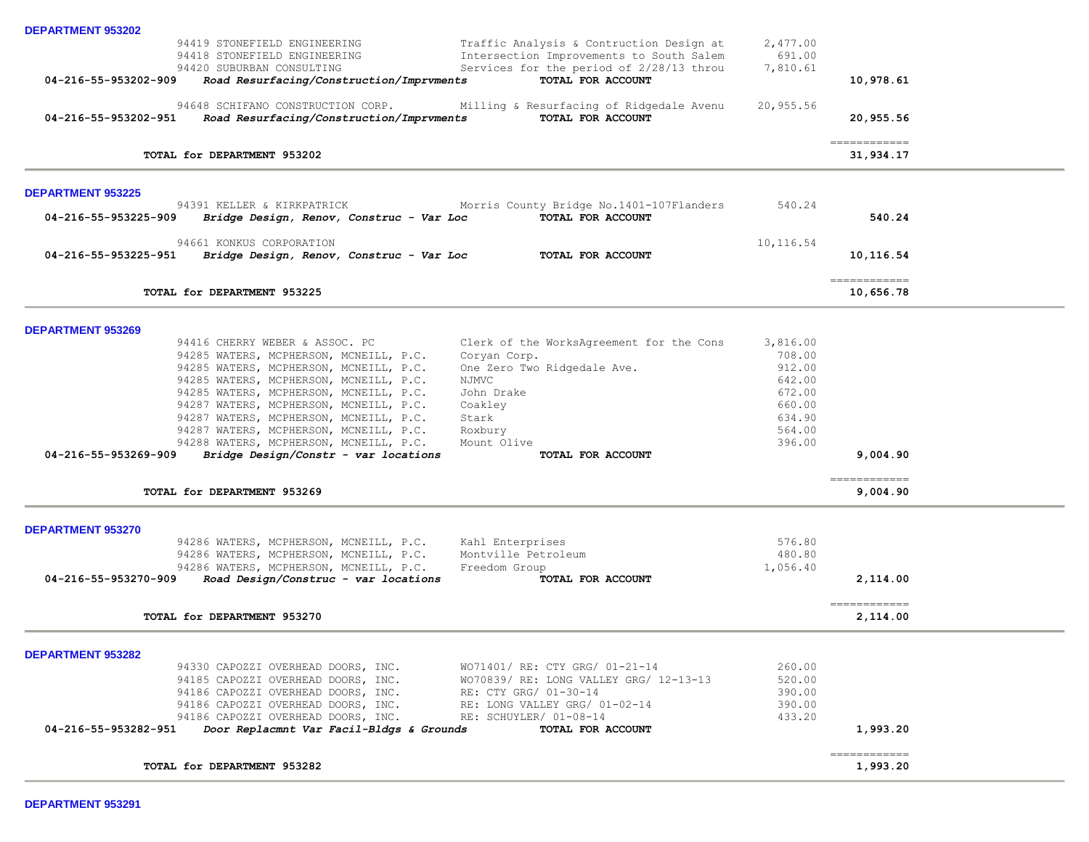| <b>DEPARTMENT 953202</b>                                                                                                                             |                  |                             |
|------------------------------------------------------------------------------------------------------------------------------------------------------|------------------|-----------------------------|
| 94419 STONEFIELD ENGINEERING<br>Traffic Analysis & Contruction Design at                                                                             | 2,477.00         |                             |
| Intersection Improvements to South Salem<br>94418 STONEFIELD ENGINEERING                                                                             | 691.00           |                             |
| Services for the period of 2/28/13 throu<br>94420 SUBURBAN CONSULTING                                                                                | 7,810.61         |                             |
| Road Resurfacing/Construction/Imprvments<br>TOTAL FOR ACCOUNT<br>04-216-55-953202-909                                                                |                  | 10,978.61                   |
| 94648 SCHIFANO CONSTRUCTION CORP.<br>Milling & Resurfacing of Ridgedale Avenu                                                                        | 20,955.56        |                             |
| TOTAL FOR ACCOUNT<br>Road Resurfacing/Construction/Imprvments<br>04-216-55-953202-951                                                                |                  | 20,955.56                   |
|                                                                                                                                                      |                  |                             |
|                                                                                                                                                      |                  | $=$ = = = = = = = = = = = = |
| TOTAL for DEPARTMENT 953202                                                                                                                          |                  | 31,934.17                   |
| <b>DEPARTMENT 953225</b>                                                                                                                             |                  |                             |
| 94391 KELLER & KIRKPATRICK<br>Morris County Bridge No.1401-107Flanders                                                                               | 540.24           |                             |
| TOTAL FOR ACCOUNT<br>04-216-55-953225-909<br>Bridge Design, Renov, Construc - Var Loc                                                                |                  | 540.24                      |
|                                                                                                                                                      |                  |                             |
| 94661 KONKUS CORPORATION<br>04-216-55-953225-951<br>Bridge Design, Renov, Construc - Var Loc<br>TOTAL FOR ACCOUNT                                    | 10,116.54        | 10,116.54                   |
|                                                                                                                                                      |                  |                             |
| TOTAL for DEPARTMENT 953225                                                                                                                          |                  | ============<br>10,656.78   |
|                                                                                                                                                      |                  |                             |
| <b>DEPARTMENT 953269</b>                                                                                                                             |                  |                             |
| Clerk of the WorksAgreement for the Cons<br>94416 CHERRY WEBER & ASSOC. PC                                                                           | 3,816.00         |                             |
| 94285 WATERS, MCPHERSON, MCNEILL, P.C.<br>Coryan Corp.                                                                                               | 708.00           |                             |
| One Zero Two Ridgedale Ave.<br>94285 WATERS, MCPHERSON, MCNEILL, P.C.                                                                                | 912.00           |                             |
| 94285 WATERS, MCPHERSON, MCNEILL, P.C.<br>NJMVC                                                                                                      | 642.00           |                             |
| 94285 WATERS, MCPHERSON, MCNEILL, P.C.<br>John Drake                                                                                                 | 672.00           |                             |
| 94287 WATERS, MCPHERSON, MCNEILL, P.C.<br>Coakley                                                                                                    | 660.00           |                             |
| 94287 WATERS, MCPHERSON, MCNEILL, P.C.<br>Stark                                                                                                      | 634.90           |                             |
| 94287 WATERS, MCPHERSON, MCNEILL, P.C.<br>Roxbury                                                                                                    | 564.00           |                             |
| Mount Olive<br>94288 WATERS, MCPHERSON, MCNEILL, P.C.                                                                                                | 396.00           |                             |
| Bridge Design/Constr - var locations<br>04-216-55-953269-909<br>TOTAL FOR ACCOUNT                                                                    |                  | 9,004.90                    |
|                                                                                                                                                      |                  |                             |
| TOTAL for DEPARTMENT 953269                                                                                                                          |                  | 9,004.90                    |
|                                                                                                                                                      |                  |                             |
| <b>DEPARTMENT 953270</b><br>94286 WATERS, MCPHERSON, MCNEILL, P.C.<br>Kahl Enterprises                                                               | 576.80           |                             |
| 94286 WATERS, MCPHERSON, MCNEILL, P.C.<br>Montville Petroleum                                                                                        | 480.80           |                             |
| 94286 WATERS, MCPHERSON, MCNEILL, P.C.<br>Freedom Group                                                                                              | 1,056.40         |                             |
| 04-216-55-953270-909<br>Road Design/Construc - var locations<br>TOTAL FOR ACCOUNT                                                                    |                  | 2,114.00                    |
|                                                                                                                                                      |                  |                             |
| TOTAL for DEPARTMENT 953270                                                                                                                          |                  | 2,114.00                    |
|                                                                                                                                                      |                  |                             |
| <b>DEPARTMENT 953282</b>                                                                                                                             |                  |                             |
| WO71401/ RE: CTY GRG/ 01-21-14<br>94330 CAPOZZI OVERHEAD DOORS, INC.<br>94185 CAPOZZI OVERHEAD DOORS, INC.<br>WO70839/ RE: LONG VALLEY GRG/ 12-13-13 | 260.00<br>520.00 |                             |
| 94186 CAPOZZI OVERHEAD DOORS, INC.<br>RE: CTY GRG/ 01-30-14                                                                                          | 390.00           |                             |
| 94186 CAPOZZI OVERHEAD DOORS, INC.<br>RE: LONG VALLEY GRG/ 01-02-14                                                                                  | 390.00           |                             |
| 94186 CAPOZZI OVERHEAD DOORS, INC.<br>RE: SCHUYLER/ 01-08-14                                                                                         | 433.20           |                             |
| 04-216-55-953282-951<br>Door Replacmnt Var Facil-Bldgs & Grounds<br>TOTAL FOR ACCOUNT                                                                |                  | 1,993.20                    |
|                                                                                                                                                      |                  |                             |
| TOTAL for DEPARTMENT 953282                                                                                                                          |                  | =============<br>1,993.20   |
|                                                                                                                                                      |                  |                             |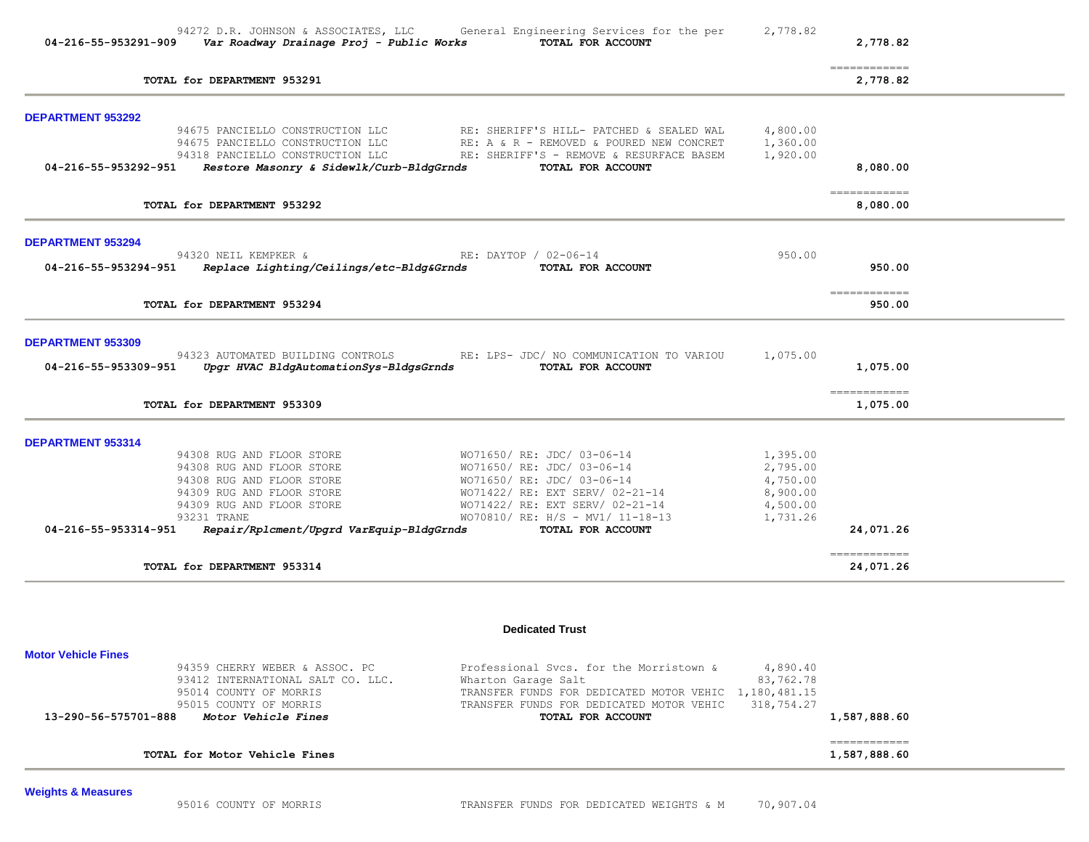| 04-216-55-953291-909       | 94272 D.R. JOHNSON & ASSOCIATES, LLC<br>Var Roadway Drainage Proj - Public Works | General Engineering Services for the per<br>TOTAL FOR ACCOUNT                        | 2,778.82             | 2,778.82                      |  |
|----------------------------|----------------------------------------------------------------------------------|--------------------------------------------------------------------------------------|----------------------|-------------------------------|--|
|                            | TOTAL for DEPARTMENT 953291                                                      |                                                                                      |                      | -------------<br>2,778.82     |  |
| <b>DEPARTMENT 953292</b>   |                                                                                  |                                                                                      |                      |                               |  |
|                            | 94675 PANCIELLO CONSTRUCTION LLC<br>94675 PANCIELLO CONSTRUCTION LLC             | RE: SHERIFF'S HILL- PATCHED & SEALED WAL<br>RE: A & R - REMOVED & POURED NEW CONCRET | 4,800.00<br>1,360.00 |                               |  |
|                            | 94318 PANCIELLO CONSTRUCTION LLC                                                 | RE: SHERIFF'S - REMOVE & RESURFACE BASEM                                             | 1,920.00             |                               |  |
| 04-216-55-953292-951       | Restore Masonry & Sidewlk/Curb-BldgGrnds                                         | TOTAL FOR ACCOUNT                                                                    |                      | 8,080.00                      |  |
|                            | TOTAL for DEPARTMENT 953292                                                      |                                                                                      |                      | ------------<br>8,080.00      |  |
| <b>DEPARTMENT 953294</b>   |                                                                                  |                                                                                      |                      |                               |  |
|                            | 94320 NEIL KEMPKER &                                                             | RE: DAYTOP / 02-06-14                                                                | 950.00               |                               |  |
|                            | 04-216-55-953294-951   Replace Lighting/Ceilings/etc-Bldg&Grnds                  | TOTAL FOR ACCOUNT                                                                    |                      | 950.00                        |  |
|                            | TOTAL for DEPARTMENT 953294                                                      |                                                                                      |                      | ------------<br>950.00        |  |
| <b>DEPARTMENT 953309</b>   |                                                                                  |                                                                                      |                      |                               |  |
| 04-216-55-953309-951       | 94323 AUTOMATED BUILDING CONTROLS<br>Upgr HVAC BldgAutomationSys-BldgsGrnds      | RE: LPS- JDC/ NO COMMUNICATION TO VARIOU<br>TOTAL FOR ACCOUNT                        | 1,075.00             | 1,075.00                      |  |
|                            | TOTAL for DEPARTMENT 953309                                                      |                                                                                      |                      | -------------<br>1,075.00     |  |
| DEPARTMENT 953314          |                                                                                  |                                                                                      |                      |                               |  |
|                            | 94308 RUG AND FLOOR STORE                                                        | WO71650/ RE: JDC/ 03-06-14                                                           | 1,395.00             |                               |  |
|                            | 94308 RUG AND FLOOR STORE                                                        | WO71650/ RE: JDC/ 03-06-14                                                           | 2,795.00             |                               |  |
|                            | 94308 RUG AND FLOOR STORE<br>94309 RUG AND FLOOR STORE                           | WO71650/ RE: JDC/ 03-06-14<br>WO71422/ RE: EXT SERV/ 02-21-14                        | 4,750.00<br>8,900.00 |                               |  |
|                            | 94309 RUG AND FLOOR STORE                                                        | WO71422/ RE: EXT SERV/ 02-21-14                                                      | 4,500.00             |                               |  |
|                            | 93231 TRANE                                                                      | WO70810/ RE: H/S - MV1/ 11-18-13                                                     | 1,731.26             |                               |  |
| 04-216-55-953314-951       | Repair/Rplcment/Upgrd VarEquip-BldgGrnds                                         | TOTAL FOR ACCOUNT                                                                    |                      | 24,071.26                     |  |
|                            | TOTAL for DEPARTMENT 953314                                                      |                                                                                      |                      | ============<br>24,071.26     |  |
|                            |                                                                                  | <b>Dedicated Trust</b>                                                               |                      |                               |  |
| <b>Motor Vehicle Fines</b> |                                                                                  |                                                                                      |                      |                               |  |
|                            | 94359 CHERRY WEBER & ASSOC. PC                                                   | Professional Svcs. for the Morristown &                                              | 4,890.40             |                               |  |
|                            | 93412 INTERNATIONAL SALT CO. LLC.                                                | Wharton Garage Salt                                                                  | 83,762.78            |                               |  |
|                            | 95014 COUNTY OF MORRIS                                                           | TRANSFER FUNDS FOR DEDICATED MOTOR VEHIC                                             | 1,180,481.15         |                               |  |
| 13-290-56-575701-888       | 95015 COUNTY OF MORRIS<br>Motor Vehicle Fines                                    | TRANSFER FUNDS FOR DEDICATED MOTOR VEHIC<br>TOTAL FOR ACCOUNT                        | 318,754.27           | 1,587,888.60                  |  |
|                            | TOTAL for Motor Vehicle Fines                                                    |                                                                                      |                      | -------------<br>1,587,888.60 |  |
|                            |                                                                                  |                                                                                      |                      |                               |  |

**Weights & Measures**